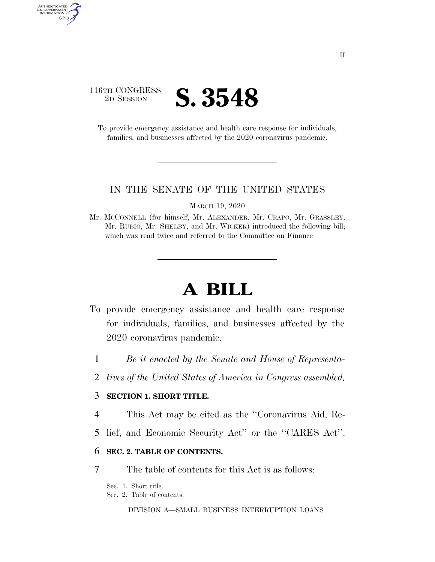## 116TH CONGRESS <sup>2D SESSION</sup> **S. 3548**

AUTHENTICATED U.S. GOVERNMENT GPO

> To provide emergency assistance and health care response for individuals, families, and businesses affected by the 2020 coronavirus pandemic.

### IN THE SENATE OF THE UNITED STATES

MARCH 19, 2020

Mr. MCCONNELL (for himself, Mr. ALEXANDER, Mr. CRAPO, Mr. GRASSLEY, Mr. RUBIO, Mr. SHELBY, and Mr. WICKER) introduced the following bill; which was read twice and referred to the Committee on Finance

# **A BILL**

- To provide emergency assistance and health care response for individuals, families, and businesses affected by the 2020 coronavirus pandemic.
	- 1 *Be it enacted by the Senate and House of Representa-*
	- 2 *tives of the United States of America in Congress assembled,*

## 3 **SECTION 1. SHORT TITLE.**

- 4 This Act may be cited as the ''Coronavirus Aid, Re-
- 5 lief, and Economic Security Act'' or the ''CARES Act''.

### 6 **SEC. 2. TABLE OF CONTENTS.**

7 The table of contents for this Act is as follows:

Sec. 1. Short title.

Sec. 2. Table of contents.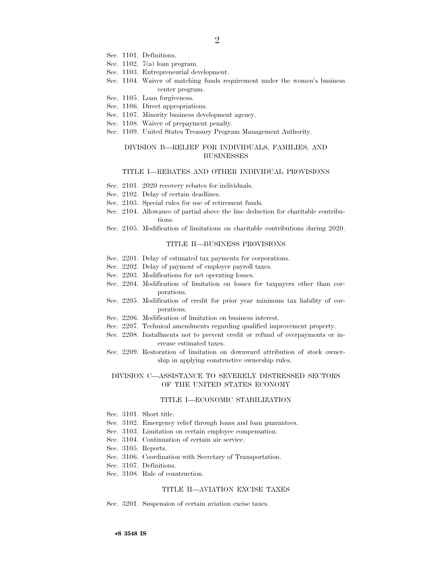- Sec. 1101. Definitions.
- Sec. 1102. 7(a) loan program.
- Sec. 1103. Entrepreneurial development.
- Sec. 1104. Waiver of matching funds requirement under the women's business center program.
- Sec. 1105. Loan forgiveness.
- Sec. 1106. Direct appropriations.
- Sec. 1107. Minority business development agency.
- Sec. 1108. Waiver of prepayment penalty.
- Sec. 1109. United States Treasury Program Management Authority.

#### DIVISION B—RELIEF FOR INDIVIDUALS, FAMILIES, AND **BUSINESSES**

#### TITLE I—REBATES AND OTHER INDIVIDUAL PROVISIONS

- Sec. 2101. 2020 recovery rebates for individuals.
- Sec. 2102. Delay of certain deadlines.
- Sec. 2103. Special rules for use of retirement funds.
- Sec. 2104. Allowance of partial above the line deduction for charitable contributions.
- Sec. 2105. Modification of limitations on charitable contributions during 2020.

#### TITLE II—BUSINESS PROVISIONS

- Sec. 2201. Delay of estimated tax payments for corporations.
- Sec. 2202. Delay of payment of employer payroll taxes.
- Sec. 2203. Modifications for net operating losses.
- Sec. 2204. Modification of limitation on losses for taxpayers other than corporations.
- Sec. 2205. Modification of credit for prior year minimum tax liability of corporations.
- Sec. 2206. Modification of limitation on business interest.
- Sec. 2207. Technical amendments regarding qualified improvement property.
- Sec. 2208. Installments not to prevent credit or refund of overpayments or increase estimated taxes.
- Sec. 2209. Restoration of limitation on downward attribution of stock ownership in applying constructive ownership rules.

#### DIVISION C—ASSISTANCE TO SEVERELY DISTRESSED SECTORS OF THE UNITED STATES ECONOMY

#### TITLE I—ECONOMIC STABILIZATION

- Sec. 3101. Short title.
- Sec. 3102. Emergency relief through loans and loan guarantees.
- Sec. 3103. Limitation on certain employee compensation.
- Sec. 3104. Continuation of certain air service.
- Sec. 3105. Reports.
- Sec. 3106. Coordination with Secretary of Transportation.
- Sec. 3107. Definitions.
- Sec. 3108. Rule of construction.

#### TITLE II—AVIATION EXCISE TAXES

Sec. 3201. Suspension of certain aviation excise taxes.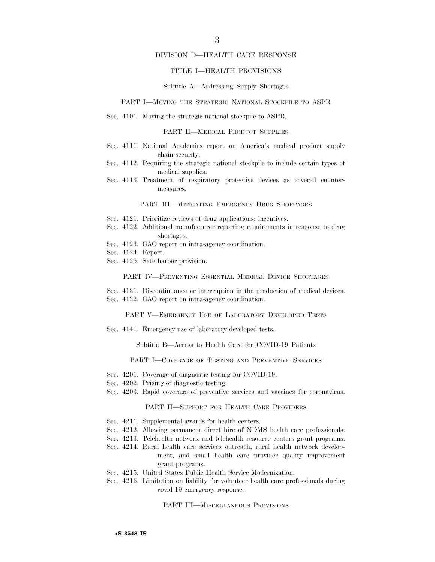#### DIVISION D—HEALTH CARE RESPONSE

#### TITLE I—HEALTH PROVISIONS

#### Subtitle A—Addressing Supply Shortages

#### PART I—MOVING THE STRATEGIC NATIONAL STOCKPILE TO ASPR

Sec. 4101. Moving the strategic national stockpile to ASPR.

#### PART II—MEDICAL PRODUCT SUPPLIES

- Sec. 4111. National Academies report on America's medical product supply chain security.
- Sec. 4112. Requiring the strategic national stockpile to include certain types of medical supplies.
- Sec. 4113. Treatment of respiratory protective devices as covered countermeasures.

#### PART III—MITIGATING EMERGENCY DRUG SHORTAGES

- Sec. 4121. Prioritize reviews of drug applications; incentives.
- Sec. 4122. Additional manufacturer reporting requirements in response to drug shortages.
- Sec. 4123. GAO report on intra-agency coordination.
- Sec. 4124. Report.
- Sec. 4125. Safe harbor provision.

#### PART IV—PREVENTING ESSENTIAL MEDICAL DEVICE SHORTAGES

Sec. 4131. Discontinuance or interruption in the production of medical devices. Sec. 4132. GAO report on intra-agency coordination.

PART V—EMERGENCY USE OF LABORATORY DEVELOPED TESTS

Sec. 4141. Emergency use of laboratory developed tests.

Subtitle B—Access to Health Care for COVID-19 Patients

PART I—COVERAGE OF TESTING AND PREVENTIVE SERVICES

- Sec. 4201. Coverage of diagnostic testing for COVID-19.
- Sec. 4202. Pricing of diagnostic testing.
- Sec. 4203. Rapid coverage of preventive services and vaccines for coronavirus.

#### PART II—SUPPORT FOR HEALTH CARE PROVIDERS

- Sec. 4211. Supplemental awards for health centers.
- Sec. 4212. Allowing permanent direct hire of NDMS health care professionals.
- Sec. 4213. Telehealth network and telehealth resource centers grant programs.
- Sec. 4214. Rural health care services outreach, rural health network development, and small health care provider quality improvement grant programs.
- Sec. 4215. United States Public Health Service Modernization.
- Sec. 4216. Limitation on liability for volunteer health care professionals during covid-19 emergency response.

PART III—MISCELLANEOUS PROVISIONS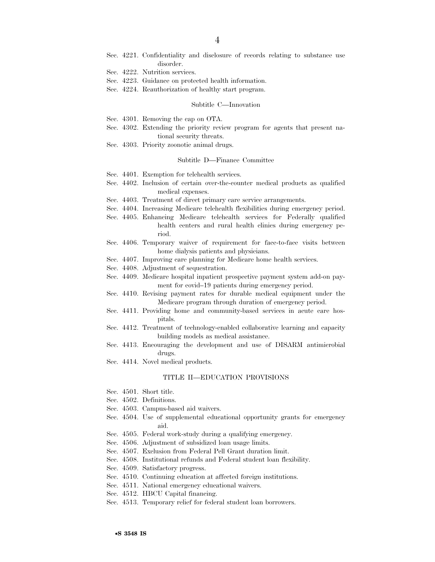- Sec. 4221. Confidentiality and disclosure of records relating to substance use disorder.
- Sec. 4222. Nutrition services.
- Sec. 4223. Guidance on protected health information.
- Sec. 4224. Reauthorization of healthy start program.

#### Subtitle C—Innovation

- Sec. 4301. Removing the cap on OTA.
- Sec. 4302. Extending the priority review program for agents that present national security threats.
- Sec. 4303. Priority zoonotic animal drugs.

#### Subtitle D—Finance Committee

- Sec. 4401. Exemption for telehealth services.
- Sec. 4402. Inclusion of certain over-the-counter medical products as qualified medical expenses.
- Sec. 4403. Treatment of direct primary care service arrangements.
- Sec. 4404. Increasing Medicare telehealth flexibilities during emergency period.
- Sec. 4405. Enhancing Medicare telehealth services for Federally qualified health centers and rural health clinics during emergency period.
- Sec. 4406. Temporary waiver of requirement for face-to-face visits between home dialysis patients and physicians.
- Sec. 4407. Improving care planning for Medicare home health services.
- Sec. 4408. Adjustment of sequestration.
- Sec. 4409. Medicare hospital inpatient prospective payment system add-on payment for covid–19 patients during emergency period.
- Sec. 4410. Revising payment rates for durable medical equipment under the Medicare program through duration of emergency period.
- Sec. 4411. Providing home and community-based services in acute care hospitals.
- Sec. 4412. Treatment of technology-enabled collaborative learning and capacity building models as medical assistance.
- Sec. 4413. Encouraging the development and use of DISARM antimicrobial drugs.
- Sec. 4414. Novel medical products.

#### TITLE II—EDUCATION PROVISIONS

- Sec. 4501. Short title.
- Sec. 4502. Definitions.
- Sec. 4503. Campus-based aid waivers.
- Sec. 4504. Use of supplemental educational opportunity grants for emergency aid.
- Sec. 4505. Federal work-study during a qualifying emergency.
- Sec. 4506. Adjustment of subsidized loan usage limits.
- Sec. 4507. Exclusion from Federal Pell Grant duration limit.
- Sec. 4508. Institutional refunds and Federal student loan flexibility.
- Sec. 4509. Satisfactory progress.
- Sec. 4510. Continuing education at affected foreign institutions.
- Sec. 4511. National emergency educational waivers.
- Sec. 4512. HBCU Capital financing.
- Sec. 4513. Temporary relief for federal student loan borrowers.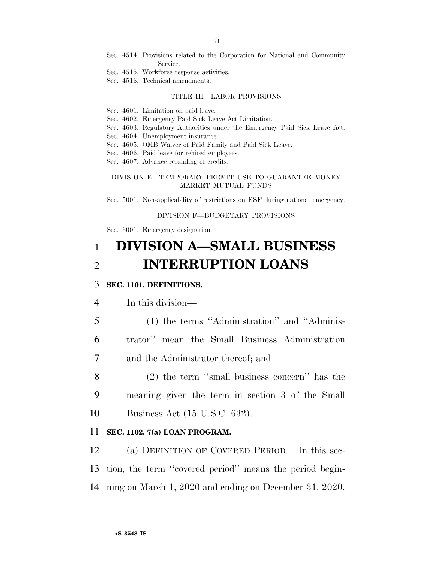- Sec. 4514. Provisions related to the Corporation for National and Community Service.
- Sec. 4515. Workforce response activities.
- Sec. 4516. Technical amendments.

#### TITLE III—LABOR PROVISIONS

- Sec. 4601. Limitation on paid leave.
- Sec. 4602. Emergency Paid Sick Leave Act Limitation.
- Sec. 4603. Regulatory Authorities under the Emergency Paid Sick Leave Act.
- Sec. 4604. Unemployment insurance.
- Sec. 4605. OMB Waiver of Paid Family and Paid Sick Leave.
- Sec. 4606. Paid leave for rehired employees.
- Sec. 4607. Advance refunding of credits.

### DIVISION E—TEMPORARY PERMIT USE TO GUARANTEE MONEY MARKET MUTUAL FUNDS

Sec. 5001. Non-applicability of restrictions on ESF during national emergency.

#### DIVISION F—BUDGETARY PROVISIONS

Sec. 6001. Emergency designation.

## 1 **DIVISION A—SMALL BUSINESS**  2 **INTERRUPTION LOANS**

## 3 **SEC. 1101. DEFINITIONS.**

4 In this division—

5 (1) the terms ''Administration'' and ''Adminis-6 trator'' mean the Small Business Administration 7 and the Administrator thereof; and

8 (2) the term ''small business concern'' has the 9 meaning given the term in section 3 of the Small 10 Business Act (15 U.S.C. 632).

#### 11 **SEC. 1102. 7(a) LOAN PROGRAM.**

12 (a) DEFINITION OF COVERED PERIOD.—In this sec-13 tion, the term ''covered period'' means the period begin-14 ning on March 1, 2020 and ending on December 31, 2020.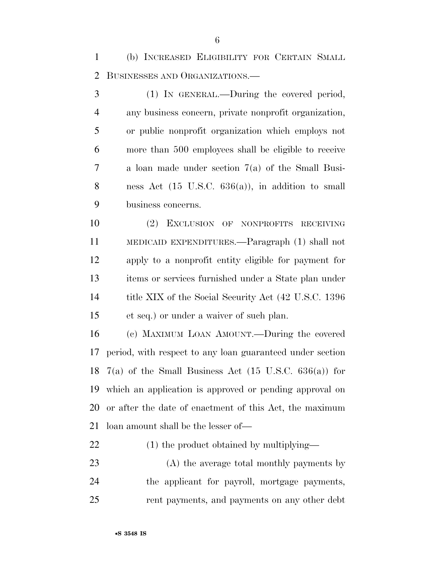(b) INCREASED ELIGIBILITY FOR CERTAIN SMALL BUSINESSES AND ORGANIZATIONS.—

 (1) IN GENERAL.—During the covered period, any business concern, private nonprofit organization, or public nonprofit organization which employs not more than 500 employees shall be eligible to receive a loan made under section 7(a) of the Small Busi- ness Act (15 U.S.C. 636(a)), in addition to small business concerns.

 (2) EXCLUSION OF NONPROFITS RECEIVING MEDICAID EXPENDITURES.—Paragraph (1) shall not apply to a nonprofit entity eligible for payment for items or services furnished under a State plan under 14 title XIX of the Social Security Act (42 U.S.C. 1396) et seq.) or under a waiver of such plan.

 (c) MAXIMUM LOAN AMOUNT.—During the covered period, with respect to any loan guaranteed under section 18 7(a) of the Small Business Act  $(15 \text{ U.S.C. } 636(a))$  for which an application is approved or pending approval on or after the date of enactment of this Act, the maximum loan amount shall be the lesser of—

- 22 (1) the product obtained by multiplying—
- (A) the average total monthly payments by the applicant for payroll, mortgage payments, rent payments, and payments on any other debt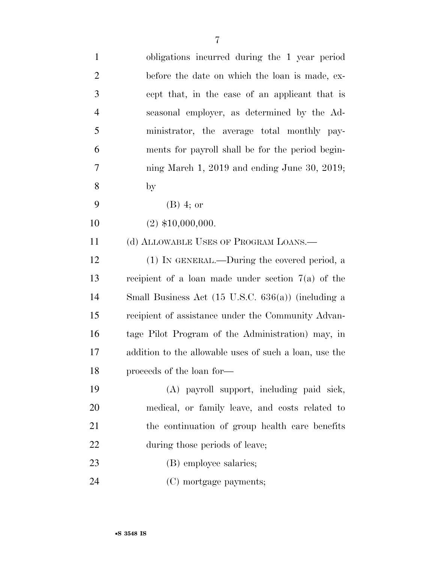| $\mathbf{1}$   | obligations incurred during the 1 year period                 |
|----------------|---------------------------------------------------------------|
| $\overline{2}$ | before the date on which the loan is made, ex-                |
| $\mathfrak{Z}$ | cept that, in the case of an applicant that is                |
| $\overline{4}$ | seasonal employer, as determined by the Ad-                   |
| 5              | ministrator, the average total monthly pay-                   |
| 6              | ments for payroll shall be for the period begin-              |
| 7              | ning March 1, 2019 and ending June 30, 2019;                  |
| 8              | by                                                            |
| 9              | $(B)$ 4; or                                                   |
| 10             | $(2)$ \$10,000,000.                                           |
| 11             | (d) ALLOWABLE USES OF PROGRAM LOANS.—                         |
| 12             | (1) IN GENERAL.—During the covered period, a                  |
| 13             | recipient of a loan made under section $7(a)$ of the          |
| 14             | Small Business Act $(15 \text{ U.S.C. } 636(a))$ (including a |
| 15             | recipient of assistance under the Community Advan-            |
| 16             | tage Pilot Program of the Administration) may, in             |
| 17             | addition to the allowable uses of such a loan, use the        |
| 18             | proceeds of the loan for-                                     |
| 19             | (A) payroll support, including paid sick,                     |
| 20             | medical, or family leave, and costs related to                |
| 21             | the continuation of group health care benefits                |
| 22             | during those periods of leave;                                |
| 23             | (B) employee salaries;                                        |
| 24             | (C) mortgage payments;                                        |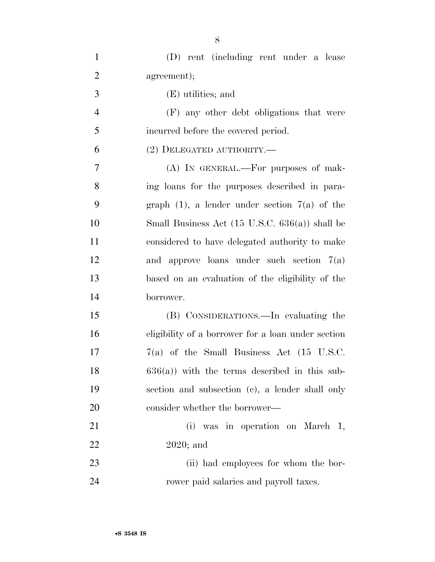| $\mathbf{1}$   | (D) rent (including rent under a lease                    |
|----------------|-----------------------------------------------------------|
| $\overline{2}$ | agreement);                                               |
| 3              | (E) utilities; and                                        |
| $\overline{4}$ | (F) any other debt obligations that were                  |
| 5              | incurred before the covered period.                       |
| 6              | $(2)$ DELEGATED AUTHORITY.—                               |
| $\tau$         | (A) IN GENERAL.—For purposes of mak-                      |
| 8              | ing loans for the purposes described in para-             |
| 9              | graph $(1)$ , a lender under section $7(a)$ of the        |
| 10             | Small Business Act $(15 \text{ U.S.C. } 636(a))$ shall be |
| 11             | considered to have delegated authority to make            |
| 12             | and approve loans under such section $7(a)$               |
| 13             | based on an evaluation of the eligibility of the          |
| 14             | borrower.                                                 |
| 15             | (B) CONSIDERATIONS.—In evaluating the                     |
| 16             | eligibility of a borrower for a loan under section        |
| 17             | $7(a)$ of the Small Business Act (15 U.S.C.               |
| 18             | $636(a)$ ) with the terms described in this sub-          |
| 19             | section and subsection (c), a lender shall only           |
| 20             | consider whether the borrower—                            |
| 21             | (i) was in operation on March 1,                          |
| 22             | $2020$ ; and                                              |
| 23             | (ii) had employees for whom the bor-                      |
| 24             | rower paid salaries and payroll taxes.                    |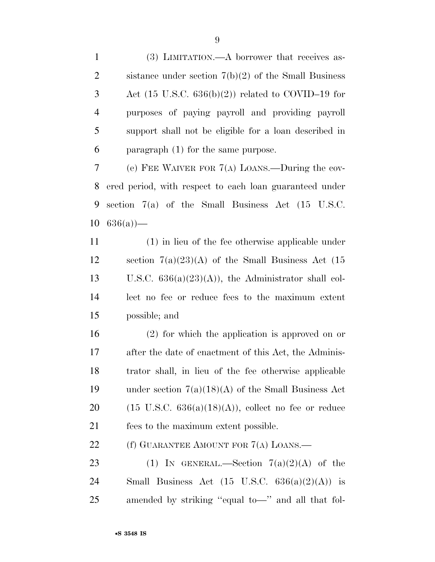(3) LIMITATION.—A borrower that receives as- sistance under section 7(b)(2) of the Small Business Act (15 U.S.C. 636(b)(2)) related to COVID–19 for purposes of paying payroll and providing payroll support shall not be eligible for a loan described in paragraph (1) for the same purpose.

 (e) FEE WAIVER FOR 7(A) LOANS.—During the cov- ered period, with respect to each loan guaranteed under section 7(a) of the Small Business Act (15 U.S.C.  $10 \quad 636(a)$  —

 (1) in lieu of the fee otherwise applicable under section 7(a)(23)(A) of the Small Business Act (15 13 U.S.C.  $636(a)(23)(A)$ , the Administrator shall col- lect no fee or reduce fees to the maximum extent possible; and

 (2) for which the application is approved on or after the date of enactment of this Act, the Adminis- trator shall, in lieu of the fee otherwise applicable under section 7(a)(18)(A) of the Small Business Act 20 (15 U.S.C.  $636(a)(18)(A)$ ), collect no fee or reduce fees to the maximum extent possible.

22 (f) GUARANTEE AMOUNT FOR 7(A) LOANS.—

23 (1) IN GENERAL.—Section  $7(a)(2)(A)$  of the 24 Small Business Act  $(15 \text{ U.S.C. } 636(a)(2)(\text{A}))$  is amended by striking ''equal to—'' and all that fol-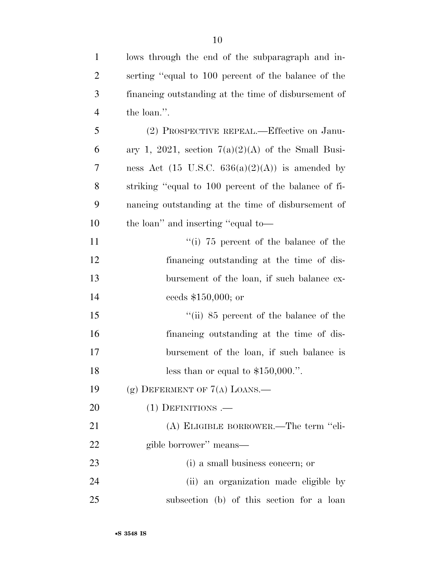| $\mathbf{1}$   | lows through the end of the subparagraph and in-           |
|----------------|------------------------------------------------------------|
| $\overline{2}$ | serting "equal to 100 percent of the balance of the        |
| 3              | financing outstanding at the time of disbursement of       |
| $\overline{4}$ | the loan.".                                                |
| 5              | (2) PROSPECTIVE REPEAL.—Effective on Janu-                 |
| 6              | ary 1, 2021, section $7(a)(2)(A)$ of the Small Busi-       |
| 7              | ness Act $(15 \text{ U.S.C. } 636(a)(2)(A))$ is amended by |
| 8              | striking "equal to 100 percent of the balance of fi-       |
| 9              | nancing outstanding at the time of disbursement of         |
| 10             | the loan" and inserting "equal to-                         |
| 11             | "(i) $75$ percent of the balance of the                    |
| 12             | financing outstanding at the time of dis-                  |
| 13             | bursement of the loan, if such balance ex-                 |
| 14             | ceeds \$150,000; or                                        |
| 15             | "(ii) $85$ percent of the balance of the                   |
| 16             | financing outstanding at the time of dis-                  |
| 17             | bursement of the loan, if such balance is                  |
| 18             | less than or equal to $$150,000."$ .                       |
| 19             | (g) DEFERMENT OF $7(A)$ LOANS.—                            |
| 20             | $(1)$ DEFINITIONS .—                                       |
| 21             | (A) ELIGIBLE BORROWER.—The term "eli-                      |
| 22             | gible borrower" means-                                     |
| 23             | (i) a small business concern; or                           |
| 24             | (ii) an organization made eligible by                      |
| 25             | subsection (b) of this section for a loan                  |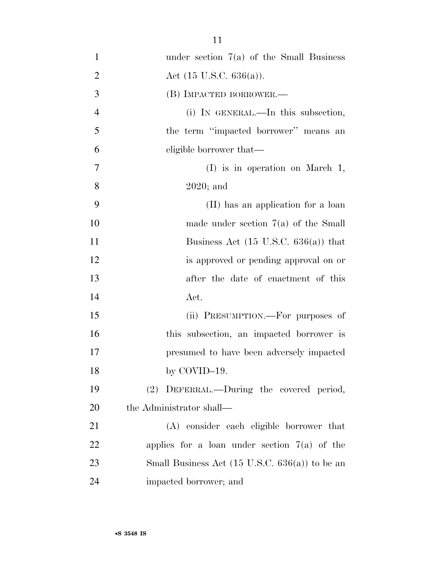| $\mathbf{1}$   | under section $7(a)$ of the Small Business                |
|----------------|-----------------------------------------------------------|
| $\overline{2}$ | Act $(15 \text{ U.S.C. } 636(a))$ .                       |
| 3              | (B) IMPACTED BORROWER.-                                   |
| $\overline{4}$ | (i) IN GENERAL.—In this subsection,                       |
| 5              | the term "impacted borrower" means an                     |
| 6              | eligible borrower that—                                   |
| 7              | $(I)$ is in operation on March 1,                         |
| 8              | $2020$ ; and                                              |
| 9              | (II) has an application for a loan                        |
| 10             | made under section $7(a)$ of the Small                    |
| 11             | Business Act $(15 \text{ U.S.C. } 636(a))$ that           |
| 12             | is approved or pending approval on or                     |
| 13             | after the date of enactment of this                       |
| 14             | Act.                                                      |
| 15             | (ii) PRESUMPTION.—For purposes of                         |
| 16             | this subsection, an impacted borrower is                  |
| 17             | presumed to have been adversely impacted                  |
| 18             | by $COVID-19$ .                                           |
| 19             | (2) DEFERRAL.—During the covered period,                  |
| 20             | the Administrator shall—                                  |
| 21             | (A) consider each eligible borrower that                  |
| 22             | applies for a loan under section $7(a)$ of the            |
| 23             | Small Business Act $(15 \text{ U.S.C. } 636(a))$ to be an |
| 24             | impacted borrower; and                                    |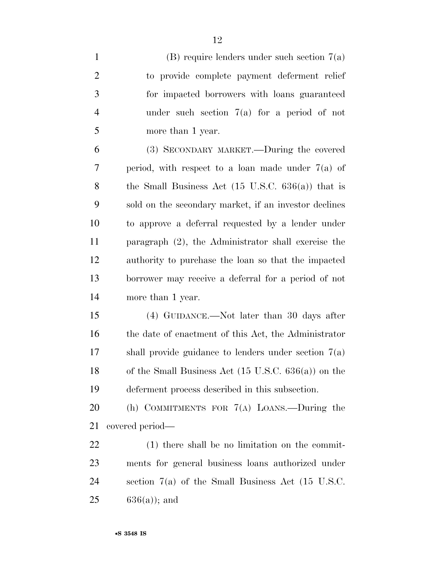(B) require lenders under such section 7(a) to provide complete payment deferment relief for impacted borrowers with loans guaranteed under such section 7(a) for a period of not more than 1 year. (3) SECONDARY MARKET.—During the covered period, with respect to a loan made under 7(a) of the Small Business Act (15 U.S.C. 636(a)) that is sold on the secondary market, if an investor declines

 to approve a deferral requested by a lender under paragraph (2), the Administrator shall exercise the authority to purchase the loan so that the impacted borrower may receive a deferral for a period of not more than 1 year.

 (4) GUIDANCE.—Not later than 30 days after the date of enactment of this Act, the Administrator shall provide guidance to lenders under section 7(a) of the Small Business Act (15 U.S.C. 636(a)) on the deferment process described in this subsection.

 (h) COMMITMENTS FOR 7(A) LOANS.—During the covered period—

 (1) there shall be no limitation on the commit- ments for general business loans authorized under section 7(a) of the Small Business Act (15 U.S.C. 636(a)); and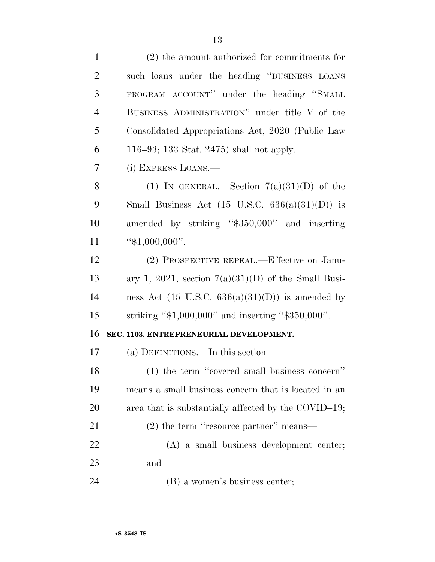| $\mathbf{1}$   | $(2)$ the amount authorized for commitments for             |
|----------------|-------------------------------------------------------------|
| $\overline{2}$ | such loans under the heading "BUSINESS LOANS                |
| 3              | PROGRAM ACCOUNT" under the heading "SMALL                   |
| $\overline{4}$ | BUSINESS ADMINISTRATION" under title V of the               |
| 5              | Consolidated Appropriations Act, 2020 (Public Law           |
| 6              | 116–93; 133 Stat. 2475) shall not apply.                    |
| $\overline{7}$ | (i) EXPRESS LOANS.—                                         |
| 8              | (1) IN GENERAL.—Section $7(a)(31)(D)$ of the                |
| 9              | Small Business Act $(15 \text{ U.S.C. } 636(a)(31)(D))$ is  |
| 10             | amended by striking "\$350,000" and inserting               |
| 11             | " $$1,000,000$ ".                                           |
| 12             | (2) PROSPECTIVE REPEAL.—Effective on Janu-                  |
| 13             | ary 1, 2021, section $7(a)(31)(D)$ of the Small Busi-       |
| 14             | ness Act $(15 \text{ U.S.C. } 636(a)(31)(D))$ is amended by |
| 15             | striking " $$1,000,000"$ and inserting " $$350,000"$ .      |
| 16             | SEC. 1103. ENTREPRENEURIAL DEVELOPMENT.                     |
| 17             |                                                             |
|                | (a) DEFINITIONS.—In this section—                           |
| 18             | (1) the term "covered small business concern"               |
| 19             | means a small business concern that is located in an        |
| 20             | area that is substantially affected by the COVID-19;        |
| 21             | $(2)$ the term "resource partner" means—                    |
| 22             | $(A)$ a small business development center;                  |
| 23             | and                                                         |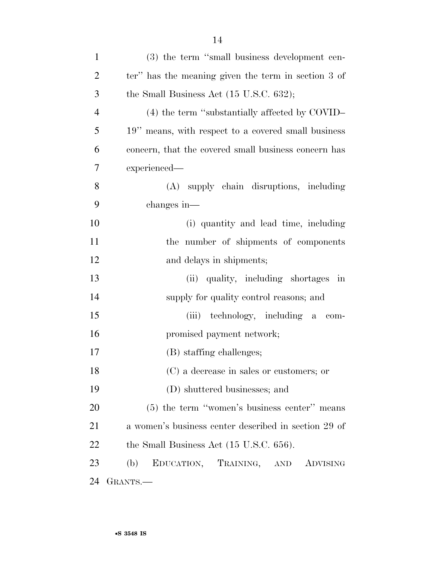| $\mathbf{1}$   | (3) the term "small business development cen-        |
|----------------|------------------------------------------------------|
| $\overline{2}$ | ter" has the meaning given the term in section 3 of  |
| 3              | the Small Business Act $(15 \text{ U.S.C. } 632);$   |
| $\overline{4}$ | $(4)$ the term "substantially affected by COVID-     |
| 5              | 19" means, with respect to a covered small business  |
| 6              | concern, that the covered small business concern has |
| 7              | experienced—                                         |
| 8              | (A) supply chain disruptions, including              |
| 9              | changes in—                                          |
| 10             | (i) quantity and lead time, including                |
| 11             | the number of shipments of components                |
| 12             | and delays in shipments;                             |
| 13             | (ii) quality, including shortages in                 |
| 14             | supply for quality control reasons; and              |
| 15             | (iii) technology, including a com-                   |
| 16             | promised payment network;                            |
| 17             | (B) staffing challenges;                             |
| 18             | (C) a decrease in sales or customers; or             |
| 19             | (D) shuttered businesses; and                        |
| 20             | $(5)$ the term "women's business center" means       |
| 21             | a women's business center described in section 29 of |
| 22             | the Small Business Act (15 U.S.C. 656).              |
| 23             | EDUCATION, TRAINING, AND ADVISING<br>(b)             |
| 24             | GRANTS.                                              |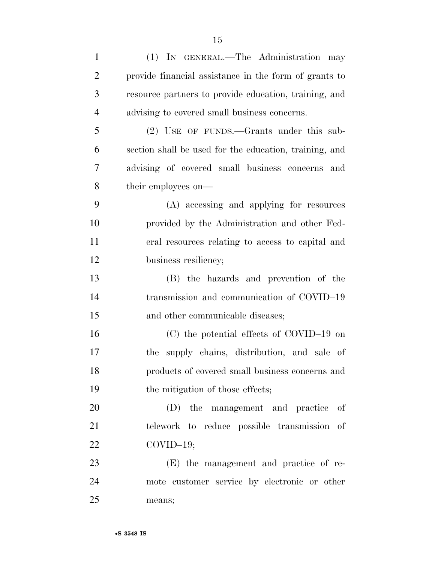| $\mathbf{1}$   | (1) IN GENERAL.—The Administration may                 |
|----------------|--------------------------------------------------------|
| $\overline{2}$ | provide financial assistance in the form of grants to  |
| 3              | resource partners to provide education, training, and  |
| $\overline{4}$ | advising to covered small business concerns.           |
| 5              | (2) USE OF FUNDS.—Grants under this sub-               |
| 6              | section shall be used for the education, training, and |
| 7              | advising of covered small business concerns and        |
| 8              | their employees on—                                    |
| 9              | (A) accessing and applying for resources               |
| 10             | provided by the Administration and other Fed-          |
| 11             | eral resources relating to access to capital and       |
| 12             | business resiliency;                                   |
| 13             | (B) the hazards and prevention of the                  |
| 14             | transmission and communication of COVID-19             |
| 15             | and other communicable diseases;                       |
| 16             | (C) the potential effects of COVID-19 on               |
| 17             | supply chains, distribution, and sale of<br>the        |
| 18             | products of covered small business concerns and        |
| 19             | the mitigation of those effects;                       |
| 20             | (D) the management and practice<br>of                  |
| 21             | telework to reduce possible transmission of            |
| 22             | $COVID-19;$                                            |
| 23             | (E) the management and practice of re-                 |
| 24             | mote customer service by electronic or other           |
| 25             | means;                                                 |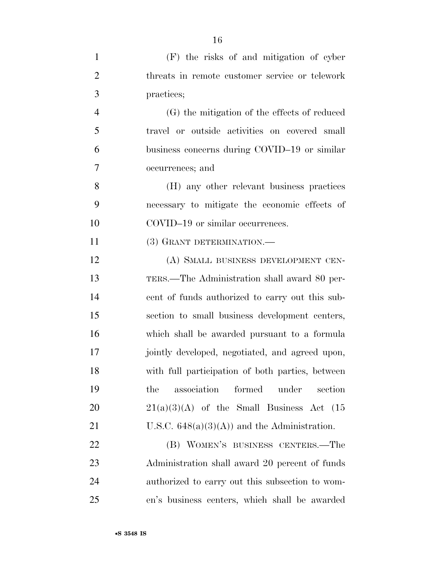| $\mathbf{1}$   | (F) the risks of and mitigation of cyber         |
|----------------|--------------------------------------------------|
| $\overline{2}$ | threats in remote customer service or telework   |
| 3              | practices;                                       |
| $\overline{4}$ | (G) the mitigation of the effects of reduced     |
| 5              | travel or outside activities on covered small    |
| 6              | business concerns during COVID-19 or similar     |
| 7              | occurrences; and                                 |
| 8              | (H) any other relevant business practices        |
| 9              | necessary to mitigate the economic effects of    |
| 10             | COVID-19 or similar occurrences.                 |
| 11             | (3) GRANT DETERMINATION.-                        |
| 12             | (A) SMALL BUSINESS DEVELOPMENT CEN-              |
| 13             | TERS.—The Administration shall award 80 per-     |
| 14             | cent of funds authorized to carry out this sub-  |
| 15             | section to small business development centers,   |
| 16             | which shall be awarded pursuant to a formula     |
| 17             | jointly developed, negotiated, and agreed upon,  |
| 18             | with full participation of both parties, between |
| 19             | association<br>formed<br>under<br>the<br>section |
| 20             | $21(a)(3)(A)$ of the Small Business Act $(15)$   |
| 21             | U.S.C. $648(a)(3)(A)$ and the Administration.    |
| 22             | (B) WOMEN'S BUSINESS CENTERS.—The                |
| 23             | Administration shall award 20 percent of funds   |
| 24             | authorized to carry out this subsection to wom-  |
| 25             | en's business centers, which shall be awarded    |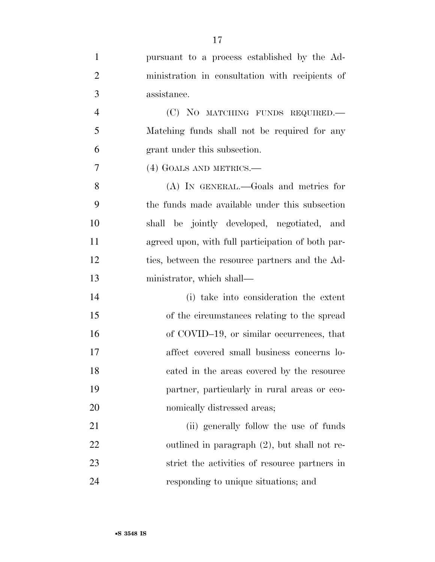| $\mathbf{1}$   | pursuant to a process established by the Ad-      |
|----------------|---------------------------------------------------|
| $\overline{2}$ | ministration in consultation with recipients of   |
| 3              | assistance.                                       |
| 4              | (C) NO MATCHING FUNDS REQUIRED.                   |
| 5              | Matching funds shall not be required for any      |
| 6              | grant under this subsection.                      |
| 7              | (4) GOALS AND METRICS.—                           |
| 8              | (A) IN GENERAL.—Goals and metrics for             |
| 9              | the funds made available under this subsection    |
| 10             | shall be jointly developed, negotiated, and       |
| 11             | agreed upon, with full participation of both par- |
| 12             | ties, between the resource partners and the Ad-   |
| 13             | ministrator, which shall—                         |
| 14             | (i) take into consideration the extent            |
| 15             | of the circumstances relating to the spread       |
| 16             | of COVID-19, or similar occurrences, that         |
| 17             | affect covered small business concerns lo-        |
| 18             | cated in the areas covered by the resource        |
| 19             | partner, particularly in rural areas or eco-      |
| 20             | nomically distressed areas;                       |
| 21             | (ii) generally follow the use of funds            |
| 22             | outlined in paragraph $(2)$ , but shall not re-   |
| 23             | strict the activities of resource partners in     |
| 24             | responding to unique situations; and              |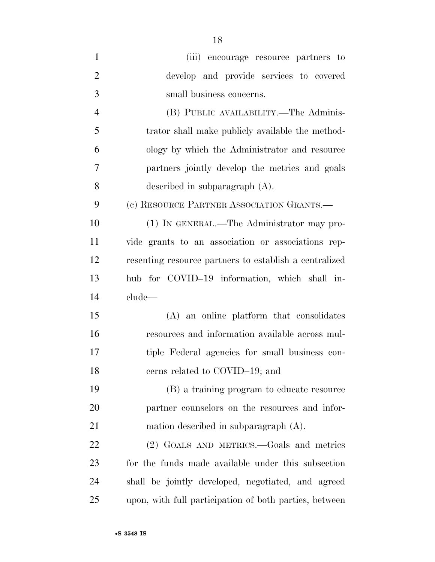| $\mathbf{1}$   | (iii) encourage resource partners to                   |
|----------------|--------------------------------------------------------|
| $\overline{2}$ | develop and provide services to covered                |
| 3              | small business concerns.                               |
| $\overline{4}$ | (B) PUBLIC AVAILABILITY.—The Adminis-                  |
| 5              | trator shall make publicly available the method-       |
| 6              | ology by which the Administrator and resource          |
| $\overline{7}$ | partners jointly develop the metrics and goals         |
| 8              | described in subparagraph $(A)$ .                      |
| 9              | (c) RESOURCE PARTNER ASSOCIATION GRANTS.—              |
| 10             | (1) IN GENERAL.—The Administrator may pro-             |
| 11             | vide grants to an association or associations rep-     |
| 12             | resenting resource partners to establish a centralized |
| 13             | hub for COVID-19 information, which shall in-          |
| 14             | clude—                                                 |
| 15             | (A) an online platform that consolidates               |
| 16             | resources and information available across mul-        |
| 17             | tiple Federal agencies for small business con-         |
| 18             | cerns related to COVID-19; and                         |
| 19             | (B) a training program to educate resource             |
| 20             | partner counselors on the resources and infor-         |
| 21             | mation described in subparagraph $(A)$ .               |
| 22             | (2) GOALS AND METRICS.—Goals and metrics               |
| 23             | for the funds made available under this subsection     |
| 24             | shall be jointly developed, negotiated, and agreed     |
| 25             | upon, with full participation of both parties, between |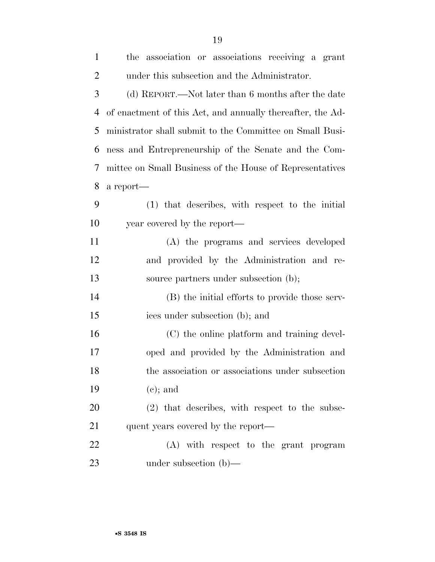| $\mathbf{1}$   | the association or associations receiving a grant          |
|----------------|------------------------------------------------------------|
| $\overline{2}$ | under this subsection and the Administrator.               |
| 3              | (d) REPORT.—Not later than 6 months after the date         |
| 4              | of enactment of this Act, and annually thereafter, the Ad- |
| 5              | ministrator shall submit to the Committee on Small Busi-   |
| 6              | ness and Entrepreneurship of the Senate and the Com-       |
| 7              | mittee on Small Business of the House of Representatives   |
| 8              | a report—                                                  |
| 9              | (1) that describes, with respect to the initial            |
| 10             | year covered by the report—                                |
| 11             | (A) the programs and services developed                    |
| 12             | and provided by the Administration and re-                 |
| 13             | source partners under subsection (b);                      |
| 14             | (B) the initial efforts to provide those serv-             |
| 15             | ices under subsection (b); and                             |
| 16             | (C) the online platform and training devel-                |
| 17             | oped and provided by the Administration and                |
| 18             | the association or associations under subsection           |
| 19             | $(e)$ ; and                                                |
| 20             | $(2)$ that describes, with respect to the subse-           |
| 21             | quent years covered by the report—                         |
| 22             | (A) with respect to the grant program                      |
| 23             | under subsection $(b)$ —                                   |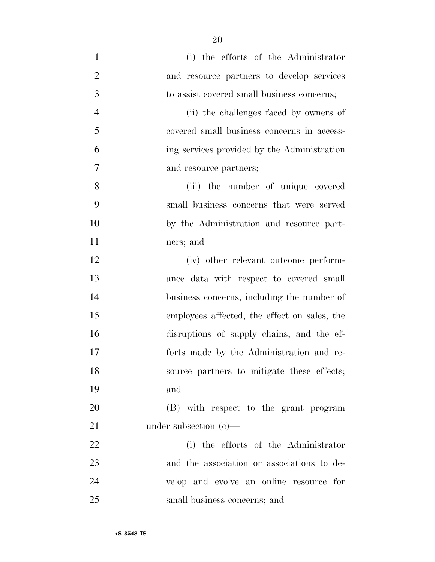(i) the efforts of the Administrator and resource partners to develop services to assist covered small business concerns; (ii) the challenges faced by owners of covered small business concerns in access- ing services provided by the Administration and resource partners; (iii) the number of unique covered small business concerns that were served by the Administration and resource part- ners; and (iv) other relevant outcome perform- ance data with respect to covered small business concerns, including the number of employees affected, the effect on sales, the disruptions of supply chains, and the ef- forts made by the Administration and re- source partners to mitigate these effects; and (B) with respect to the grant program 21 under subsection (c)— (i) the efforts of the Administrator and the association or associations to de-velop and evolve an online resource for

small business concerns; and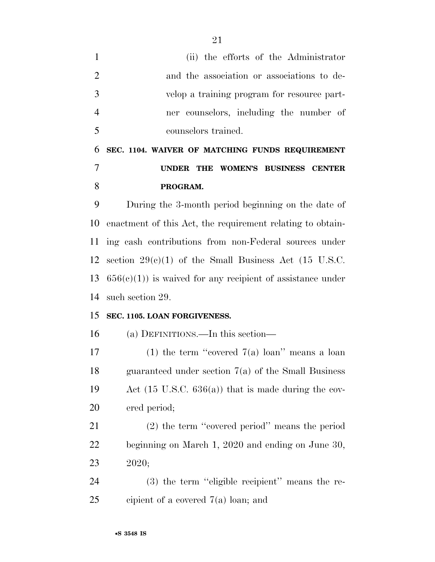(ii) the efforts of the Administrator and the association or associations to de- velop a training program for resource part- ner counselors, including the number of counselors trained.

## **SEC. 1104. WAIVER OF MATCHING FUNDS REQUIREMENT UNDER THE WOMEN'S BUSINESS CENTER PROGRAM.**

 During the 3-month period beginning on the date of enactment of this Act, the requirement relating to obtain- ing cash contributions from non-Federal sources under 12 section  $29(c)(1)$  of the Small Business Act (15 U.S.C.  $656(c)(1)$  is waived for any recipient of assistance under such section 29.

## **SEC. 1105. LOAN FORGIVENESS.**

(a) DEFINITIONS.—In this section—

17 (1) the term "covered  $7(a)$  loan" means a loan guaranteed under section 7(a) of the Small Business Act (15 U.S.C. 636(a)) that is made during the cov-ered period;

 (2) the term ''covered period'' means the period beginning on March 1, 2020 and ending on June 30, 2020;

 (3) the term ''eligible recipient'' means the re-cipient of a covered 7(a) loan; and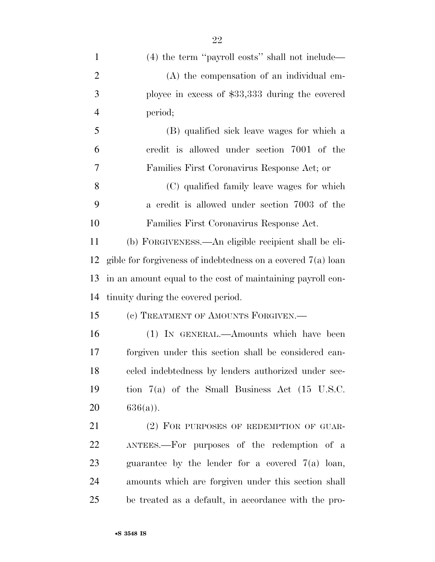| $\mathbf{1}$   | $(4)$ the term "payroll costs" shall not include—              |
|----------------|----------------------------------------------------------------|
| $\overline{2}$ | (A) the compensation of an individual em-                      |
| 3              | ployee in excess of \$33,333 during the covered                |
| $\overline{4}$ | period;                                                        |
| 5              | (B) qualified sick leave wages for which a                     |
| 6              | credit is allowed under section 7001 of the                    |
| 7              | Families First Coronavirus Response Act; or                    |
| 8              | (C) qualified family leave wages for which                     |
| 9              | a credit is allowed under section 7003 of the                  |
| 10             | Families First Coronavirus Response Act.                       |
| 11             | (b) FORGIVENESS.—An eligible recipient shall be eli-           |
| 12             | gible for forgiveness of indebtedness on a covered $7(a)$ loan |
| 13             | in an amount equal to the cost of maintaining payroll con-     |
| 14             | tinuity during the covered period.                             |
| 15             | (c) TREATMENT OF AMOUNTS FORGIVEN.—                            |
| 16             | (1) IN GENERAL.—Amounts which have been                        |
| 17             | forgiven under this section shall be considered can-           |
| 18             | celed indebtedness by lenders authorized under sec-            |
| 19             | tion $7(a)$ of the Small Business Act (15 U.S.C.               |
| 20             | $636(a)$ ).                                                    |
| 21             | (2) FOR PURPOSES OF REDEMPTION OF GUAR-                        |
| 22             | ANTEES.—For purposes of the redemption of a                    |
| 23             | guarantee by the lender for a covered $7(a)$ loan,             |
| 24             | amounts which are forgiven under this section shall            |

be treated as a default, in accordance with the pro-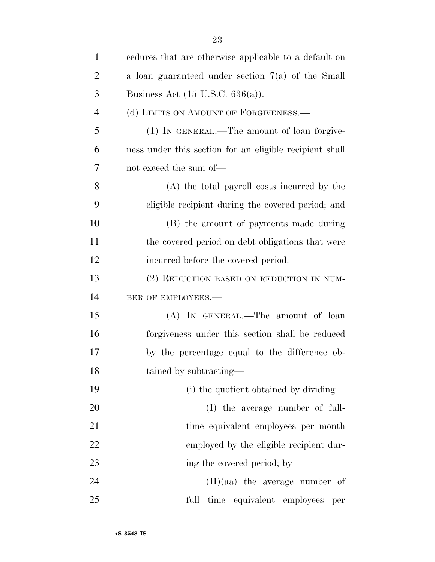| $\mathbf{1}$   | endures that are otherwise applicable to a default on   |
|----------------|---------------------------------------------------------|
| $\overline{2}$ | a loan guaranteed under section $7(a)$ of the Small     |
| 3              | Business Act $(15 \text{ U.S.C. } 636(a))$ .            |
| $\overline{4}$ | (d) LIMITS ON AMOUNT OF FORGIVENESS.—                   |
| 5              | (1) IN GENERAL.—The amount of loan forgive-             |
| 6              | ness under this section for an eligible recipient shall |
| 7              | not exceed the sum of-                                  |
| 8              | (A) the total payroll costs incurred by the             |
| 9              | eligible recipient during the covered period; and       |
| 10             | (B) the amount of payments made during                  |
| 11             | the covered period on debt obligations that were        |
| 12             | incurred before the covered period.                     |
| 13             | (2) REDUCTION BASED ON REDUCTION IN NUM-                |
| 14             | BER OF EMPLOYEES.-                                      |
| 15             | (A) IN GENERAL.—The amount of loan                      |
| 16             | forgiveness under this section shall be reduced         |
| 17             | by the percentage equal to the difference ob-           |
| 18             | tained by subtracting-                                  |
| 19             | (i) the quotient obtained by dividing—                  |
| 20             | (I) the average number of full-                         |
| 21             | time equivalent employees per month                     |
| 22             | employed by the eligible recipient dur-                 |
| 23             | ing the covered period; by                              |
| 24             | $(II)(aa)$ the average number of                        |
| 25             | full<br>time equivalent employees<br>per                |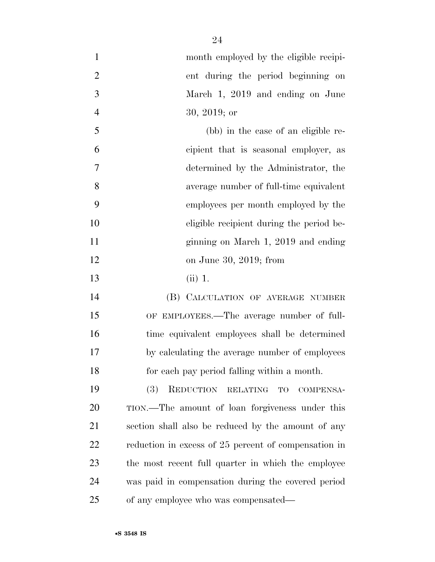| $\mathbf{1}$   | month employed by the eligible recipi-               |
|----------------|------------------------------------------------------|
| $\overline{2}$ | ent during the period beginning on                   |
| 3              | March 1, 2019 and ending on June                     |
| $\overline{4}$ | $30, 2019$ ; or                                      |
| 5              | (bb) in the case of an eligible re-                  |
| 6              | cipient that is seasonal employer, as                |
| $\overline{7}$ | determined by the Administrator, the                 |
| 8              | average number of full-time equivalent               |
| 9              | employees per month employed by the                  |
| 10             | eligible recipient during the period be-             |
| 11             | ginning on March 1, 2019 and ending                  |
| 12             | on June 30, 2019; from                               |
| 13             | $(ii)$ 1.                                            |
| 14             | (B) CALCULATION OF AVERAGE NUMBER                    |
| 15             | OF EMPLOYEES.—The average number of full-            |
| 16             | time equivalent employees shall be determined        |
| 17             | by calculating the average number of employees       |
| 18             | for each pay period falling within a month.          |
| 19             | REDUCTION RELATING<br>(3)<br><b>TO</b><br>COMPENSA-  |
| 20             | TION.—The amount of loan forgiveness under this      |
| 21             | section shall also be reduced by the amount of any   |
| 22             | reduction in excess of 25 percent of compensation in |
| 23             | the most recent full quarter in which the employee   |
| 24             | was paid in compensation during the covered period   |
| 25             | of any employee who was compensated—                 |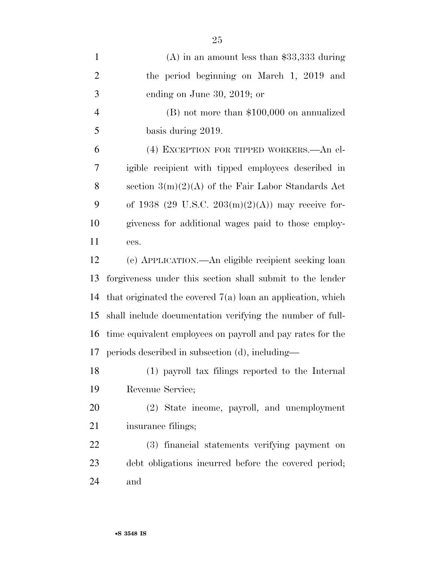| $\mathbf{1}$   | $(A)$ in an amount less than \$33,333 during                  |
|----------------|---------------------------------------------------------------|
| $\overline{2}$ | the period beginning on March 1, 2019 and                     |
| 3              | ending on June 30, 2019; or                                   |
| $\overline{4}$ | $(B)$ not more than \$100,000 on annualized                   |
| 5              | basis during 2019.                                            |
| 6              | (4) EXCEPTION FOR TIPPED WORKERS. An el-                      |
| 7              | igible recipient with tipped employees described in           |
| 8              | section $3(m)(2)(A)$ of the Fair Labor Standards Act          |
| 9              | of 1938 (29 U.S.C. 203(m)(2)(A)) may receive for-             |
| 10             | giveness for additional wages paid to those employ-           |
| 11             | ees.                                                          |
| 12             | (e) APPLICATION.—An eligible recipient seeking loan           |
| 13             | forgiveness under this section shall submit to the lender     |
| 14             | that originated the covered $7(a)$ loan an application, which |
| 15             | shall include documentation verifying the number of full-     |
| 16             |                                                               |
|                | time equivalent employees on payroll and pay rates for the    |
| 17             | periods described in subsection (d), including—               |
|                | (1) payroll tax filings reported to the Internal              |
| 18<br>19       | Revenue Service;                                              |
| 20             | (2) State income, payroll, and unemployment                   |
| 21             | insurance filings;                                            |
| 22             | (3) financial statements verifying payment on                 |
| 23             | debt obligations incurred before the covered period;          |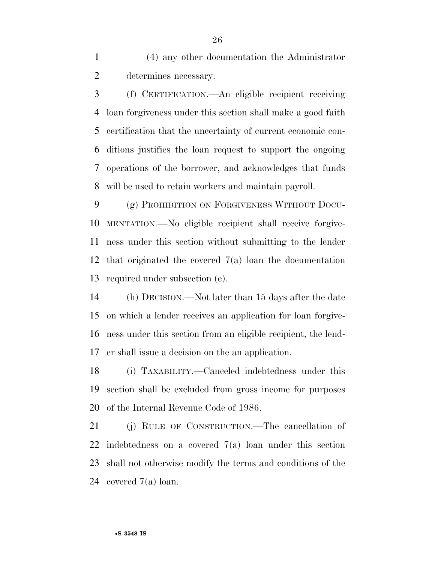(4) any other documentation the Administrator determines necessary.

 (f) CERTIFICATION.—An eligible recipient receiving loan forgiveness under this section shall make a good faith certification that the uncertainty of current economic con- ditions justifies the loan request to support the ongoing operations of the borrower, and acknowledges that funds will be used to retain workers and maintain payroll.

 (g) PROHIBITION ON FORGIVENESS WITHOUT DOCU- MENTATION.—No eligible recipient shall receive forgive- ness under this section without submitting to the lender that originated the covered 7(a) loan the documentation required under subsection (e).

 (h) DECISION.—Not later than 15 days after the date on which a lender receives an application for loan forgive- ness under this section from an eligible recipient, the lend-er shall issue a decision on the an application.

 (i) TAXABILITY.—Canceled indebtedness under this section shall be excluded from gross income for purposes of the Internal Revenue Code of 1986.

 (j) RULE OF CONSTRUCTION.—The cancellation of indebtedness on a covered 7(a) loan under this section shall not otherwise modify the terms and conditions of the covered 7(a) loan.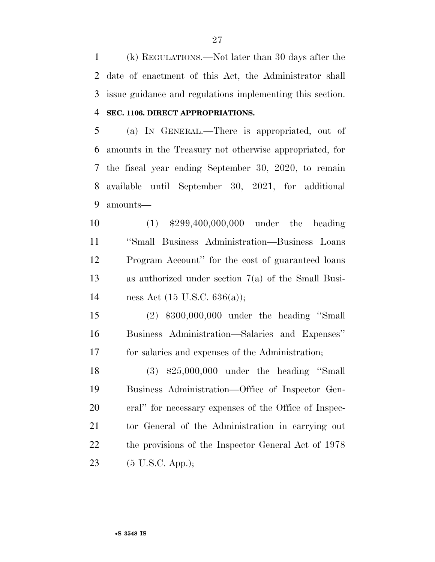(k) REGULATIONS.—Not later than 30 days after the date of enactment of this Act, the Administrator shall issue guidance and regulations implementing this section.

## **SEC. 1106. DIRECT APPROPRIATIONS.**

 (a) IN GENERAL.—There is appropriated, out of amounts in the Treasury not otherwise appropriated, for the fiscal year ending September 30, 2020, to remain available until September 30, 2021, for additional amounts—

 (1) \$299,400,000,000 under the heading ''Small Business Administration—Business Loans Program Account'' for the cost of guaranteed loans as authorized under section 7(a) of the Small Busi-ness Act (15 U.S.C. 636(a));

 (2) \$300,000,000 under the heading ''Small Business Administration—Salaries and Expenses'' for salaries and expenses of the Administration;

 (3) \$25,000,000 under the heading ''Small Business Administration—Office of Inspector Gen- eral'' for necessary expenses of the Office of Inspec- tor General of the Administration in carrying out the provisions of the Inspector General Act of 1978 (5 U.S.C. App.);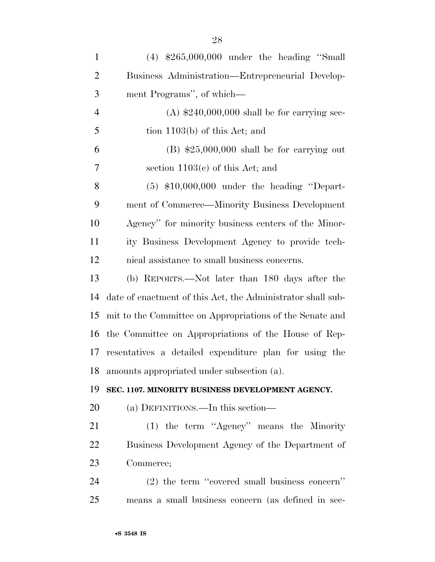| $\mathbf{1}$   | $(4)$ \$265,000,000 under the heading "Small                |
|----------------|-------------------------------------------------------------|
| $\overline{2}$ | Business Administration—Entrepreneurial Develop-            |
| 3              | ment Programs", of which—                                   |
| $\overline{4}$ | $(A)$ \$240,000,000 shall be for carrying sec-              |
| 5              | tion $1103(b)$ of this Act; and                             |
| 6              | $(B)$ \$25,000,000 shall be for carrying out                |
| 7              | section $1103(c)$ of this Act; and                          |
| 8              | $(5)$ \$10,000,000 under the heading "Depart-               |
| 9              | ment of Commerce—Minority Business Development              |
| 10             | Agency" for minority business centers of the Minor-         |
| 11             | ity Business Development Agency to provide tech-            |
| 12             | nical assistance to small business concerns.                |
| 13             | (b) REPORTS.—Not later than 180 days after the              |
| 14             | date of enactment of this Act, the Administrator shall sub- |
| 15             | mit to the Committee on Appropriations of the Senate and    |
| 16             | the Committee on Appropriations of the House of Rep-        |
| 17             | resentatives a detailed expenditure plan for using the      |
|                | 18 amounts appropriated under subsection (a).               |
| 19             | SEC. 1107. MINORITY BUSINESS DEVELOPMENT AGENCY.            |
| 20             | (a) DEFINITIONS.—In this section—                           |
| 21             | (1) the term "Agency" means the Minority                    |
| 22             | Business Development Agency of the Department of            |
| 23             | Commerce;                                                   |
| 24             | $(2)$ the term "covered small business concern"             |
| 25             | means a small business concern (as defined in sec-          |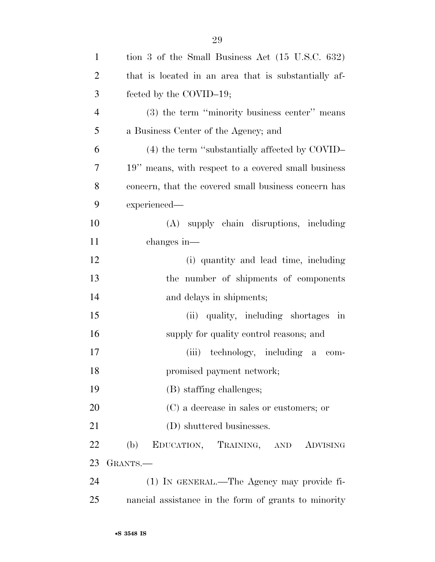| $\mathbf{1}$   | tion 3 of the Small Business Act $(15 \text{ U.S.C. } 632)$ |
|----------------|-------------------------------------------------------------|
| $\overline{2}$ | that is located in an area that is substantially af-        |
| 3              | fected by the COVID-19;                                     |
| $\overline{4}$ | (3) the term "minority business center" means               |
| 5              | a Business Center of the Agency; and                        |
| 6              | (4) the term "substantially affected by COVID-              |
| 7              | 19" means, with respect to a covered small business         |
| 8              | concern, that the covered small business concern has        |
| 9              | experienced—                                                |
| 10             | (A) supply chain disruptions, including                     |
| 11             | changes in—                                                 |
| 12             | (i) quantity and lead time, including                       |
| 13             | the number of shipments of components                       |
| 14             | and delays in shipments;                                    |
| 15             | (ii) quality, including shortages in                        |
| 16             | supply for quality control reasons; and                     |
| 17             | (iii) technology, including a<br>$\rm com$ -                |
| 18             | promised payment network;                                   |
| 19             | (B) staffing challenges;                                    |
| 20             | (C) a decrease in sales or customers; or                    |
| 21             | (D) shuttered businesses.                                   |
| 22             | (b)<br>EDUCATION, TRAINING, AND<br>ADVISING                 |
| 23             | GRANTS.—                                                    |
| 24             | (1) IN GENERAL.—The Agency may provide fi-                  |
| 25             | nancial assistance in the form of grants to minority        |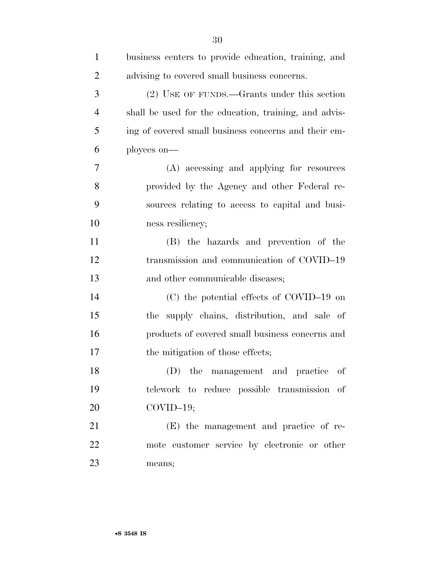| $\mathbf{1}$   | business centers to provide education, training, and  |
|----------------|-------------------------------------------------------|
| $\overline{2}$ | advising to covered small business concerns.          |
| 3              | (2) USE OF FUNDS.—Grants under this section           |
| $\overline{4}$ | shall be used for the education, training, and advis- |
| 5              | ing of covered small business concerns and their em-  |
| 6              | ployees on—                                           |
| 7              | (A) accessing and applying for resources              |
| 8              | provided by the Agency and other Federal re-          |
| 9              | sources relating to access to capital and busi-       |
| 10             | ness resiliency;                                      |
| 11             | (B) the hazards and prevention of the                 |
| 12             | transmission and communication of COVID-19            |
| 13             | and other communicable diseases;                      |
| 14             | (C) the potential effects of COVID-19 on              |
| 15             | the supply chains, distribution, and sale of          |
| 16             | products of covered small business concerns and       |
| 17             | the mitigation of those effects;                      |
| 18             | (D) the management and practice of                    |
| 19             | telework to reduce possible transmission of           |
| 20             | $COVID-19;$                                           |
| 21             | (E) the management and practice of re-                |
| 22             | mote customer service by electronic or other          |
| 23             | means;                                                |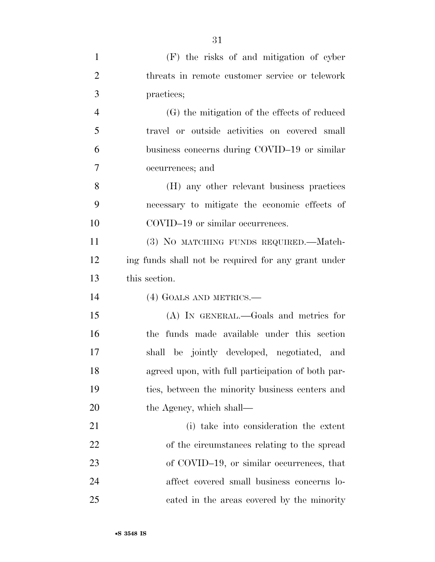| $\mathbf{1}$   | (F) the risks of and mitigation of cyber            |
|----------------|-----------------------------------------------------|
| $\overline{2}$ | threats in remote customer service or telework      |
| 3              | practices;                                          |
| $\overline{4}$ | (G) the mitigation of the effects of reduced        |
| 5              | travel or outside activities on covered small       |
| 6              | business concerns during COVID-19 or similar        |
| $\overline{7}$ | occurrences; and                                    |
| 8              | (H) any other relevant business practices           |
| 9              | necessary to mitigate the economic effects of       |
| 10             | COVID-19 or similar occurrences.                    |
| 11             | (3) NO MATCHING FUNDS REQUIRED.—Match-              |
| 12             | ing funds shall not be required for any grant under |
| 13             | this section.                                       |
| 14             | (4) GOALS AND METRICS.—                             |
| 15             | (A) IN GENERAL.—Goals and metrics for               |
| 16             | the funds made available under this section         |
| 17             | shall be jointly developed, negotiated, and         |
| 18             | agreed upon, with full participation of both par-   |
| 19             | ties, between the minority business centers and     |
| 20             | the Agency, which shall—                            |
| 21             | (i) take into consideration the extent              |
| 22             | of the circumstances relating to the spread         |
| 23             | of COVID-19, or similar occurrences, that           |
| 24             | affect covered small business concerns lo-          |
| 25             | cated in the areas covered by the minority          |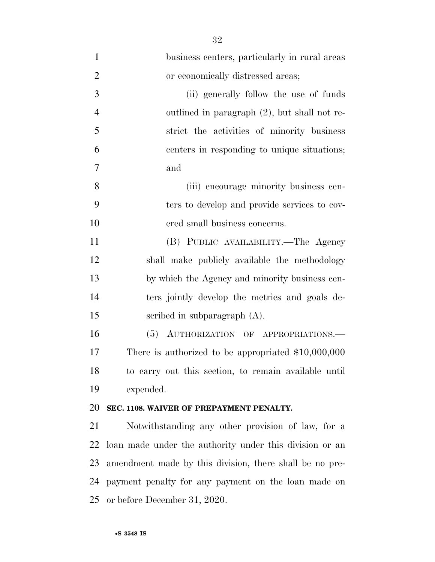| $\mathbf{1}$   | business centers, particularly in rural areas           |
|----------------|---------------------------------------------------------|
| $\overline{2}$ | or economically distressed areas;                       |
| 3              | (ii) generally follow the use of funds                  |
| $\overline{4}$ | outlined in paragraph $(2)$ , but shall not re-         |
| 5              | strict the activities of minority business              |
| 6              | centers in responding to unique situations;             |
| 7              | and                                                     |
| 8              | (iii) encourage minority business cen-                  |
| 9              | ters to develop and provide services to cov-            |
| 10             | ered small business concerns.                           |
| 11             | (B) PUBLIC AVAILABILITY.—The Agency                     |
| 12             | shall make publicly available the methodology           |
| 13             | by which the Agency and minority business cen-          |
| 14             | ters jointly develop the metrics and goals de-          |
| 15             | scribed in subparagraph $(A)$ .                         |
| 16             | (5)<br>AUTHORIZATION OF APPROPRIATIONS.                 |
| 17             | There is authorized to be appropriated $$10,000,000$    |
| 18             | to carry out this section, to remain available until    |
| 19             | expended.                                               |
| 20             | SEC. 1108. WAIVER OF PREPAYMENT PENALTY.                |
| 21             | Notwithstanding any other provision of law, for a       |
| 22             | loan made under the authority under this division or an |
| 23             | amendment made by this division, there shall be no pre- |
| 24             | payment penalty for any payment on the loan made on     |
| 25             | or before December 31, 2020.                            |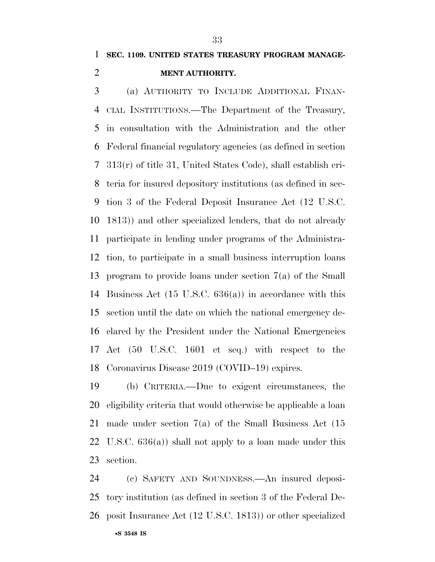## **SEC. 1109. UNITED STATES TREASURY PROGRAM MANAGE-MENT AUTHORITY.**

 (a) AUTHORITY TO INCLUDE ADDITIONAL FINAN- CIAL INSTITUTIONS.—The Department of the Treasury, in consultation with the Administration and the other Federal financial regulatory agencies (as defined in section 313(r) of title 31, United States Code), shall establish cri- teria for insured depository institutions (as defined in sec- tion 3 of the Federal Deposit Insurance Act (12 U.S.C. 1813)) and other specialized lenders, that do not already participate in lending under programs of the Administra- tion, to participate in a small business interruption loans program to provide loans under section 7(a) of the Small Business Act (15 U.S.C. 636(a)) in accordance with this section until the date on which the national emergency de- clared by the President under the National Emergencies Act (50 U.S.C. 1601 et seq.) with respect to the Coronavirus Disease 2019 (COVID–19) expires.

 (b) CRITERIA.—Due to exigent circumstances, the eligibility criteria that would otherwise be applicable a loan made under section 7(a) of the Small Business Act (15 U.S.C. 636(a)) shall not apply to a loan made under this section.

•**S 3548 IS** (c) SAFETY AND SOUNDNESS.—An insured deposi- tory institution (as defined in section 3 of the Federal De-posit Insurance Act (12 U.S.C. 1813)) or other specialized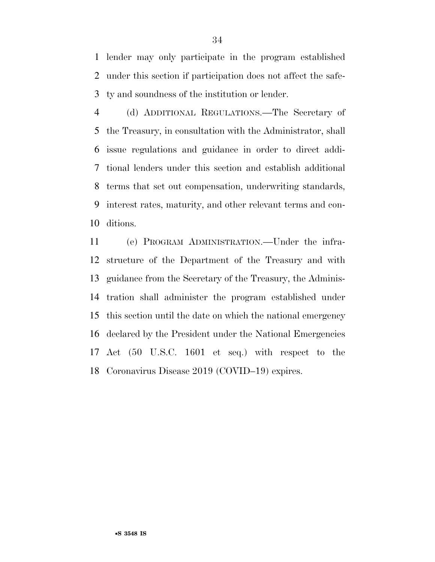lender may only participate in the program established under this section if participation does not affect the safe-ty and soundness of the institution or lender.

 (d) ADDITIONAL REGULATIONS.—The Secretary of the Treasury, in consultation with the Administrator, shall issue regulations and guidance in order to direct addi- tional lenders under this section and establish additional terms that set out compensation, underwriting standards, interest rates, maturity, and other relevant terms and con-ditions.

 (e) PROGRAM ADMINISTRATION.—Under the infra- structure of the Department of the Treasury and with guidance from the Secretary of the Treasury, the Adminis- tration shall administer the program established under this section until the date on which the national emergency declared by the President under the National Emergencies Act (50 U.S.C. 1601 et seq.) with respect to the Coronavirus Disease 2019 (COVID–19) expires.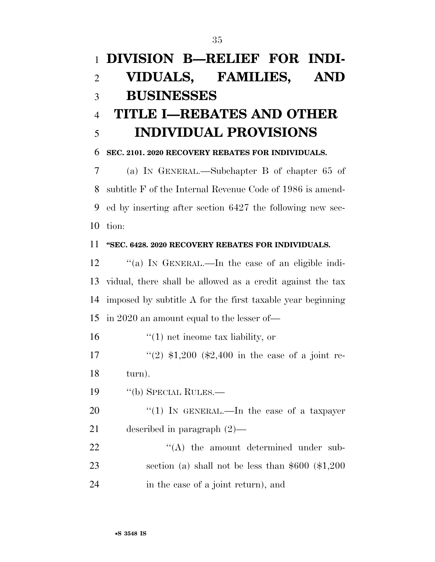# **DIVISION B—RELIEF FOR INDI- VIDUALS, FAMILIES, AND BUSINESSES TITLE I—REBATES AND OTHER INDIVIDUAL PROVISIONS SEC. 2101. 2020 RECOVERY REBATES FOR INDIVIDUALS.**  (a) IN GENERAL.—Subchapter B of chapter 65 of subtitle F of the Internal Revenue Code of 1986 is amend-

 ed by inserting after section 6427 the following new sec-tion:

## **''SEC. 6428. 2020 RECOVERY REBATES FOR INDIVIDUALS.**

 ''(a) IN GENERAL.—In the case of an eligible indi- vidual, there shall be allowed as a credit against the tax imposed by subtitle A for the first taxable year beginning in 2020 an amount equal to the lesser of—

16 ''(1) net income tax liability, or

17  $\frac{17}{2}$   $\frac{1200}{1200}$  (\$2,400 in the case of a joint re-turn).

19 "(b) SPECIAL RULES.—

20  $\frac{u(1)}{N}$  IN GENERAL.—In the case of a taxpayer described in paragraph (2)—

22  $\langle (A)$  the amount determined under sub- section (a) shall not be less than \$600 (\$1,200 in the case of a joint return), and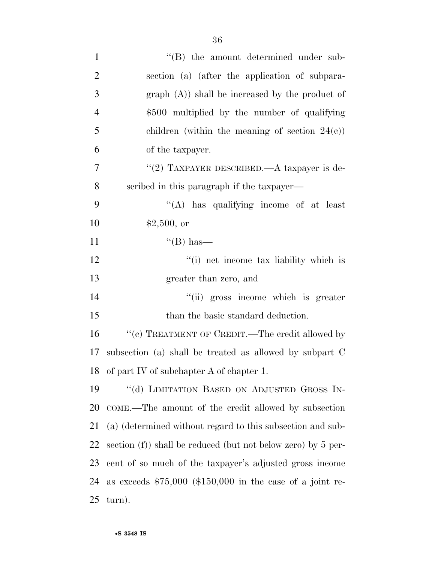| $\mathbf{1}$   | "(B) the amount determined under sub-                           |
|----------------|-----------------------------------------------------------------|
| $\overline{2}$ | section (a) (after the application of subpara-                  |
| 3              | $graph(A)$ shall be increased by the product of                 |
| $\overline{4}$ | \$500 multiplied by the number of qualifying                    |
| 5              | children (within the meaning of section $24(e)$ )               |
| 6              | of the taxpayer.                                                |
| 7              | "(2) TAXPAYER DESCRIBED.—A taxpayer is de-                      |
| 8              | scribed in this paragraph if the taxpayer—                      |
| 9              | "(A) has qualifying income of at least                          |
| 10             | \$2,500, or                                                     |
| 11             | $\lq\lq(B)$ has—                                                |
| 12             | "(i) net income tax liability which is                          |
| 13             | greater than zero, and                                          |
| 14             | "(ii) gross income which is greater                             |
| 15             | than the basic standard deduction.                              |
| 16             | $``(e)$ TREATMENT OF CREDIT.—The credit allowed by              |
| 17             | subsection (a) shall be treated as allowed by subpart C         |
| 18             | of part IV of subchapter A of chapter 1.                        |
| 19             | "(d) LIMITATION BASED ON ADJUSTED GROSS IN-                     |
| 20             | COME.—The amount of the credit allowed by subsection            |
| 21             | (a) (determined without regard to this subsection and sub-      |
| 22             | section $(f)$ ) shall be reduced (but not below zero) by 5 per- |
| 23             | cent of so much of the taxpayer's adjusted gross income         |
| 24             | as exceeds $$75,000$ (\$150,000 in the case of a joint re-      |
| 25             | turn).                                                          |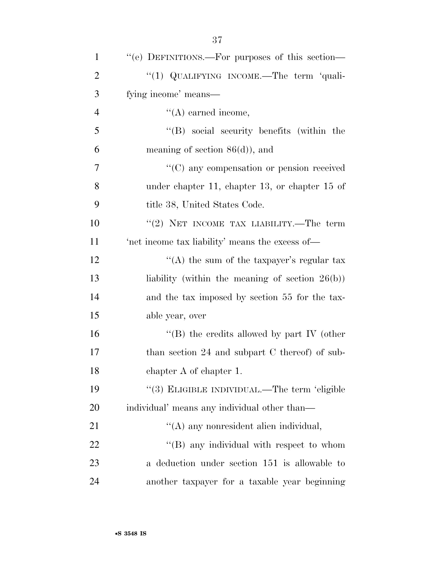| $\mathbf{1}$   | "(e) DEFINITIONS.—For purposes of this section—    |
|----------------|----------------------------------------------------|
| $\overline{2}$ | "(1) QUALIFYING INCOME.—The term 'quali-           |
| 3              | fying income' means—                               |
| $\overline{4}$ | $\lq\lq$ earned income,                            |
| 5              | $\lq\lq (B)$ social security benefits (within the  |
| 6              | meaning of section $86(d)$ , and                   |
| $\tau$         | "(C) any compensation or pension received          |
| 8              | under chapter 11, chapter 13, or chapter 15 of     |
| 9              | title 38, United States Code.                      |
| 10             | "(2) NET INCOME TAX LIABILITY.—The term            |
| 11             | 'net income tax liability' means the excess of—    |
| 12             | "(A) the sum of the taxpayer's regular tax         |
| 13             | liability (within the meaning of section $26(b)$ ) |
| 14             | and the tax imposed by section 55 for the tax-     |
| 15             | able year, over                                    |
| 16             | "(B) the credits allowed by part IV (other         |
| 17             | than section 24 and subpart $C$ thereof) of sub-   |
| 18             | chapter A of chapter 1.                            |
| 19             | "(3) ELIGIBLE INDIVIDUAL.—The term 'eligible       |
| 20             | individual' means any individual other than—       |
| 21             | "(A) any nonresident alien individual,             |
| 22             | $\lq\lq$ (B) any individual with respect to whom   |
| 23             | a deduction under section 151 is allowable to      |
| 24             | another taxpayer for a taxable year beginning      |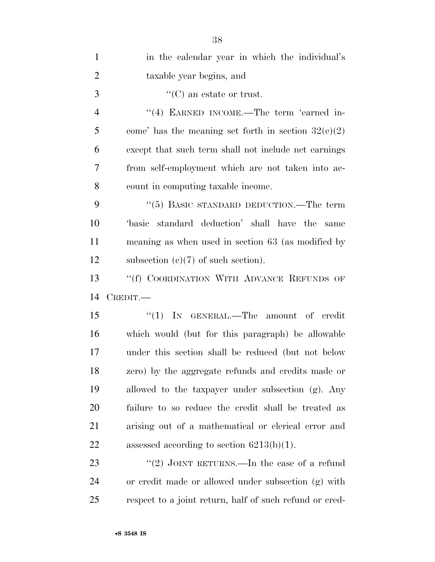| $\mathbf{1}$   | in the calendar year in which the individual's        |
|----------------|-------------------------------------------------------|
| $\overline{2}$ | taxable year begins, and                              |
| $\mathfrak{Z}$ | $\lq\lq$ (C) an estate or trust.                      |
| $\overline{4}$ | "(4) EARNED INCOME.—The term 'earned in-              |
| 5              | come' has the meaning set forth in section $32(c)(2)$ |
| 6              | except that such term shall not include net earnings  |
| 7              | from self-employment which are not taken into ac-     |
| 8              | count in computing taxable income.                    |
| 9              | "(5) BASIC STANDARD DEDUCTION.—The term               |
| 10             | basic standard deduction' shall have the<br>same      |
| 11             | meaning as when used in section 63 (as modified by    |
| 12             | subsection $(c)(7)$ of such section).                 |
| 13             | "(f) COORDINATION WITH ADVANCE REFUNDS OF             |
| 14             | CREDIT.                                               |
|                |                                                       |
| 15             | "(1) IN GENERAL.—The amount of credit                 |
| 16             | which would (but for this paragraph) be allowable     |
| 17             | under this section shall be reduced (but not below    |
| 18             | zero) by the aggregate refunds and credits made or    |
| 19             | allowed to the taxpayer under subsection (g). Any     |
| 20             | failure to so reduce the credit shall be treated as   |
| 21             | arising out of a mathematical or clerical error and   |
| 22             | assessed according to section $6213(b)(1)$ .          |
| 23             | "(2) JOINT RETURNS.—In the case of a refund           |
| 24             | or credit made or allowed under subsection (g) with   |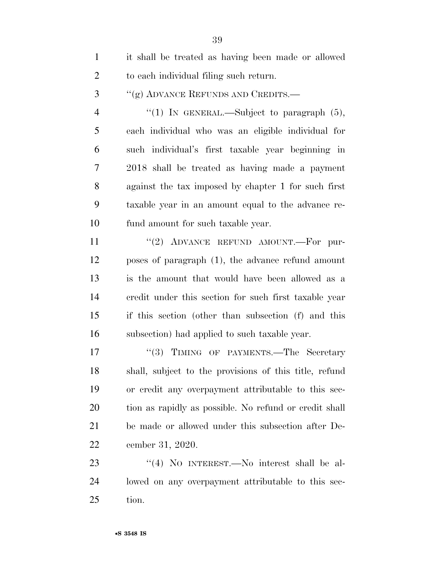| $\mathbf{1}$   | it shall be treated as having been made or allowed     |
|----------------|--------------------------------------------------------|
| $\overline{2}$ | to each individual filing such return.                 |
| 3              | "(g) ADVANCE REFUNDS AND CREDITS.—                     |
| $\overline{4}$ | "(1) IN GENERAL.—Subject to paragraph $(5)$ ,          |
| 5              | each individual who was an eligible individual for     |
| 6              | such individual's first taxable year beginning in      |
| 7              | 2018 shall be treated as having made a payment         |
| 8              | against the tax imposed by chapter 1 for such first    |
| 9              | taxable year in an amount equal to the advance re-     |
| 10             | fund amount for such taxable year.                     |
| 11             | "(2) ADVANCE REFUND AMOUNT.—For pur-                   |
| 12             | poses of paragraph (1), the advance refund amount      |
| 13             | is the amount that would have been allowed as a        |
| 14             | credit under this section for such first taxable year  |
| 15             | if this section (other than subsection (f) and this    |
| 16             | subsection) had applied to such taxable year.          |
| 17             | "(3) TIMING OF PAYMENTS.—The Secretary                 |
| 18             | shall, subject to the provisions of this title, refund |
| 19             | or credit any overpayment attributable to this sec-    |
| 20             | tion as rapidly as possible. No refund or credit shall |
| 21             | be made or allowed under this subsection after De-     |
| <u>22</u>      | cember 31, 2020.                                       |
| 23             | "(4) NO INTEREST.—No interest shall be al-             |
| 24             | lowed on any overpayment attributable to this sec-     |
| 25             | tion.                                                  |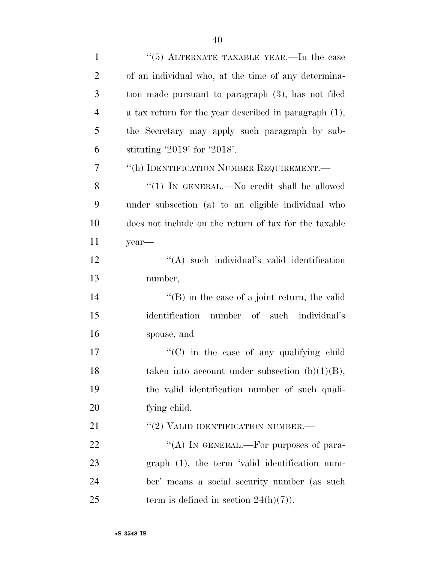| $\mathbf{1}$   | "(5) ALTERNATE TAXABLE YEAR.—In the case                 |
|----------------|----------------------------------------------------------|
| $\overline{2}$ | of an individual who, at the time of any determina-      |
| 3              | tion made pursuant to paragraph (3), has not filed       |
| $\overline{4}$ | a tax return for the year described in paragraph $(1)$ , |
| 5              | the Secretary may apply such paragraph by sub-           |
| 6              | stituting $2019'$ for $2018'$ .                          |
| 7              | "(h) IDENTIFICATION NUMBER REQUIREMENT.—                 |
| 8              | "(1) IN GENERAL.—No credit shall be allowed              |
| 9              | under subsection (a) to an eligible individual who       |
| 10             | does not include on the return of tax for the taxable    |
| 11             | year-                                                    |
| 12             | "(A) such individual's valid identification              |
| 13             | number,                                                  |
| 14             | $\lq\lq$ (B) in the case of a joint return, the valid    |
| 15             | identification number of such individual's               |
| 16             | spouse, and                                              |
| 17             | $\cdot$ (C) in the case of any qualifying child          |
| 18             | taken into account under subsection $(b)(1)(B)$ ,        |
| 19             | the valid identification number of such quali-           |
| 20             | fying child.                                             |
| 21             | $``(2)$ VALID IDENTIFICATION NUMBER.—                    |
| 22             | "(A) IN GENERAL.—For purposes of para-                   |
| 23             | $graph$ (1), the term 'valid identification num-         |
| 24             | ber' means a social security number (as such             |
| 25             | term is defined in section $24(h)(7)$ .                  |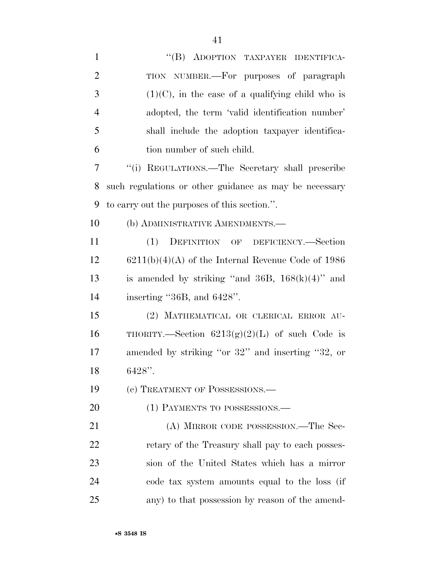| $\mathbf{1}$   | "(B) ADOPTION TAXPAYER IDENTIFICA-                     |
|----------------|--------------------------------------------------------|
| $\overline{2}$ | TION NUMBER.—For purposes of paragraph                 |
| 3              | $(1)(C)$ , in the case of a qualifying child who is    |
| $\overline{4}$ | adopted, the term 'valid identification number'        |
| 5              | shall include the adoption taxpayer identifica-        |
| 6              | tion number of such child.                             |
| 7              | "(i) REGULATIONS.—The Secretary shall prescribe        |
| 8              | such regulations or other guidance as may be necessary |
| 9              | to carry out the purposes of this section.".           |
| 10             | (b) ADMINISTRATIVE AMENDMENTS.-                        |
| 11             | (1) DEFINITION OF DEFICIENCY.—Section                  |
| 12             | $6211(b)(4)(A)$ of the Internal Revenue Code of 1986   |
| 13             | is amended by striking "and 36B, $168(k)(4)$ " and     |
| 14             | inserting "36B, and 6428".                             |
| 15             | (2) MATHEMATICAL OR CLERICAL ERROR AU-                 |
| 16             | THORITY.—Section $6213(g)(2)(L)$ of such Code is       |
| 17             | amended by striking "or 32" and inserting "32, or      |
| 18             | 6428".                                                 |
| 19             | (c) TREATMENT OF POSSESSIONS.—                         |
| 20             | (1) PAYMENTS TO POSSESSIONS.—                          |
| 21             | (A) MIRROR CODE POSSESSION.—The Sec-                   |
| 22             | retary of the Treasury shall pay to each posses-       |
| 23             | sion of the United States which has a mirror           |
| 24             | code tax system amounts equal to the loss (if          |
| 25             | any) to that possession by reason of the amend-        |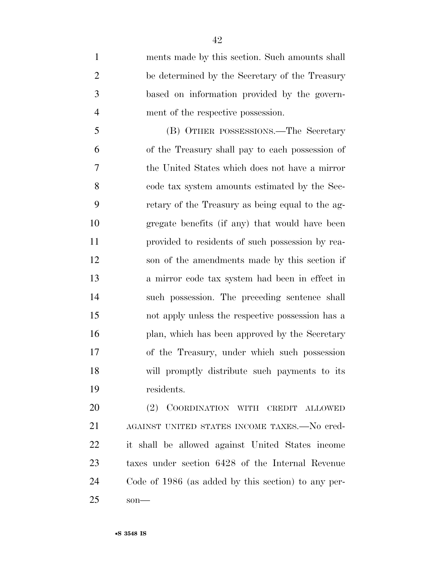ments made by this section. Such amounts shall be determined by the Secretary of the Treasury based on information provided by the govern-ment of the respective possession.

 (B) OTHER POSSESSIONS.—The Secretary of the Treasury shall pay to each possession of the United States which does not have a mirror code tax system amounts estimated by the Sec- retary of the Treasury as being equal to the ag- gregate benefits (if any) that would have been provided to residents of such possession by rea- son of the amendments made by this section if a mirror code tax system had been in effect in such possession. The preceding sentence shall not apply unless the respective possession has a 16 plan, which has been approved by the Secretary of the Treasury, under which such possession will promptly distribute such payments to its residents.

 (2) COORDINATION WITH CREDIT ALLOWED AGAINST UNITED STATES INCOME TAXES.—No cred- it shall be allowed against United States income taxes under section 6428 of the Internal Revenue Code of 1986 (as added by this section) to any per-son—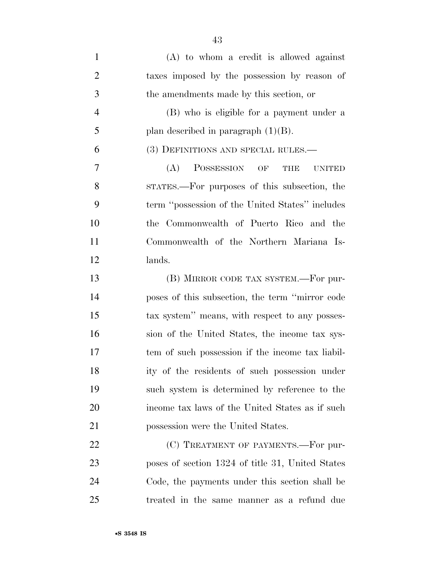| $\mathbf{1}$   | $(A)$ to whom a credit is allowed against              |
|----------------|--------------------------------------------------------|
| $\overline{2}$ | taxes imposed by the possession by reason of           |
| 3              | the amendments made by this section, or                |
| $\overline{4}$ | (B) who is eligible for a payment under a              |
| 5              | plan described in paragraph $(1)(B)$ .                 |
| 6              | (3) DEFINITIONS AND SPECIAL RULES.—                    |
| 7              | (A)<br><b>POSSESSION</b><br>OF<br>THE<br><b>UNITED</b> |
| 8              | STATES.—For purposes of this subsection, the           |
| 9              | term "possession of the United States" includes        |
| 10             | the Commonwealth of Puerto Rico and the                |
| 11             | Commonwealth of the Northern Mariana Is-               |
| 12             | lands.                                                 |
| 13             | (B) MIRROR CODE TAX SYSTEM.—For pur-                   |
| 14             | poses of this subsection, the term "mirror code        |
| 15             | tax system" means, with respect to any posses-         |
| 16             | sion of the United States, the income tax sys-         |
| 17             | tem of such possession if the income tax liabil-       |
| 18             | ity of the residents of such possession under          |
| 19             | such system is determined by reference to the          |
| 20             | income tax laws of the United States as if such        |
| 21             | possession were the United States.                     |
| 22             | (C) TREATMENT OF PAYMENTS.—For pur-                    |
| 23             | poses of section 1324 of title 31, United States       |
| 24             | Code, the payments under this section shall be         |

treated in the same manner as a refund due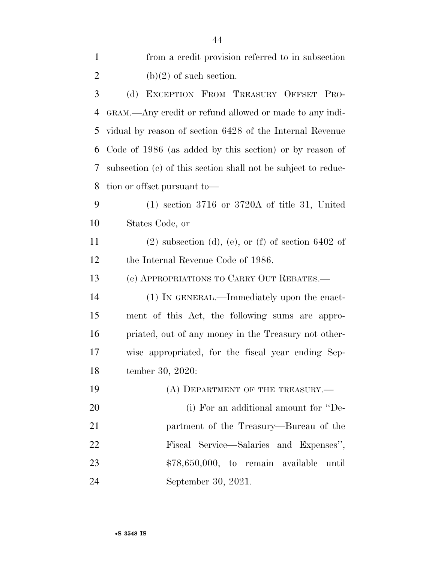| $\mathbf{1}$ | from a credit provision referred to in subsection             |
|--------------|---------------------------------------------------------------|
| $\mathbf{2}$ | $(b)(2)$ of such section.                                     |
| 3            | EXCEPTION FROM TREASURY OFFSET PRO-<br>(d)                    |
| 4            | GRAM.—Any credit or refund allowed or made to any indi-       |
| 5            | vidual by reason of section 6428 of the Internal Revenue      |
| 6            | Code of 1986 (as added by this section) or by reason of       |
| 7            | subsection (c) of this section shall not be subject to reduc- |
| 8            | tion or offset pursuant to-                                   |
| 9            | $(1)$ section 3716 or 3720A of title 31, United               |
| 10           | States Code, or                                               |
| 11           | $(2)$ subsection $(d)$ , $(e)$ , or $(f)$ of section 6402 of  |
| 12           | the Internal Revenue Code of 1986.                            |
| 13           | (e) APPROPRIATIONS TO CARRY OUT REBATES.—                     |
| 14           | (1) IN GENERAL.—Immediately upon the enact-                   |
| 15           | ment of this Act, the following sums are appro-               |
| 16           | priated, out of any money in the Treasury not other-          |
| 17           | wise appropriated, for the fiscal year ending Sep-            |
| 18           | tember 30, 2020:                                              |
| 19           | (A) DEPARTMENT OF THE TREASURY.—                              |
| 20           | (i) For an additional amount for "De-                         |
| 21           | partment of the Treasury—Bureau of the                        |
| 22           | Fiscal Service—Salaries and Expenses",                        |
| 23           | $$78,650,000$ , to remain available<br>until                  |
| 24           | September 30, 2021.                                           |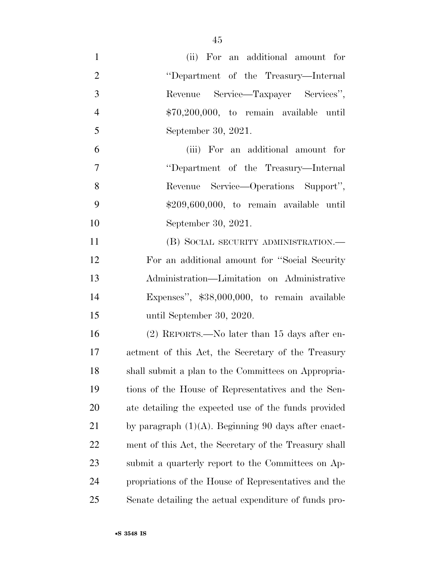| $\mathbf{1}$   | (ii) For an additional amount for                      |
|----------------|--------------------------------------------------------|
| $\overline{2}$ | "Department of the Treasury—Internal                   |
| 3              | Revenue Service—Taxpayer Services",                    |
| $\overline{4}$ | $$70,200,000$ , to remain available until              |
| 5              | September 30, 2021.                                    |
| 6              | (iii) For an additional amount for                     |
| $\overline{7}$ | "Department of the Treasury—Internal                   |
| 8              | Revenue Service—Operations Support",                   |
| 9              | $$209,600,000, to remain available until$              |
| 10             | September 30, 2021.                                    |
| 11             | (B) SOCIAL SECURITY ADMINISTRATION.—                   |
| 12             | For an additional amount for "Social Security"         |
| 13             | Administration—Limitation on Administrative            |
| 14             | Expenses", $$38,000,000$ , to remain available         |
| 15             | until September 30, 2020.                              |
| 16             | $(2)$ REPORTS.—No later than 15 days after en-         |
| 17             | actment of this Act, the Secretary of the Treasury     |
| 18             | shall submit a plan to the Committees on Appropria-    |
| 19             | tions of the House of Representatives and the Sen-     |
| 20             | ate detailing the expected use of the funds provided   |
| 21             | by paragraph $(1)(A)$ . Beginning 90 days after enact- |
| 22             | ment of this Act, the Secretary of the Treasury shall  |
| 23             | submit a quarterly report to the Committees on Ap-     |
| 24             | propriations of the House of Representatives and the   |
| 25             | Senate detailing the actual expenditure of funds pro-  |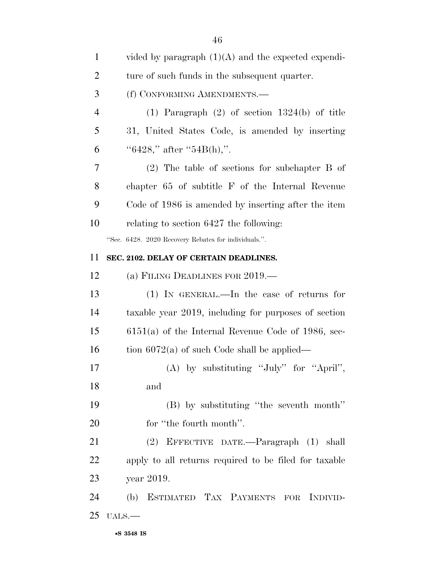| $\mathbf{1}$   | vided by paragraph $(1)(A)$ and the expected expendi- |
|----------------|-------------------------------------------------------|
| $\overline{2}$ | ture of such funds in the subsequent quarter.         |
| 3              | (f) CONFORMING AMENDMENTS.—                           |
| $\overline{4}$ | $(1)$ Paragraph $(2)$ of section 1324(b) of title     |
| 5              | 31, United States Code, is amended by inserting       |
| 6              | " $6428$ ," after " $54B(h)$ ,".                      |
| 7              | $(2)$ The table of sections for subchapter B of       |
| 8              | chapter 65 of subtitle F of the Internal Revenue      |
| 9              | Code of 1986 is amended by inserting after the item   |
| 10             | relating to section 6427 the following:               |
|                | "Sec. 6428. 2020 Recovery Rebates for individuals.".  |
| 11             | SEC. 2102. DELAY OF CERTAIN DEADLINES.                |
| 12             | (a) FILING DEADLINES FOR 2019.—                       |
| 13             | $(1)$ IN GENERAL.—In the case of returns for          |
| 14             | taxable year 2019, including for purposes of section  |
| 15             | $6151(a)$ of the Internal Revenue Code of 1986, sec-  |
| 16             | tion $6072(a)$ of such Code shall be applied—         |
| 17             | (A) by substituting "July" for "April",               |
| 18             | and                                                   |
| 19             | (B) by substituting "the seventh month"               |
| 20             | for "the fourth month".                               |
| 21             | (2) EFFECTIVE DATE.—Paragraph (1) shall               |
| 22             | apply to all returns required to be filed for taxable |
| 23             | year 2019.                                            |
| 24             | (b) ESTIMATED TAX PAYMENTS FOR INDIVID-               |
|                |                                                       |
| 25             | $UALS.$ —                                             |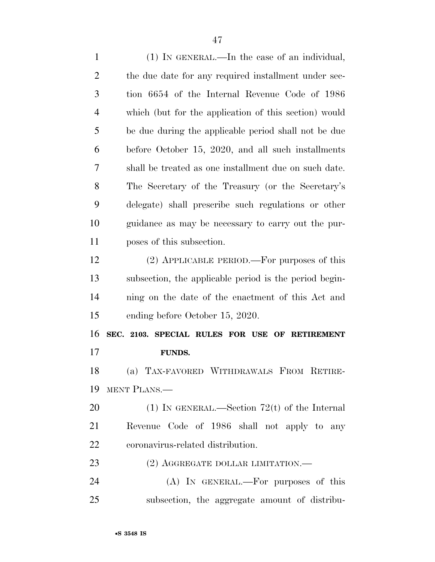(1) IN GENERAL.—In the case of an individual, 2 the due date for any required installment under sec- tion 6654 of the Internal Revenue Code of 1986 which (but for the application of this section) would be due during the applicable period shall not be due before October 15, 2020, and all such installments shall be treated as one installment due on such date. The Secretary of the Treasury (or the Secretary's delegate) shall prescribe such regulations or other guidance as may be necessary to carry out the pur- poses of this subsection. (2) APPLICABLE PERIOD.—For purposes of this subsection, the applicable period is the period begin- ning on the date of the enactment of this Act and ending before October 15, 2020. **SEC. 2103. SPECIAL RULES FOR USE OF RETIREMENT FUNDS.**  (a) TAX-FAVORED WITHDRAWALS FROM RETIRE- MENT PLANS.— (1) IN GENERAL.—Section 72(t) of the Internal Revenue Code of 1986 shall not apply to any coronavirus-related distribution. 23 (2) AGGREGATE DOLLAR LIMITATION.— (A) IN GENERAL.—For purposes of this subsection, the aggregate amount of distribu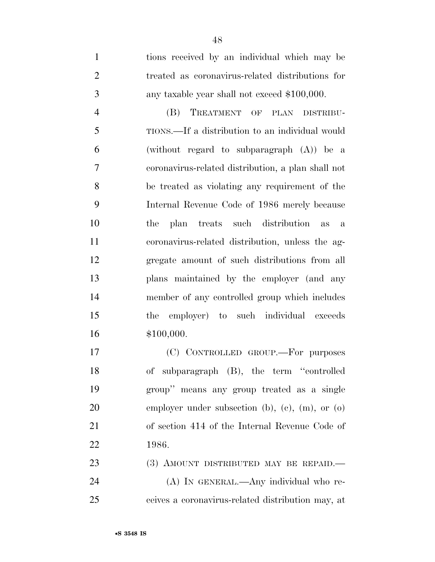tions received by an individual which may be treated as coronavirus-related distributions for any taxable year shall not exceed \$100,000.

 (B) TREATMENT OF PLAN DISTRIBU- TIONS.—If a distribution to an individual would (without regard to subparagraph (A)) be a coronavirus-related distribution, a plan shall not be treated as violating any requirement of the Internal Revenue Code of 1986 merely because the plan treats such distribution as a coronavirus-related distribution, unless the ag- gregate amount of such distributions from all plans maintained by the employer (and any member of any controlled group which includes the employer) to such individual exceeds \$100,000.

 (C) CONTROLLED GROUP.—For purposes of subparagraph (B), the term ''controlled group'' means any group treated as a single 20 employer under subsection (b), (c), (m), or (o) of section 414 of the Internal Revenue Code of 1986.

23 (3) AMOUNT DISTRIBUTED MAY BE REPAID. (A) IN GENERAL.—Any individual who re-ceives a coronavirus-related distribution may, at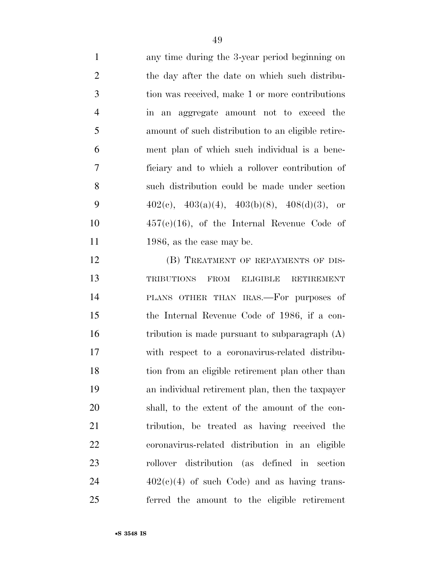any time during the 3-year period beginning on the day after the date on which such distribu- tion was received, make 1 or more contributions in an aggregate amount not to exceed the amount of such distribution to an eligible retire- ment plan of which such individual is a bene- ficiary and to which a rollover contribution of such distribution could be made under section  $402(c)$ ,  $403(a)(4)$ ,  $403(b)(8)$ ,  $408(d)(3)$ , or 457(e)(16), of the Internal Revenue Code of 11 1986, as the case may be.

12 (B) TREATMENT OF REPAYMENTS OF DIS- TRIBUTIONS FROM ELIGIBLE RETIREMENT PLANS OTHER THAN IRAS.—For purposes of the Internal Revenue Code of 1986, if a con-16 tribution is made pursuant to subparagraph (A) with respect to a coronavirus-related distribu- tion from an eligible retirement plan other than an individual retirement plan, then the taxpayer shall, to the extent of the amount of the con- tribution, be treated as having received the coronavirus-related distribution in an eligible rollover distribution (as defined in section  $24 \qquad \qquad 402(e)(4)$  of such Code) and as having trans-ferred the amount to the eligible retirement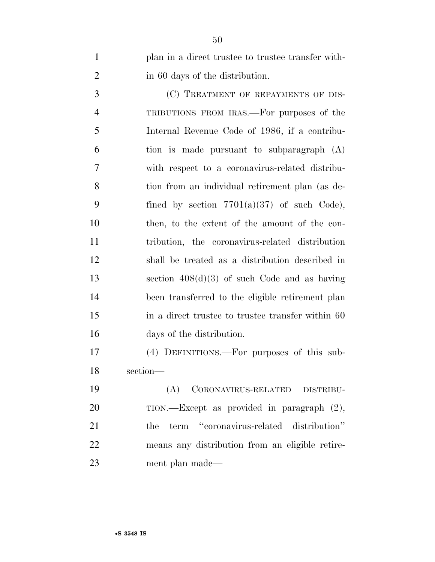plan in a direct trustee to trustee transfer with-in 60 days of the distribution.

3 (C) TREATMENT OF REPAYMENTS OF DIS- TRIBUTIONS FROM IRAS.—For purposes of the Internal Revenue Code of 1986, if a contribu- tion is made pursuant to subparagraph (A) with respect to a coronavirus-related distribu- tion from an individual retirement plan (as de-9 fined by section  $7701(a)(37)$  of such Code), then, to the extent of the amount of the con- tribution, the coronavirus-related distribution shall be treated as a distribution described in section 408(d)(3) of such Code and as having been transferred to the eligible retirement plan in a direct trustee to trustee transfer within 60 days of the distribution.

 (4) DEFINITIONS.—For purposes of this sub-section—

 (A) CORONAVIRUS-RELATED DISTRIBU-20 TION.—Except as provided in paragraph  $(2)$ , 21 the term "coronavirus-related distribution" means any distribution from an eligible retire-ment plan made—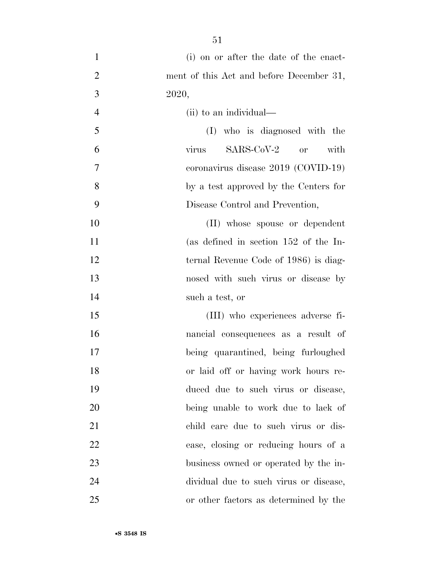(i) on or after the date of the enact-2 ment of this Act and before December 31, 2020, (ii) to an individual— (I) who is diagnosed with the virus SARS-CoV-2 or with coronavirus disease 2019 (COVID-19) by a test approved by the Centers for Disease Control and Prevention, 10 (II) whose spouse or dependent (as defined in section 152 of the In-12 ternal Revenue Code of 1986) is diag- nosed with such virus or disease by such a test, or (III) who experiences adverse fi- nancial consequences as a result of being quarantined, being furloughed or laid off or having work hours re- duced due to such virus or disease, being unable to work due to lack of child care due to such virus or dis- ease, closing or reducing hours of a business owned or operated by the in- dividual due to such virus or disease, or other factors as determined by the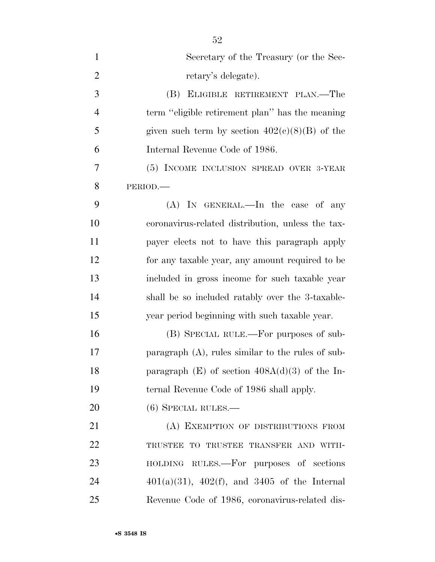| $\mathbf{1}$   | Secretary of the Treasury (or the Sec-               |
|----------------|------------------------------------------------------|
| $\overline{2}$ | retary's delegate).                                  |
| 3              | (B) ELIGIBLE RETIREMENT PLAN.—The                    |
| $\overline{4}$ | term "eligible retirement plan" has the meaning      |
| 5              | given such term by section $402(c)(8)(B)$ of the     |
| 6              | Internal Revenue Code of 1986.                       |
| 7              | (5) INCOME INCLUSION SPREAD OVER 3-YEAR              |
| 8              | PERIOD.                                              |
| 9              | $(A)$ In GENERAL.—In the case of any                 |
| 10             | coronavirus-related distribution, unless the tax-    |
| 11             | payer elects not to have this paragraph apply        |
| 12             | for any taxable year, any amount required to be      |
| 13             | included in gross income for such taxable year       |
| 14             | shall be so included ratably over the 3-taxable-     |
| 15             | year period beginning with such taxable year.        |
| 16             | (B) SPECIAL RULE.—For purposes of sub-               |
| 17             | paragraph $(A)$ , rules similar to the rules of sub- |
| 18             | paragraph $(E)$ of section $408A(d)(3)$ of the In-   |
| 19             | ternal Revenue Code of 1986 shall apply.             |
| 20             | $(6)$ SPECIAL RULES.—                                |
| 21             | (A) EXEMPTION OF DISTRIBUTIONS FROM                  |
| 22             | TRUSTEE TO TRUSTEE TRANSFER AND WITH-                |
| 23             | HOLDING RULES.—For purposes of sections              |
| 24             | $401(a)(31)$ , $402(f)$ , and $3405$ of the Internal |
| 25             | Revenue Code of 1986, coronavirus-related dis-       |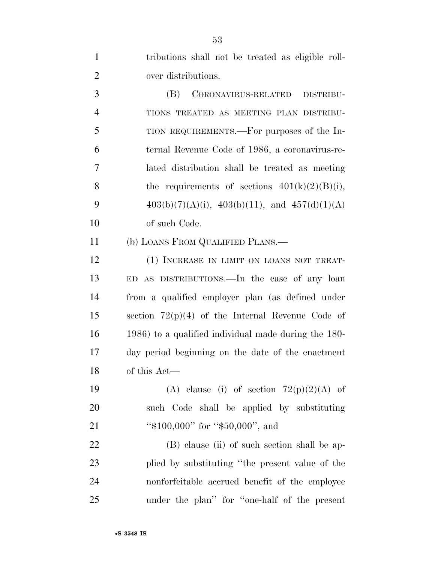| $\mathbf{1}$   | tributions shall not be treated as eligible roll-     |
|----------------|-------------------------------------------------------|
| $\overline{2}$ | over distributions.                                   |
| 3              | (B)<br>CORONAVIRUS-RELATED<br>DISTRIBU-               |
| $\overline{4}$ | TIONS TREATED AS MEETING PLAN DISTRIBU-               |
| 5              | TION REQUIREMENTS.—For purposes of the In-            |
| 6              | ternal Revenue Code of 1986, a coronavirus-re-        |
| 7              | lated distribution shall be treated as meeting        |
| 8              | the requirements of sections $401(k)(2)(B)(i)$ ,      |
| 9              | $403(b)(7)(A)(i)$ , $403(b)(11)$ , and $457(d)(1)(A)$ |
| 10             | of such Code.                                         |
| 11             | (b) LOANS FROM QUALIFIED PLANS.—                      |
| 12             | (1) INCREASE IN LIMIT ON LOANS NOT TREAT-             |
| 13             | ED AS DISTRIBUTIONS. In the case of any loan          |
| 14             | from a qualified employer plan (as defined under      |
| 15             | section $72(p)(4)$ of the Internal Revenue Code of    |
| 16             | 1986) to a qualified individual made during the 180-  |
| 17             | day period beginning on the date of the enactment     |
| 18             | of this Act-                                          |
| 19             | (A) clause (i) of section $72(p)(2)(A)$ of            |
| 20             | such Code shall be applied by substituting            |
| 21             | " $$100,000$ " for " $$50,000$ ", and                 |
| 22             | (B) clause (ii) of such section shall be ap-          |
| 23             | plied by substituting "the present value of the       |
| 24             | nonforfeitable accrued benefit of the employee        |
| 25             | under the plan" for "one-half of the present          |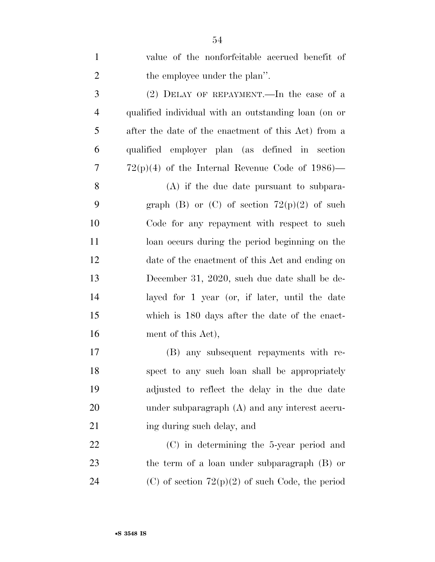| $\mathbf{1}$   | value of the nonforfeitable accrued benefit of       |
|----------------|------------------------------------------------------|
| $\overline{2}$ | the employee under the plan".                        |
| 3              | $(2)$ DELAY OF REPAYMENT.—In the case of a           |
| $\overline{4}$ | qualified individual with an outstanding loan (on or |
| 5              | after the date of the enactment of this Act) from a  |
| 6              | qualified employer plan (as defined in section       |
| 7              | $72(p)(4)$ of the Internal Revenue Code of 1986)—    |
| 8              | $(A)$ if the due date pursuant to subpara-           |
| 9              | graph (B) or (C) of section $72(p)(2)$ of such       |
| 10             | Code for any repayment with respect to such          |
| 11             | loan occurs during the period beginning on the       |
| 12             | date of the enactment of this Act and ending on      |
| 13             | December 31, 2020, such due date shall be de-        |
| 14             | layed for 1 year (or, if later, until the date       |
| 15             | which is 180 days after the date of the enact-       |
| 16             | ment of this Act),                                   |
| 17             | (B) any subsequent repayments with re-               |
| 18             | spect to any such loan shall be appropriately        |
| 19             | adjusted to reflect the delay in the due date        |
| 20             | under subparagraph $(A)$ and any interest accru-     |
| 21             | ing during such delay, and                           |
| 22             | $(C)$ in determining the 5-year period and           |
| 23             | the term of a loan under subparagraph $(B)$ or       |
| 24             | $(C)$ of section $72(p)(2)$ of such Code, the period |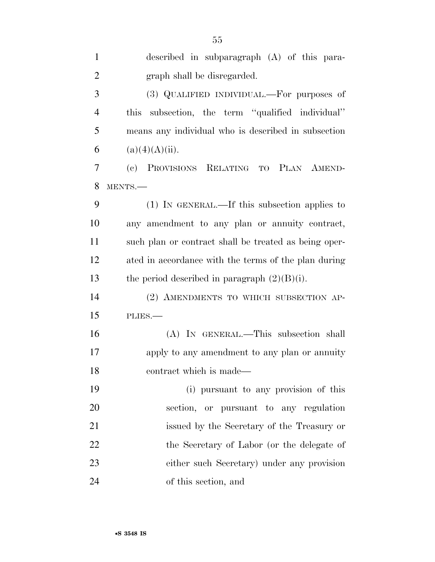| $\mathbf{1}$   | described in subparagraph $(A)$ of this para-                    |
|----------------|------------------------------------------------------------------|
| $\overline{2}$ | graph shall be disregarded.                                      |
| 3              | (3) QUALIFIED INDIVIDUAL.—For purposes of                        |
| $\overline{4}$ | subsection, the term "qualified individual"<br>this              |
| 5              | means any individual who is described in subsection              |
| 6              | (a)(4)(A)(ii).                                                   |
| 7              | PROVISIONS RELATING TO PLAN AMEND-<br>$\left( \mathrm{e}\right)$ |
| 8              | MENTS.-                                                          |
| 9              | (1) IN GENERAL.—If this subsection applies to                    |
| 10             | any amendment to any plan or annuity contract,                   |
| 11             | such plan or contract shall be treated as being oper-            |
| 12             | ated in accordance with the terms of the plan during             |
| 13             | the period described in paragraph $(2)(B)(i)$ .                  |
| 14             | (2) AMENDMENTS TO WHICH SUBSECTION AP-                           |
| 15             | PLIES.                                                           |
| 16             | (A) IN GENERAL.—This subsection shall                            |
| 17             | apply to any amendment to any plan or annuity                    |
| 18             | contract which is made-                                          |
| 19             | (i) pursuant to any provision of this                            |
| 20             | section, or pursuant to any regulation                           |
| 21             | issued by the Secretary of the Treasury or                       |
| 22             | the Secretary of Labor (or the delegate of                       |
| 23             | either such Secretary) under any provision                       |
| 24             | of this section, and                                             |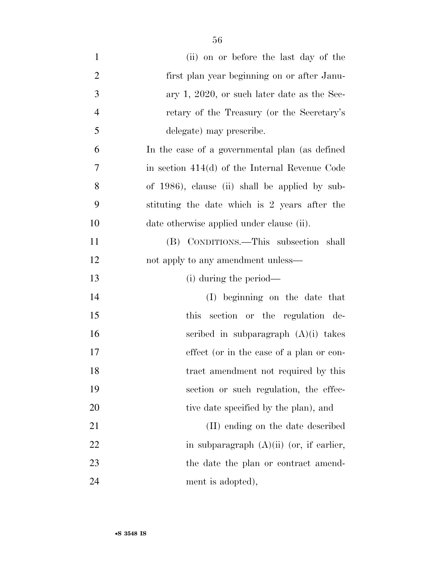| $\mathbf{1}$   | (ii) on or before the last day of the            |
|----------------|--------------------------------------------------|
| $\overline{2}$ | first plan year beginning on or after Janu-      |
| 3              | ary 1, 2020, or such later date as the Sec-      |
| $\overline{4}$ | retary of the Treasury (or the Secretary's       |
| 5              | delegate) may prescribe.                         |
| 6              | In the case of a governmental plan (as defined   |
| 7              | in section $414(d)$ of the Internal Revenue Code |
| 8              | of 1986), clause (ii) shall be applied by sub-   |
| 9              | stituting the date which is 2 years after the    |
| 10             | date otherwise applied under clause (ii).        |
| 11             | (B) CONDITIONS.—This subsection shall            |
| 12             | not apply to any amendment unless—               |
| 13             | (i) during the period—                           |
| 14             | (I) beginning on the date that                   |
| 15             | section or the regulation de-<br>this            |
| 16             | scribed in subparagraph $(A)(i)$ takes           |
| 17             | effect (or in the case of a plan or con-         |
| 18             | tract amendment not required by this             |
| 19             | section or such regulation, the effec-           |
| 20             | tive date specified by the plan), and            |
| 21             | (II) ending on the date described                |
| 22             | in subparagraph $(A)(ii)$ (or, if earlier,       |
| 23             | the date the plan or contract amend-             |
|                |                                                  |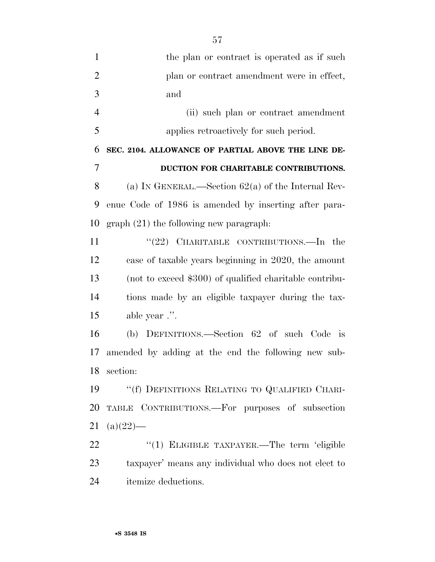| $\mathbf{1}$   | the plan or contract is operated as if such             |
|----------------|---------------------------------------------------------|
| $\overline{2}$ | plan or contract amendment were in effect,              |
| 3              | and                                                     |
| $\overline{4}$ | (ii) such plan or contract amendment                    |
| 5              | applies retroactively for such period.                  |
| 6              | SEC. 2104. ALLOWANCE OF PARTIAL ABOVE THE LINE DE-      |
| $\overline{7}$ | DUCTION FOR CHARITABLE CONTRIBUTIONS.                   |
| 8              | (a) IN GENERAL.—Section $62(a)$ of the Internal Rev-    |
| 9              | enue Code of 1986 is amended by inserting after para-   |
| 10             | $graph (21)$ the following new paragraph.               |
| 11             | " $(22)$ CHARITABLE CONTRIBUTIONS.—In the               |
| 12             | case of taxable years beginning in 2020, the amount     |
| 13             | (not to exceed \$300) of qualified charitable contribu- |
| 14             | tions made by an eligible taxpayer during the tax-      |
| 15             | able year .".                                           |
| 16             | (b) DEFINITIONS.—Section 62 of such Code is             |
| 17             | amended by adding at the end the following new sub-     |
|                | 18 section:                                             |
| 19             | "(f) DEFINITIONS RELATING TO QUALIFIED CHARI-           |
| 20             | TABLE CONTRIBUTIONS.-For purposes of subsection         |
| 21             | $(a)(22)$ —                                             |
| 22             | "(1) ELIGIBLE TAXPAYER.—The term 'eligible              |
| 23             | taxpayer' means any individual who does not elect to    |

itemize deductions.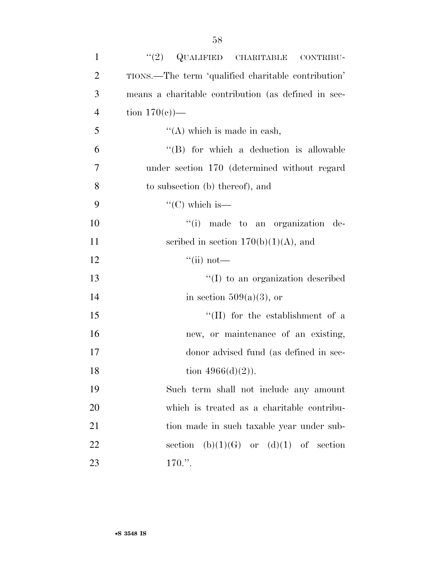| $\mathbf{1}$   | (2)<br>QUALIFIED CHARITABLE<br>CONTRIBU-            |
|----------------|-----------------------------------------------------|
| $\overline{2}$ | TIONS.—The term 'qualified charitable contribution' |
| 3              | means a charitable contribution (as defined in sec- |
| $\overline{4}$ | tion $170(e)$ —                                     |
| 5              | $\lq\lq$ which is made in eash,                     |
| 6              | "(B) for which a deduction is allowable             |
| 7              | under section 170 (determined without regard        |
| 8              | to subsection (b) thereof), and                     |
| 9              | "(C) which is—                                      |
| 10             | "(i) made to an organization de-                    |
| 11             | scribed in section $170(b)(1)(A)$ , and             |
| 12             | $\lq\lq$ (ii) not—                                  |
| 13             | $\lq\lq$ to an organization described               |
| 14             | in section $509(a)(3)$ , or                         |
| 15             | "(II) for the establishment of a                    |
| 16             | new, or maintenance of an existing,                 |
| 17             | donor advised fund (as defined in sec-              |
| 18             | tion $4966(d)(2)$ ).                                |
| 19             | Such term shall not include any amount              |
| 20             | which is treated as a charitable contribu-          |
| 21             | tion made in such taxable year under sub-           |
| 22             | section $(b)(1)(G)$ or $(d)(1)$ of section          |
| 23             | 170.".                                              |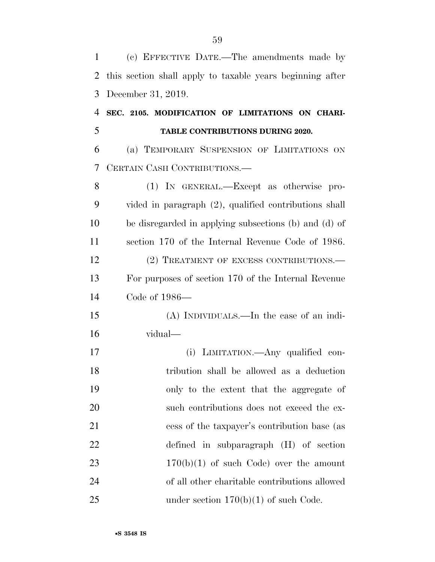(c) EFFECTIVE DATE.—The amendments made by this section shall apply to taxable years beginning after December 31, 2019.

 **SEC. 2105. MODIFICATION OF LIMITATIONS ON CHARI-TABLE CONTRIBUTIONS DURING 2020.** 

 (a) TEMPORARY SUSPENSION OF LIMITATIONS ON CERTAIN CASH CONTRIBUTIONS.—

 (1) IN GENERAL.—Except as otherwise pro- vided in paragraph (2), qualified contributions shall be disregarded in applying subsections (b) and (d) of section 170 of the Internal Revenue Code of 1986. 12 (2) TREATMENT OF EXCESS CONTRIBUTIONS.— For purposes of section 170 of the Internal Revenue Code of 1986— (A) INDIVIDUALS.—In the case of an indi- vidual— (i) LIMITATION.—Any qualified con- tribution shall be allowed as a deduction only to the extent that the aggregate of 20 such contributions does not exceed the ex- cess of the taxpayer's contribution base (as defined in subparagraph (H) of section  $170(b)(1)$  of such Code) over the amount of all other charitable contributions allowed 25 under section  $170(b)(1)$  of such Code.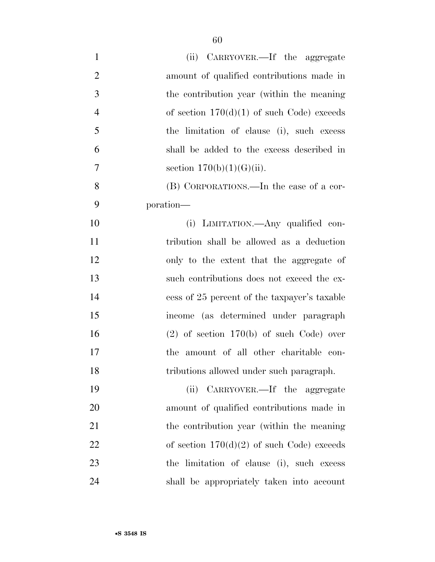| $\mathbf{1}$   | (ii) CARRYOVER.—If the aggregate             |
|----------------|----------------------------------------------|
| $\overline{2}$ | amount of qualified contributions made in    |
| 3              | the contribution year (within the meaning)   |
| $\overline{4}$ | of section $170(d)(1)$ of such Code) exceeds |
| 5              | the limitation of clause (i), such excess    |
| 6              | shall be added to the excess described in    |
| 7              | section $170(b)(1)(G)(ii)$ .                 |
| 8              | (B) CORPORATIONS.—In the case of a cor-      |
| 9              | poration—                                    |
| 10             | (i) LIMITATION.—Any qualified con-           |
| 11             | tribution shall be allowed as a deduction    |
| 12             | only to the extent that the aggregate of     |
| 13             | such contributions does not exceed the ex-   |
| 14             | cess of 25 percent of the taxpayer's taxable |
| 15             | income (as determined under paragraph        |
| 16             | $(2)$ of section 170(b) of such Code) over   |
| 17             | the amount of all other charitable con-      |
| 18             | tributions allowed under such paragraph.     |
| 19             | (ii) CARRYOVER.—If the aggregate             |
| 20             | amount of qualified contributions made in    |
| 21             | the contribution year (within the meaning)   |
| 22             | of section $170(d)(2)$ of such Code) exceeds |
| 23             | the limitation of clause (i), such excess    |
| 24             | shall be appropriately taken into account    |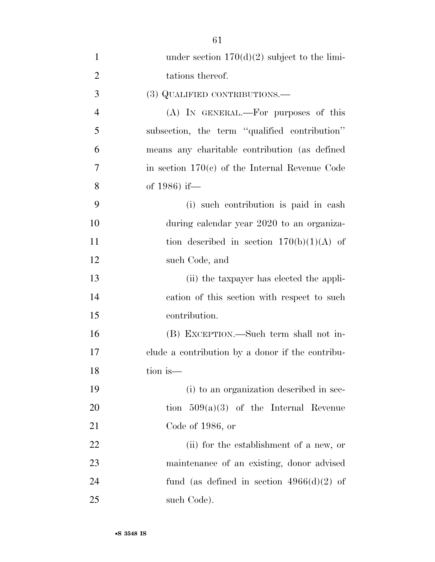| $\mathbf{1}$   | under section $170(d)(2)$ subject to the limi-   |
|----------------|--------------------------------------------------|
| $\overline{2}$ | tations thereof.                                 |
| 3              | (3) QUALIFIED CONTRIBUTIONS.—                    |
| $\overline{4}$ | (A) IN GENERAL.—For purposes of this             |
| 5              | subsection, the term "qualified contribution"    |
| 6              | means any charitable contribution (as defined    |
| 7              | in section $170(c)$ of the Internal Revenue Code |
| 8              | of 1986) if-                                     |
| 9              | (i) such contribution is paid in cash            |
| 10             | during calendar year 2020 to an organiza-        |
| 11             | tion described in section $170(b)(1)(A)$ of      |
| 12             | such Code, and                                   |
| 13             | (ii) the taxpayer has elected the appli-         |
| 14             | cation of this section with respect to such      |
| 15             | contribution.                                    |
| 16             | (B) EXCEPTION.—Such term shall not in-           |
| 17             | clude a contribution by a donor if the contribu- |
| 18             | tion is—                                         |
| 19             | (i) to an organization described in sec-         |
| 20             | tion $509(a)(3)$ of the Internal Revenue         |
| 21             | Code of $1986$ , or                              |
| 22             | (ii) for the establishment of a new, or          |
| 23             | maintenance of an existing, donor advised        |
| 24             | fund (as defined in section $4966(d)(2)$ of      |
| 25             | such Code).                                      |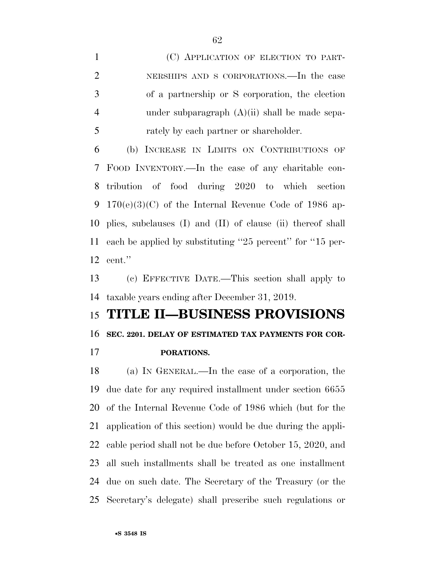(C) APPLICATION OF ELECTION TO PART- NERSHIPS AND S CORPORATIONS.—In the case of a partnership or S corporation, the election under subparagraph (A)(ii) shall be made sepa-rately by each partner or shareholder.

 (b) INCREASE IN LIMITS ON CONTRIBUTIONS OF FOOD INVENTORY.—In the case of any charitable con- tribution of food during 2020 to which section 170(e)(3)(C) of the Internal Revenue Code of 1986 ap- plies, subclauses (I) and (II) of clause (ii) thereof shall each be applied by substituting ''25 percent'' for ''15 per-cent.''

 (c) EFFECTIVE DATE.—This section shall apply to taxable years ending after December 31, 2019.

## **TITLE II—BUSINESS PROVISIONS**

## **SEC. 2201. DELAY OF ESTIMATED TAX PAYMENTS FOR COR-**

**PORATIONS.** 

 (a) IN GENERAL.—In the case of a corporation, the due date for any required installment under section 6655 of the Internal Revenue Code of 1986 which (but for the application of this section) would be due during the appli- cable period shall not be due before October 15, 2020, and all such installments shall be treated as one installment due on such date. The Secretary of the Treasury (or the Secretary's delegate) shall prescribe such regulations or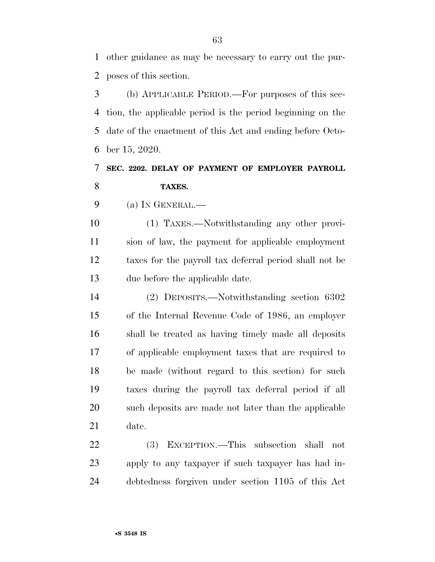other guidance as may be necessary to carry out the pur-poses of this section.

 (b) APPLICABLE PERIOD.—For purposes of this sec- tion, the applicable period is the period beginning on the date of the enactment of this Act and ending before Octo-ber 15, 2020.

## **SEC. 2202. DELAY OF PAYMENT OF EMPLOYER PAYROLL TAXES.**

(a) IN GENERAL.—

 (1) TAXES.—Notwithstanding any other provi- sion of law, the payment for applicable employment taxes for the payroll tax deferral period shall not be due before the applicable date.

 (2) DEPOSITS.—Notwithstanding section 6302 of the Internal Revenue Code of 1986, an employer shall be treated as having timely made all deposits of applicable employment taxes that are required to be made (without regard to this section) for such taxes during the payroll tax deferral period if all such deposits are made not later than the applicable date.

 (3) EXCEPTION.—This subsection shall not apply to any taxpayer if such taxpayer has had in-debtedness forgiven under section 1105 of this Act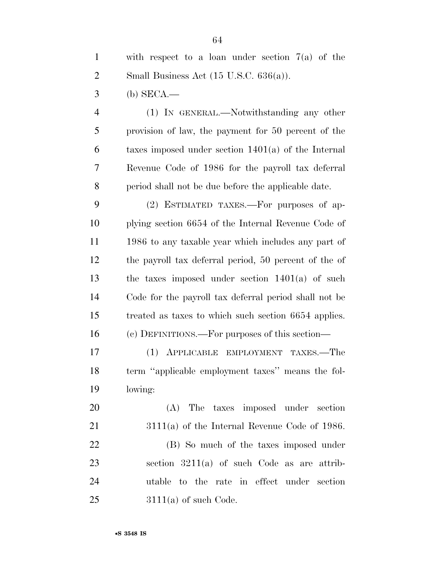(b) SECA.—

 (1) IN GENERAL.—Notwithstanding any other provision of law, the payment for 50 percent of the taxes imposed under section 1401(a) of the Internal Revenue Code of 1986 for the payroll tax deferral period shall not be due before the applicable date.

 (2) ESTIMATED TAXES.—For purposes of ap- plying section 6654 of the Internal Revenue Code of 1986 to any taxable year which includes any part of the payroll tax deferral period, 50 percent of the of the taxes imposed under section 1401(a) of such Code for the payroll tax deferral period shall not be treated as taxes to which such section 6654 applies. (c) DEFINITIONS.—For purposes of this section—

 (1) APPLICABLE EMPLOYMENT TAXES.—The term ''applicable employment taxes'' means the fol-lowing:

 (A) The taxes imposed under section 3111(a) of the Internal Revenue Code of 1986. (B) So much of the taxes imposed under section 3211(a) of such Code as are attrib- utable to the rate in effect under section 3111(a) of such Code.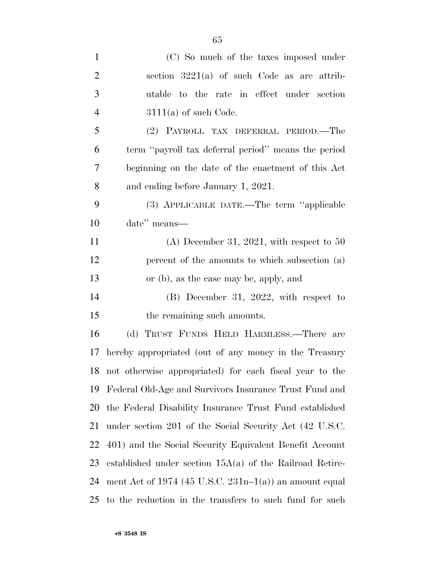| $\mathbf{1}$   | (C) So much of the taxes imposed under                     |
|----------------|------------------------------------------------------------|
| $\overline{2}$ | section $3221(a)$ of such Code as are attrib-              |
| 3              | utable to the rate in effect under section                 |
| $\overline{4}$ | $3111(a)$ of such Code.                                    |
| 5              | (2) PAYROLL TAX DEFERRAL PERIOD.—The                       |
| 6              | term "payroll tax deferral period" means the period        |
| 7              | beginning on the date of the enactment of this Act         |
| 8              | and ending before January 1, 2021.                         |
| 9              | (3) APPLICABLE DATE.—The term "applicable                  |
| 10             | date" means—                                               |
| 11             | $(A)$ December 31, 2021, with respect to 50                |
| 12             | percent of the amounts to which subsection (a)             |
| 13             | or (b), as the case may be, apply, and                     |
| 14             | $(B)$ December 31, 2022, with respect to                   |
| 15             | the remaining such amounts.                                |
| 16             | (d) TRUST FUNDS HELD HARMLESS.—There are                   |
| 17             | hereby appropriated (out of any money in the Treasury      |
| 18             | not otherwise appropriated) for each fiscal year to the    |
| 19             | Federal Old-Age and Survivors Insurance Trust Fund and     |
| 20             | the Federal Disability Insurance Trust Fund established    |
| 21             | under section 201 of the Social Security Act (42 U.S.C.    |
| 22             | 401) and the Social Security Equivalent Benefit Account    |
| 23             | established under section $15A(a)$ of the Railroad Retire- |
| 24             | ment Act of 1974 (45 U.S.C. $231n-1(a)$ ) an amount equal  |
| 25             | to the reduction in the transfers to such fund for such    |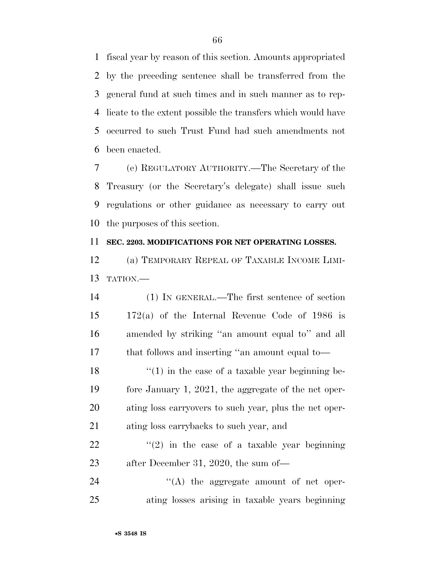fiscal year by reason of this section. Amounts appropriated by the preceding sentence shall be transferred from the general fund at such times and in such manner as to rep- licate to the extent possible the transfers which would have occurred to such Trust Fund had such amendments not been enacted.

 (e) REGULATORY AUTHORITY.—The Secretary of the Treasury (or the Secretary's delegate) shall issue such regulations or other guidance as necessary to carry out the purposes of this section.

## **SEC. 2203. MODIFICATIONS FOR NET OPERATING LOSSES.**

 (a) TEMPORARY REPEAL OF TAXABLE INCOME LIMI-TATION.—

 (1) IN GENERAL.—The first sentence of section 172(a) of the Internal Revenue Code of 1986 is amended by striking ''an amount equal to'' and all that follows and inserting ''an amount equal to—  $\frac{1}{2}$  (1) in the case of a taxable year beginning be- fore January 1, 2021, the aggregate of the net oper- ating loss carryovers to such year, plus the net oper-ating loss carrybacks to such year, and

22  $\frac{1}{2}$   $\frac{1}{2}$  in the case of a taxable year beginning after December 31, 2020, the sum of—

24  $\langle (A)$  the aggregate amount of net oper-ating losses arising in taxable years beginning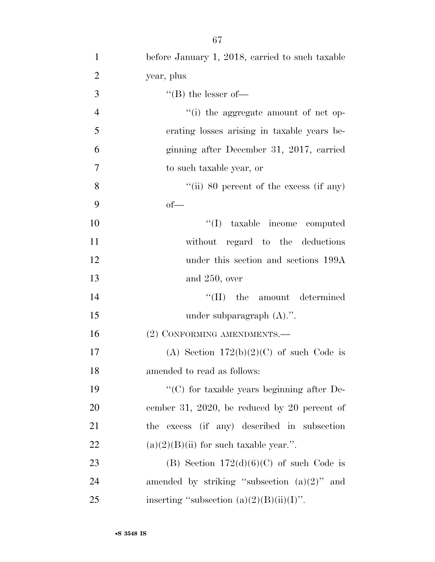| $\mathbf{1}$   | before January 1, 2018, carried to such taxable    |
|----------------|----------------------------------------------------|
| $\overline{2}$ | year, plus                                         |
| 3              | $\lq\lq (B)$ the lesser of-                        |
| $\overline{4}$ | "(i) the aggregate amount of net op-               |
| 5              | erating losses arising in taxable years be-        |
| 6              | ginning after December 31, 2017, carried           |
| $\overline{7}$ | to such taxable year, or                           |
| 8              | "(ii) 80 percent of the excess (if any)            |
| 9              | $of$ —                                             |
| 10             | "(I) taxable income computed                       |
| 11             | without regard to the deductions                   |
| 12             | under this section and sections 199A               |
| 13             | and $250$ , over                                   |
| 14             | $\lq\lq$ (II) the amount determined                |
| 15             | under subparagraph $(A)$ .".                       |
| 16             | (2) CONFORMING AMENDMENTS.-                        |
| 17             | (A) Section $172(b)(2)(C)$ of such Code is         |
| 18             | amended to read as follows:                        |
| 19             | $\lq\lq$ (C) for taxable years beginning after De- |
| 20             | cember 31, 2020, be reduced by 20 percent of       |
| 21             | excess (if any) described in subsection<br>the     |
| 22             | $(a)(2)(B)(ii)$ for such taxable year.".           |
| 23             | (B) Section $172(d)(6)(C)$ of such Code is         |
| 24             | amended by striking "subsection $(a)(2)$ " and     |
| 25             | inserting "subsection $(a)(2)(B)(ii)(I)$ ".        |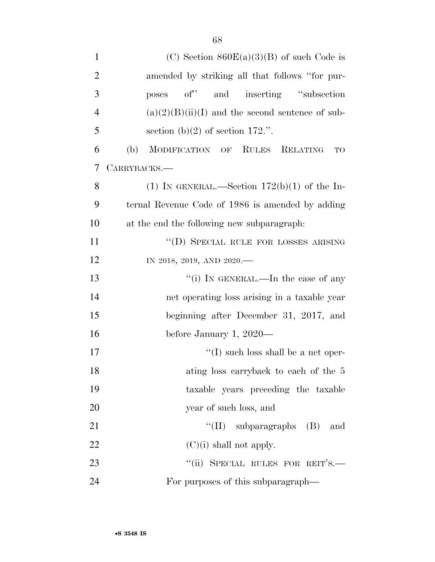| $\mathbf{1}$   | (C) Section $860E(a)(3)(B)$ of such Code is                         |
|----------------|---------------------------------------------------------------------|
| $\overline{2}$ | amended by striking all that follows "for pur-                      |
| 3              | and inserting "subsection"<br>$\mathrm{of}^{\prime\prime}$<br>poses |
| $\overline{4}$ | $(a)(2)(B)(ii)(I)$ and the second sentence of sub-                  |
| 5              | section (b)(2) of section $172$ .".                                 |
| 6              | MODIFICATION OF RULES RELATING<br>(b)<br>TO                         |
| 7              | CARRYBACKS.-                                                        |
| 8              | (1) IN GENERAL.—Section $172(b)(1)$ of the In-                      |
| 9              | ternal Revenue Code of 1986 is amended by adding                    |
| 10             | at the end the following new subparagraph.                          |
| 11             | "(D) SPECIAL RULE FOR LOSSES ARISING                                |
| 12             | IN 2018, 2019, AND 2020.-                                           |
| 13             | "(i) IN GENERAL.—In the case of any                                 |
| 14             | net operating loss arising in a taxable year                        |
| 15             | beginning after December 31, 2017, and                              |
| 16             | before January 1, $2020-$                                           |
| 17             | $\lq\lq$ such loss shall be a net oper-                             |
| 18             | ating loss carryback to each of the 5                               |
| 19             | taxable years preceding the taxable                                 |
| 20             | year of such loss, and                                              |
| 21             | "(II) subparagraphs $(B)$ and                                       |
| 22             | $(C)(i)$ shall not apply.                                           |
| 23             | "(ii) SPECIAL RULES FOR REIT'S.-                                    |
| 24             | For purposes of this subparagraph—                                  |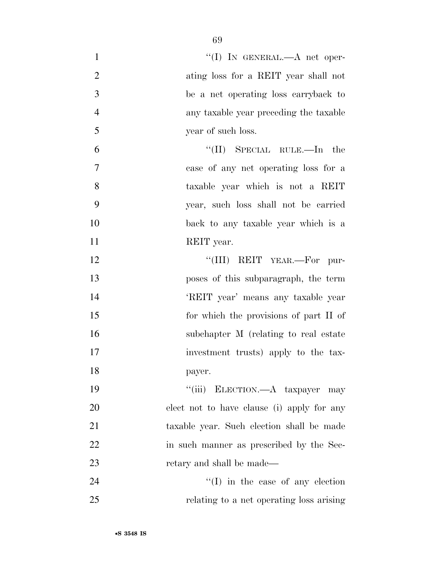| $\mathbf{1}$   | "(I) IN GENERAL.— $A$ net oper-            |
|----------------|--------------------------------------------|
| $\overline{2}$ | ating loss for a REIT year shall not       |
| 3              | be a net operating loss carryback to       |
| $\overline{4}$ | any taxable year preceding the taxable     |
| 5              | year of such loss.                         |
| 6              | $\lq\lq$ (II) SPECIAL RULE.—In the         |
| $\overline{7}$ | case of any net operating loss for a       |
| 8              | taxable year which is not a REIT           |
| 9              | year, such loss shall not be carried       |
| 10             | back to any taxable year which is a        |
| 11             | REIT year.                                 |
| 12             | "(III) REIT YEAR.—For pur-                 |
| 13             | poses of this subparagraph, the term       |
| 14             | 'REIT year' means any taxable year         |
| 15             | for which the provisions of part II of     |
| 16             | subchapter M (relating to real estate)     |
| 17             | investment trusts) apply to the tax-       |
| 18             | payer.                                     |
| 19             | "(iii) ELECTION.—A taxpayer may            |
| 20             | elect not to have clause (i) apply for any |
| 21             | taxable year. Such election shall be made  |
| 22             | in such manner as prescribed by the Sec-   |
| 23             | retary and shall be made—                  |
| 24             | $\lq\lq$ (I) in the case of any election   |
| 25             | relating to a net operating loss arising   |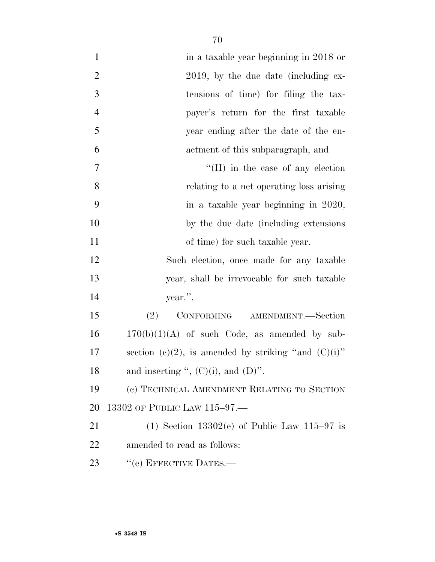| $\mathbf{1}$   | in a taxable year beginning in 2018 or                 |
|----------------|--------------------------------------------------------|
| $\overline{2}$ | 2019, by the due date (including ex-                   |
| 3              | tensions of time) for filing the tax-                  |
| $\overline{4}$ | payer's return for the first taxable                   |
| 5              | year ending after the date of the en-                  |
| 6              | actment of this subparagraph, and                      |
| $\tau$         | $\lq\lq$ (II) in the case of any election              |
| 8              | relating to a net operating loss arising               |
| 9              | in a taxable year beginning in 2020,                   |
| 10             | by the due date (including extensions)                 |
| 11             | of time) for such taxable year.                        |
| 12             | Such election, once made for any taxable               |
| 13             | year, shall be irrevocable for such taxable            |
| 14             | year.".                                                |
| 15             | (2)<br>CONFORMING AMENDMENT.-Section                   |
| 16             | $170(b)(1)(A)$ of such Code, as amended by sub-        |
| 17             | section (c)(2), is amended by striking "and $(C)(i)$ " |
| 18             | and inserting ", $(C)(i)$ , and $(D)$ ".               |
| 19             | (c) TECHNICAL AMENDMENT RELATING TO SECTION            |
| 20             | 13302 OF PUBLIC LAW 115-97.-                           |
| 21             | (1) Section $13302(e)$ of Public Law $115-97$ is       |
| 22             | amended to read as follows:                            |
| 23             | "(e) EFFECTIVE DATES.—                                 |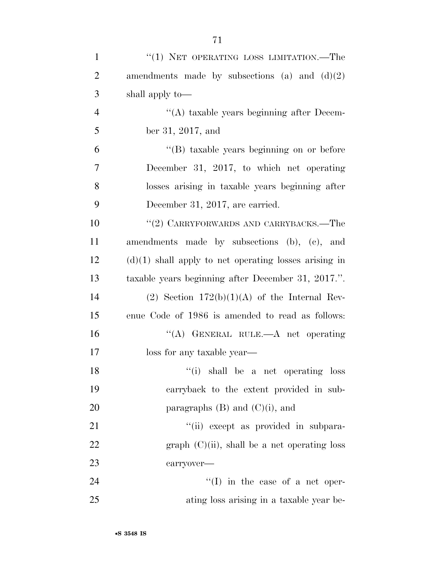| $\mathbf{1}$   | $``(1)$ NET OPERATING LOSS LIMITATION.—The              |
|----------------|---------------------------------------------------------|
| $\overline{2}$ | amendments made by subsections (a) and $(d)(2)$         |
| 3              | shall apply to—                                         |
| $\overline{4}$ | "(A) taxable years beginning after Decem-               |
| 5              | ber 31, 2017, and                                       |
| 6              | "(B) taxable years beginning on or before               |
| $\overline{7}$ | December 31, 2017, to which net operating               |
| 8              | losses arising in taxable years beginning after         |
| 9              | December 31, 2017, are carried.                         |
| 10             | "(2) CARRYFORWARDS AND CARRYBACKS.—The                  |
| 11             | amendments made by subsections (b), (c), and            |
| 12             | $(d)(1)$ shall apply to net operating losses arising in |
| 13             | taxable years beginning after December 31, 2017.".      |
| 14             | (2) Section $172(b)(1)(A)$ of the Internal Rev-         |
| 15             | enue Code of 1986 is amended to read as follows:        |
| 16             | "(A) GENERAL RULE.—A net operating                      |
| 17             | loss for any taxable year—                              |
| 18             | "(i) shall be a net operating loss                      |
| 19             | carryback to the extent provided in sub-                |
| 20             | paragraphs $(B)$ and $(C)(i)$ , and                     |
| 21             | "(ii) except as provided in subpara-                    |
| 22             | graph $(C)(ii)$ , shall be a net operating loss         |
| 23             | carryover-                                              |
| 24             | $\lq\lq$ (I) in the case of a net oper-                 |
| 25             | ating loss arising in a taxable year be-                |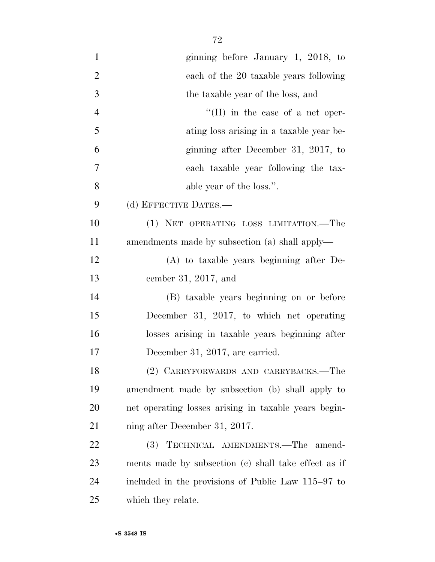| $\mathbf{1}$   | ginning before January 1, 2018, to                   |
|----------------|------------------------------------------------------|
| $\overline{2}$ | each of the 20 taxable years following               |
| 3              | the taxable year of the loss, and                    |
| $\overline{4}$ | "(II) in the case of a net oper-                     |
| 5              | ating loss arising in a taxable year be-             |
| 6              | ginning after December 31, 2017, to                  |
| 7              | each taxable year following the tax-                 |
| 8              | able year of the loss.".                             |
| 9              | (d) EFFECTIVE DATES.-                                |
| 10             | (1) NET OPERATING LOSS LIMITATION.-The               |
| 11             | amendments made by subsection (a) shall apply—       |
| 12             | (A) to taxable years beginning after De-             |
| 13             | cember 31, 2017, and                                 |
| 14             | (B) taxable years beginning on or before             |
| 15             | December 31, 2017, to which net operating            |
| 16             | losses arising in taxable years beginning after      |
| 17             | December 31, 2017, are carried.                      |
| 18             | (2) CARRYFORWARDS AND CARRYBACKS.-The                |
| 19             | amendment made by subsection (b) shall apply to      |
| 20             | net operating losses arising in taxable years begin- |
| 21             | ning after December 31, 2017.                        |
| 22             | TECHNICAL AMENDMENTS.-The amend-<br><b>(3)</b>       |
| 23             | ments made by subsection (c) shall take effect as if |
| 24             | included in the provisions of Public Law 115–97 to   |
| 25             | which they relate.                                   |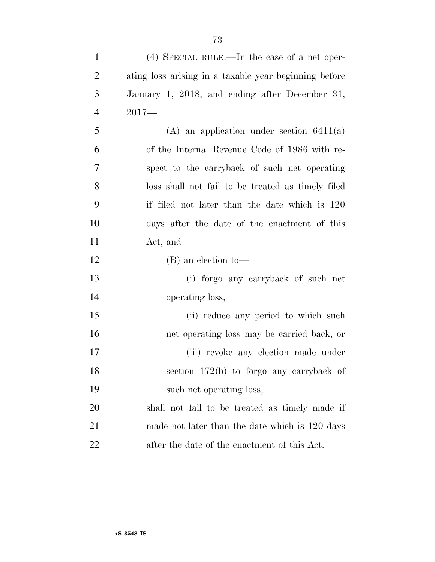| $\mathbf{1}$   | $(4)$ SPECIAL RULE.—In the case of a net oper-        |
|----------------|-------------------------------------------------------|
| $\overline{2}$ | ating loss arising in a taxable year beginning before |
| 3              | January 1, 2018, and ending after December 31,        |
| $\overline{4}$ | $2017-$                                               |
| 5              | $(A)$ an application under section 6411(a)            |
| 6              | of the Internal Revenue Code of 1986 with re-         |
| 7              | spect to the carryback of such net operating          |
| 8              | loss shall not fail to be treated as timely filed     |
| 9              | if filed not later than the date which is 120         |
| 10             | days after the date of the enactment of this          |
| 11             | Act, and                                              |
| 12             | $(B)$ an election to-                                 |
| 13             | (i) forgo any carryback of such net                   |
| 14             | operating loss,                                       |
| 15             | (ii) reduce any period to which such                  |
| 16             | net operating loss may be carried back, or            |
| 17             | (iii) revoke any election made under                  |
| 18             | section 172(b) to forgo any carryback of              |
| 19             | such net operating loss,                              |
| 20             | shall not fail to be treated as timely made if        |
| 21             | made not later than the date which is 120 days        |
| 22             | after the date of the enactment of this Act.          |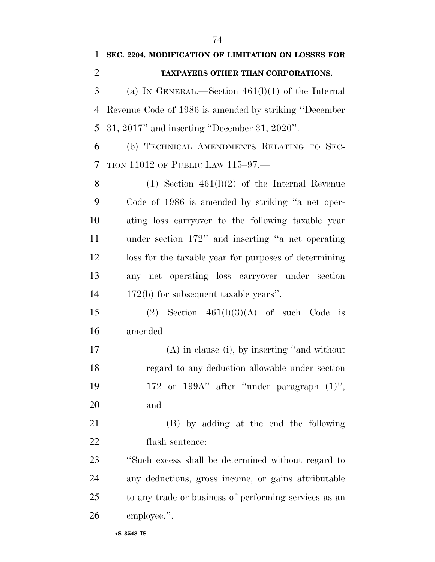| $\overline{2}$ | TAXPAYERS OTHER THAN CORPORATIONS.                     |
|----------------|--------------------------------------------------------|
| 3              | (a) IN GENERAL.—Section $461(1)(1)$ of the Internal    |
| 4              | Revenue Code of 1986 is amended by striking "December" |
| 5              | $31, 2017$ " and inserting "December $31, 2020$ ".     |
| 6              | (b) TECHNICAL AMENDMENTS RELATING TO SEC-              |
| 7              | TION 11012 OF PUBLIC LAW $115-97$                      |
| 8              | $(1)$ Section $461(1)(2)$ of the Internal Revenue      |
| 9              | Code of 1986 is amended by striking "a net oper-       |
| 10             | ating loss carryover to the following taxable year     |
| 11             | under section 172" and inserting "a net operating      |
| 12             | loss for the taxable year for purposes of determining  |
| 13             | any net operating loss carryover under section         |
| 14             | $172(b)$ for subsequent taxable years".                |
| 15             | Section $461(l)(3)(A)$ of such Code<br>(2)<br>is       |
| 16             | amended—                                               |
| 17             | $(A)$ in clause (i), by inserting "and without         |
| 18             | regard to any deduction allowable under section        |
| 19             | 172 or 199A" after "under paragraph (1)",              |
| 20             | and                                                    |
| 21             | (B) by adding at the end the following                 |
| 22             | flush sentence:                                        |
| 23             | "Such excess shall be determined without regard to     |
| 24             | any deductions, gross income, or gains attributable    |
| 25             | to any trade or business of performing services as an  |
| 26             | employee.".                                            |
|                | •S 3548 IS                                             |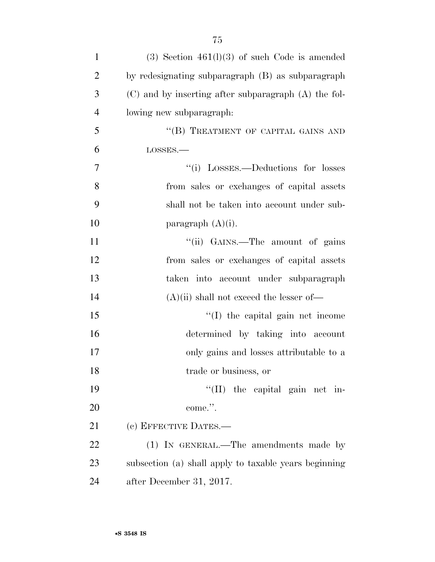| $\mathbf{1}$   | $(3)$ Section 461(1)(3) of such Code is amended          |
|----------------|----------------------------------------------------------|
| $\overline{2}$ | by redesignating subparagraph (B) as subparagraph        |
| 3              | $(C)$ and by inserting after subparagraph $(A)$ the fol- |
| $\overline{4}$ | lowing new subparagraph:                                 |
| 5              | "(B) TREATMENT OF CAPITAL GAINS AND                      |
| 6              | LOSSES.                                                  |
| 7              | "(i) LOSSES.—Deductions for losses                       |
| 8              | from sales or exchanges of capital assets                |
| 9              | shall not be taken into account under sub-               |
| 10             | paragraph $(A)(i)$ .                                     |
| 11             | "(ii) GAINS.—The amount of gains                         |
| 12             | from sales or exchanges of capital assets                |
| 13             | taken into account under subparagraph                    |
| 14             | $(A)(ii)$ shall not exceed the lesser of-                |
| 15             | "(I) the capital gain net income                         |
| 16             | determined by taking into account                        |
| 17             | only gains and losses attributable to a                  |
| 18             | trade or business, or                                    |
| 19             | "(II) the capital gain net in-                           |
| 20             | come.".                                                  |
| 21             | (c) EFFECTIVE DATES.—                                    |
| 22             | (1) IN GENERAL.—The amendments made by                   |
| 23             | subsection (a) shall apply to taxable years beginning    |
| 24             | after December 31, 2017.                                 |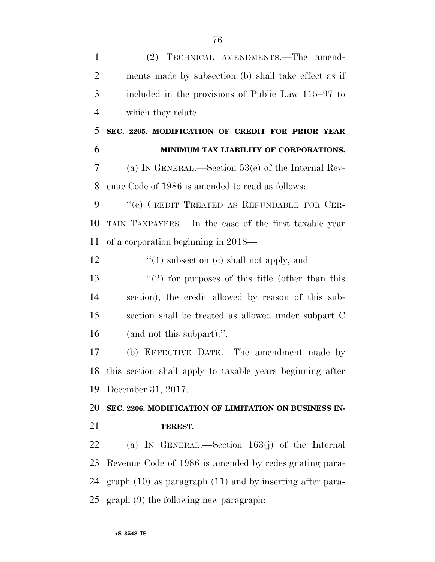| $\mathbf{1}$   | (2) TECHNICAL AMENDMENTS.—The amend-                         |
|----------------|--------------------------------------------------------------|
| $\overline{2}$ | ments made by subsection (b) shall take effect as if         |
| 3              | included in the provisions of Public Law 115–97 to           |
| $\overline{4}$ | which they relate.                                           |
| 5              | SEC. 2205. MODIFICATION OF CREDIT FOR PRIOR YEAR             |
| 6              | MINIMUM TAX LIABILITY OF CORPORATIONS.                       |
| 7              | (a) IN GENERAL.—Section $53(e)$ of the Internal Rev-         |
| 8              | enue Code of 1986 is amended to read as follows:             |
| 9              | "(e) CREDIT TREATED AS REFUNDABLE FOR CER-                   |
| 10             | TAIN TAXPAYERS.—In the case of the first taxable year        |
| 11             | of a corporation beginning in 2018—                          |
| 12             | $\lq(1)$ subsection (c) shall not apply, and                 |
| 13             | $\lq(2)$ for purposes of this title (other than this         |
| 14             | section), the credit allowed by reason of this sub-          |
| 15             | section shall be treated as allowed under subpart C          |
| 16             | (and not this subpart).".                                    |
| 17             | (b) EFFECTIVE DATE.—The amendment made by                    |
| 18             | this section shall apply to taxable years beginning after    |
| 19             | December 31, 2017.                                           |
| 20             | SEC. 2206. MODIFICATION OF LIMITATION ON BUSINESS IN-        |
| 21             | TEREST.                                                      |
| 22             | (a) IN GENERAL.—Section $163(j)$ of the Internal             |
| 23             | Revenue Code of 1986 is amended by redesignating para-       |
|                | 24 graph (10) as paragraph (11) and by inserting after para- |

graph (9) the following new paragraph: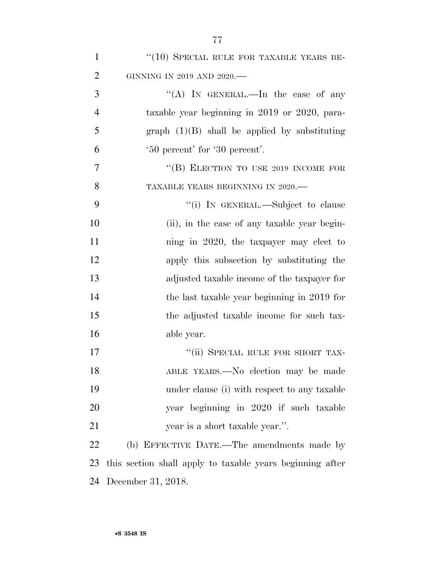| $\mathbf{1}$   | "(10) SPECIAL RULE FOR TAXABLE YEARS BE-                  |
|----------------|-----------------------------------------------------------|
| $\overline{2}$ | GINNING IN 2019 AND 2020.-                                |
| 3              | "(A) IN GENERAL.—In the case of any                       |
| $\overline{4}$ | taxable year beginning in 2019 or 2020, para-             |
| 5              | graph $(1)(B)$ shall be applied by substituting           |
| 6              | '50 percent' for '30 percent'.                            |
| 7              | "(B) ELECTION TO USE 2019 INCOME FOR                      |
| 8              | TAXABLE YEARS BEGINNING IN 2020.-                         |
| 9              | "(i) IN GENERAL.—Subject to clause                        |
| 10             | (ii), in the case of any taxable year begin-              |
| 11             | ning in 2020, the taxpayer may elect to                   |
| 12             | apply this subsection by substituting the                 |
| 13             | adjusted taxable income of the taxpayer for               |
| 14             | the last taxable year beginning in 2019 for               |
| 15             | the adjusted taxable income for such tax-                 |
| 16             | able year.                                                |
| 17             | "(ii) SPECIAL RULE FOR SHORT TAX-                         |
| 18             | ABLE YEARS.—No election may be made                       |
| 19             | under clause (i) with respect to any taxable              |
| 20             | year beginning in 2020 if such taxable                    |
| 21             | year is a short taxable year.".                           |
| 22             | (b) EFFECTIVE DATE.—The amendments made by                |
| 23             | this section shall apply to taxable years beginning after |
| 24             | December 31, 2018.                                        |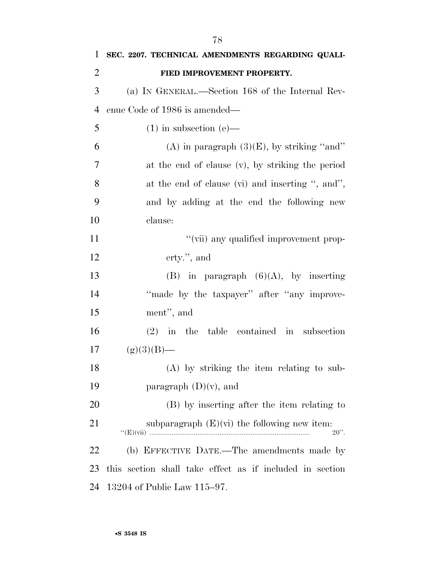| 1              | SEC. 2207. TECHNICAL AMENDMENTS REGARDING QUALI-          |
|----------------|-----------------------------------------------------------|
| $\overline{2}$ | FIED IMPROVEMENT PROPERTY.                                |
| 3              | (a) IN GENERAL.—Section 168 of the Internal Rev-          |
| $\overline{4}$ | enue Code of 1986 is amended—                             |
| 5              | $(1)$ in subsection $(e)$ —                               |
| 6              | (A) in paragraph $(3)(E)$ , by striking "and"             |
| 7              | at the end of clause (v), by striking the period          |
| 8              | at the end of clause (vi) and inserting ", and",          |
| 9              | and by adding at the end the following new                |
| 10             | clause:                                                   |
| 11             | "(vii) any qualified improvement prop-                    |
| 12             | erty.", and                                               |
| 13             | (B) in paragraph $(6)(A)$ , by inserting                  |
| 14             | "made by the taxpayer" after "any improve-                |
| 15             | ment", and                                                |
| 16             | $(2)$ in the table contained in subsection                |
| 17             | $(g)(3)(B)$ —                                             |
| 18             | (A) by striking the item relating to sub-                 |
| 19             | paragraph $(D)(v)$ , and                                  |
| 20             | (B) by inserting after the item relating to               |
| 21             | subparagraph $(E)(vi)$ the following new item:<br>$20$ ". |
| 22             | (b) EFFECTIVE DATE.—The amendments made by                |
| 23             | this section shall take effect as if included in section  |
| 24             | 13204 of Public Law 115–97.                               |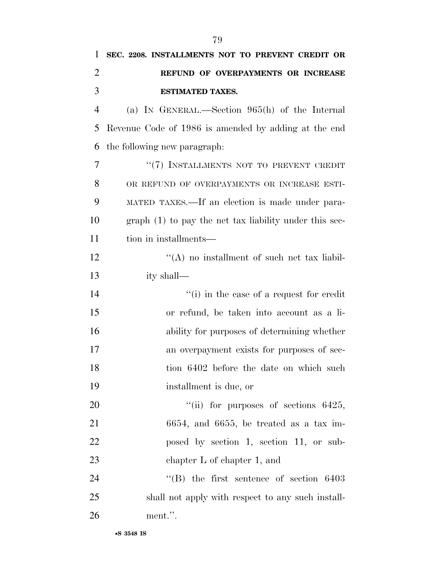| 1              | SEC. 2208. INSTALLMENTS NOT TO PREVENT CREDIT OR            |
|----------------|-------------------------------------------------------------|
| $\overline{2}$ | REFUND OF OVERPAYMENTS OR INCREASE                          |
| 3              | <b>ESTIMATED TAXES.</b>                                     |
| $\overline{4}$ | (a) IN GENERAL.—Section $965(h)$ of the Internal            |
| 5              | Revenue Code of 1986 is amended by adding at the end        |
| 6              | the following new paragraph.                                |
| 7              | "(7) INSTALLMENTS NOT TO PREVENT CREDIT                     |
| 8              | OR REFUND OF OVERPAYMENTS OR INCREASE ESTI-                 |
| 9              | MATED TAXES.—If an election is made under para-             |
| 10             | $graph(1)$ to pay the net tax liability under this sec-     |
| 11             | tion in installments—                                       |
| 12             | $\lq\lq$ no installment of such net tax liabil-             |
| 13             | ity shall—                                                  |
| 14             | "(i) in the case of a request for credit"                   |
| 15             | or refund, be taken into account as a li-                   |
| 16             | ability for purposes of determining whether                 |
| 17             | an overpayment exists for purposes of sec-                  |
| 18             | tion 6402 before the date on which such                     |
| 19             | installment is due, or                                      |
| 20             | "(ii) for purposes of sections $6425$ ,                     |
| 21             | $6654$ , and $6655$ , be treated as a tax im-               |
| 22             | posed by section 1, section 11, or sub-                     |
| 23             | chapter $L$ of chapter 1, and                               |
| 24             | $\cdot$ <sup>"</sup> (B) the first sentence of section 6403 |
| 25             | shall not apply with respect to any such install-           |
| 26             | ment.".                                                     |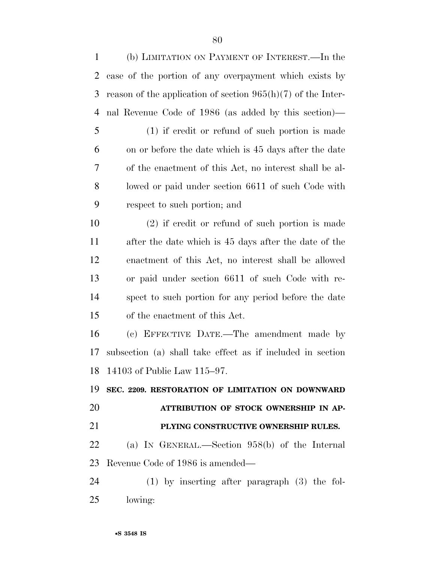| (b) LIMITATION ON PAYMENT OF INTEREST.—In the                  |
|----------------------------------------------------------------|
| case of the portion of any overpayment which exists by         |
| reason of the application of section $965(h)(7)$ of the Inter- |
| nal Revenue Code of 1986 (as added by this section)—           |
| $(1)$ if credit or refund of such portion is made              |
| on or before the date which is 45 days after the date          |
| of the enactment of this Act, no interest shall be al-         |
| lowed or paid under section 6611 of such Code with             |
| respect to such portion; and                                   |
| $(2)$ if credit or refund of such portion is made              |
| after the date which is 45 days after the date of the          |
| enactment of this Act, no interest shall be allowed            |
| or paid under section 6611 of such Code with re-               |
| spect to such portion for any period before the date           |
| of the enactment of this Act.                                  |
| (c) EFFECTIVE DATE.—The amendment made by                      |
| subsection (a) shall take effect as if included in section     |
| 18 14103 of Public Law 115-97.                                 |
| SEC. 2209. RESTORATION OF LIMITATION ON DOWNWARD               |
| ATTRIBUTION OF STOCK OWNERSHIP IN AP-                          |
|                                                                |
| PLYING CONSTRUCTIVE OWNERSHIP RULES.                           |
| (a) IN GENERAL.—Section $958(b)$ of the Internal               |
| Revenue Code of 1986 is amended—                               |
| $(1)$ by inserting after paragraph $(3)$ the fol-              |
|                                                                |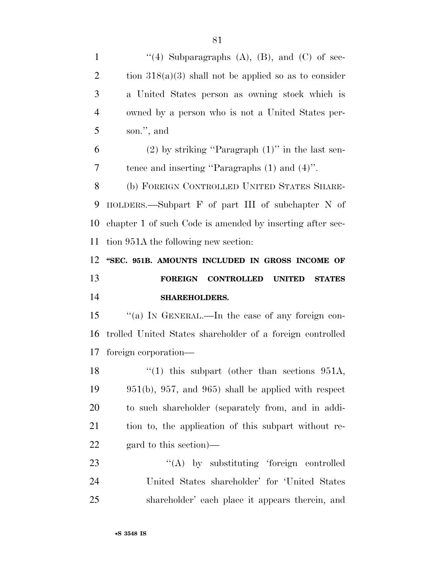$\langle (4)$  Subparagraphs  $(A)$ ,  $(B)$ , and  $(C)$  of sec-2 tion  $318(a)(3)$  shall not be applied so as to consider a United States person as owning stock which is owned by a person who is not a United States per- son.'', and (2) by striking ''Paragraph (1)'' in the last sen- tence and inserting ''Paragraphs (1) and (4)''. (b) FOREIGN CONTROLLED UNITED STATES SHARE- HOLDERS.—Subpart F of part III of subchapter N of chapter 1 of such Code is amended by inserting after sec- tion 951A the following new section: **''SEC. 951B. AMOUNTS INCLUDED IN GROSS INCOME OF FOREIGN CONTROLLED UNITED STATES SHAREHOLDERS.**  ''(a) IN GENERAL.—In the case of any foreign con- trolled United States shareholder of a foreign controlled foreign corporation— 18 ''(1) this subpart (other than sections 951A, 951(b), 957, and 965) shall be applied with respect to such shareholder (separately from, and in addi- tion to, the application of this subpart without re- gard to this section)— 23 "(A) by substituting 'foreign controlled United States shareholder' for 'United States shareholder' each place it appears therein, and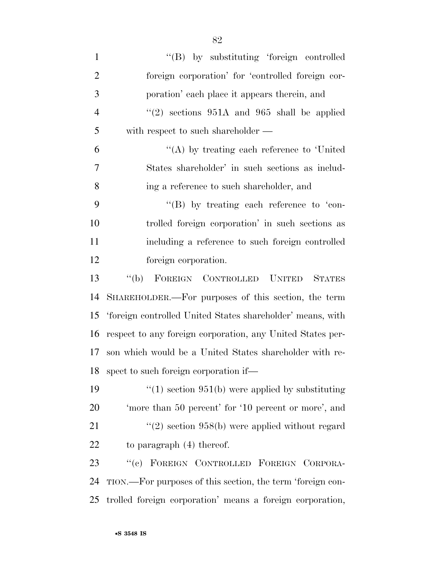1 ''(B) by substituting 'foreign controlled foreign corporation' for 'controlled foreign cor- poration' each place it appears therein, and  $\frac{4}{2}$  ''(2) sections 951A and 965 shall be applied with respect to such shareholder —  $(4)$  by treating each reference to 'United States shareholder' in such sections as includ- ing a reference to such shareholder, and  $\langle$  "(B) by treating each reference to 'con- trolled foreign corporation' in such sections as including a reference to such foreign controlled foreign corporation. ''(b) FOREIGN CONTROLLED UNITED STATES SHAREHOLDER.—For purposes of this section, the term 'foreign controlled United States shareholder' means, with respect to any foreign corporation, any United States per-son which would be a United States shareholder with re-

19  $\frac{1}{2}$  (1) section 951(b) were applied by substituting 'more than 50 percent' for '10 percent or more', and 21 ''(2) section 958(b) were applied without regard 22 to paragraph (4) thereof.

spect to such foreign corporation if—

 ''(c) FOREIGN CONTROLLED FOREIGN CORPORA- TION.—For purposes of this section, the term 'foreign con-trolled foreign corporation' means a foreign corporation,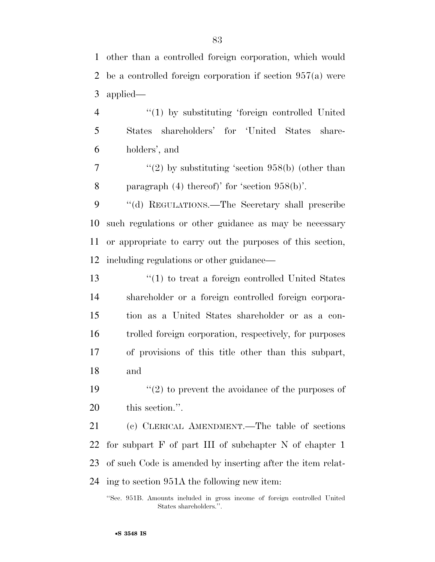other than a controlled foreign corporation, which would be a controlled foreign corporation if section 957(a) were applied—

 ''(1) by substituting 'foreign controlled United States shareholders' for 'United States share-holders', and

 $7 \t$  ''(2) by substituting 'section 958(b) (other than paragraph (4) thereof)' for 'section 958(b)'.

 ''(d) REGULATIONS.—The Secretary shall prescribe such regulations or other guidance as may be necessary or appropriate to carry out the purposes of this section, including regulations or other guidance—

 ''(1) to treat a foreign controlled United States shareholder or a foreign controlled foreign corpora- tion as a United States shareholder or as a con- trolled foreign corporation, respectively, for purposes of provisions of this title other than this subpart, and

19  $\frac{1}{2}$  to prevent the avoidance of the purposes of this section.''.

 (c) CLERICAL AMENDMENT.—The table of sections for subpart F of part III of subchapter N of chapter 1 of such Code is amended by inserting after the item relat-ing to section 951A the following new item:

<sup>&#</sup>x27;'Sec. 951B. Amounts included in gross income of foreign controlled United States shareholders.''.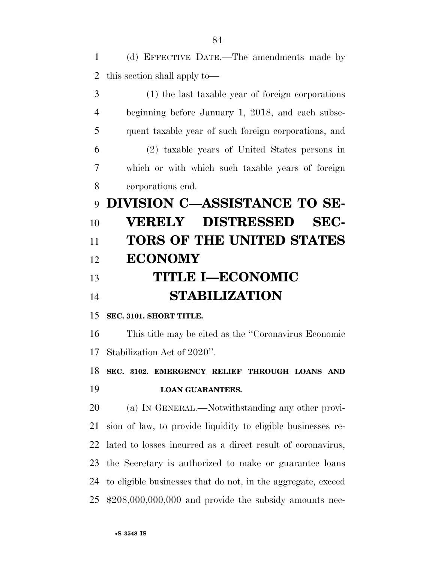(d) EFFECTIVE DATE.—The amendments made by this section shall apply to—

 (1) the last taxable year of foreign corporations beginning before January 1, 2018, and each subse- quent taxable year of such foreign corporations, and (2) taxable years of United States persons in which or with which such taxable years of foreign corporations end. **DIVISION C—ASSISTANCE TO SE- VERELY DISTRESSED SEC- TORS OF THE UNITED STATES ECONOMY TITLE I—ECONOMIC STABILIZATION SEC. 3101. SHORT TITLE.**  This title may be cited as the ''Coronavirus Economic Stabilization Act of 2020''. **SEC. 3102. EMERGENCY RELIEF THROUGH LOANS AND LOAN GUARANTEES.**  (a) IN GENERAL.—Notwithstanding any other provi- sion of law, to provide liquidity to eligible businesses re- lated to losses incurred as a direct result of coronavirus, the Secretary is authorized to make or guarantee loans to eligible businesses that do not, in the aggregate, exceed

\$208,000,000,000 and provide the subsidy amounts nec-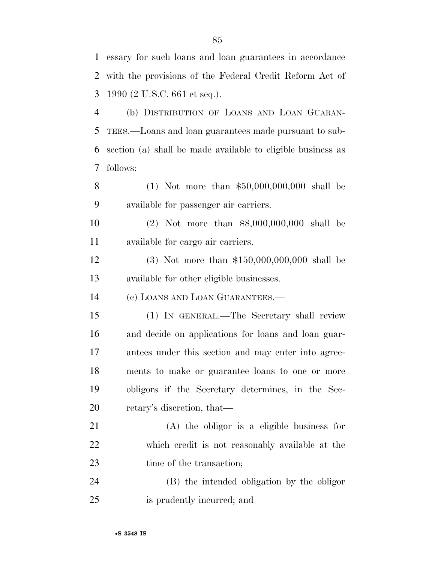essary for such loans and loan guarantees in accordance with the provisions of the Federal Credit Reform Act of 1990 (2 U.S.C. 661 et seq.). (b) DISTRIBUTION OF LOANS AND LOAN GUARAN-TEES.—Loans and loan guarantees made pursuant to sub-

 section (a) shall be made available to eligible business as follows:

 (1) Not more than \$50,000,000,000 shall be available for passenger air carriers.

 (2) Not more than \$8,000,000,000 shall be available for cargo air carriers.

 (3) Not more than \$150,000,000,000 shall be available for other eligible businesses.

(c) LOANS AND LOAN GUARANTEES.—

 (1) IN GENERAL.—The Secretary shall review and decide on applications for loans and loan guar- antees under this section and may enter into agree- ments to make or guarantee loans to one or more obligors if the Secretary determines, in the Sec-retary's discretion, that—

 (A) the obligor is a eligible business for which credit is not reasonably available at the 23 time of the transaction;

 (B) the intended obligation by the obligor is prudently incurred; and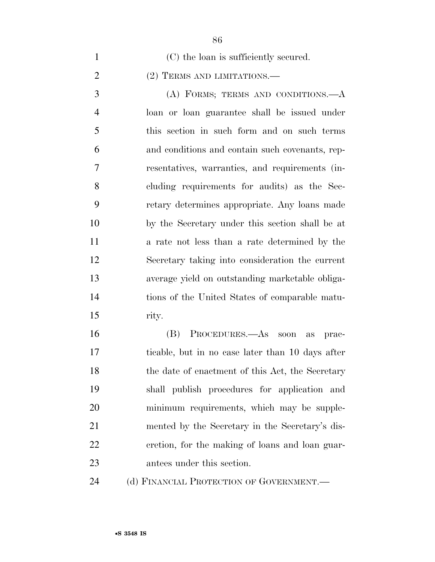- 1 (C) the loan is sufficiently secured. 2 (2) TERMS AND LIMITATIONS.— (A) FORMS; TERMS AND CONDITIONS.—A loan or loan guarantee shall be issued under this section in such form and on such terms and conditions and contain such covenants, rep- resentatives, warranties, and requirements (in- cluding requirements for audits) as the Sec- retary determines appropriate. Any loans made by the Secretary under this section shall be at a rate not less than a rate determined by the Secretary taking into consideration the current average yield on outstanding marketable obliga- tions of the United States of comparable matu- rity. (B) PROCEDURES.—As soon as prac-ticable, but in no case later than 10 days after
- 18 the date of enactment of this Act, the Secretary shall publish procedures for application and minimum requirements, which may be supple- mented by the Secretary in the Secretary's dis- cretion, for the making of loans and loan guar-antees under this section.

24 (d) FINANCIAL PROTECTION OF GOVERNMENT.—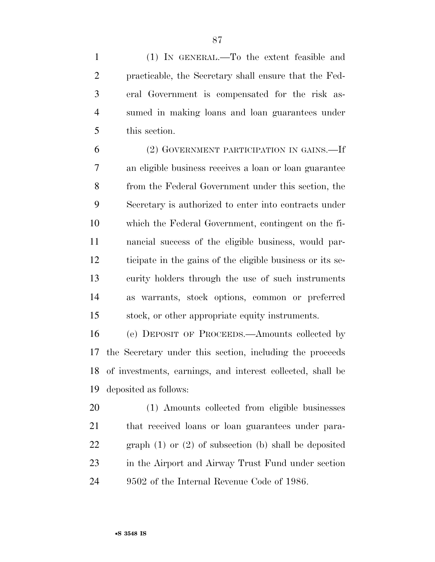(1) IN GENERAL.—To the extent feasible and practicable, the Secretary shall ensure that the Fed- eral Government is compensated for the risk as- sumed in making loans and loan guarantees under this section.

 (2) GOVERNMENT PARTICIPATION IN GAINS.—If an eligible business receives a loan or loan guarantee from the Federal Government under this section, the Secretary is authorized to enter into contracts under which the Federal Government, contingent on the fi- nancial success of the eligible business, would par- ticipate in the gains of the eligible business or its se- curity holders through the use of such instruments as warrants, stock options, common or preferred stock, or other appropriate equity instruments.

 (e) DEPOSIT OF PROCEEDS.—Amounts collected by the Secretary under this section, including the proceeds of investments, earnings, and interest collected, shall be deposited as follows:

 (1) Amounts collected from eligible businesses that received loans or loan guarantees under para- graph (1) or (2) of subsection (b) shall be deposited in the Airport and Airway Trust Fund under section 9502 of the Internal Revenue Code of 1986.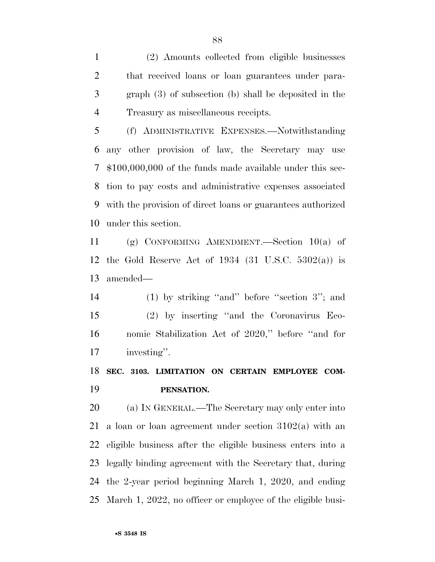(2) Amounts collected from eligible businesses that received loans or loan guarantees under para- graph (3) of subsection (b) shall be deposited in the Treasury as miscellaneous receipts.

 (f) ADMINISTRATIVE EXPENSES.—Notwithstanding any other provision of law, the Secretary may use \$100,000,000 of the funds made available under this sec- tion to pay costs and administrative expenses associated with the provision of direct loans or guarantees authorized under this section.

 (g) CONFORMING AMENDMENT.—Section 10(a) of the Gold Reserve Act of 1934 (31 U.S.C. 5302(a)) is amended—

 (1) by striking ''and'' before ''section 3''; and (2) by inserting ''and the Coronavirus Eco- nomic Stabilization Act of 2020,'' before ''and for investing''.

# **SEC. 3103. LIMITATION ON CERTAIN EMPLOYEE COM-PENSATION.**

 (a) IN GENERAL.—The Secretary may only enter into 21 a loan or loan agreement under section  $3102(a)$  with an eligible business after the eligible business enters into a legally binding agreement with the Secretary that, during the 2-year period beginning March 1, 2020, and ending March 1, 2022, no officer or employee of the eligible busi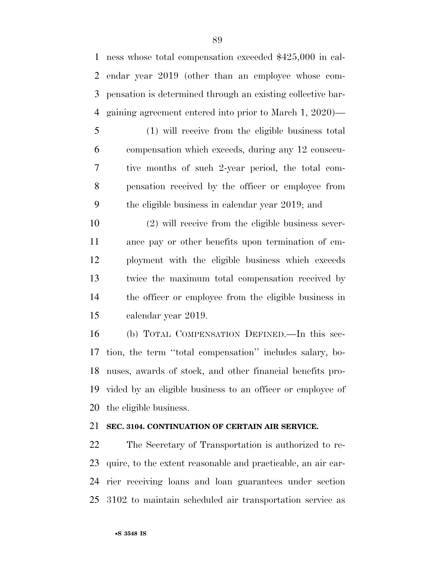ness whose total compensation exceeded \$425,000 in cal- endar year 2019 (other than an employee whose com- pensation is determined through an existing collective bar-gaining agreement entered into prior to March 1, 2020)—

 (1) will receive from the eligible business total compensation which exceeds, during any 12 consecu- tive months of such 2-year period, the total com- pensation received by the officer or employee from the eligible business in calendar year 2019; and

 (2) will receive from the eligible business sever- ance pay or other benefits upon termination of em- ployment with the eligible business which exceeds twice the maximum total compensation received by the officer or employee from the eligible business in calendar year 2019.

 (b) TOTAL COMPENSATION DEFINED.—In this sec- tion, the term ''total compensation'' includes salary, bo- nuses, awards of stock, and other financial benefits pro- vided by an eligible business to an officer or employee of the eligible business.

## **SEC. 3104. CONTINUATION OF CERTAIN AIR SERVICE.**

 The Secretary of Transportation is authorized to re- quire, to the extent reasonable and practicable, an air car- rier receiving loans and loan guarantees under section 3102 to maintain scheduled air transportation service as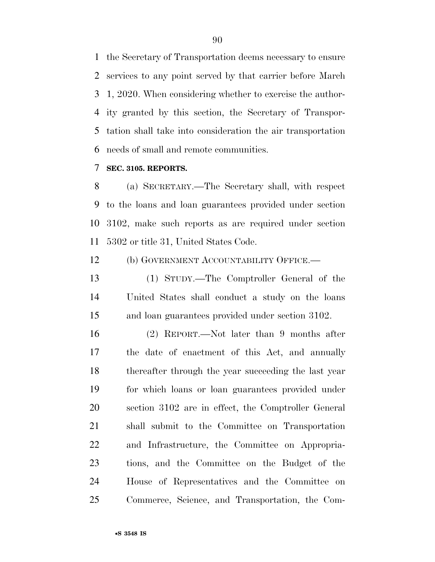the Secretary of Transportation deems necessary to ensure services to any point served by that carrier before March 1, 2020. When considering whether to exercise the author- ity granted by this section, the Secretary of Transpor- tation shall take into consideration the air transportation needs of small and remote communities.

### **SEC. 3105. REPORTS.**

 (a) SECRETARY.—The Secretary shall, with respect to the loans and loan guarantees provided under section 3102, make such reports as are required under section 5302 or title 31, United States Code.

(b) GOVERNMENT ACCOUNTABILITY OFFICE.—

 (1) STUDY.—The Comptroller General of the United States shall conduct a study on the loans and loan guarantees provided under section 3102.

 (2) REPORT.—Not later than 9 months after the date of enactment of this Act, and annually thereafter through the year succeeding the last year for which loans or loan guarantees provided under section 3102 are in effect, the Comptroller General shall submit to the Committee on Transportation and Infrastructure, the Committee on Appropria- tions, and the Committee on the Budget of the House of Representatives and the Committee on Commerce, Science, and Transportation, the Com-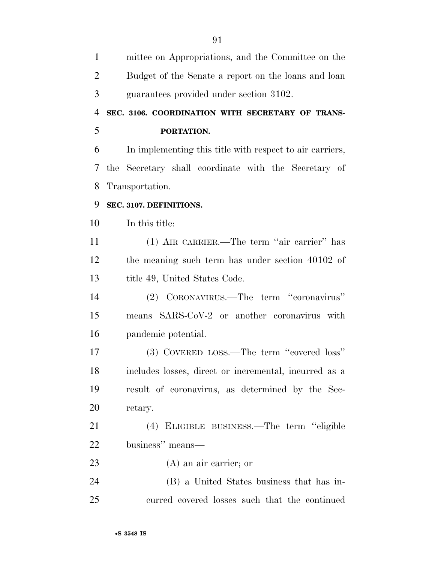| $\mathbf{1}$   | mittee on Appropriations, and the Committee on the       |
|----------------|----------------------------------------------------------|
| $\overline{2}$ | Budget of the Senate a report on the loans and loan      |
| 3              | guarantees provided under section 3102.                  |
| $\overline{4}$ | SEC. 3106. COORDINATION WITH SECRETARY OF TRANS-         |
| 5              | PORTATION.                                               |
| 6              | In implementing this title with respect to air carriers, |
| 7              | the Secretary shall coordinate with the Secretary of     |
| 8              | Transportation.                                          |
| 9              | SEC. 3107. DEFINITIONS.                                  |
| 10             | In this title:                                           |
| 11             | (1) AIR CARRIER.—The term "air carrier" has              |
| 12             | the meaning such term has under section 40102 of         |
| 13             | title 49, United States Code.                            |
| 14             | (2) CORONAVIRUS.—The term "coronavirus"                  |
| 15             | means SARS-CoV-2 or another coronavirus with             |
| 16             | pandemic potential.                                      |
| 17             | (3) COVERED LOSS.—The term "covered loss"                |
| 18             | includes losses, direct or incremental, incurred as a    |
| 19             | result of coronavirus, as determined by the Sec-         |
| 20             | retary.                                                  |
| 21             | (4) ELIGIBLE BUSINESS.—The term "eligible                |
| 22             | business" means—                                         |
| 23             | $(A)$ an air carrier; or                                 |
| 24             | (B) a United States business that has in-                |
| 25             | curred covered losses such that the continued            |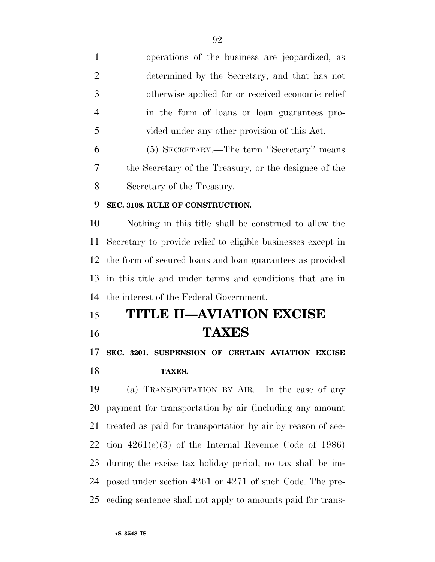operations of the business are jeopardized, as determined by the Secretary, and that has not otherwise applied for or received economic relief in the form of loans or loan guarantees pro- vided under any other provision of this Act. (5) SECRETARY.—The term ''Secretary'' means

 the Secretary of the Treasury, or the designee of the Secretary of the Treasury.

### **SEC. 3108. RULE OF CONSTRUCTION.**

 Nothing in this title shall be construed to allow the Secretary to provide relief to eligible businesses except in the form of secured loans and loan guarantees as provided in this title and under terms and conditions that are in the interest of the Federal Government.

 **TITLE II—AVIATION EXCISE TAXES** 

 **SEC. 3201. SUSPENSION OF CERTAIN AVIATION EXCISE TAXES.** 

 (a) TRANSPORTATION BY AIR.—In the case of any payment for transportation by air (including any amount treated as paid for transportation by air by reason of sec- tion 4261(e)(3) of the Internal Revenue Code of 1986) during the excise tax holiday period, no tax shall be im- posed under section 4261 or 4271 of such Code. The pre-ceding sentence shall not apply to amounts paid for trans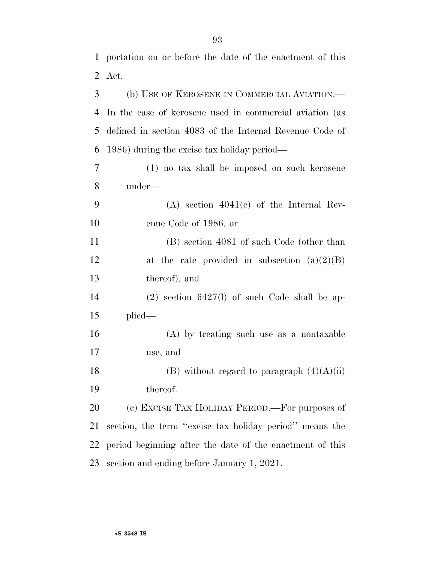portation on or before the date of the enactment of this

|    | 2 Act.                                                   |
|----|----------------------------------------------------------|
| 3  | (b) USE OF KEROSENE IN COMMERCIAL AVIATION.—             |
| 4  | In the case of kerosene used in commercial aviation (as  |
| 5  | defined in section 4083 of the Internal Revenue Code of  |
| 6  | 1986) during the excise tax holiday period—              |
| 7  | (1) no tax shall be imposed on such kerosene             |
| 8  | under—                                                   |
| 9  | $(A)$ section $4041(c)$ of the Internal Rev-             |
| 10 | enue Code of 1986, or                                    |
| 11 | (B) section 4081 of such Code (other than                |
| 12 | at the rate provided in subsection $(a)(2)(B)$           |
| 13 | thereof), and                                            |
| 14 | $(2)$ section 6427(1) of such Code shall be ap-          |
| 15 | $plied$ —                                                |
| 16 | (A) by treating such use as a nontaxable                 |
| 17 | use, and                                                 |
| 18 | (B) without regard to paragraph $(4)(A)(ii)$             |
| 19 | thereof.                                                 |
| 20 | (c) EXCISE TAX HOLIDAY PERIOD.—For purposes of           |
| 21 | section, the term "excise tax holiday period" means the  |
| 22 | period beginning after the date of the enactment of this |
| 23 | section and ending before January 1, 2021.               |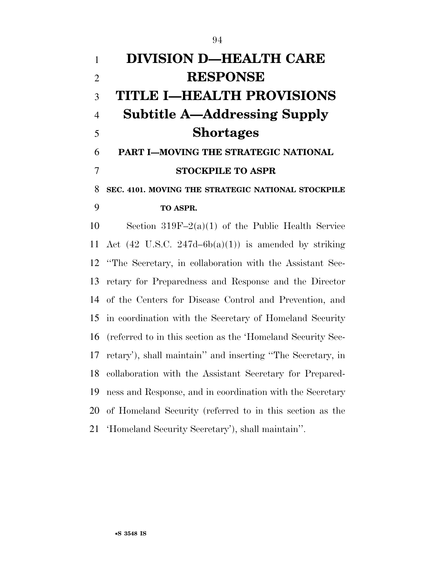| $\mathbf{1}$   | <b>DIVISION D-HEALTH CARE</b>                                   |
|----------------|-----------------------------------------------------------------|
| $\overline{2}$ | <b>RESPONSE</b>                                                 |
| 3              | TITLE I—HEALTH PROVISIONS                                       |
| $\overline{4}$ | <b>Subtitle A—Addressing Supply</b>                             |
| 5              | <b>Shortages</b>                                                |
| 6              | PART I-MOVING THE STRATEGIC NATIONAL                            |
| 7              | <b>STOCKPILE TO ASPR</b>                                        |
| 8              | SEC. 4101. MOVING THE STRATEGIC NATIONAL STOCKPILE              |
| 9              | TO ASPR.                                                        |
| 10             | Section $319F-2(a)(1)$ of the Public Health Service             |
| 11             | Act $(42 \text{ U.S.C. } 247d-6b(a)(1))$ is amended by striking |
| 12             | "The Secretary, in collaboration with the Assistant Sec-        |
| 13             | retary for Preparedness and Response and the Director           |
| 14             | of the Centers for Disease Control and Prevention, and          |
| 15             | in coordination with the Secretary of Homeland Security         |
| 16             | (referred to in this section as the 'Homeland Security Sec-     |
| 17             | retary'), shall maintain'' and inserting "The Secretary, in     |
| 18             | collaboration with the Assistant Secretary for Prepared-        |
| 19             | ness and Response, and in coordination with the Secretary       |
| 20             | of Homeland Security (referred to in this section as the        |
| 21             | 'Homeland Security Secretary'), shall maintain".                |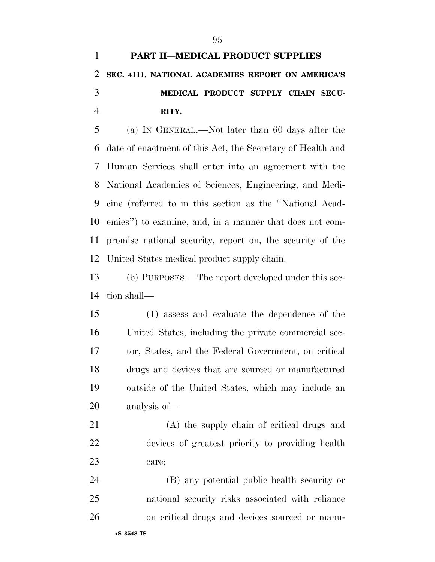# **MEDICAL PRODUCT SUPPLY CHAIN SECU-RITY.**

 (a) IN GENERAL.—Not later than 60 days after the date of enactment of this Act, the Secretary of Health and Human Services shall enter into an agreement with the National Academies of Sciences, Engineering, and Medi- cine (referred to in this section as the ''National Acad- emies'') to examine, and, in a manner that does not com- promise national security, report on, the security of the United States medical product supply chain.

 (b) PURPOSES.—The report developed under this sec-tion shall—

 (1) assess and evaluate the dependence of the United States, including the private commercial sec- tor, States, and the Federal Government, on critical drugs and devices that are sourced or manufactured outside of the United States, which may include an analysis of—

 (A) the supply chain of critical drugs and devices of greatest priority to providing health care;

 (B) any potential public health security or national security risks associated with reliance on critical drugs and devices sourced or manu-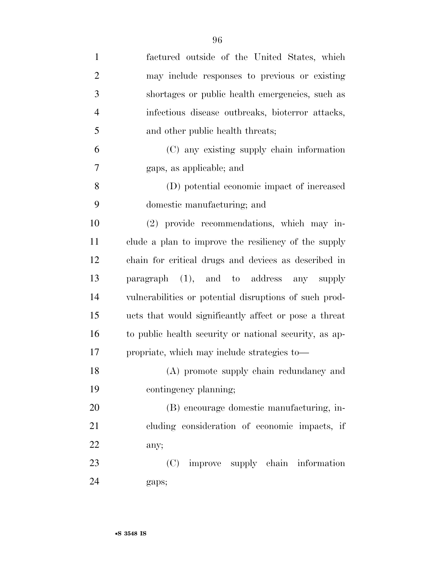| $\mathbf{1}$   | factured outside of the United States, which           |
|----------------|--------------------------------------------------------|
| $\overline{2}$ | may include responses to previous or existing          |
| 3              | shortages or public health emergencies, such as        |
| $\overline{4}$ | infectious disease outbreaks, bioterror attacks,       |
| 5              | and other public health threats;                       |
| 6              | (C) any existing supply chain information              |
| 7              | gaps, as applicable; and                               |
| 8              | (D) potential economic impact of increased             |
| 9              | domestic manufacturing; and                            |
| 10             | (2) provide recommendations, which may in-             |
| 11             | clude a plan to improve the resiliency of the supply   |
| 12             | chain for critical drugs and devices as described in   |
| 13             | paragraph (1), and to address any supply               |
| 14             | vulnerabilities or potential disruptions of such prod- |
| 15             | ucts that would significantly affect or pose a threat  |
| 16             | to public health security or national security, as ap- |
| 17             | propriate, which may include strategies to—            |
| 18             | (A) promote supply chain redundancy and                |
| 19             | contingency planning;                                  |
| 20             | (B) encourage domestic manufacturing, in-              |
| 21             | cluding consideration of economic impacts, if          |
| 22             | any;                                                   |
| 23             | (C) improve supply chain information                   |
| 24             | gaps;                                                  |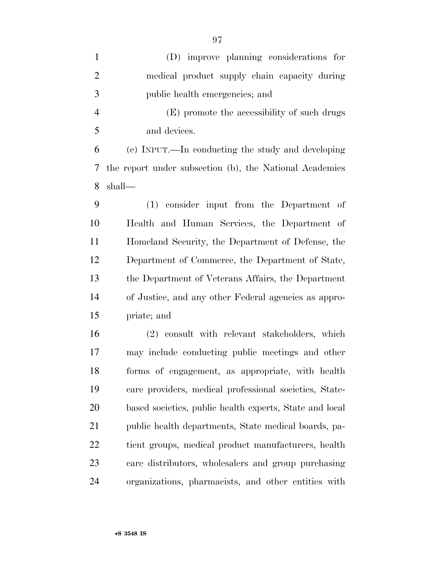| $\mathbf{1}$   | (D) improve planning considerations for                 |
|----------------|---------------------------------------------------------|
| $\overline{2}$ | medical product supply chain capacity during            |
| 3              | public health emergencies; and                          |
| $\overline{4}$ | (E) promote the accessibility of such drugs             |
| 5              | and devices.                                            |
| 6              | (c) INPUT.—In conducting the study and developing       |
| 7              | the report under subsection (b), the National Academies |
| 8              | shall—                                                  |
| 9              | (1) consider input from the Department of               |
| 10             | Health and Human Services, the Department of            |
| 11             | Homeland Security, the Department of Defense, the       |
| 12             | Department of Commerce, the Department of State,        |
| 13             | the Department of Veterans Affairs, the Department      |
| 14             | of Justice, and any other Federal agencies as appro-    |
| 15             | priate; and                                             |
| 16             | (2) consult with relevant stakeholders, which           |
| 17             | may include conducting public meetings and other        |
| 18             | forms of engagement, as appropriate, with health        |
| 19             | care providers, medical professional societies, State-  |
| 20             | based societies, public health experts, State and local |
| 21             | public health departments, State medical boards, pa-    |
| 22             | tient groups, medical product manufacturers, health     |
| 23             | care distributors, wholesalers and group purchasing     |
| 24             | organizations, pharmacists, and other entities with     |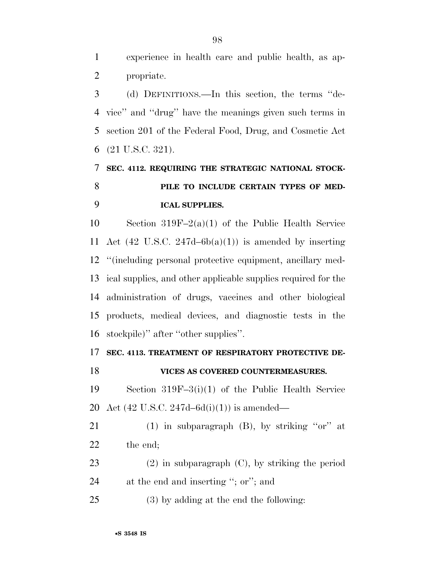experience in health care and public health, as ap-propriate.

 (d) DEFINITIONS.—In this section, the terms ''de- vice'' and ''drug'' have the meanings given such terms in section 201 of the Federal Food, Drug, and Cosmetic Act (21 U.S.C. 321).

# **SEC. 4112. REQUIRING THE STRATEGIC NATIONAL STOCK- PILE TO INCLUDE CERTAIN TYPES OF MED-ICAL SUPPLIES.**

 Section 319F–2(a)(1) of the Public Health Service 11 Act (42 U.S.C. 247d–6b(a)(1)) is amended by inserting ''(including personal protective equipment, ancillary med- ical supplies, and other applicable supplies required for the administration of drugs, vaccines and other biological products, medical devices, and diagnostic tests in the stockpile)'' after ''other supplies''.

#### **SEC. 4113. TREATMENT OF RESPIRATORY PROTECTIVE DE-**

### **VICES AS COVERED COUNTERMEASURES.**

 Section 319F–3(i)(1) of the Public Health Service Act (42 U.S.C. 247d–6d(i)(1)) is amended—

21 (1) in subparagraph  $(B)$ , by striking "or" at 22 the end;

 (2) in subparagraph (C), by striking the period at the end and inserting ''; or''; and

(3) by adding at the end the following: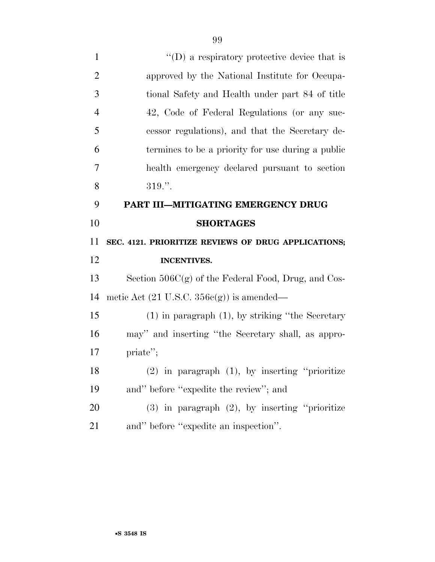| $\overline{2}$ | approved by the National Institute for Occupa-         |
|----------------|--------------------------------------------------------|
| 3              | tional Safety and Health under part 84 of title        |
| $\overline{4}$ | 42, Code of Federal Regulations (or any suc-           |
| 5              | cessor regulations), and that the Secretary de-        |
| 6              | termines to be a priority for use during a public      |
| 7              | health emergency declared pursuant to section          |
| 8              | $319."$ .                                              |
| 9              | PART III-MITIGATING EMERGENCY DRUG                     |
| 10             | <b>SHORTAGES</b>                                       |
| 11             | SEC. 4121. PRIORITIZE REVIEWS OF DRUG APPLICATIONS;    |
|                |                                                        |
| 12             | <b>INCENTIVES.</b>                                     |
| 13             | Section $506C(g)$ of the Federal Food, Drug, and Cos-  |
| 14             | metic Act $(21 \text{ U.S.C. } 356c(g))$ is amended—   |
| 15             | $(1)$ in paragraph $(1)$ , by striking "the Secretary" |
| 16             | may" and inserting "the Secretary shall, as appro-     |
| 17             | priate";                                               |
| 18             | $(2)$ in paragraph $(1)$ , by inserting "prioritize"   |
| 19             | and" before "expedite the review"; and                 |
| 20             | $(3)$ in paragraph $(2)$ , by inserting "prioritize"   |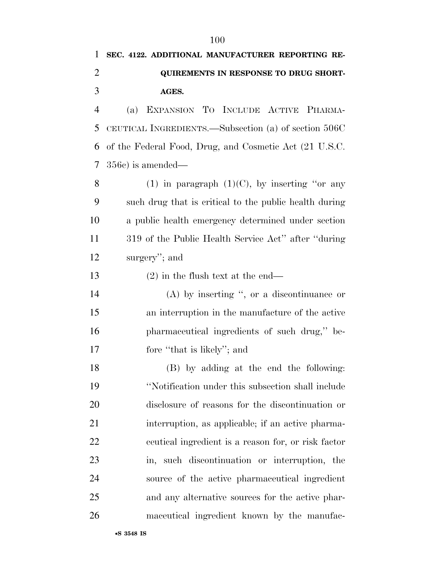# **SEC. 4122. ADDITIONAL MANUFACTURER REPORTING RE- QUIREMENTS IN RESPONSE TO DRUG SHORT-AGES.**

 (a) EXPANSION TO INCLUDE ACTIVE PHARMA- CEUTICAL INGREDIENTS.—Subsection (a) of section 506C of the Federal Food, Drug, and Cosmetic Act (21 U.S.C. 356c) is amended—

8 (1) in paragraph  $(1)(C)$ , by inserting "or any such drug that is critical to the public health during a public health emergency determined under section 319 of the Public Health Service Act'' after ''during surgery''; and

(2) in the flush text at the end—

 (A) by inserting '', or a discontinuance or an interruption in the manufacture of the active pharmaceutical ingredients of such drug,'' be-17 fore "that is likely"; and

 (B) by adding at the end the following: ''Notification under this subsection shall include disclosure of reasons for the discontinuation or interruption, as applicable; if an active pharma- ceutical ingredient is a reason for, or risk factor in, such discontinuation or interruption, the source of the active pharmaceutical ingredient and any alternative sources for the active phar-maceutical ingredient known by the manufac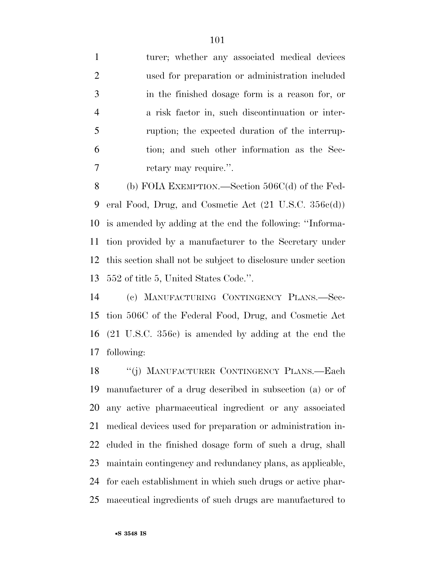1 turer; whether any associated medical devices used for preparation or administration included in the finished dosage form is a reason for, or a risk factor in, such discontinuation or inter- ruption; the expected duration of the interrup- tion; and such other information as the Sec-7 retary may require.".

 (b) FOIA EXEMPTION.—Section 506C(d) of the Fed- eral Food, Drug, and Cosmetic Act (21 U.S.C. 356c(d)) is amended by adding at the end the following: ''Informa- tion provided by a manufacturer to the Secretary under this section shall not be subject to disclosure under section 552 of title 5, United States Code.''.

 (c) MANUFACTURING CONTINGENCY PLANS.—Sec- tion 506C of the Federal Food, Drug, and Cosmetic Act (21 U.S.C. 356c) is amended by adding at the end the following:

 ''(j) MANUFACTURER CONTINGENCY PLANS.—Each manufacturer of a drug described in subsection (a) or of any active pharmaceutical ingredient or any associated medical devices used for preparation or administration in- cluded in the finished dosage form of such a drug, shall maintain contingency and redundancy plans, as applicable, for each establishment in which such drugs or active phar-maceutical ingredients of such drugs are manufactured to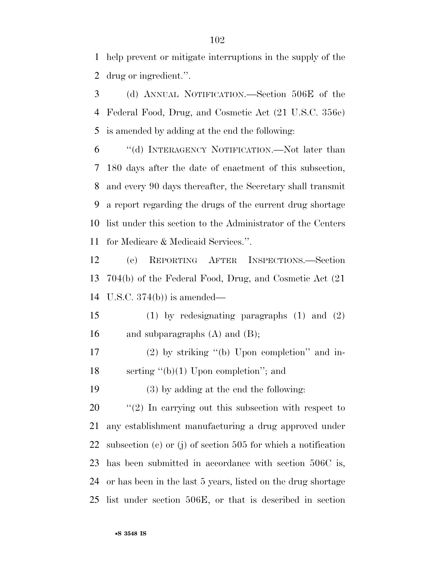help prevent or mitigate interruptions in the supply of the drug or ingredient.''.

 (d) ANNUAL NOTIFICATION.—Section 506E of the Federal Food, Drug, and Cosmetic Act (21 U.S.C. 356e) is amended by adding at the end the following:

 ''(d) INTERAGENCY NOTIFICATION.—Not later than 180 days after the date of enactment of this subsection, and every 90 days thereafter, the Secretary shall transmit a report regarding the drugs of the current drug shortage list under this section to the Administrator of the Centers for Medicare & Medicaid Services.''.

 (e) REPORTING AFTER INSPECTIONS.—Section 704(b) of the Federal Food, Drug, and Cosmetic Act (21 U.S.C. 374(b)) is amended—

 (1) by redesignating paragraphs (1) and (2) 16 and subparagraphs  $(A)$  and  $(B)$ ;

 (2) by striking ''(b) Upon completion'' and in-18 serting "(b)(1) Upon completion"; and

(3) by adding at the end the following:

 ''(2) In carrying out this subsection with respect to any establishment manufacturing a drug approved under subsection (c) or (j) of section 505 for which a notification has been submitted in accordance with section 506C is, or has been in the last 5 years, listed on the drug shortage list under section 506E, or that is described in section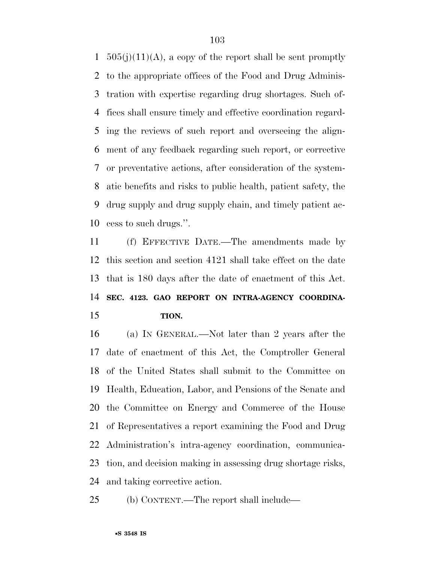$505(j)(11)(A)$ , a copy of the report shall be sent promptly to the appropriate offices of the Food and Drug Adminis- tration with expertise regarding drug shortages. Such of- fices shall ensure timely and effective coordination regard- ing the reviews of such report and overseeing the align- ment of any feedback regarding such report, or corrective or preventative actions, after consideration of the system- atic benefits and risks to public health, patient safety, the drug supply and drug supply chain, and timely patient ac-cess to such drugs.''.

 (f) EFFECTIVE DATE.—The amendments made by this section and section 4121 shall take effect on the date that is 180 days after the date of enactment of this Act. **SEC. 4123. GAO REPORT ON INTRA-AGENCY COORDINA-TION.** 

 (a) IN GENERAL.—Not later than 2 years after the date of enactment of this Act, the Comptroller General of the United States shall submit to the Committee on Health, Education, Labor, and Pensions of the Senate and the Committee on Energy and Commerce of the House of Representatives a report examining the Food and Drug Administration's intra-agency coordination, communica- tion, and decision making in assessing drug shortage risks, and taking corrective action.

(b) CONTENT.—The report shall include—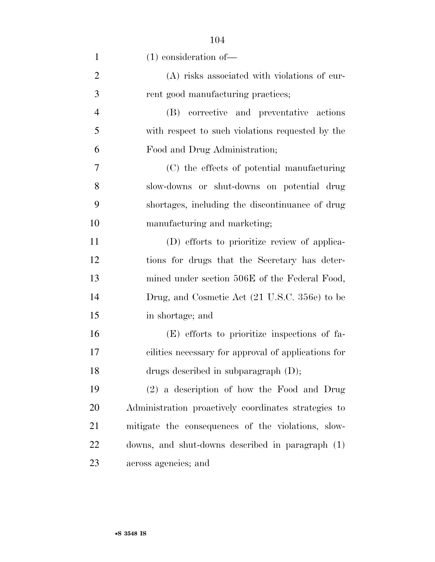| $\mathbf{1}$   | $(1)$ consideration of —                             |
|----------------|------------------------------------------------------|
| $\overline{2}$ | (A) risks associated with violations of cur-         |
| 3              | rent good manufacturing practices;                   |
| $\overline{4}$ | (B) corrective and preventative actions              |
| 5              | with respect to such violations requested by the     |
| 6              | Food and Drug Administration;                        |
| $\overline{7}$ | (C) the effects of potential manufacturing           |
| 8              | slow-downs or shut-downs on potential drug           |
| 9              | shortages, including the discontinuance of drug      |
| 10             | manufacturing and marketing;                         |
| 11             | (D) efforts to prioritize review of applica-         |
| 12             | tions for drugs that the Secretary has deter-        |
| 13             | mined under section 506E of the Federal Food,        |
| 14             | Drug, and Cosmetic Act (21 U.S.C. 356e) to be        |
| 15             | in shortage; and                                     |
| 16             | (E) efforts to prioritize inspections of fa-         |
| 17             | cilities necessary for approval of applications for  |
| 18             | drugs described in subparagraph $(D)$ ;              |
| 19             | (2) a description of how the Food and Drug           |
| 20             | Administration proactively coordinates strategies to |
| 21             | mitigate the consequences of the violations, slow-   |
| 22             | downs, and shut-downs described in paragraph (1)     |
| 23             | across agencies; and                                 |

•**S 3548 IS**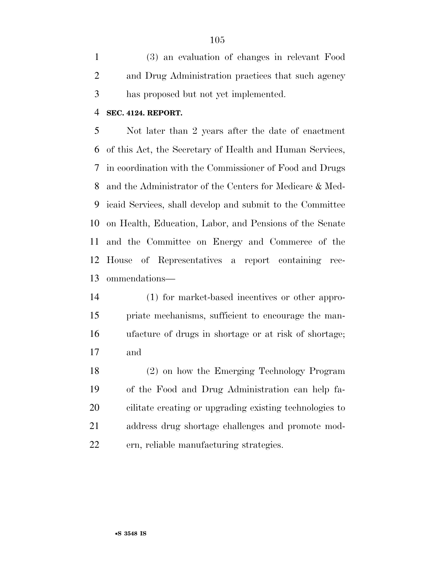(3) an evaluation of changes in relevant Food and Drug Administration practices that such agency has proposed but not yet implemented.

#### **SEC. 4124. REPORT.**

 Not later than 2 years after the date of enactment of this Act, the Secretary of Health and Human Services, in coordination with the Commissioner of Food and Drugs and the Administrator of the Centers for Medicare & Med- icaid Services, shall develop and submit to the Committee on Health, Education, Labor, and Pensions of the Senate and the Committee on Energy and Commerce of the House of Representatives a report containing rec-ommendations—

 (1) for market-based incentives or other appro- priate mechanisms, sufficient to encourage the man- ufacture of drugs in shortage or at risk of shortage; and

 (2) on how the Emerging Technology Program of the Food and Drug Administration can help fa- cilitate creating or upgrading existing technologies to address drug shortage challenges and promote mod-ern, reliable manufacturing strategies.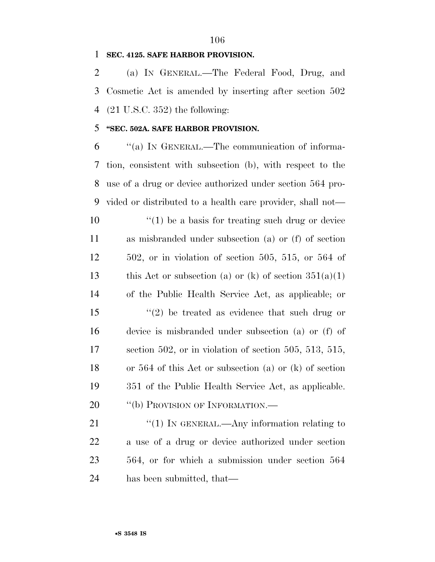#### 

### **SEC. 4125. SAFE HARBOR PROVISION.**

 (a) IN GENERAL.—The Federal Food, Drug, and Cosmetic Act is amended by inserting after section 502 (21 U.S.C. 352) the following:

### **''SEC. 502A. SAFE HARBOR PROVISION.**

 ''(a) IN GENERAL.—The communication of informa- tion, consistent with subsection (b), with respect to the use of a drug or device authorized under section 564 pro- vided or distributed to a health care provider, shall not— ''(1) be a basis for treating such drug or device as misbranded under subsection (a) or (f) of section 502, or in violation of section 505, 515, or 564 of 13 this Act or subsection (a) or (k) of section  $351(a)(1)$  of the Public Health Service Act, as applicable; or  $\frac{1}{2}$  be treated as evidence that such drug or device is misbranded under subsection (a) or (f) of section 502, or in violation of section 505, 513, 515, or 564 of this Act or subsection (a) or (k) of section 351 of the Public Health Service Act, as applicable. 20 "(b) PROVISION OF INFORMATION.—

21 "(1) IN GENERAL.—Any information relating to a use of a drug or device authorized under section 564, or for which a submission under section 564 has been submitted, that—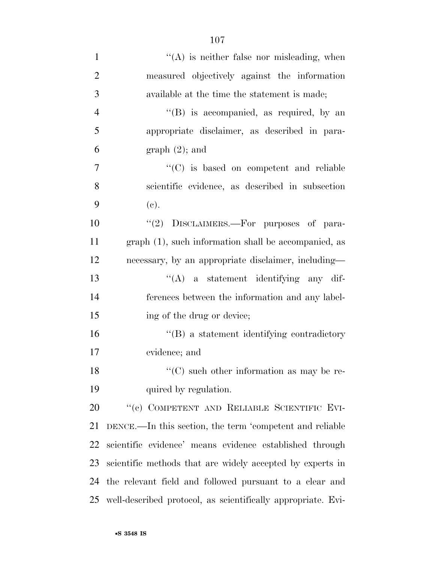| $\mathbf{1}$   | $\lq\lq$ is neither false nor misleading, when               |
|----------------|--------------------------------------------------------------|
| $\overline{2}$ | measured objectively against the information                 |
| 3              | available at the time the statement is made;                 |
| $\overline{4}$ | "(B) is accompanied, as required, by an                      |
| 5              | appropriate disclaimer, as described in para-                |
| 6              | $graph(2)$ ; and                                             |
| 7              | $\cdot$ (C) is based on competent and reliable               |
| 8              | scientific evidence, as described in subsection              |
| 9              | (e).                                                         |
| 10             | "(2) DISCLAIMERS.—For purposes of para-                      |
| 11             | graph (1), such information shall be accompanied, as         |
| 12             | necessary, by an appropriate disclaimer, including—          |
| 13             | $\lq\lq$ a statement identifying any dif-                    |
| 14             | ferences between the information and any label-              |
| 15             | ing of the drug or device;                                   |
| 16             | "(B) a statement identifying contradictory"                  |
| 17             | evidence; and                                                |
| 18             | $\lq\lq$ such other information as may be re-                |
| 19             | quired by regulation.                                        |
| 20             | "(c) COMPETENT AND RELIABLE SCIENTIFIC EVI-                  |
| 21             | DENCE.—In this section, the term 'competent and reliable     |
| 22             | scientific evidence' means evidence established through      |
| 23             | scientific methods that are widely accepted by experts in    |
| 24             | the relevant field and followed pursuant to a clear and      |
| 25             | well-described protocol, as scientifically appropriate. Evi- |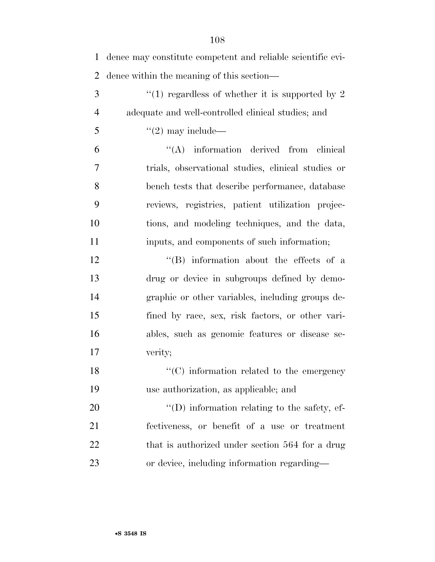| $\mathbf{1}$   | dence may constitute competent and reliable scientific evi- |
|----------------|-------------------------------------------------------------|
| $\overline{2}$ | dence within the meaning of this section—                   |
| 3              | "(1) regardless of whether it is supported by 2             |
| $\overline{4}$ | adequate and well-controlled clinical studies; and          |
| 5              | $\lq(2)$ may include—                                       |
| 6              | $\lq\lq$ information derived from<br>clinical               |
| 7              | trials, observational studies, clinical studies or          |
| 8              | bench tests that describe performance, database             |
| 9              | reviews, registries, patient utilization projec-            |
| 10             | tions, and modeling techniques, and the data,               |
| 11             | inputs, and components of such information;                 |
| 12             | $\lq\lq$ . Information about the effects of a               |
| 13             | drug or device in subgroups defined by demo-                |
| 14             | graphic or other variables, including groups de-            |
| 15             | fined by race, sex, risk factors, or other vari-            |
| 16             | ables, such as genomic features or disease se-              |
| 17             | verity;                                                     |
| 18             | $\lq\lq$ (C) information related to the emergency           |
| 19             | use authorization, as applicable; and                       |
| 20             | "(D) information relating to the safety, ef-                |
| 21             | fectiveness, or benefit of a use or treatment               |
| 22             | that is authorized under section 564 for a drug             |
| 23             | or device, including information regarding—                 |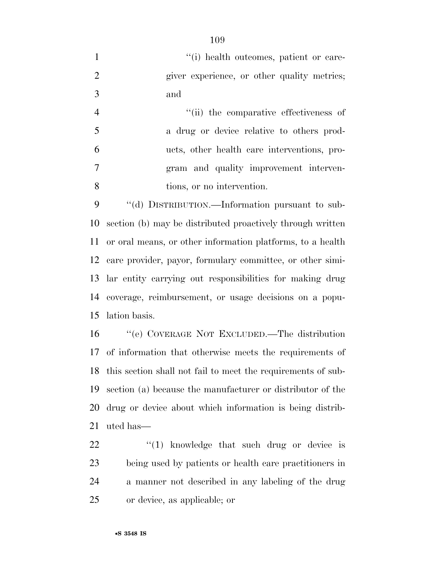- 1  $\frac{1}{1}$  '(i) health outcomes, patient or care-2 giver experience, or other quality metrics; and
- 4  $(iii)$  the comparative effectiveness of a drug or device relative to others prod- ucts, other health care interventions, pro- gram and quality improvement interven-tions, or no intervention.

 ''(d) DISTRIBUTION.—Information pursuant to sub- section (b) may be distributed proactively through written or oral means, or other information platforms, to a health care provider, payor, formulary committee, or other simi- lar entity carrying out responsibilities for making drug coverage, reimbursement, or usage decisions on a popu-lation basis.

 ''(e) COVERAGE NOT EXCLUDED.—The distribution of information that otherwise meets the requirements of this section shall not fail to meet the requirements of sub- section (a) because the manufacturer or distributor of the drug or device about which information is being distrib-uted has—

  $\qquad$   $\qquad$   $\qquad$   $\qquad$   $\qquad$   $\qquad$   $\qquad$   $\qquad$   $\qquad$   $\qquad$   $\qquad$   $\qquad$   $\qquad$   $\qquad$   $\qquad$   $\qquad$   $\qquad$   $\qquad$   $\qquad$   $\qquad$   $\qquad$   $\qquad$   $\qquad$   $\qquad$   $\qquad$   $\qquad$   $\qquad$   $\qquad$   $\qquad$   $\qquad$   $\qquad$   $\qquad$   $\qquad$   $\qquad$   $\qquad$   $\qquad$  being used by patients or health care practitioners in a manner not described in any labeling of the drug or device, as applicable; or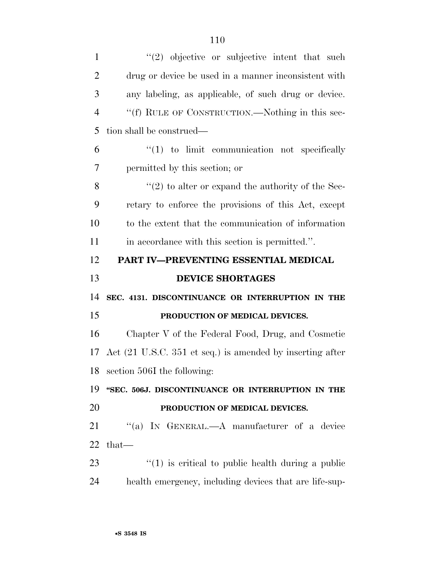| $\mathbf{1}$                     | $(2)$ objective or subjective intent that such            |
|----------------------------------|-----------------------------------------------------------|
| $\overline{2}$                   | drug or device be used in a manner inconsistent with      |
| 3                                | any labeling, as applicable, of such drug or device.      |
| $\overline{4}$                   | "(f) RULE OF CONSTRUCTION.—Nothing in this sec-           |
| 5                                | tion shall be construed—                                  |
| 6                                | $\lq(1)$ to limit communication not specifically          |
| 7                                | permitted by this section; or                             |
| 8                                | $\lq(2)$ to alter or expand the authority of the Sec-     |
| 9                                | retary to enforce the provisions of this Act, except      |
| 10                               | to the extent that the communication of information       |
| 11                               | in accordance with this section is permitted.".           |
| 12                               | PART IV-PREVENTING ESSENTIAL MEDICAL                      |
|                                  |                                                           |
|                                  | <b>DEVICE SHORTAGES</b>                                   |
| 14                               | SEC. 4131. DISCONTINUANCE OR INTERRUPTION IN THE          |
|                                  | PRODUCTION OF MEDICAL DEVICES.                            |
|                                  | Chapter V of the Federal Food, Drug, and Cosmetic         |
|                                  | Act (21 U.S.C. 351 et seq.) is amended by inserting after |
| 18                               | section 506I the following:                               |
|                                  | "SEC. 506J. DISCONTINUANCE OR INTERRUPTION IN THE         |
| 13<br>15<br>16<br>17<br>19<br>20 | PRODUCTION OF MEDICAL DEVICES.                            |
|                                  | "(a) IN GENERAL.—A manufacturer of a device               |
| 21<br>22                         | that-                                                     |
| 23                               | $\cdot$ (1) is critical to public health during a public  |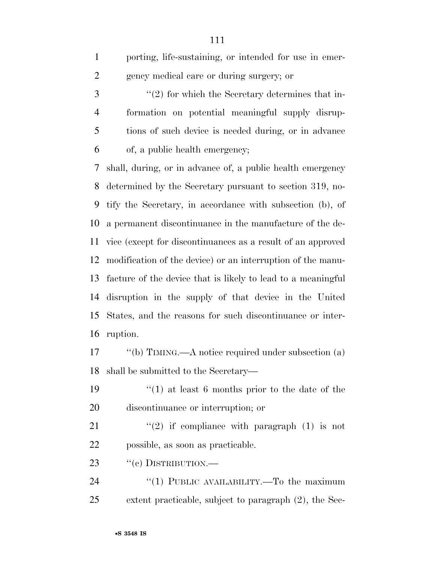| 1 | porting, life-sustaining, or intended for use in emer- |
|---|--------------------------------------------------------|
| 2 | gency medical care or during surgery; or               |
| 3 | $\lq(2)$ for which the Secretary determines that in-   |
|   |                                                        |

 formation on potential meaningful supply disrup- tions of such device is needed during, or in advance of, a public health emergency;

 shall, during, or in advance of, a public health emergency determined by the Secretary pursuant to section 319, no- tify the Secretary, in accordance with subsection (b), of a permanent discontinuance in the manufacture of the de- vice (except for discontinuances as a result of an approved modification of the device) or an interruption of the manu- facture of the device that is likely to lead to a meaningful disruption in the supply of that device in the United States, and the reasons for such discontinuance or inter-ruption.

17 "(b) TIMING.—A notice required under subsection (a) shall be submitted to the Secretary—

 ''(1) at least 6 months prior to the date of the discontinuance or interruption; or

21  $(2)$  if compliance with paragraph (1) is not possible, as soon as practicable.

23 "(c) DISTRIBUTION.—

24 "(1) PUBLIC AVAILABILITY.—To the maximum extent practicable, subject to paragraph (2), the Sec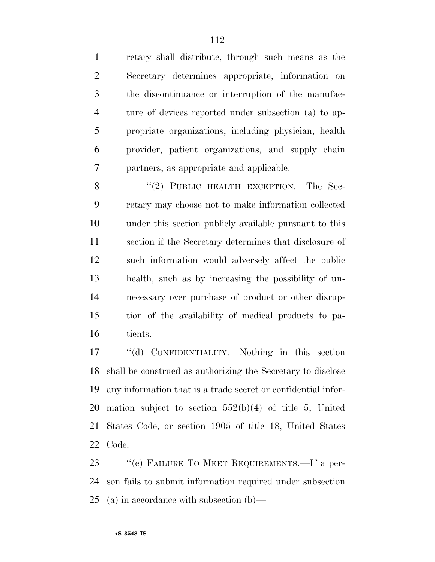retary shall distribute, through such means as the Secretary determines appropriate, information on the discontinuance or interruption of the manufac- ture of devices reported under subsection (a) to ap- propriate organizations, including physician, health provider, patient organizations, and supply chain partners, as appropriate and applicable.

8 "(2) PUBLIC HEALTH EXCEPTION.—The Sec- retary may choose not to make information collected under this section publicly available pursuant to this section if the Secretary determines that disclosure of such information would adversely affect the public health, such as by increasing the possibility of un- necessary over purchase of product or other disrup- tion of the availability of medical products to pa-tients.

 ''(d) CONFIDENTIALITY.—Nothing in this section shall be construed as authorizing the Secretary to disclose any information that is a trade secret or confidential infor- mation subject to section 552(b)(4) of title 5, United States Code, or section 1905 of title 18, United States Code.

 ''(e) FAILURE TO MEET REQUIREMENTS.—If a per- son fails to submit information required under subsection (a) in accordance with subsection (b)—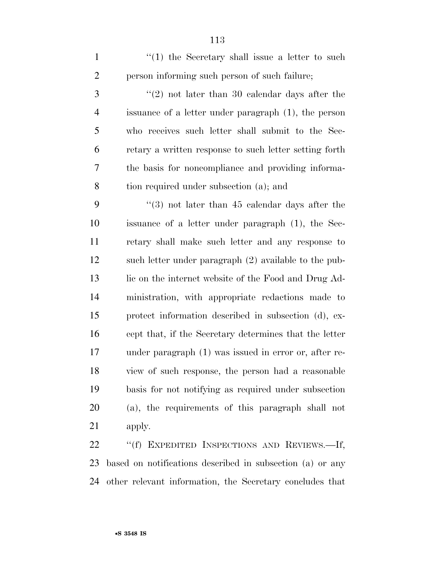1 ''(1) the Secretary shall issue a letter to such person informing such person of such failure;

 ''(2) not later than 30 calendar days after the issuance of a letter under paragraph (1), the person who receives such letter shall submit to the Sec- retary a written response to such letter setting forth the basis for noncompliance and providing informa-tion required under subsection (a); and

 ''(3) not later than 45 calendar days after the issuance of a letter under paragraph (1), the Sec- retary shall make such letter and any response to such letter under paragraph (2) available to the pub-13 lic on the internet website of the Food and Drug Ad- ministration, with appropriate redactions made to protect information described in subsection (d), ex- cept that, if the Secretary determines that the letter under paragraph (1) was issued in error or, after re- view of such response, the person had a reasonable basis for not notifying as required under subsection (a), the requirements of this paragraph shall not apply.

 ''(f) EXPEDITED INSPECTIONS AND REVIEWS.—If, based on notifications described in subsection (a) or any other relevant information, the Secretary concludes that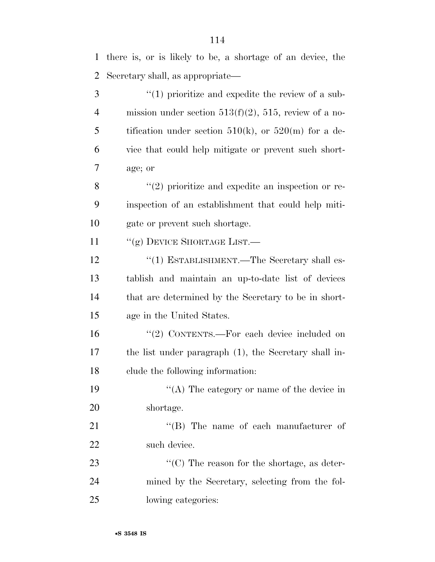| 1              | there is, or is likely to be, a shortage of an device, the  |
|----------------|-------------------------------------------------------------|
| $\overline{2}$ | Secretary shall, as appropriate—                            |
| 3              | $\lq(1)$ prioritize and expedite the review of a sub-       |
| $\overline{4}$ | mission under section $513(f)(2)$ , $515$ , review of a no- |
| 5              | tification under section 510(k), or 520(m) for a de-        |
| 6              | vice that could help mitigate or prevent such short-        |
| 7              | age; or                                                     |
| 8              | $\lq(2)$ prioritize and expedite an inspection or re-       |
| 9              | inspection of an establishment that could help miti-        |
| 10             | gate or prevent such shortage.                              |
| 11             | "(g) DEVICE SHORTAGE LIST.                                  |
| 12             | "(1) ESTABLISHMENT.—The Secretary shall es-                 |
| 13             | tablish and maintain an up-to-date list of devices          |
| 14             | that are determined by the Secretary to be in short-        |
| 15             | age in the United States.                                   |
| 16             | "(2) CONTENTS.—For each device included on                  |
| 17             | the list under paragraph (1), the Secretary shall in-       |
| 18             | clude the following information:                            |
| 19             | "(A) The category or name of the device in                  |
| 20             | shortage.                                                   |
| 21             | "(B) The name of each manufacturer of                       |
| 22             | such device.                                                |
| 23             | " $(C)$ The reason for the shortage, as deter-              |
| 24             | mined by the Secretary, selecting from the fol-             |
| 25             | lowing categories:                                          |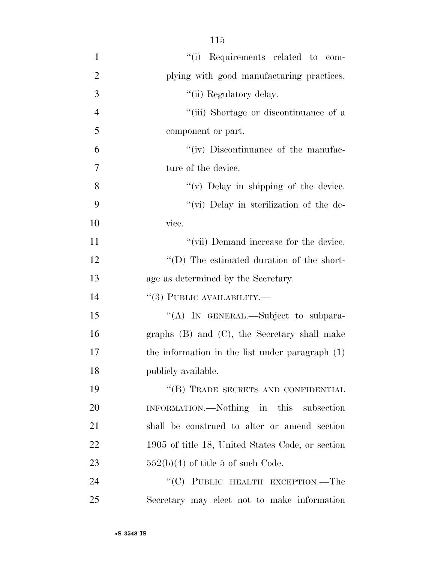- 1  $"(i)$  Requirements related to com-2 plying with good manufacturing practices. 3  $\frac{1}{\ln \text{Regulatory delay}}$ . 4 ''(iii) Shortage or discontinuance of a 5 component or part. 6  $\frac{u'(\text{iv})}{\text{Discontinuous of the manufac}}$ 7 ture of the device. 8 ''(v) Delay in shipping of the device. 9  $\frac{4}{10}$  Delay in sterilization of the de-10 vice. 11 ''(vii) Demand increase for the device. 12 ''(D) The estimated duration of the short-13 age as determined by the Secretary. 14  $(3)$  PUBLIC AVAILABILITY. 15 "(A) In GENERAL.—Subject to subpara-16 graphs (B) and (C), the Secretary shall make 17 the information in the list under paragraph (1) 18 publicly available. 19 "(B) TRADE SECRETS AND CONFIDENTIAL 20 INFORMATION.—Nothing in this subsection 21 shall be construed to alter or amend section 22 1905 of title 18, United States Code, or section 23  $552(b)(4)$  of title 5 of such Code. 24 "(C) PUBLIC HEALTH EXCEPTION.—The
- 25 Secretary may elect not to make information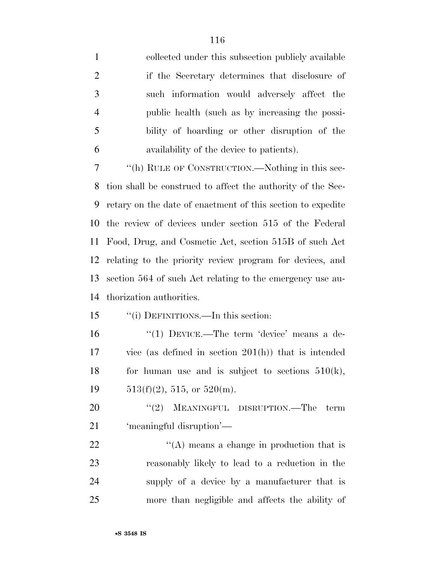collected under this subsection publicly available if the Secretary determines that disclosure of such information would adversely affect the public health (such as by increasing the possi- bility of hoarding or other disruption of the availability of the device to patients). ''(h) RULE OF CONSTRUCTION.—Nothing in this sec-

 tion shall be construed to affect the authority of the Sec- retary on the date of enactment of this section to expedite the review of devices under section 515 of the Federal Food, Drug, and Cosmetic Act, section 515B of such Act relating to the priority review program for devices, and section 564 of such Act relating to the emergency use au-thorization authorities.

## ''(i) DEFINITIONS.—In this section:

16 "(1) DEVICE.—The term 'device' means a de- vice (as defined in section 201(h)) that is intended 18 for human use and is subject to sections  $510(k)$ , 19  $513(f)(2)$ , 515, or 520(m).

20 "(2) MEANINGFUL DISRUPTION.—The term 'meaningful disruption'—

 $\langle (A)$  means a change in production that is reasonably likely to lead to a reduction in the supply of a device by a manufacturer that is more than negligible and affects the ability of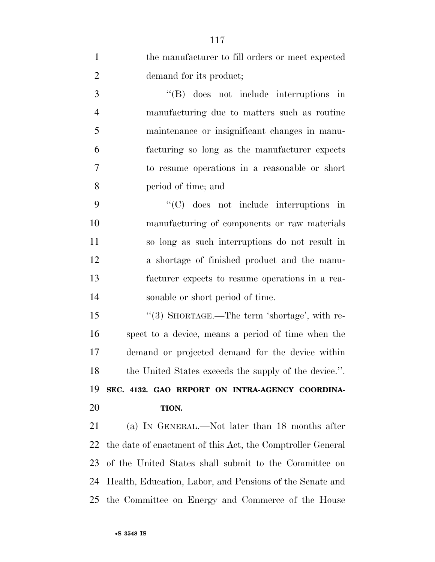| $\mathbf{1}$   | the manufacturer to fill orders or meet expected           |
|----------------|------------------------------------------------------------|
| $\overline{2}$ | demand for its product;                                    |
| 3              | $\lq\lq$ (B) does not include interruptions in             |
| $\overline{4}$ | manufacturing due to matters such as routine               |
| 5              | maintenance or insignificant changes in manu-              |
| 6              | facturing so long as the manufacturer expects              |
| 7              | to resume operations in a reasonable or short              |
| 8              | period of time; and                                        |
| 9              | $\lq\lq$ (C) does not include interruptions in             |
| 10             | manufacturing of components or raw materials               |
| 11             | so long as such interruptions do not result in             |
| 12             | a shortage of finished product and the manu-               |
| 13             | facturer expects to resume operations in a rea-            |
| 14             | sonable or short period of time.                           |
| 15             | "(3) SHORTAGE.—The term 'shortage', with re-               |
| 16             | spect to a device, means a period of time when the         |
| 17             | demand or projected demand for the device within           |
| 18             | the United States exceeds the supply of the device.".      |
| 19             | SEC. 4132. GAO REPORT ON INTRA-AGENCY COORDINA-            |
| 20             | TION.                                                      |
| 21             | (a) IN GENERAL.—Not later than 18 months after             |
| 22             | the date of enactment of this Act, the Comptroller General |
| 23             | of the United States shall submit to the Committee on      |
| 24             | Health, Education, Labor, and Pensions of the Senate and   |
| 25             | the Committee on Energy and Commerce of the House          |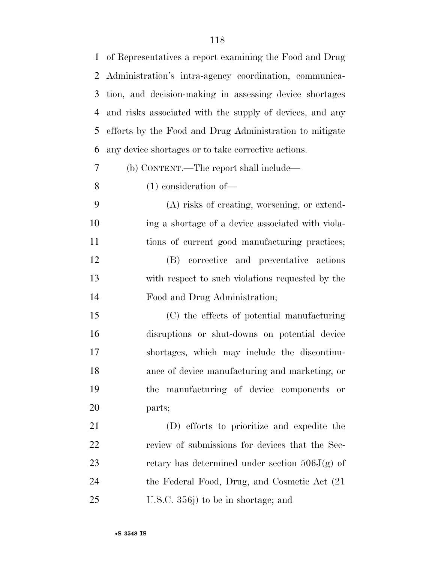of Representatives a report examining the Food and Drug Administration's intra-agency coordination, communica- tion, and decision-making in assessing device shortages and risks associated with the supply of devices, and any efforts by the Food and Drug Administration to mitigate any device shortages or to take corrective actions. (b) CONTENT.—The report shall include— (1) consideration of— (A) risks of creating, worsening, or extend- ing a shortage of a device associated with viola- tions of current good manufacturing practices; (B) corrective and preventative actions with respect to such violations requested by the Food and Drug Administration; (C) the effects of potential manufacturing disruptions or shut-downs on potential device shortages, which may include the discontinu- ance of device manufacturing and marketing, or the manufacturing of device components or parts; (D) efforts to prioritize and expedite the review of submissions for devices that the Sec-23 retary has determined under section  $506J(g)$  of the Federal Food, Drug, and Cosmetic Act (21 U.S.C. 356j) to be in shortage; and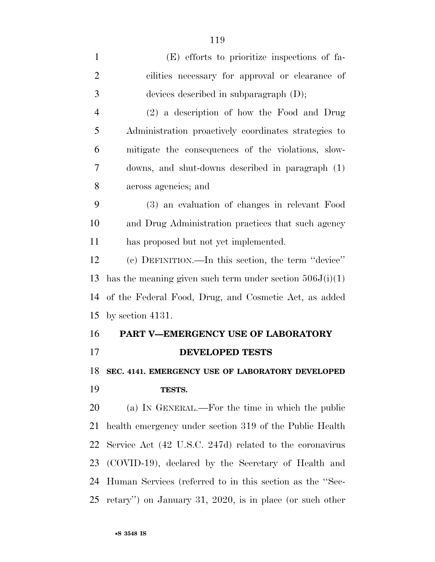| $\mathbf{1}$   | (E) efforts to prioritize inspections of fa-               |
|----------------|------------------------------------------------------------|
| $\overline{2}$ | cilities necessary for approval or clearance of            |
| 3              | devices described in subparagraph $(D)$ ;                  |
| $\overline{4}$ | (2) a description of how the Food and Drug                 |
| 5              | Administration proactively coordinates strategies to       |
| 6              | mitigate the consequences of the violations, slow-         |
| 7              | downs, and shut-downs described in paragraph (1)           |
| 8              | across agencies; and                                       |
| 9              | (3) an evaluation of changes in relevant Food              |
| 10             | and Drug Administration practices that such agency         |
| 11             | has proposed but not yet implemented.                      |
| 12             | (c) DEFINITION.—In this section, the term "device"         |
| 13             | has the meaning given such term under section $506J(i)(1)$ |
| 14             | of the Federal Food, Drug, and Cosmetic Act, as added      |
| 15             | by section $4131$ .                                        |
| 16             | PART V-EMERGENCY USE OF LABORATORY                         |
| 17             | <b>DEVELOPED TESTS</b>                                     |
| 18             | SEC. 4141. EMERGENCY USE OF LABORATORY DEVELOPED           |
| 19             | TESTS.                                                     |
| 20             | (a) IN GENERAL.—For the time in which the public           |
| 21             | health emergency under section 319 of the Public Health    |
| 22             | Service Act (42 U.S.C. 247d) related to the coronavirus    |
| 23             | (COVID-19), declared by the Secretary of Health and        |
| 24             | Human Services (referred to in this section as the "Sec-   |
| 25             | retary") on January 31, 2020, is in place (or such other   |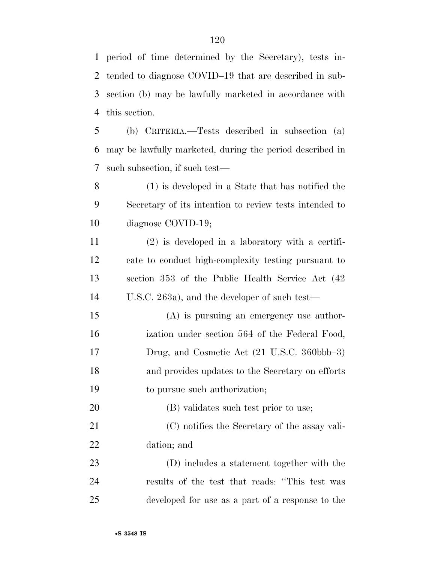period of time determined by the Secretary), tests in- tended to diagnose COVID–19 that are described in sub- section (b) may be lawfully marketed in accordance with this section.

 (b) CRITERIA.—Tests described in subsection (a) may be lawfully marketed, during the period described in such subsection, if such test—

 (1) is developed in a State that has notified the Secretary of its intention to review tests intended to diagnose COVID-19;

 (2) is developed in a laboratory with a certifi- cate to conduct high-complexity testing pursuant to section 353 of the Public Health Service Act (42 U.S.C. 263a), and the developer of such test—

 (A) is pursuing an emergency use author- ization under section 564 of the Federal Food, Drug, and Cosmetic Act (21 U.S.C. 360bbb–3) and provides updates to the Secretary on efforts to pursue such authorization;

 (B) validates such test prior to use; (C) notifies the Secretary of the assay vali-dation; and

 (D) includes a statement together with the results of the test that reads: ''This test was developed for use as a part of a response to the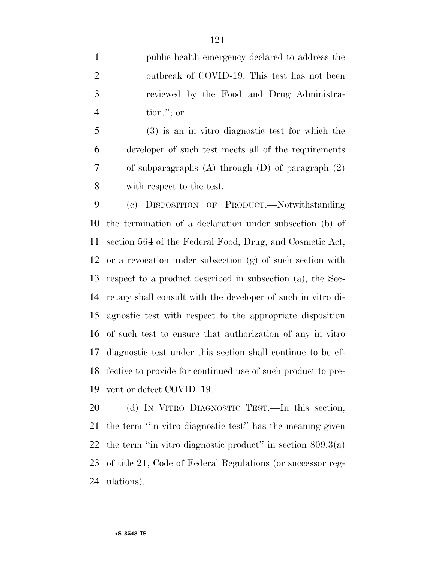public health emergency declared to address the outbreak of COVID-19. This test has not been reviewed by the Food and Drug Administra-tion.''; or

 (3) is an in vitro diagnostic test for which the developer of such test meets all of the requirements of subparagraphs (A) through (D) of paragraph (2) with respect to the test.

 (c) DISPOSITION OF PRODUCT.—Notwithstanding the termination of a declaration under subsection (b) of section 564 of the Federal Food, Drug, and Cosmetic Act, or a revocation under subsection (g) of such section with respect to a product described in subsection (a), the Sec- retary shall consult with the developer of such in vitro di- agnostic test with respect to the appropriate disposition of such test to ensure that authorization of any in vitro diagnostic test under this section shall continue to be ef- fective to provide for continued use of such product to pre-vent or detect COVID–19.

 (d) IN VITRO DIAGNOSTIC TEST.—In this section, the term ''in vitro diagnostic test'' has the meaning given 22 the term "in vitro diagnostic product" in section  $809.3(a)$  of title 21, Code of Federal Regulations (or successor reg-ulations).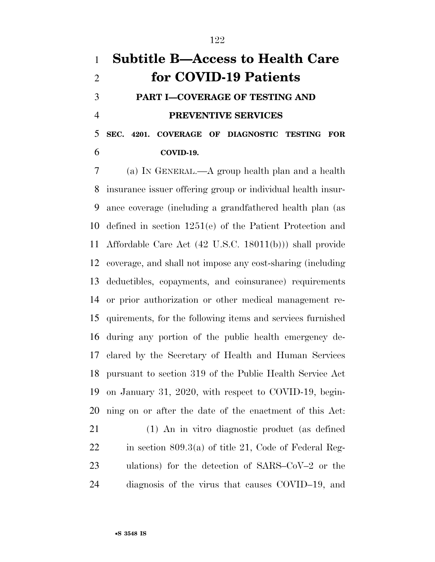## **Subtitle B—Access to Health Care for COVID-19 Patients PART I—COVERAGE OF TESTING AND PREVENTIVE SERVICES SEC. 4201. COVERAGE OF DIAGNOSTIC TESTING FOR**

**COVID-19.** 

 (a) IN GENERAL.—A group health plan and a health insurance issuer offering group or individual health insur- ance coverage (including a grandfathered health plan (as defined in section 1251(e) of the Patient Protection and Affordable Care Act (42 U.S.C. 18011(b))) shall provide coverage, and shall not impose any cost-sharing (including deductibles, copayments, and coinsurance) requirements or prior authorization or other medical management re- quirements, for the following items and services furnished during any portion of the public health emergency de- clared by the Secretary of Health and Human Services pursuant to section 319 of the Public Health Service Act on January 31, 2020, with respect to COVID-19, begin-ning on or after the date of the enactment of this Act:

 (1) An in vitro diagnostic product (as defined in section 809.3(a) of title 21, Code of Federal Reg- ulations) for the detection of SARS–CoV–2 or the diagnosis of the virus that causes COVID–19, and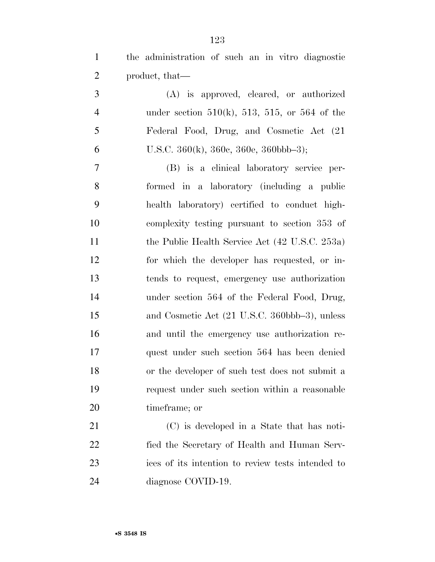the administration of such an in vitro diagnostic product, that—

 (A) is approved, cleared, or authorized under section 510(k), 513, 515, or 564 of the Federal Food, Drug, and Cosmetic Act (21 6 U.S.C.  $360(k)$ ,  $360e$ ,  $360e$ ,  $360bbb-3$ ;

 (B) is a clinical laboratory service per- formed in a laboratory (including a public health laboratory) certified to conduct high- complexity testing pursuant to section 353 of 11 the Public Health Service Act (42 U.S.C. 253a) for which the developer has requested, or in- tends to request, emergency use authorization under section 564 of the Federal Food, Drug, and Cosmetic Act (21 U.S.C. 360bbb–3), unless and until the emergency use authorization re- quest under such section 564 has been denied or the developer of such test does not submit a request under such section within a reasonable timeframe; or

 (C) is developed in a State that has noti- fied the Secretary of Health and Human Serv- ices of its intention to review tests intended to diagnose COVID-19.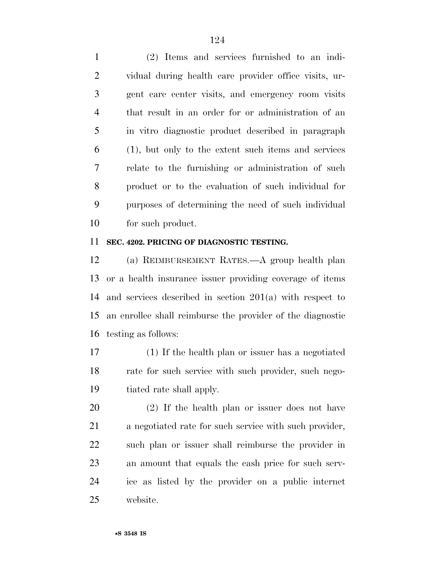(2) Items and services furnished to an indi- vidual during health care provider office visits, ur- gent care center visits, and emergency room visits that result in an order for or administration of an in vitro diagnostic product described in paragraph (1), but only to the extent such items and services relate to the furnishing or administration of such product or to the evaluation of such individual for purposes of determining the need of such individual for such product.

## **SEC. 4202. PRICING OF DIAGNOSTIC TESTING.**

 (a) REIMBURSEMENT RATES.—A group health plan or a health insurance issuer providing coverage of items and services described in section 201(a) with respect to an enrollee shall reimburse the provider of the diagnostic testing as follows:

 (1) If the health plan or issuer has a negotiated rate for such service with such provider, such nego-tiated rate shall apply.

 (2) If the health plan or issuer does not have a negotiated rate for such service with such provider, such plan or issuer shall reimburse the provider in an amount that equals the cash price for such serv- ice as listed by the provider on a public internet website.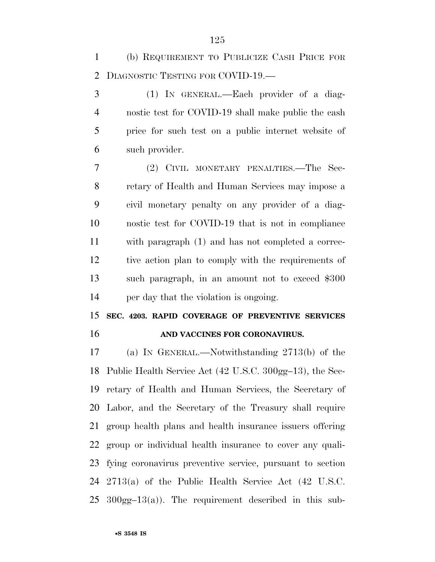(b) REQUIREMENT TO PUBLICIZE CASH PRICE FOR DIAGNOSTIC TESTING FOR COVID-19.—

 (1) IN GENERAL.—Each provider of a diag- nostic test for COVID-19 shall make public the cash price for such test on a public internet website of such provider.

 (2) CIVIL MONETARY PENALTIES.—The Sec- retary of Health and Human Services may impose a civil monetary penalty on any provider of a diag- nostic test for COVID-19 that is not in compliance with paragraph (1) and has not completed a correc- tive action plan to comply with the requirements of such paragraph, in an amount not to exceed \$300 per day that the violation is ongoing.

 **SEC. 4203. RAPID COVERAGE OF PREVENTIVE SERVICES AND VACCINES FOR CORONAVIRUS.** 

 (a) IN GENERAL.—Notwithstanding 2713(b) of the Public Health Service Act (42 U.S.C. 300gg–13), the Sec- retary of Health and Human Services, the Secretary of Labor, and the Secretary of the Treasury shall require group health plans and health insurance issuers offering group or individual health insurance to cover any quali- fying coronavirus preventive service, pursuant to section 2713(a) of the Public Health Service Act (42 U.S.C.  $25 \quad 300$ gg $-13(a)$ ). The requirement described in this sub-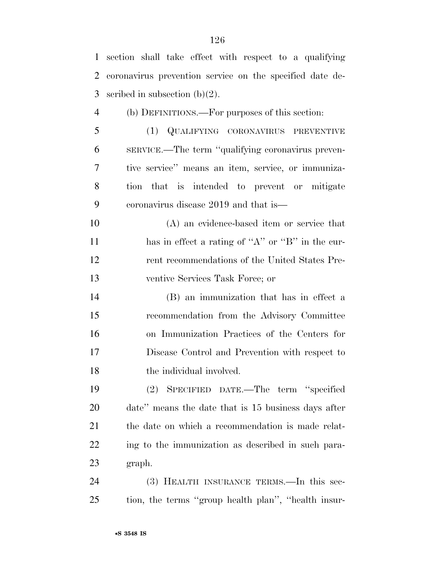| $\mathbf{1}$   | section shall take effect with respect to a qualifying   |
|----------------|----------------------------------------------------------|
| 2              | coronavirus prevention service on the specified date de- |
| 3              | scribed in subsection $(b)(2)$ .                         |
| $\overline{4}$ | (b) DEFINITIONS.—For purposes of this section:           |
| 5              | (1) QUALIFYING CORONAVIRUS PREVENTIVE                    |
| 6              | SERVICE.—The term "qualifying coronavirus preven-        |
| 7              | tive service" means an item, service, or immuniza-       |
| 8              | tion that is intended to prevent or mitigate             |
| 9              | coronavirus disease 2019 and that is—                    |
| 10             | (A) an evidence-based item or service that               |
| 11             | has in effect a rating of "A" or "B" in the cur-         |
| 12             | rent recommendations of the United States Pre-           |
| 13             | ventive Services Task Force; or                          |
| 14             | (B) an immunization that has in effect a                 |
| 15             | recommendation from the Advisory Committee               |
| 16             | on Immunization Practices of the Centers for             |
| 17             | Disease Control and Prevention with respect to           |
| 18             | the individual involved.                                 |
| 19             | (2) SPECIFIED DATE.—The term "specified                  |
| 20             | date" means the date that is 15 business days after      |
| 21             | the date on which a recommendation is made relat-        |
| 22             | ing to the immunization as described in such para-       |
| 23             | graph.                                                   |
| 24             | (3) HEALTH INSURANCE TERMS.—In this sec-                 |
| 25             | tion, the terms "group health plan", "health insur-      |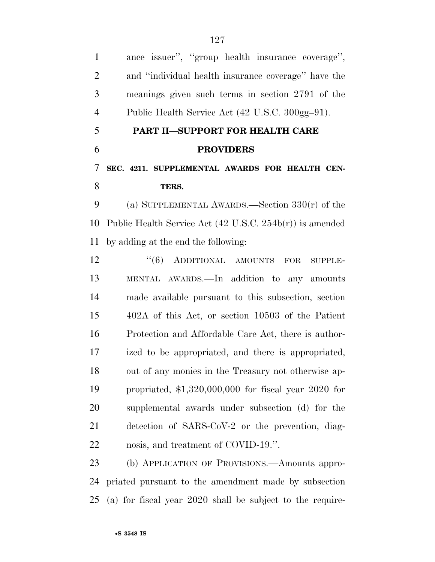| $\mathbf{1}$   | ance issuer", "group health insurance coverage",                    |
|----------------|---------------------------------------------------------------------|
| $\overline{2}$ | and "individual health insurance coverage" have the                 |
| 3              | meanings given such terms in section 2791 of the                    |
| $\overline{4}$ | Public Health Service Act (42 U.S.C. 300gg-91).                     |
| 5              | PART II-SUPPORT FOR HEALTH CARE                                     |
| 6              | <b>PROVIDERS</b>                                                    |
| 7              | SEC. 4211. SUPPLEMENTAL AWARDS FOR HEALTH CEN-                      |
| 8              | TERS.                                                               |
| 9              | (a) SUPPLEMENTAL AWARDS.—Section $330(r)$ of the                    |
| 10             | Public Health Service Act $(42 \text{ U.S.C. } 254b(r))$ is amended |
| 11             | by adding at the end the following:                                 |
| 12             | "(6) ADDITIONAL AMOUNTS<br>FOR<br><b>SUPPLE-</b>                    |
| 13             | MENTAL AWARDS. In addition to any amounts                           |
| 14             | made available pursuant to this subsection, section                 |
| 15             | 402A of this Act, or section 10503 of the Patient                   |
| 16             | Protection and Affordable Care Act, there is author-                |
| 17             | ized to be appropriated, and there is appropriated,                 |
| 18             | out of any monies in the Treasury not otherwise ap-                 |
| 19             | propriated, $$1,320,000,000$ for fiscal year 2020 for               |
| 20             | supplemental awards under subsection (d) for the                    |
| 21             | detection of SARS-CoV-2 or the prevention, diag-                    |
| 22             | nosis, and treatment of COVID-19.".                                 |
| 23             | (b) APPLICATION OF PROVISIONS.—Amounts appro-                       |
|                | 24 prior of purguant to the emerginant made by expection            |

 priated pursuant to the amendment made by subsection (a) for fiscal year 2020 shall be subject to the require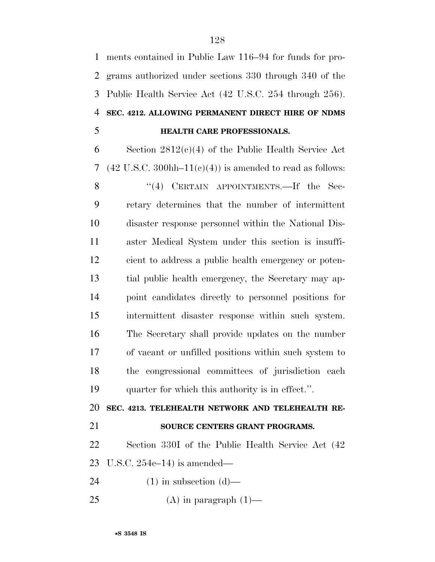ments contained in Public Law 116–94 for funds for pro- grams authorized under sections 330 through 340 of the Public Health Service Act (42 U.S.C. 254 through 256). **SEC. 4212. ALLOWING PERMANENT DIRECT HIRE OF NDMS HEALTH CARE PROFESSIONALS.** 

 Section 2812(c)(4) of the Public Health Service Act 7 (42 U.S.C. 300hh–11(c)(4)) is amended to read as follows:

8 "(4) CERTAIN APPOINTMENTS.—If the Sec- retary determines that the number of intermittent disaster response personnel within the National Dis- aster Medical System under this section is insuffi- cient to address a public health emergency or poten- tial public health emergency, the Secretary may ap- point candidates directly to personnel positions for intermittent disaster response within such system. The Secretary shall provide updates on the number of vacant or unfilled positions within such system to the congressional committees of jurisdiction each quarter for which this authority is in effect.''.

**SEC. 4213. TELEHEALTH NETWORK AND TELEHEALTH RE-**

## **SOURCE CENTERS GRANT PROGRAMS.**

 Section 330I of the Public Health Service Act (42 U.S.C. 254c–14) is amended—

24 (1) in subsection  $(d)$ —

25 (A) in paragraph  $(1)$ —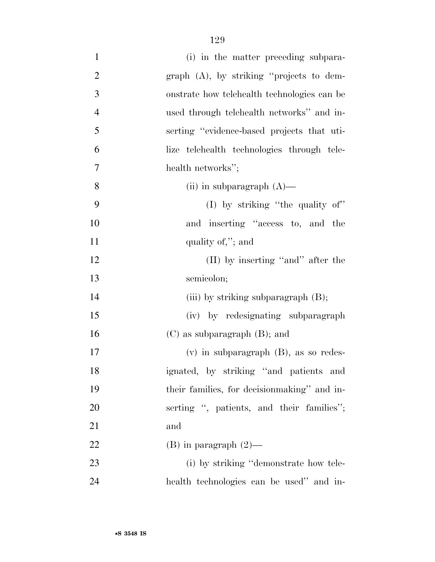| $\mathbf{1}$   | (i) in the matter preceding subpara-         |
|----------------|----------------------------------------------|
| $\overline{2}$ | $graph$ (A), by striking "projects to dem-   |
| 3              | onstrate how telehealth technologies can be  |
| $\overline{4}$ | used through telehealth networks" and in-    |
| 5              | serting "evidence-based projects that uti-   |
| 6              | lize telehealth technologies through tele-   |
| $\overline{7}$ | health networks";                            |
| 8              | (ii) in subparagraph $(A)$ —                 |
| 9              | (I) by striking "the quality of"             |
| 10             | and inserting "access to, and the            |
| 11             | quality of,"; and                            |
| 12             | (II) by inserting "and" after the            |
| 13             | semicolon;                                   |
| 14             | (iii) by striking subparagraph $(B)$ ;       |
| 15             | (iv) by redesignating subparagraph           |
| 16             | $(C)$ as subparagraph $(B)$ ; and            |
| 17             | $(v)$ in subparagraph $(B)$ , as so redes-   |
| 18             | ignated, by striking "and patients and       |
| 19             | their families, for decision making" and in- |
| 20             | serting ", patients, and their families";    |
| 21             | and                                          |
| 22             | $(B)$ in paragraph $(2)$ —                   |
| 23             | (i) by striking "demonstrate how tele-       |
| 24             | health technologies can be used" and in-     |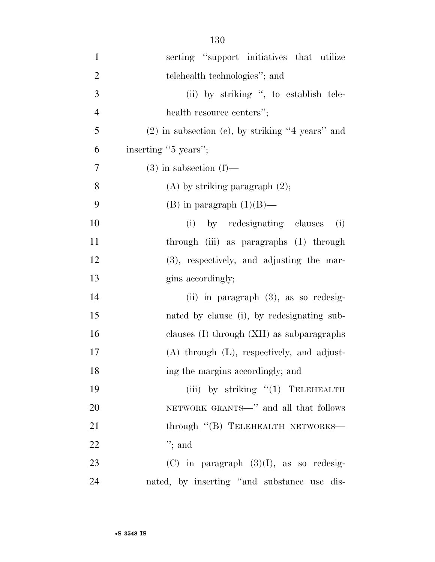| $\mathbf{1}$   | serting "support initiatives that utilize          |
|----------------|----------------------------------------------------|
| $\overline{2}$ | telehealth technologies"; and                      |
| 3              | (ii) by striking ", to establish tele-             |
| $\overline{4}$ | health resource centers";                          |
| 5              | $(2)$ in subsection (e), by striking "4 years" and |
| 6              | inserting "5 years";                               |
| 7              | $(3)$ in subsection $(f)$ —                        |
| 8              | $(A)$ by striking paragraph $(2)$ ;                |
| 9              | (B) in paragraph $(1)(B)$ —                        |
| 10             | by redesignating clauses<br>(i)<br>(i)             |
| 11             | through (iii) as paragraphs (1) through            |
| 12             | $(3)$ , respectively, and adjusting the mar-       |
| 13             | gins accordingly;                                  |
| 14             | (ii) in paragraph $(3)$ , as so redesig-           |
| 15             | nated by clause (i), by redesignating sub-         |
| 16             | clauses (I) through (XII) as subparagraphs         |
| 17             | $(A)$ through $(L)$ , respectively, and adjust-    |
| 18             | ing the margins accordingly; and                   |
| 19             | (iii) by striking $(1)$ TELEHEALTH                 |
| 20             | NETWORK GRANTS—" and all that follows              |
| 21             | through "(B) TELEHEALTH NETWORKS-                  |
| 22             | $";$ and                                           |
| 23             | $(C)$ in paragraph $(3)(I)$ , as so redesig-       |
| 24             | nated, by inserting "and substance use dis-        |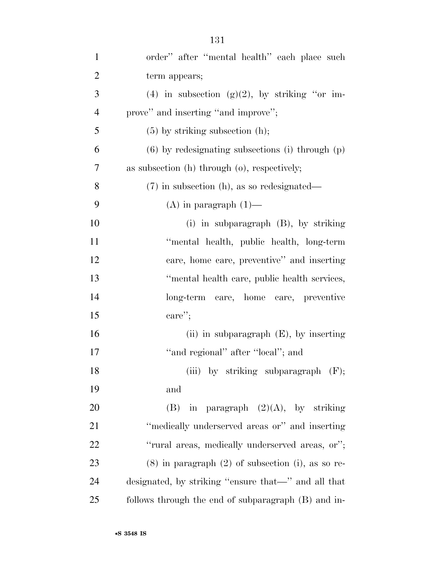| $\mathbf{1}$   | order" after "mental health" each place such             |
|----------------|----------------------------------------------------------|
| $\overline{2}$ | term appears;                                            |
| 3              | (4) in subsection (g)(2), by striking "or im-            |
| $\overline{4}$ | prove" and inserting "and improve";                      |
| 5              | $(5)$ by striking subsection $(h)$ ;                     |
| 6              | $(6)$ by redesignating subsections (i) through $(p)$     |
| $\overline{7}$ | as subsection $(h)$ through $(o)$ , respectively;        |
| 8              | $(7)$ in subsection (h), as so redesignated—             |
| 9              | $(A)$ in paragraph $(1)$ —                               |
| 10             | (i) in subparagraph (B), by striking                     |
| 11             | "mental health, public health, long-term                 |
| 12             | care, home care, preventive" and inserting               |
| 13             | "mental health care, public health services,             |
| 14             | long-term care, home care, preventive                    |
| 15             | care''                                                   |
| 16             | (ii) in subparagraph $(E)$ , by inserting                |
| 17             | "and regional" after "local"; and                        |
| 18             | (iii) by striking subparagraph $(F)$ ;                   |
| 19             | and                                                      |
| 20             | in paragraph $(2)(A)$ , by striking<br>(B)               |
| 21             | "medically underserved areas or" and inserting           |
| 22             | "rural areas, medically underserved areas, or";          |
| 23             | $(8)$ in paragraph $(2)$ of subsection $(i)$ , as so re- |
| 24             | designated, by striking "ensure that—" and all that      |
| 25             | follows through the end of subparagraph (B) and in-      |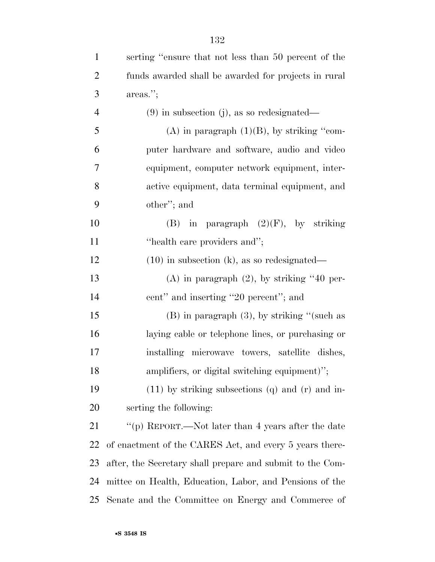| $\mathbf{1}$   | serting "ensure that not less than 50 percent of the      |
|----------------|-----------------------------------------------------------|
| $\overline{2}$ | funds awarded shall be awarded for projects in rural      |
| 3              | areas.";                                                  |
| $\overline{4}$ | $(9)$ in subsection (j), as so redesignated—              |
| 5              | (A) in paragraph $(1)(B)$ , by striking "com-             |
| 6              | puter hardware and software, audio and video              |
| 7              | equipment, computer network equipment, inter-             |
| 8              | active equipment, data terminal equipment, and            |
| 9              | other"; and                                               |
| 10             | (B) in paragraph $(2)(F)$ , by striking                   |
| 11             | "health care providers and";                              |
| 12             | $(10)$ in subsection (k), as so redesignated—             |
| 13             | $(A)$ in paragraph $(2)$ , by striking "40 per-           |
| 14             | cent" and inserting "20 percent"; and                     |
| 15             | $(B)$ in paragraph $(3)$ , by striking "(such as          |
| 16             | laying cable or telephone lines, or purchasing or         |
| 17             | installing microwave towers, satellite dishes,            |
| 18             | amplifiers, or digital switching equipment)";             |
| 19             | $(11)$ by striking subsections $(q)$ and $(r)$ and in-    |
| 20             | serting the following:                                    |
| 21             | "(p) REPORT.—Not later than 4 years after the date        |
| 22             | of enactment of the CARES Act, and every 5 years there-   |
| 23             | after, the Secretary shall prepare and submit to the Com- |
| 24             | mittee on Health, Education, Labor, and Pensions of the   |
| 25             | Senate and the Committee on Energy and Commerce of        |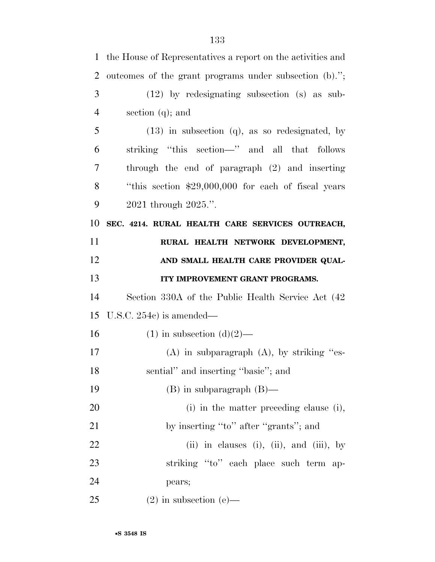| $\mathbf{1}$   | the House of Representatives a report on the activities and |
|----------------|-------------------------------------------------------------|
| $\overline{2}$ | outcomes of the grant programs under subsection (b).";      |
| 3              | $(12)$ by redesignating subsection (s) as sub-              |
| $\overline{4}$ | section $(q)$ ; and                                         |
| 5              | $(13)$ in subsection $(q)$ , as so redesignated, by         |
| 6              | striking "this section—" and all that follows               |
| 7              | through the end of paragraph $(2)$ and inserting            |
| 8              | "this section \$29,000,000 for each of fiscal years         |
| 9              | 2021 through 2025.".                                        |
| 10             | SEC. 4214. RURAL HEALTH CARE SERVICES OUTREACH,             |
| 11             | RURAL HEALTH NETWORK DEVELOPMENT,                           |
| 12             | AND SMALL HEALTH CARE PROVIDER QUAL-                        |
| 13             | ITY IMPROVEMENT GRANT PROGRAMS.                             |
| 14             | Section 330A of the Public Health Service Act (42)          |
| 15             | U.S.C. $254c$ is amended—                                   |
| 16             | $(1)$ in subsection $(d)(2)$ —                              |
| 17             | $(A)$ in subparagraph $(A)$ , by striking "es-              |
| 18             | sential" and inserting "basic"; and                         |
| 19             | $(B)$ in subparagraph $(B)$ —                               |
| 20             | (i) in the matter preceding clause (i),                     |
| 21             | by inserting "to" after "grants"; and                       |
| 22             | (ii) in clauses (i), (ii), and (iii), by                    |
| 23             | striking "to" each place such term ap-                      |
| 24             | pears;                                                      |
| 25             | $(2)$ in subsection $(e)$ —                                 |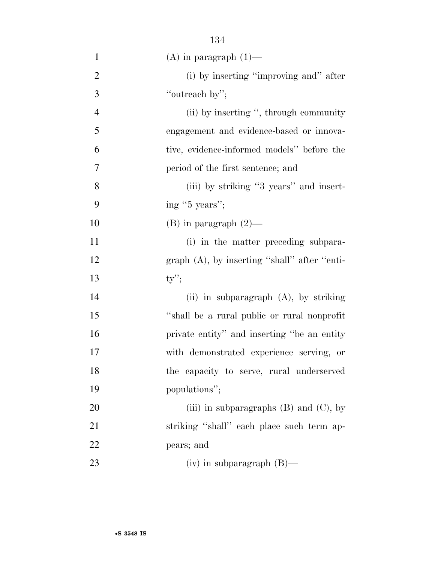| $\mathbf{1}$   | $(A)$ in paragraph $(1)$ —                      |
|----------------|-------------------------------------------------|
| $\overline{2}$ | (i) by inserting "improving and" after          |
| 3              | "outreach by";                                  |
| $\overline{4}$ | (ii) by inserting ", through community          |
| 5              | engagement and evidence-based or innova-        |
| 6              | tive, evidence-informed models" before the      |
| 7              | period of the first sentence; and               |
| 8              | (iii) by striking "3 years" and insert-         |
| 9              | ing "5 years";                                  |
| 10             | $(B)$ in paragraph $(2)$ —                      |
| 11             | (i) in the matter preceding subpara-            |
| 12             | graph $(A)$ , by inserting "shall" after "enti- |
| 13             | $ty''$ ;                                        |
| 14             | (ii) in subparagraph $(A)$ , by striking        |
| 15             | "shall be a rural public or rural nonprofit"    |
| 16             | private entity" and inserting "be an entity"    |
| 17             | with demonstrated experience serving, or        |
| 18             | the capacity to serve, rural underserved        |
| 19             | populations";                                   |
| 20             | (iii) in subparagraphs $(B)$ and $(C)$ , by     |
| 21             | striking "shall" each place such term ap-       |
| 22             | pears; and                                      |
| 23             | $(iv)$ in subparagraph $(B)$ —                  |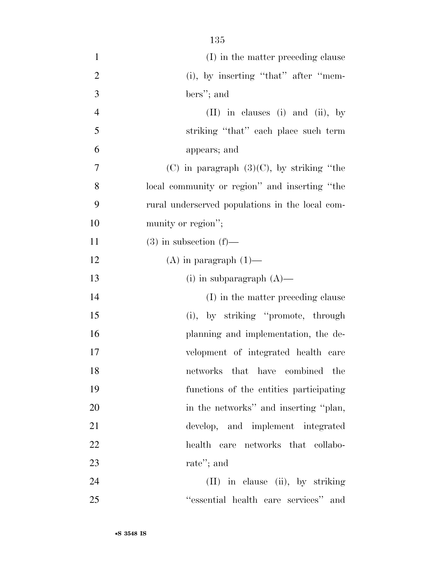| $\mathbf{1}$   | (I) in the matter preceding clause              |
|----------------|-------------------------------------------------|
| $\overline{2}$ | $(i)$ , by inserting "that" after "mem-         |
| 3              | bers"; and                                      |
| $\overline{4}$ | $(II)$ in clauses (i) and (ii), by              |
| 5              | striking "that" each place such term            |
| 6              | appears; and                                    |
| 7              | $(C)$ in paragraph $(3)(C)$ , by striking "the  |
| 8              | local community or region" and inserting "the   |
| 9              | rural underserved populations in the local com- |
| 10             | munity or region";                              |
| 11             | $(3)$ in subsection $(f)$ —                     |
| 12             | $(A)$ in paragraph $(1)$ —                      |
| 13             | $(i)$ in subparagraph $(A)$ —                   |
| 14             | (I) in the matter preceding clause              |
| 15             | (i), by striking "promote, through              |
| 16             | planning and implementation, the de-            |
| 17             | velopment of integrated health care             |
| 18             | networks that have combined the                 |
| 19             | functions of the entities participating         |
| 20             | in the networks" and inserting "plan,           |
| 21             | develop, and implement integrated               |
| 22             | health care networks that collabo-              |
| 23             | rate"; and                                      |
| 24             | (II) in clause (ii), by striking                |
| 25             | "essential health care services" and            |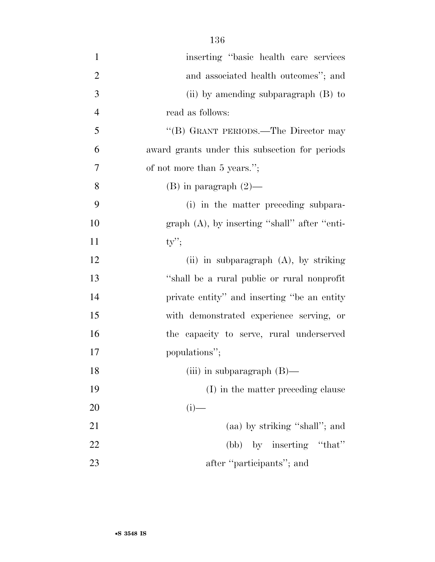| $\mathbf{1}$   | inserting "basic health care services"          |
|----------------|-------------------------------------------------|
| $\overline{2}$ | and associated health outcomes"; and            |
| 3              | (ii) by amending subparagraph $(B)$ to          |
| $\overline{4}$ | read as follows:                                |
| 5              | "(B) GRANT PERIODS.—The Director may            |
| 6              | award grants under this subsection for periods  |
| $\tau$         | of not more than 5 years.";                     |
| 8              | $(B)$ in paragraph $(2)$ —                      |
| 9              | (i) in the matter preceding subpara-            |
| 10             | graph $(A)$ , by inserting "shall" after "enti- |
| 11             | $ty$ ";                                         |
| 12             | (ii) in subparagraph (A), by striking           |
| 13             | "shall be a rural public or rural nonprofit"    |
| 14             | private entity" and inserting "be an entity"    |
| 15             | with demonstrated experience serving, or        |
| 16             | the capacity to serve, rural underserved        |
| 17             | populations";                                   |
| 18             | (iii) in subparagraph $(B)$ —                   |
| 19             | (I) in the matter preceding clause              |
| 20             | $(i)$ —                                         |
| 21             | (aa) by striking "shall"; and                   |
| 22             | (bb) by inserting "that"                        |
| 23             | after "participants"; and                       |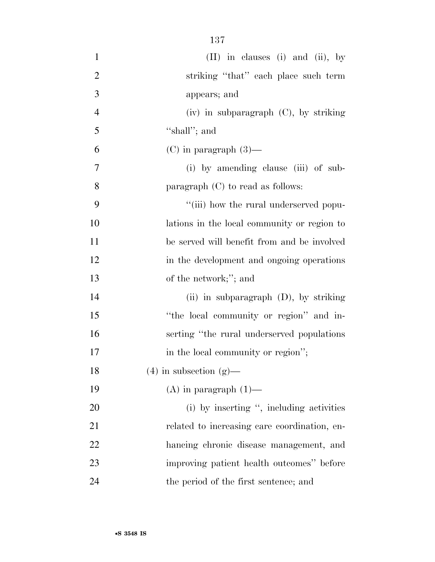| $\mathbf{1}$   | $(II)$ in clauses (i) and (ii), by           |
|----------------|----------------------------------------------|
| $\overline{2}$ | striking "that" each place such term         |
| 3              | appears; and                                 |
| $\overline{4}$ | $(iv)$ in subparagraph $(C)$ , by striking   |
| 5              | "shall"; and                                 |
| 6              | $(C)$ in paragraph $(3)$ —                   |
| 7              | (i) by amending clause (iii) of sub-         |
| 8              | paragraph $(C)$ to read as follows:          |
| 9              | "(iii) how the rural underserved popu-       |
| 10             | lations in the local community or region to  |
| 11             | be served will benefit from and be involved  |
| 12             | in the development and ongoing operations    |
| 13             | of the network;"; and                        |
| 14             | (ii) in subparagraph $(D)$ , by striking     |
| 15             | "the local community or region" and in-      |
| 16             | serting "the rural underserved populations"  |
| 17             | in the local community or region";           |
| 18             | $(4)$ in subsection $(g)$ —                  |
| 19             | $(A)$ in paragraph $(1)$ —                   |
| 20             | (i) by inserting ", including activities     |
| 21             | related to increasing care coordination, en- |
| 22             | hancing chronic disease management, and      |
| 23             | improving patient health outcomes" before    |
| 24             | the period of the first sentence; and        |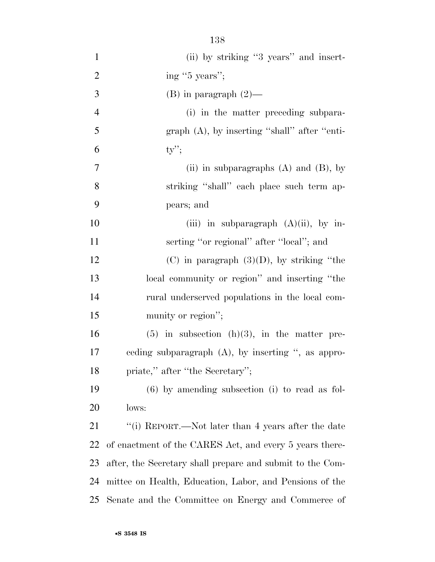| $\mathbf{1}$   | (ii) by striking "3 years" and insert-                    |
|----------------|-----------------------------------------------------------|
| $\overline{2}$ | ing "5 years";                                            |
| 3              | $(B)$ in paragraph $(2)$ —                                |
| $\overline{4}$ | (i) in the matter preceding subpara-                      |
| 5              | $graph(A)$ , by inserting "shall" after "enti-            |
| 6              | $ty$ ";                                                   |
| $\overline{7}$ | (ii) in subparagraphs $(A)$ and $(B)$ , by                |
| 8              | striking "shall" each place such term ap-                 |
| 9              | pears; and                                                |
| 10             | (iii) in subparagraph $(A)(ii)$ , by in-                  |
| 11             | serting "or regional" after "local"; and                  |
| 12             | (C) in paragraph $(3)(D)$ , by striking "the              |
| 13             | local community or region" and inserting "the             |
| 14             | rural underserved populations in the local com-           |
| 15             | munity or region";                                        |
| 16             | $(5)$ in subsection $(h)(3)$ , in the matter pre-         |
| 17             | ceding subparagraph $(A)$ , by inserting ", as appro-     |
| 18             | priate," after "the Secretary";                           |
| 19             | $(6)$ by amending subsection (i) to read as fol-          |
| 20             | lows:                                                     |
| 21             | "(i) REPORT.—Not later than 4 years after the date        |
| 22             | of enactment of the CARES Act, and every 5 years there-   |
| 23             | after, the Secretary shall prepare and submit to the Com- |
| 24             | mittee on Health, Education, Labor, and Pensions of the   |
| 25             | Senate and the Committee on Energy and Commerce of        |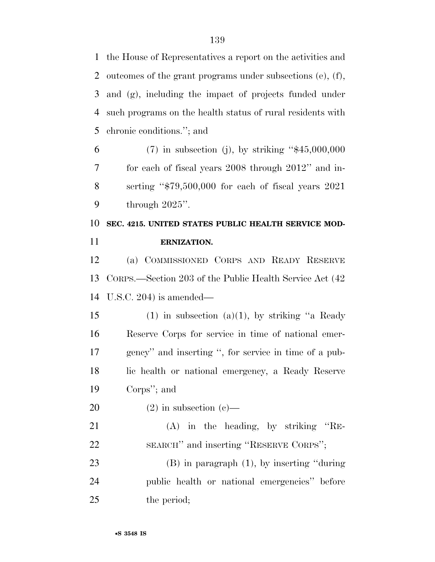the House of Representatives a report on the activities and outcomes of the grant programs under subsections (e), (f), and (g), including the impact of projects funded under such programs on the health status of rural residents with chronic conditions.''; and

 (7) in subsection (j), by striking ''\$45,000,000 for each of fiscal years 2008 through 2012'' and in- serting ''\$79,500,000 for each of fiscal years 2021 through 2025''.

 **SEC. 4215. UNITED STATES PUBLIC HEALTH SERVICE MOD-ERNIZATION.** 

 (a) COMMISSIONED CORPS AND READY RESERVE CORPS.—Section 203 of the Public Health Service Act (42 U.S.C. 204) is amended—

15 (1) in subsection (a)(1), by striking "a Ready Reserve Corps for service in time of national emer- gency'' and inserting '', for service in time of a pub- lic health or national emergency, a Ready Reserve Corps''; and

20 (2) in subsection  $(c)$ —

 (A) in the heading, by striking ''RE-SEARCH'' and inserting ''RESERVE CORPS'';

 (B) in paragraph (1), by inserting ''during public health or national emergencies'' before the period;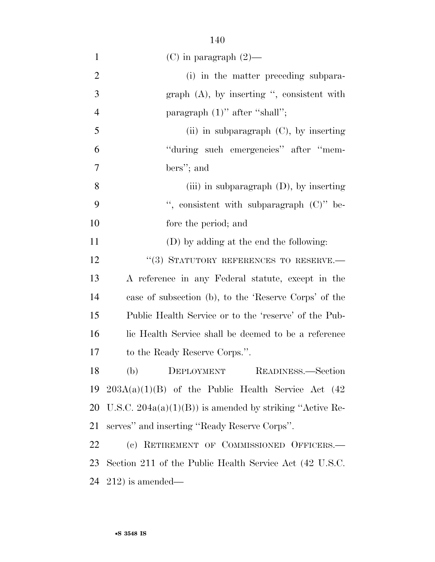| $\mathbf{1}$   | $(C)$ in paragraph $(2)$ —                                |
|----------------|-----------------------------------------------------------|
| $\overline{2}$ | (i) in the matter preceding subpara-                      |
| 3              | graph $(A)$ , by inserting ", consistent with             |
| $\overline{4}$ | paragraph $(1)$ " after "shall";                          |
| 5              | (ii) in subparagraph $(C)$ , by inserting                 |
| 6              | "during such emergencies" after "mem-                     |
| 7              | bers"; and                                                |
| 8              | (iii) in subparagraph $(D)$ , by inserting                |
| 9              | ", consistent with subparagraph $(C)$ " be-               |
| 10             | fore the period; and                                      |
| 11             | (D) by adding at the end the following:                   |
| 12             | "(3) STATUTORY REFERENCES TO RESERVE.-                    |
| 13             | A reference in any Federal statute, except in the         |
| 14             | case of subsection (b), to the 'Reserve Corps' of the     |
| 15             | Public Health Service or to the 'reserve' of the Pub-     |
| 16             | lic Health Service shall be deemed to be a reference      |
| 17             | to the Ready Reserve Corps.".                             |
| 18             | (b) DEPLOYMENT READINESS.—Section                         |
| 19             | $203A(a)(1)(B)$ of the Public Health Service Act (42)     |
| 20             | U.S.C. $204a(a)(1)(B)$ is amended by striking "Active Re- |
| 21             | serves" and inserting "Ready Reserve Corps".              |
| 22             | (c) RETIREMENT OF COMMISSIONED OFFICERS.-                 |
| 23             | Section 211 of the Public Health Service Act (42 U.S.C.   |
| 24             | $(212)$ is amended—                                       |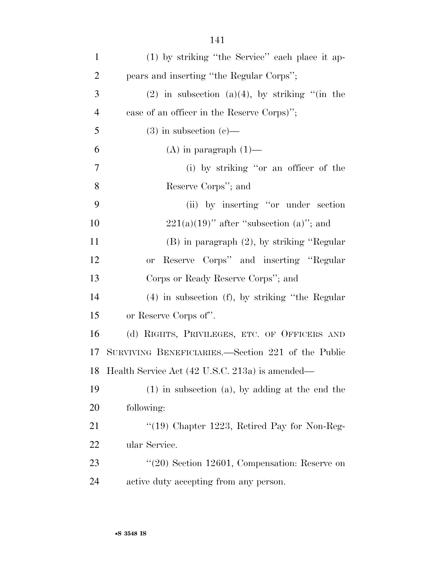| $\mathbf{1}$   | (1) by striking "the Service" each place it ap-      |
|----------------|------------------------------------------------------|
| $\overline{2}$ | pears and inserting "the Regular Corps";             |
| 3              | $(2)$ in subsection $(a)(4)$ , by striking "(in the  |
| $\overline{4}$ | case of an officer in the Reserve Corps)";           |
| 5              | $(3)$ in subsection $(e)$ —                          |
| 6              | $(A)$ in paragraph $(1)$ —                           |
| $\tau$         | (i) by striking "or an officer of the                |
| 8              | Reserve Corps"; and                                  |
| 9              | (ii) by inserting "or under section                  |
| 10             | $221(a)(19)$ " after "subsection (a)"; and           |
| 11             | $(B)$ in paragraph $(2)$ , by striking "Regular      |
| 12             | Reserve Corps" and inserting "Regular<br><b>or</b>   |
| 13             | Corps or Ready Reserve Corps"; and                   |
| 14             | $(4)$ in subsection $(f)$ , by striking "the Regular |
| 15             | or Reserve Corps of".                                |
| 16             | (d) RIGHTS, PRIVILEGES, ETC. OF OFFICERS AND         |
| 17             | SURVIVING BENEFICIARIES.—Section 221 of the Public   |
|                | 18 Health Service Act (42 U.S.C. 213a) is amended—   |
| 19             | $(1)$ in subsection $(a)$ , by adding at the end the |
| 20             | following:                                           |
| 21             | $\lq(19)$ Chapter 1223, Retired Pay for Non-Reg-     |
| 22             | ular Service.                                        |
| 23             | $\lq(20)$ Section 12601, Compensation: Reserve on    |
| 24             | active duty accepting from any person.               |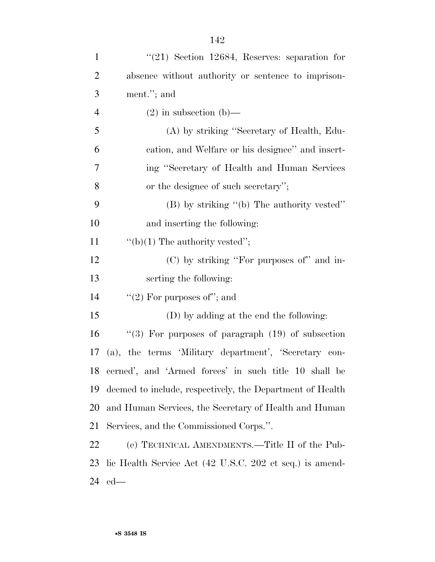| $\mathbf{1}$   | $(21)$ Section 12684, Reserves: separation for            |
|----------------|-----------------------------------------------------------|
| $\overline{2}$ | absence without authority or sentence to imprison-        |
| 3              | ment."; and                                               |
| 4              | $(2)$ in subsection $(b)$ —                               |
| 5              | (A) by striking "Secretary of Health, Edu-                |
| 6              | cation, and Welfare or his designee" and insert-          |
| 7              | ing "Secretary of Health and Human Services"              |
| 8              | or the designee of such secretary";                       |
| 9              | $(B)$ by striking "(b) The authority vested"              |
| 10             | and inserting the following:                              |
| 11             | "(b)(1) The authority vested";                            |
| 12             | (C) by striking "For purposes of" and in-                 |
| 13             | serting the following:                                    |
| 14             | "(2) For purposes of"; and                                |
| 15             | (D) by adding at the end the following:                   |
| 16             | "(3) For purposes of paragraph $(19)$ of subsection       |
| 17             | (a), the terms 'Military department', 'Secretary con-     |
| 18             | cerned', and 'Armed forces' in such title 10 shall be     |
| 19             | deemed to include, respectively, the Department of Health |
| 20             | and Human Services, the Secretary of Health and Human     |
| 21             | Services, and the Commissioned Corps.".                   |
| 22             | (e) TECHNICAL AMENDMENTS.—Title II of the Pub-            |
| 23             | lic Health Service Act (42 U.S.C. 202 et seq.) is amend-  |
| 24             | $ed$ —                                                    |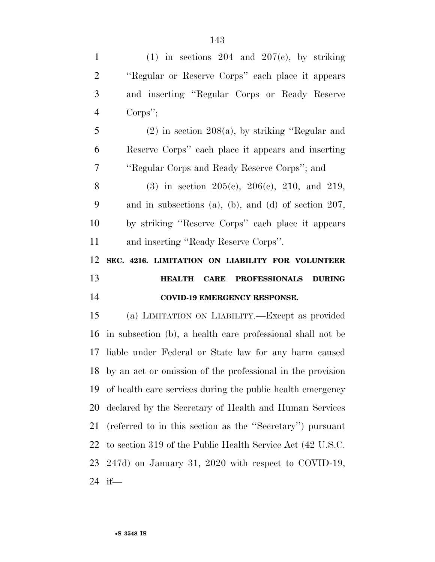1 (1) in sections 204 and  $207(c)$ , by striking ''Regular or Reserve Corps'' each place it appears and inserting ''Regular Corps or Ready Reserve Corps''; (2) in section 208(a), by striking ''Regular and Reserve Corps'' each place it appears and inserting ''Regular Corps and Ready Reserve Corps''; and 8 (3) in section  $205(e)$ ,  $206(e)$ ,  $210$ , and  $219$ , and in subsections (a), (b), and (d) of section 207, by striking ''Reserve Corps'' each place it appears and inserting ''Ready Reserve Corps''. **SEC. 4216. LIMITATION ON LIABILITY FOR VOLUNTEER HEALTH CARE PROFESSIONALS DURING COVID-19 EMERGENCY RESPONSE.**  (a) LIMITATION ON LIABILITY.—Except as provided in subsection (b), a health care professional shall not be liable under Federal or State law for any harm caused by an act or omission of the professional in the provision of health care services during the public health emergency declared by the Secretary of Health and Human Services (referred to in this section as the ''Secretary'') pursuant to section 319 of the Public Health Service Act (42 U.S.C. 247d) on January 31, 2020 with respect to COVID-19,

if—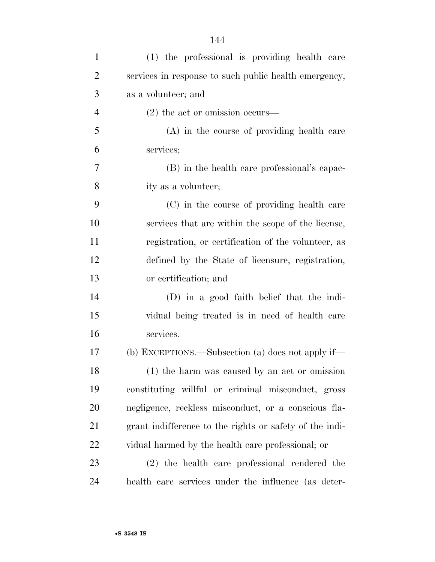| $\mathbf{1}$   | (1) the professional is providing health care           |
|----------------|---------------------------------------------------------|
| $\overline{2}$ | services in response to such public health emergency,   |
| 3              | as a volunteer; and                                     |
| $\overline{4}$ | $(2)$ the act or omission occurs—                       |
| 5              | (A) in the course of providing health care              |
| 6              | services;                                               |
| 7              | (B) in the health care professional's capac-            |
| 8              | ity as a volunteer;                                     |
| 9              | (C) in the course of providing health care              |
| 10             | services that are within the scope of the license,      |
| 11             | registration, or certification of the volunteer, as     |
| 12             | defined by the State of licensure, registration,        |
| 13             | or certification; and                                   |
| 14             | (D) in a good faith belief that the indi-               |
| 15             | vidual being treated is in need of health care          |
| 16             | services.                                               |
| 17             | (b) EXCEPTIONS.—Subsection (a) does not apply if—       |
| 18             | (1) the harm was caused by an act or omission           |
| 19             | constituting willful or criminal misconduct, gross      |
| 20             | negligence, reckless misconduct, or a conscious fla-    |
| 21             | grant indifference to the rights or safety of the indi- |
| 22             | vidual harmed by the health care professional; or       |
| 23             | (2) the health care professional rendered the           |
| 24             | health care services under the influence (as deter-     |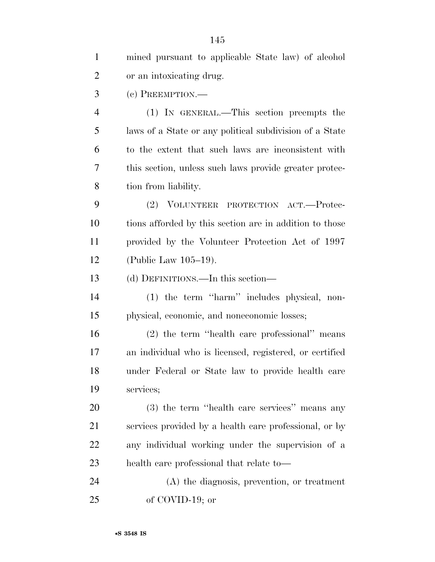| $\mathbf{1}$   | mined pursuant to applicable State law) of alcohol      |
|----------------|---------------------------------------------------------|
| $\overline{2}$ | or an intoxicating drug.                                |
| 3              | (c) PREEMPTION.—                                        |
| $\overline{4}$ | (1) IN GENERAL.—This section preempts the               |
| 5              | laws of a State or any political subdivision of a State |
| 6              | to the extent that such laws are inconsistent with      |
| 7              | this section, unless such laws provide greater protec-  |
| 8              | tion from liability.                                    |
| 9              | (2) VOLUNTEER PROTECTION ACT.—Protec-                   |
| 10             | tions afforded by this section are in addition to those |
| 11             | provided by the Volunteer Protection Act of 1997        |
| 12             | (Public Law 105-19).                                    |
| 13             | (d) DEFINITIONS.—In this section—                       |
| 14             | (1) the term "harm" includes physical, non-             |
| 15             | physical, economic, and noneconomic losses;             |
| 16             | (2) the term "health care professional" means           |
| 17             | an individual who is licensed, registered, or certified |
| 18             | under Federal or State law to provide health care       |
| 19             | services;                                               |
| 20             | (3) the term "health care services" means any           |
| 21             | services provided by a health care professional, or by  |
| 22             | any individual working under the supervision of a       |
| 23             | health care professional that relate to-                |
| 24             | $(A)$ the diagnosis, prevention, or treatment           |
| 25             | of COVID-19; or                                         |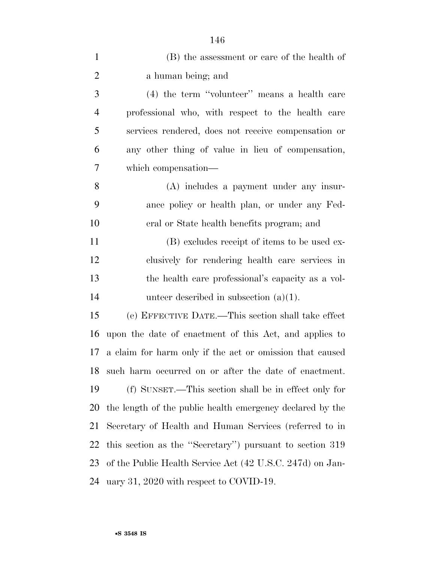| $\mathbf{1}$   | (B) the assessment or care of the health of               |
|----------------|-----------------------------------------------------------|
| $\overline{2}$ | a human being; and                                        |
| 3              | (4) the term "volunteer" means a health care              |
| $\overline{4}$ | professional who, with respect to the health care         |
| 5              | services rendered, does not receive compensation or       |
| 6              | any other thing of value in lieu of compensation,         |
| 7              | which compensation—                                       |
| 8              | (A) includes a payment under any insur-                   |
| 9              | ance policy or health plan, or under any Fed-             |
| 10             | eral or State health benefits program; and                |
| 11             | (B) excludes receipt of items to be used ex-              |
| 12             | clusively for rendering health care services in           |
| 13             | the health care professional's capacity as a vol-         |
| 14             | unteer described in subsection $(a)(1)$ .                 |
| 15             | (e) EFFECTIVE DATE.—This section shall take effect        |
| 16             | upon the date of enactment of this Act, and applies to    |
| 17             | a claim for harm only if the act or omission that caused  |
| 18             | such harm occurred on or after the date of enactment.     |
| 19             | (f) SUNSET.—This section shall be in effect only for      |
| 20             | the length of the public health emergency declared by the |
| 21             | Secretary of Health and Human Services (referred to in    |
| 22             | this section as the "Secretary") pursuant to section 319  |
| 23             | of the Public Health Service Act (42 U.S.C. 247d) on Jan- |
| 24             | uary 31, 2020 with respect to COVID-19.                   |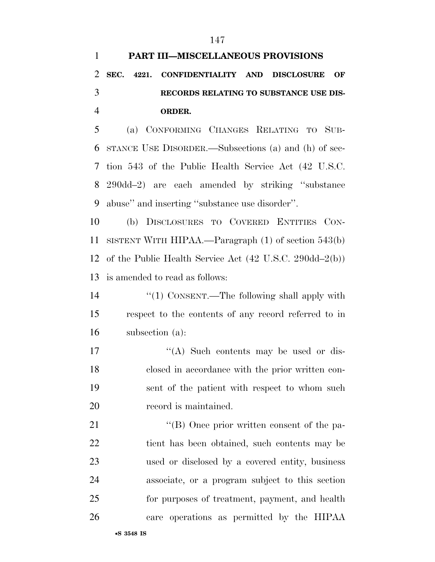| $\mathbf{1}$   | PART III-MISCELLANEOUS PROVISIONS                                                  |
|----------------|------------------------------------------------------------------------------------|
| $\overline{2}$ | SEC. 4221.<br><b>CONFIDENTIALITY AND</b><br><b>DISCLOSURE</b><br>OF                |
| 3              | RECORDS RELATING TO SUBSTANCE USE DIS-                                             |
| $\overline{4}$ | ORDER.                                                                             |
| 5              | (a) CONFORMING CHANGES RELATING TO SUB-                                            |
| 6              | STANCE USE DISORDER.—Subsections (a) and (h) of sec-                               |
| 7              | tion 543 of the Public Health Service Act (42 U.S.C.                               |
| 8              | 290dd-2) are each amended by striking "substance"                                  |
| 9              | abuse" and inserting "substance use disorder".                                     |
| 10             | (b) DISCLOSURES TO COVERED ENTITIES CON-                                           |
| 11             | SISTENT WITH HIPAA.—Paragraph $(1)$ of section 543(b)                              |
| 12             | of the Public Health Service Act $(42 \text{ U.S.C. } 290\text{dd} - 2\text{(b)})$ |
| 13             | is amended to read as follows:                                                     |
| 14             | "(1) CONSENT.—The following shall apply with                                       |
| 15             | respect to the contents of any record referred to in                               |
| 16             | subsection (a):                                                                    |
| 17             | "(A) Such contents may be used or dis-                                             |
| 18             | closed in accordance with the prior written con-                                   |
| 19             | sent of the patient with respect to whom such                                      |
| 20             | record is maintained.                                                              |
| 21             | "(B) Once prior written consent of the pa-                                         |
| 22             | tient has been obtained, such contents may be                                      |
| 23             | used or disclosed by a covered entity, business                                    |
| 24             | associate, or a program subject to this section                                    |
| 25             | for purposes of treatment, payment, and health                                     |
| 26             | care operations as permitted by the HIPAA                                          |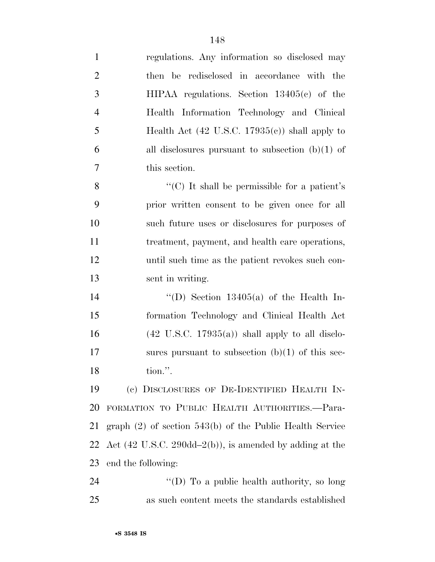| $\mathbf{1}$   | regulations. Any information so disclosed may                                |
|----------------|------------------------------------------------------------------------------|
| $\overline{2}$ | then be redisclosed in accordance with the                                   |
| 3              | $HIPAA$ regulations. Section $13405(c)$ of the                               |
| $\overline{4}$ | Health Information Technology and Clinical                                   |
| 5              | Health Act (42 U.S.C. 17935 $(e)$ ) shall apply to                           |
| 6              | all disclosures pursuant to subsection $(b)(1)$ of                           |
| 7              | this section.                                                                |
| 8              | "(C) It shall be permissible for a patient's                                 |
| 9              | prior written consent to be given once for all                               |
| 10             | such future uses or disclosures for purposes of                              |
| 11             | treatment, payment, and health care operations,                              |
| 12             | until such time as the patient revokes such con-                             |
| 13             | sent in writing.                                                             |
| 14             | "(D) Section $13405(a)$ of the Health In-                                    |
| 15             | formation Technology and Clinical Health Act                                 |
| 16             | $(42 \text{ U.S.C. } 17935(a))$ shall apply to all disclo-                   |
| 17             | sures pursuant to subsection $(b)(1)$ of this sec-                           |
| 18             | tion.".                                                                      |
| 19             | (c) DISCLOSURES OF DE-IDENTIFIED HEALTH IN-                                  |
| 20             | FORMATION TO PUBLIC HEALTH AUTHORITIES.-Para-                                |
| 21             | graph $(2)$ of section 543(b) of the Public Health Service                   |
| 22             | Act $(42 \text{ U.S.C. } 290\text{dd} - 2(b))$ , is amended by adding at the |
| 23             | end the following:                                                           |
| 24             | "(D) To a public health authority, so long                                   |
| 25             | as such content meets the standards established                              |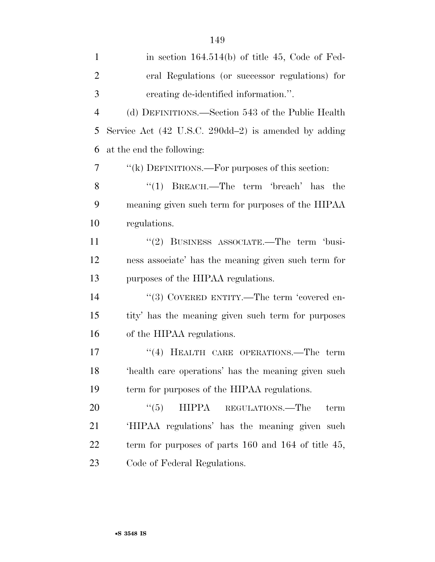| $\mathbf{1}$   | in section $164.514(b)$ of title 45, Code of Fed-          |
|----------------|------------------------------------------------------------|
| $\overline{2}$ | eral Regulations (or successor regulations) for            |
| 3              | creating de-identified information.".                      |
| $\overline{4}$ | (d) DEFINITIONS.—Section 543 of the Public Health          |
| 5              | Service Act (42 U.S.C. 290dd-2) is amended by adding       |
| 6              | at the end the following:                                  |
| 7              | "(k) DEFINITIONS.—For purposes of this section:            |
| 8              | ``(1)<br>BREACH.—The term 'breach' has the                 |
| 9              | meaning given such term for purposes of the HIPAA          |
| 10             | regulations.                                               |
| 11             | "(2) BUSINESS ASSOCIATE.—The term 'busi-                   |
| 12             | ness associate' has the meaning given such term for        |
| 13             | purposes of the HIPAA regulations.                         |
| 14             | "(3) COVERED ENTITY.—The term 'covered en-                 |
| 15             | tity' has the meaning given such term for purposes         |
| 16             | of the HIPAA regulations.                                  |
| 17             | "(4) HEALTH CARE OPERATIONS.—The term                      |
| 18             | 'health care operations' has the meaning given such        |
| 19             | term for purposes of the HIPAA regulations.                |
| 20             | ``(5)<br><b>HIPPA</b><br>REGULATIONS.—The<br>term          |
| 21             | 'HIPAA regulations' has the meaning given such             |
| 22             | term for purposes of parts $160$ and $164$ of title $45$ , |
| 23             | Code of Federal Regulations.                               |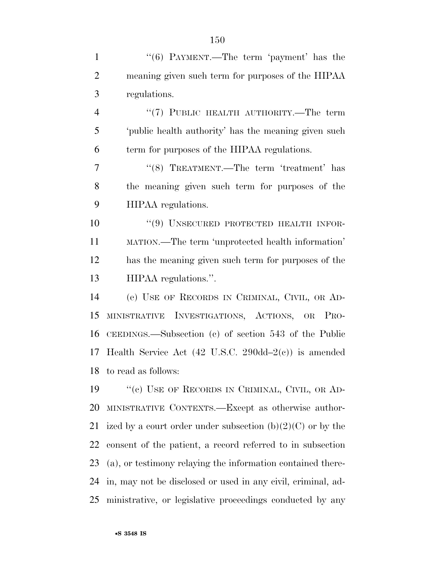1 "(6) PAYMENT.—The term 'payment' has the meaning given such term for purposes of the HIPAA regulations. ''(7) PUBLIC HEALTH AUTHORITY.—The term 'public health authority' has the meaning given such term for purposes of the HIPAA regulations. 7 "(8) TREATMENT.—The term 'treatment' has the meaning given such term for purposes of the HIPAA regulations. 10 "(9) UNSECURED PROTECTED HEALTH INFOR- MATION.—The term 'unprotected health information' has the meaning given such term for purposes of the HIPAA regulations.''. (e) USE OF RECORDS IN CRIMINAL, CIVIL, OR AD- MINISTRATIVE INVESTIGATIONS, ACTIONS, OR PRO- CEEDINGS.—Subsection (c) of section 543 of the Public Health Service Act (42 U.S.C. 290dd–2(c)) is amended to read as follows: 19 "(c) USE OF RECORDS IN CRIMINAL, CIVIL, OR AD- MINISTRATIVE CONTEXTS.—Except as otherwise author-21 ized by a court order under subsection  $(b)(2)(C)$  or by the consent of the patient, a record referred to in subsection (a), or testimony relaying the information contained there-in, may not be disclosed or used in any civil, criminal, ad-

ministrative, or legislative proceedings conducted by any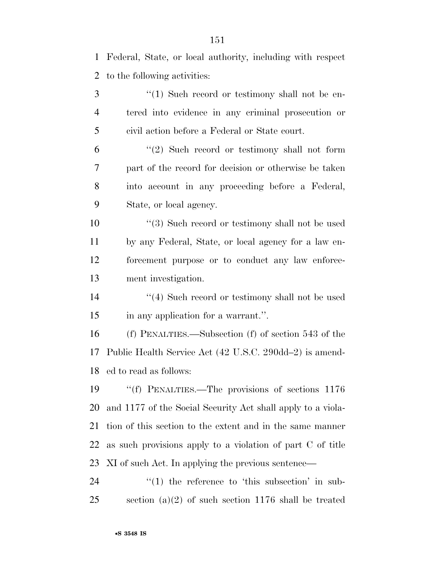Federal, State, or local authority, including with respect to the following activities:

3 "(1) Such record or testimony shall not be en- tered into evidence in any criminal prosecution or civil action before a Federal or State court.

 "(2) Such record or testimony shall not form part of the record for decision or otherwise be taken into account in any proceeding before a Federal, State, or local agency.

10 ''(3) Such record or testimony shall not be used by any Federal, State, or local agency for a law en- forcement purpose or to conduct any law enforce-ment investigation.

14 ''(4) Such record or testimony shall not be used in any application for a warrant.''.

 (f) PENALTIES.—Subsection (f) of section 543 of the Public Health Service Act (42 U.S.C. 290dd–2) is amend-ed to read as follows:

 ''(f) PENALTIES.—The provisions of sections 1176 and 1177 of the Social Security Act shall apply to a viola- tion of this section to the extent and in the same manner as such provisions apply to a violation of part C of title XI of such Act. In applying the previous sentence—

  $\qquad$   $\qquad$   $\qquad$   $\qquad$   $\qquad$   $\qquad$   $\qquad$   $\qquad$   $\qquad$   $\qquad$   $\qquad$   $\qquad$   $\qquad$   $\qquad$   $\qquad$   $\qquad$   $\qquad$   $\qquad$   $\qquad$   $\qquad$   $\qquad$   $\qquad$   $\qquad$   $\qquad$   $\qquad$   $\qquad$   $\qquad$   $\qquad$   $\qquad$   $\qquad$   $\qquad$   $\qquad$   $\qquad$   $\qquad$   $\qquad$   $\qquad$  section (a)(2) of such section 1176 shall be treated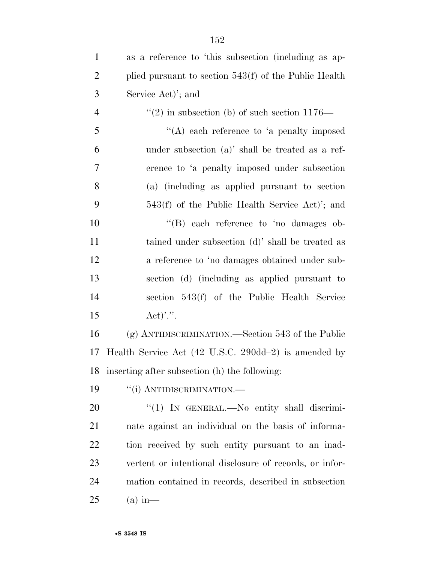| $\mathbf{1}$   | as a reference to 'this subsection (including as ap-    |
|----------------|---------------------------------------------------------|
| $\overline{2}$ | plied pursuant to section $543(f)$ of the Public Health |
| 3              | Service Act)'; and                                      |
| $\overline{4}$ | "(2) in subsection (b) of such section $1176-$          |
| 5              | $\lq\lq$ each reference to 'a penalty imposed           |
| 6              | under subsection (a)' shall be treated as a ref-        |
| 7              | erence to 'a penalty imposed under subsection           |
| 8              | (a) (including as applied pursuant to section           |
| 9              | 543(f) of the Public Health Service Act)'; and          |
| 10             | $\lq\lq$ (B) each reference to 'no damages ob-          |
| 11             | tained under subsection (d)' shall be treated as        |
| 12             | a reference to 'no damages obtained under sub-          |
| 13             | section (d) (including as applied pursuant to           |
| 14             | section 543(f) of the Public Health Service             |
| 15             | $\text{Act})\overset{\prime\prime}{\cdots}$             |
| 16             | $(g)$ ANTIDISCRIMINATION.—Section 543 of the Public     |
| 17             | Health Service Act (42 U.S.C. 290dd-2) is amended by    |
|                | 18 inserting after subsection (h) the following:        |
| 19             | "(i) ANTIDISCRIMINATION.—                               |
| 20             | "(1) IN GENERAL.—No entity shall discrimi-              |
| 21             | nate against an individual on the basis of informa-     |
| 22             | tion received by such entity pursuant to an inad-       |
| 23             | vertent or intentional disclosure of records, or infor- |
| 24             | mation contained in records, described in subsection    |
| 25             | $(a)$ in —                                              |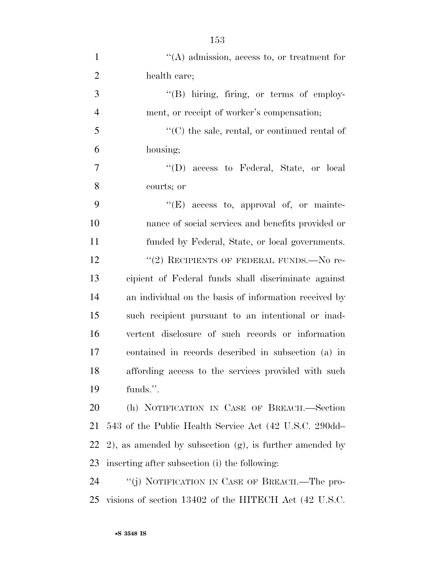| $\mathbf{1}$   | $\lq\lq$ admission, access to, or treatment for                |
|----------------|----------------------------------------------------------------|
| $\overline{2}$ | health care;                                                   |
| 3              | "(B) hiring, firing, or terms of employ-                       |
| $\overline{4}$ | ment, or receipt of worker's compensation;                     |
| 5              | $\lq\lq$ (C) the sale, rental, or continued rental of          |
| 6              | housing;                                                       |
| 7              | "(D) access to Federal, State, or local                        |
| 8              | courts; or                                                     |
| 9              | $\lq\lq(E)$ access to, approval of, or mainte-                 |
| 10             | nance of social services and benefits provided or              |
| 11             | funded by Federal, State, or local governments.                |
| 12             | "(2) RECIPIENTS OF FEDERAL FUNDS.—No re-                       |
| 13             | cipient of Federal funds shall discriminate against            |
| 14             | an individual on the basis of information received by          |
| 15             | such recipient pursuant to an intentional or inad-             |
| 16             | vertent disclosure of such records or information              |
| 17             | contained in records described in subsection (a) in            |
| 18             | affording access to the services provided with such            |
| 19             | funds.".                                                       |
| 20             | (h) NOTIFICATION IN CASE OF BREACH.-Section                    |
| 21             | 543 of the Public Health Service Act (42 U.S.C. 290dd—         |
| 22             | $(2)$ , as amended by subsection $(g)$ , is further amended by |
| 23             | inserting after subsection (i) the following:                  |
| 24             | "(j) NOTIFICATION IN CASE OF BREACH.—The pro-                  |
| 25             | visions of section 13402 of the HITECH Act (42 U.S.C.          |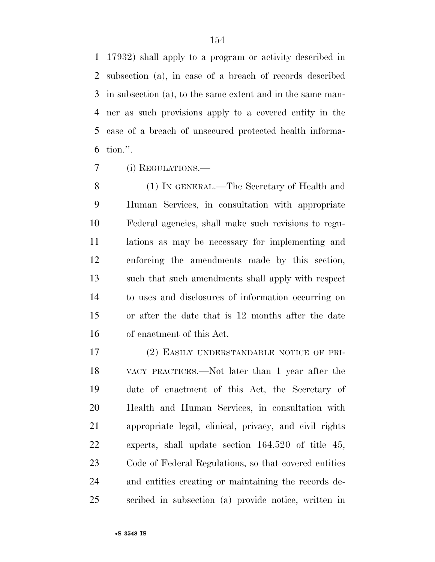17932) shall apply to a program or activity described in subsection (a), in case of a breach of records described in subsection (a), to the same extent and in the same man- ner as such provisions apply to a covered entity in the case of a breach of unsecured protected health informa-tion.''.

(i) REGULATIONS.—

 (1) IN GENERAL.—The Secretary of Health and Human Services, in consultation with appropriate Federal agencies, shall make such revisions to regu- lations as may be necessary for implementing and enforcing the amendments made by this section, such that such amendments shall apply with respect to uses and disclosures of information occurring on or after the date that is 12 months after the date of enactment of this Act.

 (2) EASILY UNDERSTANDABLE NOTICE OF PRI- VACY PRACTICES.—Not later than 1 year after the date of enactment of this Act, the Secretary of Health and Human Services, in consultation with appropriate legal, clinical, privacy, and civil rights experts, shall update section 164.520 of title 45, Code of Federal Regulations, so that covered entities and entities creating or maintaining the records de-scribed in subsection (a) provide notice, written in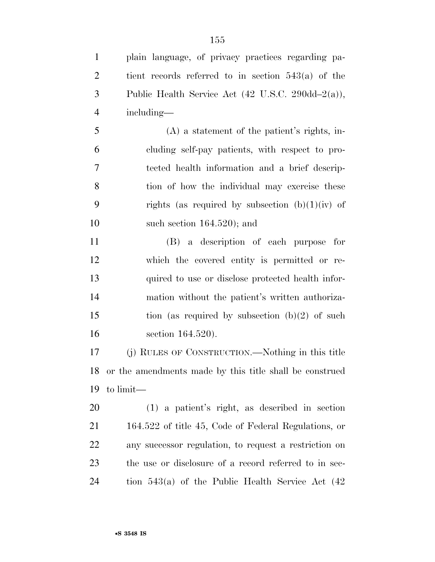plain language, of privacy practices regarding pa- tient records referred to in section 543(a) of the Public Health Service Act (42 U.S.C. 290dd–2(a)), including—

 (A) a statement of the patient's rights, in- cluding self-pay patients, with respect to pro- tected health information and a brief descrip- tion of how the individual may exercise these 9 rights (as required by subsection  $(b)(1)(iv)$  of such section 164.520); and

 (B) a description of each purpose for which the covered entity is permitted or re- quired to use or disclose protected health infor- mation without the patient's written authoriza-15 tion (as required by subsection  $(b)(2)$  of such section 164.520).

 (j) RULES OF CONSTRUCTION.—Nothing in this title or the amendments made by this title shall be construed to limit—

 (1) a patient's right, as described in section 164.522 of title 45, Code of Federal Regulations, or any successor regulation, to request a restriction on the use or disclosure of a record referred to in sec-tion 543(a) of the Public Health Service Act (42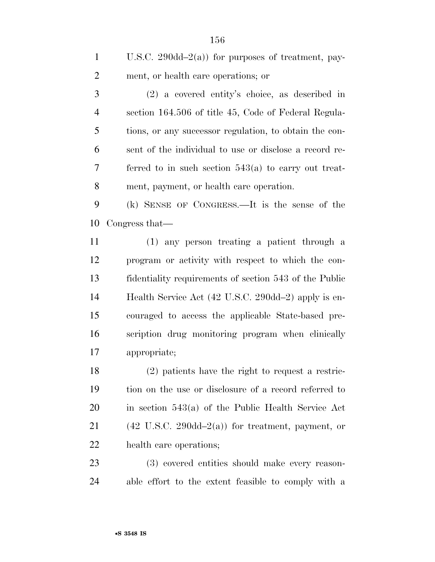U.S.C. 290dd–2(a)) for purposes of treatment, pay-ment, or health care operations; or

 (2) a covered entity's choice, as described in section 164.506 of title 45, Code of Federal Regula- tions, or any successor regulation, to obtain the con- sent of the individual to use or disclose a record re- ferred to in such section 543(a) to carry out treat-ment, payment, or health care operation.

 (k) SENSE OF CONGRESS.—It is the sense of the Congress that—

 (1) any person treating a patient through a program or activity with respect to which the con- fidentiality requirements of section 543 of the Public Health Service Act (42 U.S.C. 290dd–2) apply is en- couraged to access the applicable State-based pre- scription drug monitoring program when clinically appropriate;

 (2) patients have the right to request a restric- tion on the use or disclosure of a record referred to in section 543(a) of the Public Health Service Act 21 (42 U.S.C. 290dd–2(a)) for treatment, payment, or health care operations;

 (3) covered entities should make every reason-able effort to the extent feasible to comply with a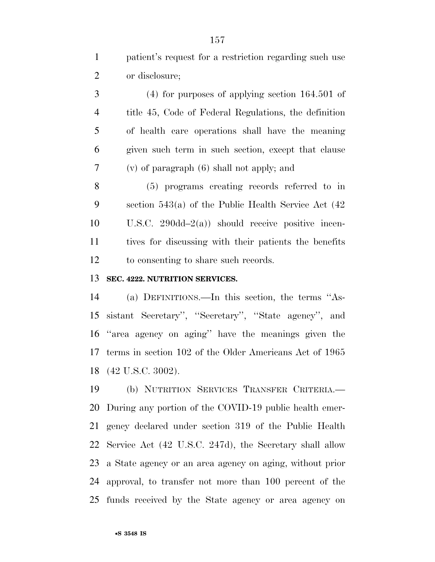patient's request for a restriction regarding such use or disclosure;

 (4) for purposes of applying section 164.501 of title 45, Code of Federal Regulations, the definition of health care operations shall have the meaning given such term in such section, except that clause (v) of paragraph (6) shall not apply; and

 (5) programs creating records referred to in section 543(a) of the Public Health Service Act (42 U.S.C. 290dd–2(a)) should receive positive incen- tives for discussing with their patients the benefits to consenting to share such records.

#### **SEC. 4222. NUTRITION SERVICES.**

 (a) DEFINITIONS.—In this section, the terms ''As- sistant Secretary'', ''Secretary'', ''State agency'', and ''area agency on aging'' have the meanings given the terms in section 102 of the Older Americans Act of 1965 (42 U.S.C. 3002).

 (b) NUTRITION SERVICES TRANSFER CRITERIA.— During any portion of the COVID-19 public health emer- gency declared under section 319 of the Public Health Service Act (42 U.S.C. 247d), the Secretary shall allow a State agency or an area agency on aging, without prior approval, to transfer not more than 100 percent of the funds received by the State agency or area agency on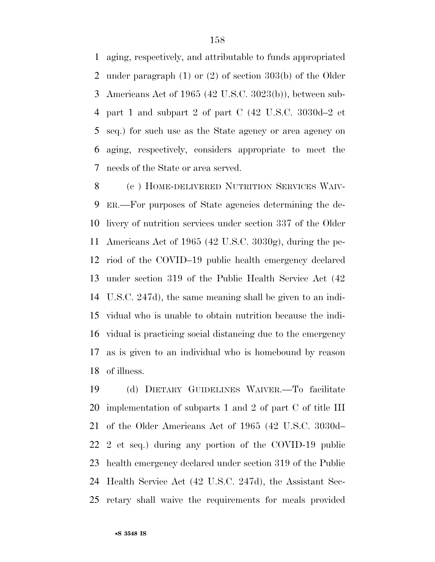aging, respectively, and attributable to funds appropriated under paragraph (1) or (2) of section 303(b) of the Older Americans Act of 1965 (42 U.S.C. 3023(b)), between sub- part 1 and subpart 2 of part C (42 U.S.C. 3030d–2 et seq.) for such use as the State agency or area agency on aging, respectively, considers appropriate to meet the needs of the State or area served.

 (c ) HOME-DELIVERED NUTRITION SERVICES WAIV- ER.—For purposes of State agencies determining the de- livery of nutrition services under section 337 of the Older Americans Act of 1965 (42 U.S.C. 3030g), during the pe- riod of the COVID–19 public health emergency declared under section 319 of the Public Health Service Act (42 U.S.C. 247d), the same meaning shall be given to an indi- vidual who is unable to obtain nutrition because the indi- vidual is practicing social distancing due to the emergency as is given to an individual who is homebound by reason of illness.

 (d) DIETARY GUIDELINES WAIVER.—To facilitate implementation of subparts 1 and 2 of part C of title III of the Older Americans Act of 1965 (42 U.S.C. 3030d– 2 et seq.) during any portion of the COVID-19 public health emergency declared under section 319 of the Public Health Service Act (42 U.S.C. 247d), the Assistant Sec-retary shall waive the requirements for meals provided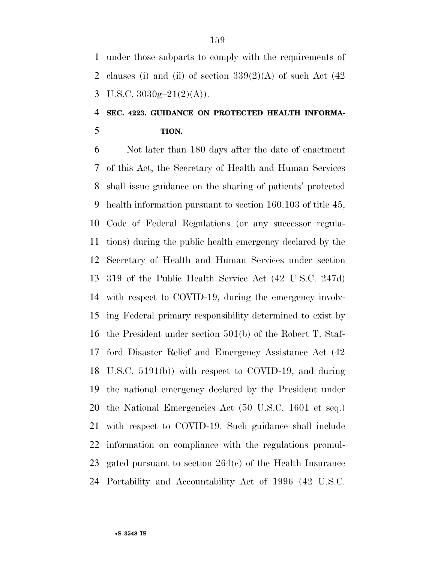under those subparts to comply with the requirements of 2 clauses (i) and (ii) of section  $339(2)(A)$  of such Act  $(42)$ 3 U.S.C.  $3030g-21(2)(A)$ .

## **SEC. 4223. GUIDANCE ON PROTECTED HEALTH INFORMA-TION.**

 Not later than 180 days after the date of enactment of this Act, the Secretary of Health and Human Services shall issue guidance on the sharing of patients' protected health information pursuant to section 160.103 of title 45, Code of Federal Regulations (or any successor regula- tions) during the public health emergency declared by the Secretary of Health and Human Services under section 319 of the Public Health Service Act (42 U.S.C. 247d) with respect to COVID-19, during the emergency involv- ing Federal primary responsibility determined to exist by the President under section 501(b) of the Robert T. Staf- ford Disaster Relief and Emergency Assistance Act (42 U.S.C. 5191(b)) with respect to COVID-19, and during the national emergency declared by the President under the National Emergencies Act (50 U.S.C. 1601 et seq.) with respect to COVID-19. Such guidance shall include information on compliance with the regulations promul- gated pursuant to section 264(c) of the Health Insurance Portability and Accountability Act of 1996 (42 U.S.C.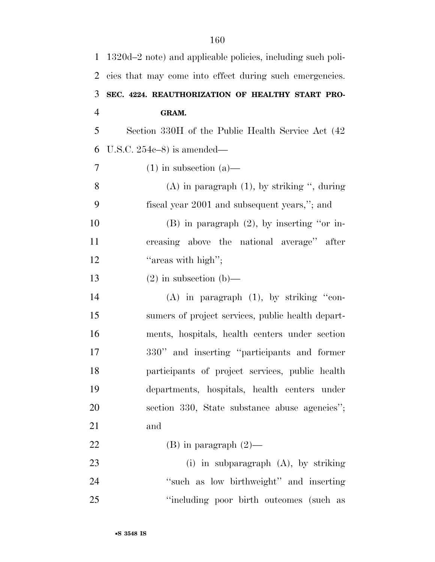| $\mathbf{1}$   | 1320d–2 note) and applicable policies, including such poli- |
|----------------|-------------------------------------------------------------|
| 2              | cies that may come into effect during such emergencies.     |
| 3              | SEC. 4224. REAUTHORIZATION OF HEALTHY START PRO-            |
| $\overline{4}$ | GRAM.                                                       |
| 5              | Section 330H of the Public Health Service Act (42)          |
| 6              | U.S.C. $254e-8$ ) is amended—                               |
| $\tau$         | $(1)$ in subsection $(a)$ —                                 |
| 8              | $(A)$ in paragraph $(1)$ , by striking ", during            |
| 9              | fiscal year 2001 and subsequent years,"; and                |
| 10             | $(B)$ in paragraph $(2)$ , by inserting "or in-             |
| 11             | creasing above the national average" after                  |
| 12             | "areas with high";                                          |
| 13             | $(2)$ in subsection $(b)$ —                                 |
| 14             | $(A)$ in paragraph $(1)$ , by striking "con-                |
| 15             | sumers of project services, public health depart-           |
| 16             | ments, hospitals, health centers under section              |
| 17             | 330" and inserting "participants and former                 |
| 18             | participants of project services, public health             |
| 19             | departments, hospitals, health centers under                |
| 20             | section 330, State substance abuse agencies";               |
| 21             | and                                                         |
| 22             | (B) in paragraph $(2)$ —                                    |
| 23             | (i) in subparagraph $(A)$ , by striking                     |
| 24             | "such as low birthweight" and inserting                     |
| 25             | "including poor birth outcomes (such as                     |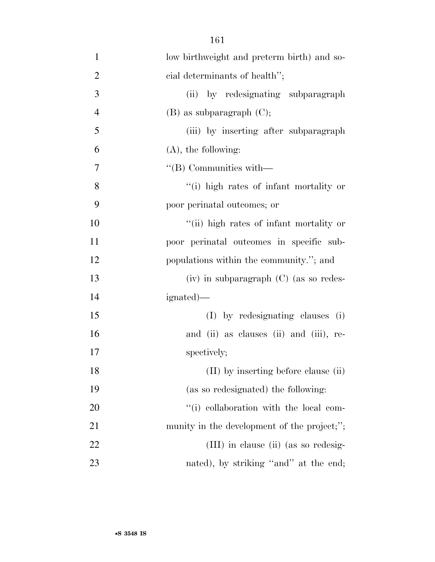| $\mathbf{1}$   | low birthweight and preterm birth) and so-  |
|----------------|---------------------------------------------|
| $\overline{2}$ | cial determinants of health";               |
| 3              | (ii) by redesignating subparagraph          |
| $\overline{4}$ | $(B)$ as subparagraph $(C)$ ;               |
| 5              | (iii) by inserting after subparagraph       |
| 6              | $(A)$ , the following:                      |
| 7              | $\lq\lq$ Communities with $\lq$             |
| 8              | "(i) high rates of infant mortality or      |
| 9              | poor perinatal outcomes; or                 |
| 10             | "(ii) high rates of infant mortality or     |
| 11             | poor perinatal outcomes in specific sub-    |
| 12             | populations within the community."; and     |
| 13             | $(iv)$ in subparagraph $(C)$ (as so redes-  |
| 14             | ignated)—                                   |
| 15             | (I) by redesignating clauses (i)            |
| 16             | and (ii) as clauses (ii) and (iii), re-     |
| 17             | spectively;                                 |
| 18             | (II) by inserting before clause (ii)        |
| 19             | (as so redesignated) the following:         |
| 20             | "(i) collaboration with the local com-      |
| 21             | munity in the development of the project;"; |
| 22             | (III) in clause (ii) (as so redesig-        |
| 23             | nated), by striking "and" at the end;       |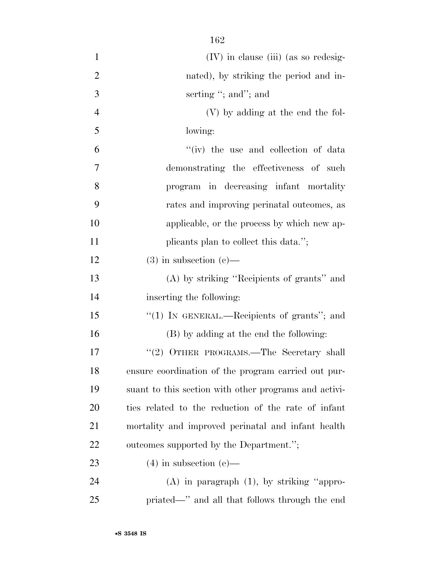| $\mathbf{1}$   | $(IV)$ in clause (iii) (as so redesig-                |
|----------------|-------------------------------------------------------|
| $\overline{2}$ | nated), by striking the period and in-                |
| 3              | serting "; and"; and                                  |
| $\overline{4}$ | (V) by adding at the end the fol-                     |
| 5              | lowing:                                               |
| 6              | "(iv) the use and collection of data                  |
| 7              | demonstrating the effectiveness of such               |
| 8              | program in decreasing infant mortality                |
| 9              | rates and improving perinatal outcomes, as            |
| 10             | applicable, or the process by which new ap-           |
| 11             | plicants plan to collect this data.";                 |
| 12             | $(3)$ in subsection $(e)$ —                           |
| 13             | (A) by striking "Recipients of grants" and            |
| 14             | inserting the following:                              |
| 15             | "(1) IN GENERAL.—Recipients of grants"; and           |
| 16             | (B) by adding at the end the following:               |
| 17             | "(2) OTHER PROGRAMS.—The Secretary shall              |
| 18             | ensure coordination of the program carried out pur-   |
| 19             | suant to this section with other programs and activi- |
| 20             | ties related to the reduction of the rate of infant   |
| 21             | mortality and improved perinatal and infant health    |
| 22             | outcomes supported by the Department.";               |
| 23             | $(4)$ in subsection $(e)$ —                           |
| 24             | $(A)$ in paragraph $(1)$ , by striking "appro-        |
| 25             | priated—" and all that follows through the end        |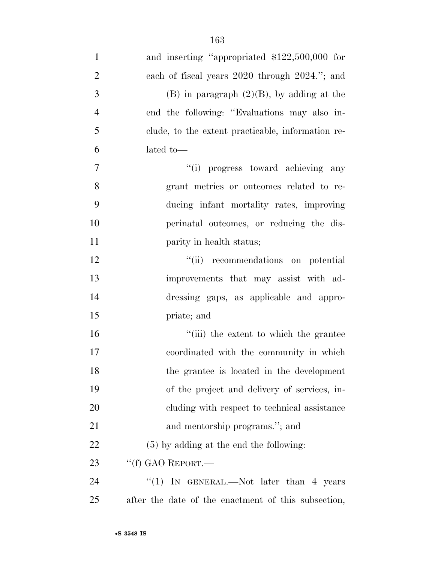| $\mathbf{1}$   | and inserting "appropriated \$122,500,000 for       |
|----------------|-----------------------------------------------------|
| $\overline{2}$ | each of fiscal years 2020 through 2024."; and       |
| 3              | $(B)$ in paragraph $(2)(B)$ , by adding at the      |
| $\overline{4}$ | end the following: "Evaluations may also in-        |
| 5              | clude, to the extent practicable, information re-   |
| 6              | lated to-                                           |
| $\tau$         | "(i) progress toward achieving any                  |
| 8              | grant metrics or outcomes related to re-            |
| 9              | ducing infant mortality rates, improving            |
| 10             | perinatal outcomes, or reducing the dis-            |
| 11             | parity in health status;                            |
| 12             | "(ii) recommendations on potential                  |
| 13             | improvements that may assist with ad-               |
| 14             | dressing gaps, as applicable and appro-             |
| 15             | priate; and                                         |
| 16             | "(iii) the extent to which the grantee              |
| 17             | coordinated with the community in which             |
| 18             | the grantee is located in the development           |
| 19             | of the project and delivery of services, in-        |
| 20             | cluding with respect to technical assistance        |
| 21             | and mentorship programs."; and                      |
| 22             | $(5)$ by adding at the end the following:           |
| 23             | "(f) GAO REPORT.—                                   |
| 24             | "(1) IN GENERAL.—Not later than 4 years             |
| 25             | after the date of the enactment of this subsection, |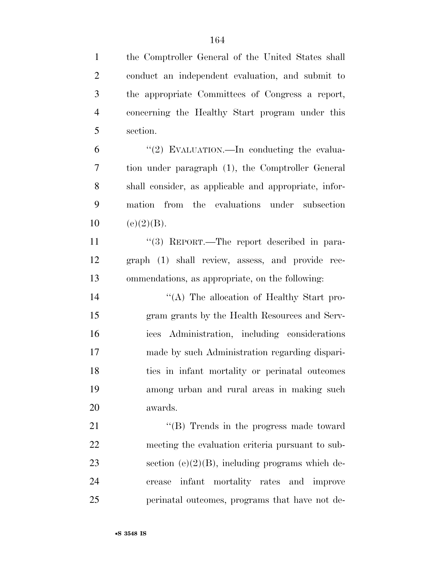the Comptroller General of the United States shall conduct an independent evaluation, and submit to the appropriate Committees of Congress a report, concerning the Healthy Start program under this section.  $(2)$  EVALUATION.—In conducting the evalua- tion under paragraph (1), the Comptroller General shall consider, as applicable and appropriate, infor- mation from the evaluations under subsection 10 (e)(2)(B). 11 "(3) REPORT.—The report described in para- graph (1) shall review, assess, and provide rec- ommendations, as appropriate, on the following: ''(A) The allocation of Healthy Start pro- gram grants by the Health Resources and Serv- ices Administration, including considerations made by such Administration regarding dispari- ties in infant mortality or perinatal outcomes among urban and rural areas in making such awards. 21 ''(B) Trends in the progress made toward meeting the evaluation criteria pursuant to sub-23 section  $(e)(2)(B)$ , including programs which de- crease infant mortality rates and improve perinatal outcomes, programs that have not de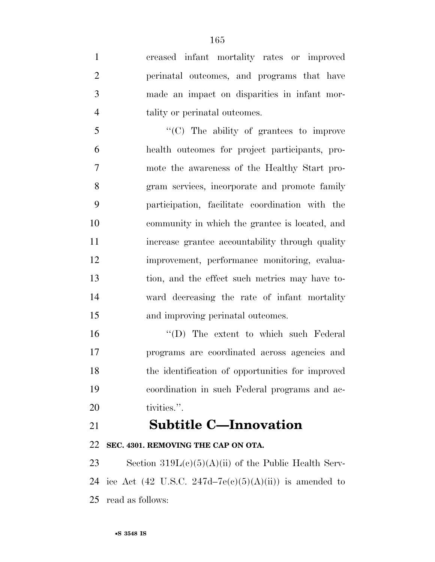creased infant mortality rates or improved perinatal outcomes, and programs that have made an impact on disparities in infant mor-tality or perinatal outcomes.

 ''(C) The ability of grantees to improve health outcomes for project participants, pro- mote the awareness of the Healthy Start pro- gram services, incorporate and promote family participation, facilitate coordination with the community in which the grantee is located, and increase grantee accountability through quality improvement, performance monitoring, evalua- tion, and the effect such metrics may have to- ward decreasing the rate of infant mortality and improving perinatal outcomes.

16 "'(D) The extent to which such Federal programs are coordinated across agencies and the identification of opportunities for improved coordination in such Federal programs and ac-20 tivities.".

## **Subtitle C—Innovation**

**SEC. 4301. REMOVING THE CAP ON OTA.** 

23 Section  $319L(c)(5)(A)(ii)$  of the Public Health Serv-24 ice Act (42 U.S.C. 247d–7 $e(e)(5)(A)(ii)$ ) is amended to read as follows: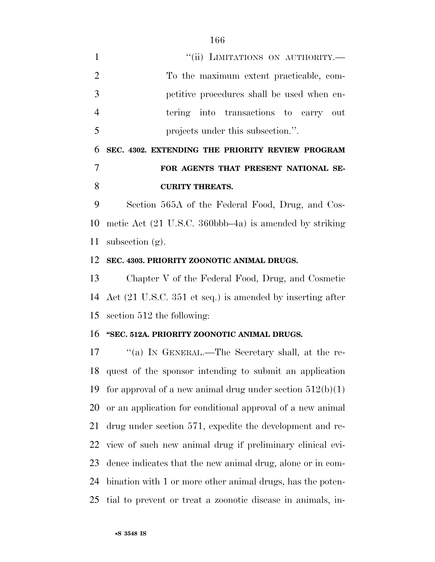1 "(ii) LIMITATIONS ON AUTHORITY.— To the maximum extent practicable, com- petitive procedures shall be used when en- tering into transactions to carry out projects under this subsection.''.

# **SEC. 4302. EXTENDING THE PRIORITY REVIEW PROGRAM FOR AGENTS THAT PRESENT NATIONAL SE-CURITY THREATS.**

 Section 565A of the Federal Food, Drug, and Cos- metic Act (21 U.S.C. 360bbb–4a) is amended by striking subsection (g).

#### **SEC. 4303. PRIORITY ZOONOTIC ANIMAL DRUGS.**

 Chapter V of the Federal Food, Drug, and Cosmetic Act (21 U.S.C. 351 et seq.) is amended by inserting after section 512 the following:

#### **''SEC. 512A. PRIORITY ZOONOTIC ANIMAL DRUGS.**

 ''(a) IN GENERAL.—The Secretary shall, at the re- quest of the sponsor intending to submit an application 19 for approval of a new animal drug under section  $512(b)(1)$  or an application for conditional approval of a new animal drug under section 571, expedite the development and re- view of such new animal drug if preliminary clinical evi- dence indicates that the new animal drug, alone or in com- bination with 1 or more other animal drugs, has the poten-tial to prevent or treat a zoonotic disease in animals, in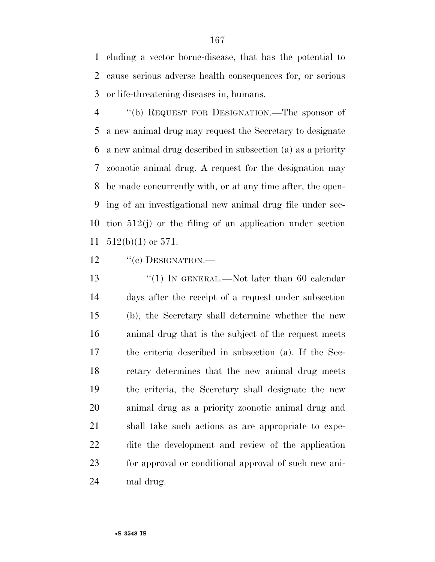cluding a vector borne-disease, that has the potential to cause serious adverse health consequences for, or serious or life-threatening diseases in, humans.

 ''(b) REQUEST FOR DESIGNATION.—The sponsor of a new animal drug may request the Secretary to designate a new animal drug described in subsection (a) as a priority zoonotic animal drug. A request for the designation may be made concurrently with, or at any time after, the open- ing of an investigational new animal drug file under sec- tion 512(j) or the filing of an application under section 512(b)(1) or 571.

12 "(c) DESIGNATION.—

13 "(1) IN GENERAL.—Not later than 60 calendar days after the receipt of a request under subsection (b), the Secretary shall determine whether the new animal drug that is the subject of the request meets the criteria described in subsection (a). If the Sec- retary determines that the new animal drug meets the criteria, the Secretary shall designate the new animal drug as a priority zoonotic animal drug and shall take such actions as are appropriate to expe- dite the development and review of the application for approval or conditional approval of such new ani-mal drug.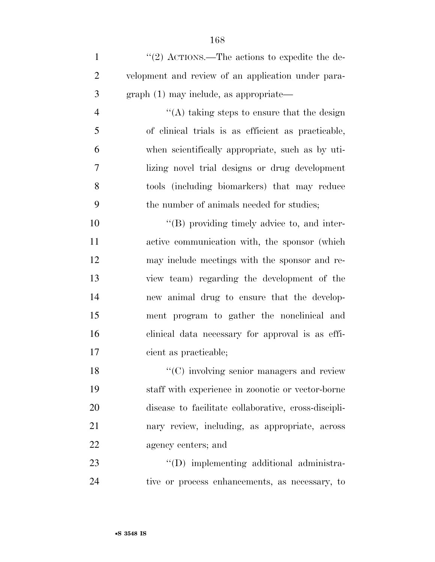1 ''(2) ACTIONS.—The actions to expedite the de- velopment and review of an application under para-graph (1) may include, as appropriate—

 ''(A) taking steps to ensure that the design of clinical trials is as efficient as practicable, when scientifically appropriate, such as by uti- lizing novel trial designs or drug development tools (including biomarkers) that may reduce the number of animals needed for studies;

 $\langle (B)$  providing timely advice to, and inter- active communication with, the sponsor (which may include meetings with the sponsor and re- view team) regarding the development of the new animal drug to ensure that the develop- ment program to gather the nonclinical and clinical data necessary for approval is as effi-cient as practicable;

18 ''(C) involving senior managers and review staff with experience in zoonotic or vector-borne disease to facilitate collaborative, cross-discipli- nary review, including, as appropriate, across agency centers; and

23  $\qquad$  ''(D) implementing additional administra-tive or process enhancements, as necessary, to

•**S 3548 IS**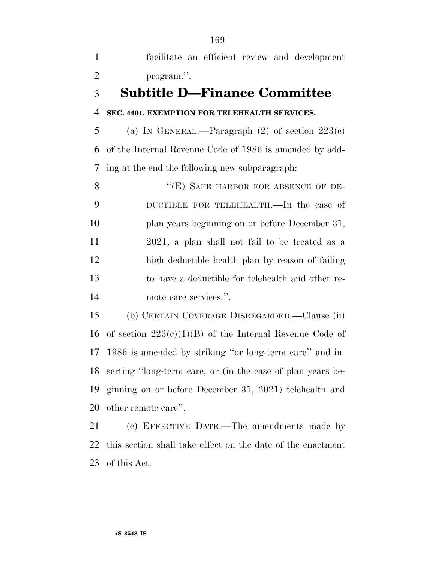facilitate an efficient review and development program.''.

## **Subtitle D—Finance Committee**

### **SEC. 4401. EXEMPTION FOR TELEHEALTH SERVICES.**

5 (a) IN GENERAL.—Paragraph  $(2)$  of section  $223(c)$  of the Internal Revenue Code of 1986 is amended by add-ing at the end the following new subparagraph:

8 "(E) SAFE HARBOR FOR ABSENCE OF DE- DUCTIBLE FOR TELEHEALTH.—In the case of plan years beginning on or before December 31, 2021, a plan shall not fail to be treated as a high deductible health plan by reason of failing to have a deductible for telehealth and other re-mote care services.''.

 (b) CERTAIN COVERAGE DISREGARDED.—Clause (ii) 16 of section  $223(c)(1)(B)$  of the Internal Revenue Code of 1986 is amended by striking ''or long-term care'' and in- serting ''long-term care, or (in the case of plan years be- ginning on or before December 31, 2021) telehealth and other remote care''.

 (c) EFFECTIVE DATE.—The amendments made by this section shall take effect on the date of the enactment of this Act.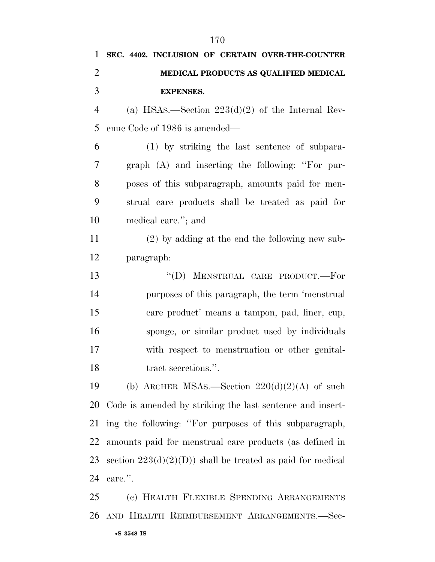| 1              | SEC. 4402. INCLUSION OF CERTAIN OVER-THE-COUNTER            |
|----------------|-------------------------------------------------------------|
| $\overline{2}$ | MEDICAL PRODUCTS AS QUALIFIED MEDICAL                       |
| 3              | <b>EXPENSES.</b>                                            |
| $\overline{4}$ | (a) HSAs.—Section $223(d)(2)$ of the Internal Rev-          |
| 5              | enue Code of 1986 is amended—                               |
| 6              | (1) by striking the last sentence of subpara-               |
| 7              | $graph$ (A) and inserting the following: "For pur-          |
| 8              | poses of this subparagraph, amounts paid for men-           |
| 9              | strual care products shall be treated as paid for           |
| 10             | medical care."; and                                         |
| 11             | $(2)$ by adding at the end the following new sub-           |
| 12             | paragraph:                                                  |
| 13             | "(D) MENSTRUAL CARE PRODUCT.-For                            |
| 14             | purposes of this paragraph, the term 'menstrual             |
| 15             | care product' means a tampon, pad, liner, cup,              |
| 16             | sponge, or similar product used by individuals              |
| 17             | with respect to menstruation or other genital-              |
| 18             | tract secretions.".                                         |
| 19             | (b) ARCHER MSAs.—Section $220(d)(2)(A)$ of such             |
| 20             | Code is amended by striking the last sentence and insert-   |
| 21             | ing the following: "For purposes of this subparagraph,      |
| 22             | amounts paid for menstrual care products (as defined in     |
| 23             | section $223(d)(2)(D)$ shall be treated as paid for medical |
| 24             | care.".                                                     |
| 25             | (c) HEALTH FLEXIBLE SPENDING ARRANGEMENTS                   |
| 26             | AND HEALTH REIMBURSEMENT ARRANGEMENTS.-Sec-                 |

•**S 3548 IS**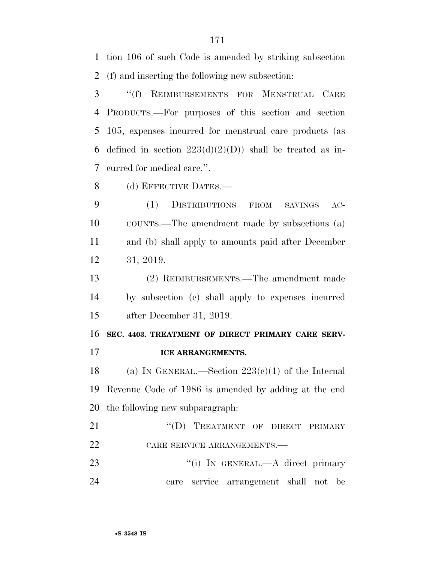tion 106 of such Code is amended by striking subsection (f) and inserting the following new subsection:

 ''(f) REIMBURSEMENTS FOR MENSTRUAL CARE PRODUCTS.—For purposes of this section and section 105, expenses incurred for menstrual care products (as 6 defined in section  $223(d)(2)(D)$  shall be treated as in-curred for medical care.''.

8 (d) EFFECTIVE DATES.—

 (1) DISTRIBUTIONS FROM SAVINGS AC- COUNTS.—The amendment made by subsections (a) and (b) shall apply to amounts paid after December 31, 2019.

 (2) REIMBURSEMENTS.—The amendment made by subsection (c) shall apply to expenses incurred after December 31, 2019.

 **SEC. 4403. TREATMENT OF DIRECT PRIMARY CARE SERV-ICE ARRANGEMENTS.** 

18 (a) IN GENERAL.—Section  $223(c)(1)$  of the Internal Revenue Code of 1986 is amended by adding at the end the following new subparagraph:

21 "
(D) TREATMENT OF DIRECT PRIMARY 22 CARE SERVICE ARRANGEMENTS.

23 "(i) In GENERAL.—A direct primary care service arrangement shall not be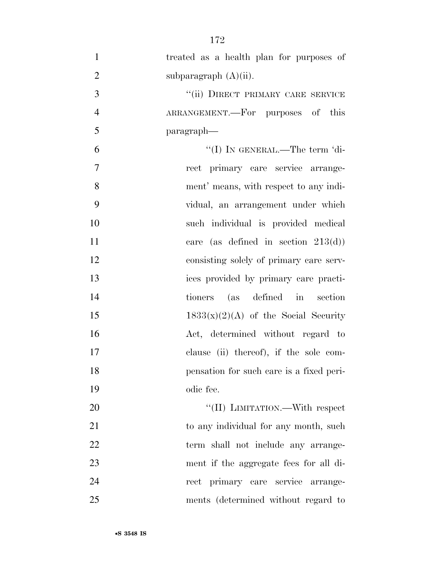treated as a health plan for purposes of 2 subparagraph  $(A)(ii)$ . 3 "(ii) DIRECT PRIMARY CARE SERVICE ARRANGEMENT.—For purposes of this paragraph— ''(I) IN GENERAL.—The term 'di- rect primary care service arrange- ment' means, with respect to any indi- vidual, an arrangement under which such individual is provided medical 11 care (as defined in section 213(d)) consisting solely of primary care serv- ices provided by primary care practi- tioners (as defined in section  $1833(x)(2)(A)$  of the Social Security Act, determined without regard to clause (ii) thereof), if the sole com- pensation for such care is a fixed peri- odic fee.  $\text{``(II)}$  LIMITATION.—With respect 21 to any individual for any month, such 22 term shall not include any arrange- ment if the aggregate fees for all di- rect primary care service arrange-ments (determined without regard to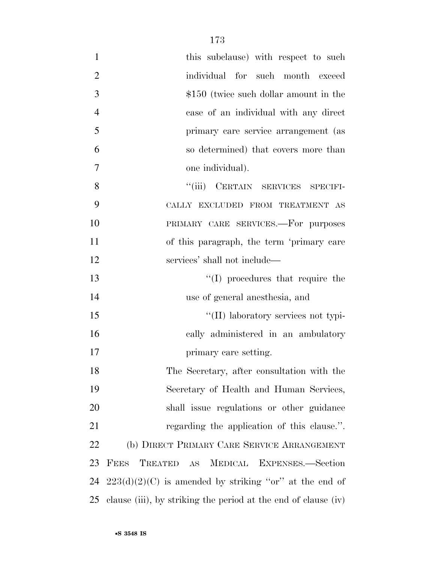| $\mathbf{1}$   | this subclause) with respect to such                             |
|----------------|------------------------------------------------------------------|
| $\overline{2}$ | individual for such month exceed                                 |
| 3              | $$150$ (twice such dollar amount in the                          |
| $\overline{4}$ | case of an individual with any direct                            |
| 5              | primary care service arrangement (as                             |
| 6              | so determined) that covers more than                             |
| $\tau$         | one individual).                                                 |
| 8              | "(iii) CERTAIN SERVICES SPECIFI-                                 |
| 9              | CALLY EXCLUDED FROM TREATMENT AS                                 |
| 10             | PRIMARY CARE SERVICES.-For purposes                              |
| 11             | of this paragraph, the term 'primary care                        |
| 12             | services' shall not include—                                     |
| 13             | $\lq\lq$ (I) procedures that require the                         |
| 14             | use of general anesthesia, and                                   |
| 15             | "(II) laboratory services not typi-                              |
| 16             | cally administered in an ambulatory                              |
| 17             | primary care setting.                                            |
| 18             | The Secretary, after consultation with the                       |
| 19             | Secretary of Health and Human Services,                          |
| 20             | shall issue regulations or other guidance                        |
| 21             | regarding the application of this clause.".                      |
| 22             | (b) DIRECT PRIMARY CARE SERVICE ARRANGEMENT                      |
| 23             | TREATED<br><b>FEES</b><br>MEDICAL EXPENSES.-Section<br><b>AS</b> |
| 24             | $223(d)(2)(C)$ is amended by striking "or" at the end of         |
| 25             | clause (iii), by striking the period at the end of clause (iv)   |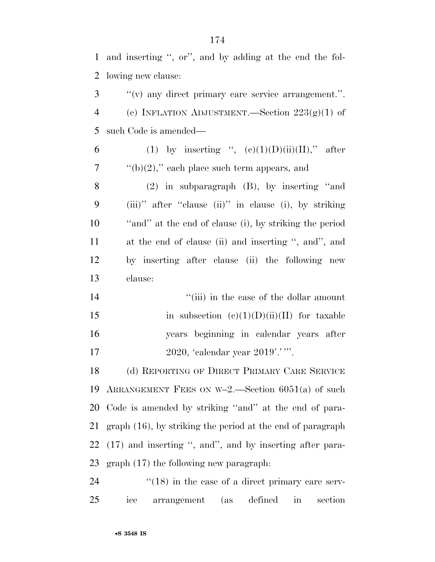and inserting '', or'', and by adding at the end the fol-lowing new clause:

 ''(v) any direct primary care service arrangement.''. 4 (c) INFLATION ADJUSTMENT.—Section  $223(g)(1)$  of such Code is amended—

| 6                 | (1) by inserting ", $(c)(1)(D)(ii)(II)$ ," after               |
|-------------------|----------------------------------------------------------------|
| $7\phantom{.0}\,$ | "(b)(2)," each place such term appears, and                    |
| 8                 | $(2)$ in subparagraph $(B)$ , by inserting "and                |
| 9                 | $(iii)$ " after "clause $(ii)$ " in clause $(i)$ , by striking |
| 10                | "and" at the end of clause (i), by striking the period         |
| 11                | at the end of clause (ii) and inserting ", and", and           |

 by inserting after clause (ii) the following new clause:

14 ''(iii) in the case of the dollar amount 15 in subsection  $(e)(1)(D)(ii)(II)$  for taxable years beginning in calendar years after 17 2020, 'calendar year 2019'.' '''.

 (d) REPORTING OF DIRECT PRIMARY CARE SERVICE ARRANGEMENT FEES ON W–2.—Section 6051(a) of such Code is amended by striking ''and'' at the end of para- graph (16), by striking the period at the end of paragraph (17) and inserting '', and'', and by inserting after para-graph (17) the following new paragraph:

24 ''(18) in the case of a direct primary care serv-ice arrangement (as defined in section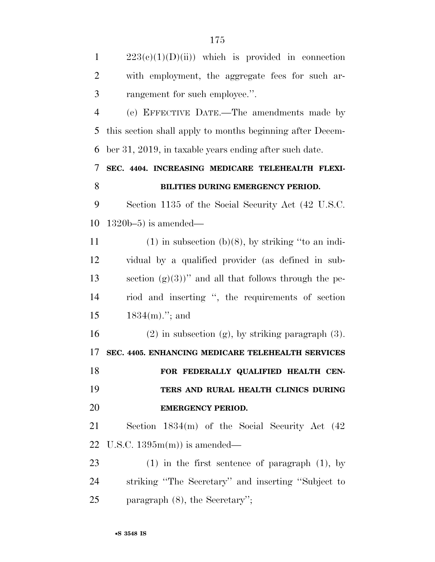|                | G 1 L                                                     |
|----------------|-----------------------------------------------------------|
| $\mathbf{1}$   | $223(e)(1)(D)(ii)$ which is provided in connection        |
| $\overline{2}$ | with employment, the aggregate fees for such ar-          |
| 3              | rangement for such employee.".                            |
| $\overline{4}$ | (e) EFFECTIVE DATE.—The amendments made by                |
| 5              | this section shall apply to months beginning after Decem- |
| 6              | ber 31, 2019, in taxable years ending after such date.    |
| 7              | SEC. 4404. INCREASING MEDICARE TELEHEALTH FLEXI-          |
| 8              | BILITIES DURING EMERGENCY PERIOD.                         |
| 9              | Section 1135 of the Social Security Act (42 U.S.C.        |
| 10             | $1320b-5$ ) is amended—                                   |
| 11             | $(1)$ in subsection (b)(8), by striking "to an indi-      |
| 12             | vidual by a qualified provider (as defined in sub-        |
| 13             | section $(g)(3)$ " and all that follows through the pe-   |
| 14             | riod and inserting ", the requirements of section         |
| 15             | $1834(m)$ ."; and                                         |
| 16             | $(2)$ in subsection $(g)$ , by striking paragraph $(3)$ . |
| 17             | SEC. 4405. ENHANCING MEDICARE TELEHEALTH SERVICES         |
| 18             | FOR FEDERALLY QUALIFIED HEALTH CEN-                       |
| 19             | TERS AND RURAL HEALTH CLINICS DURING                      |
| 20             | <b>EMERGENCY PERIOD.</b>                                  |
| 21             | Section $1834(m)$ of the Social Security Act $(42)$       |
| 22             | U.S.C. $1395m(m)$ is amended—                             |
| 23             | $(1)$ in the first sentence of paragraph $(1)$ , by       |
| 24             | striking "The Secretary" and inserting "Subject to        |
| 25             | paragraph $(8)$ , the Secretary";                         |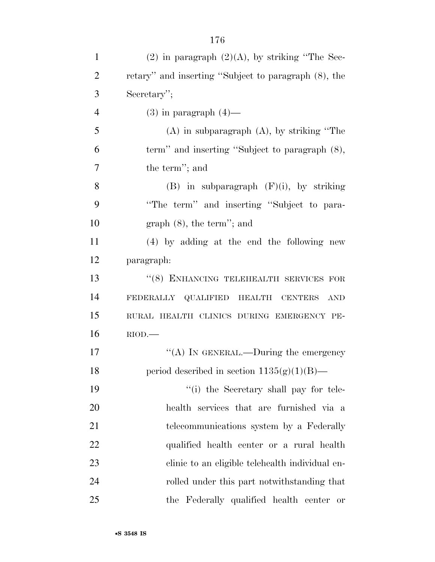| $\mathbf{1}$   | $(2)$ in paragraph $(2)(A)$ , by striking "The Sec-     |
|----------------|---------------------------------------------------------|
| $\overline{2}$ | retary" and inserting "Subject to paragraph $(8)$ , the |
| 3              | Secretary";                                             |
| $\overline{4}$ | $(3)$ in paragraph $(4)$ —                              |
| 5              | $(A)$ in subparagraph $(A)$ , by striking "The          |
| 6              | term" and inserting "Subject to paragraph (8),          |
| 7              | the term"; and                                          |
| 8              | $(B)$ in subparagraph $(F)(i)$ , by striking            |
| 9              | "The term" and inserting "Subject to para-              |
| 10             | $graph(8)$ , the term''; and                            |
| 11             | (4) by adding at the end the following new              |
| 12             | paragraph:                                              |
| 13             | "(8) ENHANCING TELEHEALTH SERVICES FOR                  |
| 14             | FEDERALLY QUALIFIED HEALTH CENTERS<br><b>AND</b>        |
| 15             | RURAL HEALTH CLINICS DURING EMERGENCY PE-               |
| 16             | $RIOD$ .                                                |
| 17             | "(A) IN GENERAL.—During the emergency                   |
| 18             | period described in section $1135(g)(1)(B)$ —           |
| 19             | "(i) the Secretary shall pay for tele-                  |
| 20             | health services that are furnished via a                |
| 21             | telecommunications system by a Federally                |
| 22             | qualified health center or a rural health               |
| 23             | clinic to an eligible telehealth individual en-         |
| 24             | rolled under this part notwithstanding that             |
| 25             | the Federally qualified health center or                |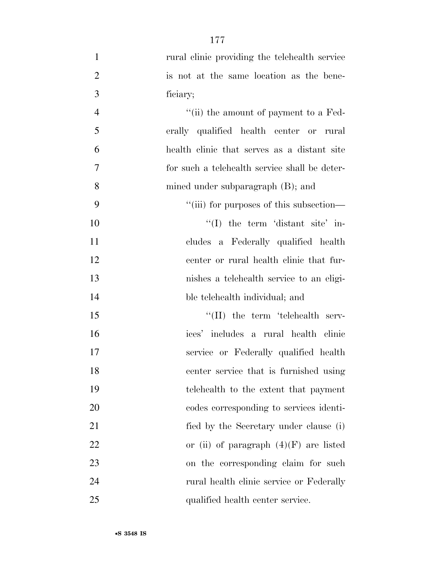| $\mathbf{1}$   | rural clinic providing the telehealth service |
|----------------|-----------------------------------------------|
| $\overline{2}$ | is not at the same location as the bene-      |
| 3              | ficiary;                                      |
| $\overline{4}$ | "(ii) the amount of payment to a Fed-         |
| 5              | erally qualified health center or rural       |
| 6              | health clinic that serves as a distant site   |
| 7              | for such a telehealth service shall be deter- |
| 8              | mined under subparagraph $(B)$ ; and          |
| 9              | "(iii) for purposes of this subsection—       |
| 10             | "(I) the term 'distant site' in-              |
| 11             | cludes a Federally qualified health           |
| 12             | center or rural health clinic that fur-       |
| 13             | nishes a telehealth service to an eligi-      |
| 14             | ble telehealth individual; and                |
| 15             | $\lq\lq$ (II) the term 'telehealth serv-      |
| 16             | ices' includes a rural health clinic          |
| 17             | service or Federally qualified health         |
| 18             | center service that is furnished using        |
| 19             | telehealth to the extent that payment         |
| 20             | codes corresponding to services identi-       |
| 21             | fied by the Secretary under clause (i)        |
| 22             | or (ii) of paragraph $(4)(F)$ are listed      |
| 23             | on the corresponding claim for such           |
| 24             | rural health clinic service or Federally      |
| 25             | qualified health center service.              |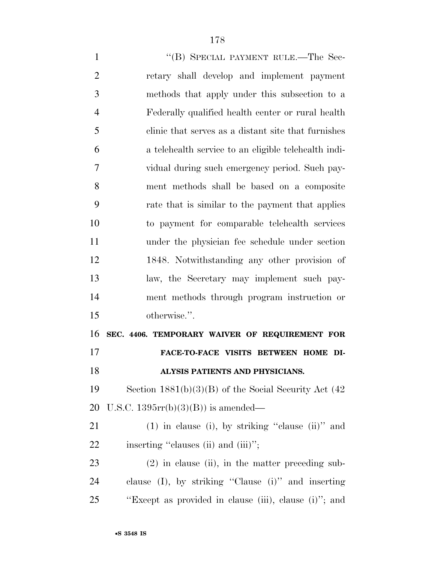1 "(B) SPECIAL PAYMENT RULE.—The Sec- retary shall develop and implement payment methods that apply under this subsection to a Federally qualified health center or rural health clinic that serves as a distant site that furnishes a telehealth service to an eligible telehealth indi- vidual during such emergency period. Such pay- ment methods shall be based on a composite rate that is similar to the payment that applies to payment for comparable telehealth services under the physician fee schedule under section 1848. Notwithstanding any other provision of law, the Secretary may implement such pay- ment methods through program instruction or otherwise.''. **SEC. 4406. TEMPORARY WAIVER OF REQUIREMENT FOR FACE-TO-FACE VISITS BETWEEN HOME DI- ALYSIS PATIENTS AND PHYSICIANS.**  Section 1881(b)(3)(B) of the Social Security Act (42 U.S.C. 1395rr(b)(3)(B)) is amended— (1) in clause (i), by striking ''clause (ii)'' and 22 inserting "clauses (ii) and (iii)"; (2) in clause (ii), in the matter preceding sub- clause (I), by striking ''Clause (i)'' and inserting ''Except as provided in clause (iii), clause (i)''; and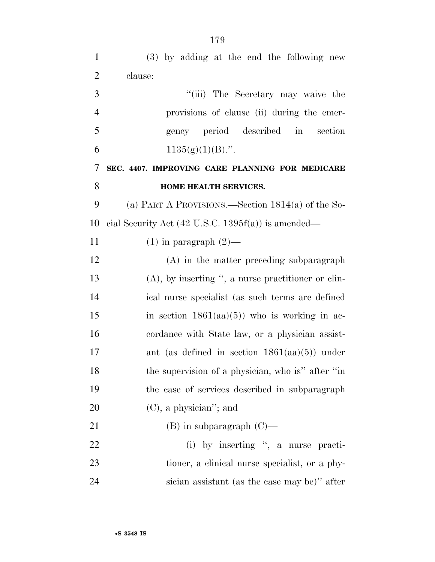| $\mathbf{1}$   | (3) by adding at the end the following new                    |
|----------------|---------------------------------------------------------------|
| $\overline{2}$ | clause:                                                       |
| 3              | "(iii) The Secretary may waive the                            |
| $\overline{4}$ | provisions of clause (ii) during the emer-                    |
| 5              | gency period described in<br>section                          |
| 6              | $1135(g)(1)(B)$ .".                                           |
| 7              | SEC. 4407. IMPROVING CARE PLANNING FOR MEDICARE               |
| 8              | HOME HEALTH SERVICES.                                         |
| 9              | (a) PART A PROVISIONS.—Section $1814(a)$ of the So-           |
| 10             | cial Security Act $(42 \text{ U.S.C. } 1395f(a))$ is amended— |
| 11             | $(1)$ in paragraph $(2)$ —                                    |
| 12             | (A) in the matter preceding subparagraph                      |
| 13             | $(A)$ , by inserting ", a nurse practitioner or clin-         |
| 14             | ical nurse specialist (as such terms are defined              |
| 15             | in section $1861(aa)(5)$ who is working in ac-                |
| 16             | cordance with State law, or a physician assist-               |
| 17             | ant (as defined in section $1861(aa)(5)$ ) under              |
| 18             | the supervision of a physician, who is" after "in             |
| 19             | the case of services described in subparagraph                |
| 20             | $(C)$ , a physician"; and                                     |
| 21             | $(B)$ in subparagraph $(C)$ —                                 |
| 22             | (i) by inserting ", a nurse practi-                           |
| 23             | tioner, a clinical nurse specialist, or a phy-                |
| 24             | sician assistant (as the case may be)" after                  |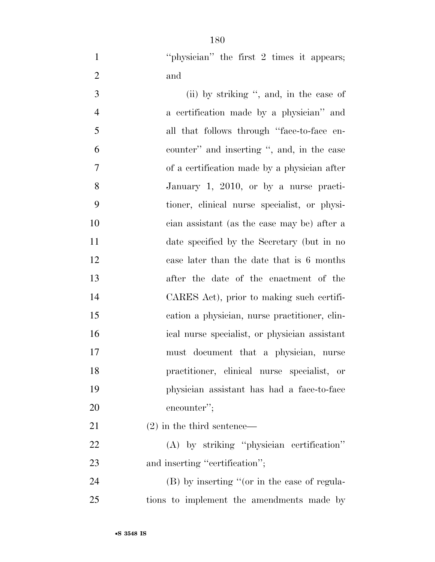1 "hysician" the first 2 times it appears; and

 (ii) by striking '', and, in the case of a certification made by a physician'' and all that follows through ''face-to-face en- counter'' and inserting '', and, in the case of a certification made by a physician after January 1, 2010, or by a nurse practi- tioner, clinical nurse specialist, or physi- cian assistant (as the case may be) after a date specified by the Secretary (but in no case later than the date that is 6 months after the date of the enactment of the CARES Act), prior to making such certifi- cation a physician, nurse practitioner, clin- ical nurse specialist, or physician assistant must document that a physician, nurse practitioner, clinical nurse specialist, or physician assistant has had a face-to-face encounter'';

(2) in the third sentence—

 (A) by striking ''physician certification'' 23 and inserting "certification";

 (B) by inserting ''(or in the case of regula-tions to implement the amendments made by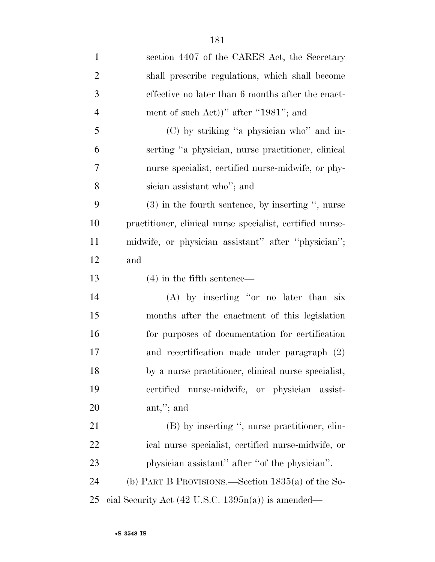| $\mathbf{1}$   | section 4407 of the CARES Act, the Secretary                  |
|----------------|---------------------------------------------------------------|
| $\overline{2}$ | shall prescribe regulations, which shall become               |
| 3              | effective no later than 6 months after the enact-             |
| $\overline{4}$ | ment of such Act))" after "1981"; and                         |
| 5              | (C) by striking "a physician who" and in-                     |
| 6              | serting "a physician, nurse practitioner, clinical            |
| 7              | nurse specialist, certified nurse-midwife, or phy-            |
| 8              | sician assistant who"; and                                    |
| 9              | $(3)$ in the fourth sentence, by inserting ", nurse           |
| 10             | practitioner, clinical nurse specialist, certified nurse-     |
| 11             | midwife, or physician assistant" after "physician";           |
| 12             | and                                                           |
| 13             | $(4)$ in the fifth sentence—                                  |
| 14             | (A) by inserting "or no later than six                        |
| 15             | months after the enactment of this legislation                |
| 16             | for purposes of documentation for certification               |
| 17             | and recertification made under paragraph (2)                  |
| 18             | by a nurse practitioner, clinical nurse specialist,           |
| 19             | certified nurse-midwife, or physician assist-                 |
| 20             | ant,"; and                                                    |
| 21             | (B) by inserting ", nurse practitioner, clin-                 |
| <u>22</u>      | ical nurse specialist, certified nurse-midwife, or            |
| 23             | physician assistant" after "of the physician".                |
| 24             | (b) PART B PROVISIONS.—Section $1835(a)$ of the So-           |
| 25             | cial Security Act $(42 \text{ U.S.C. } 1395n(a))$ is amended— |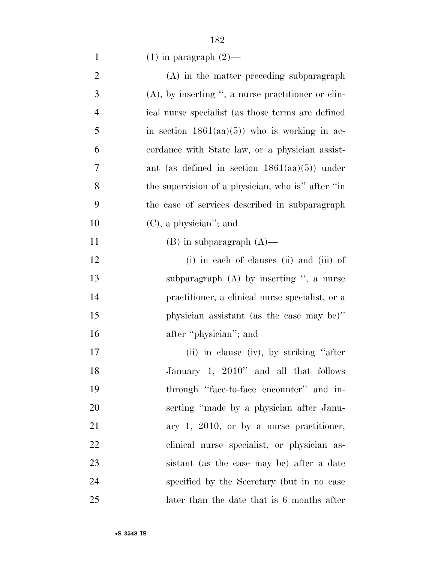1 (1) in paragraph  $(2)$ —

| $\mathbf{2}$   | (A) in the matter preceding subparagraph              |
|----------------|-------------------------------------------------------|
| 3              | $(A)$ , by inserting ", a nurse practitioner or clin- |
| $\overline{4}$ | ical nurse specialist (as those terms are defined     |
| 5              | in section $1861(aa)(5)$ who is working in ac-        |
| 6              | cordance with State law, or a physician assist-       |
| 7              | ant (as defined in section $1861(aa)(5)$ ) under      |
| 8              | the supervision of a physician, who is" after "in     |
| 9              | the case of services described in subparagraph        |
| 10             | $(C)$ , a physician''; and                            |
| 11             | $(B)$ in subparagraph $(A)$ —                         |
| 12             | (i) in each of clauses (ii) and (iii) of              |
| 13             | subparagraph $(A)$ by inserting ", a nurse            |
| 14             | practitioner, a clinical nurse specialist, or a       |
| 15             | physician assistant (as the case may be)"             |
| 16             | after "physician"; and                                |
| 17             | (ii) in clause (iv), by striking "after               |
| 18             | January 1, 2010" and all that follows                 |
| 19             | through "face-to-face encounter" and in-              |
| 20             | serting "made by a physician after Janu-              |
| 21             | ary $1, 2010$ , or by a nurse practitioner,           |
| 22             | clinical nurse specialist, or physician as-           |
| 23             | sistant (as the case may be) after a date             |
| 24             | specified by the Secretary (but in no case            |
| 25             | later than the date that is 6 months after            |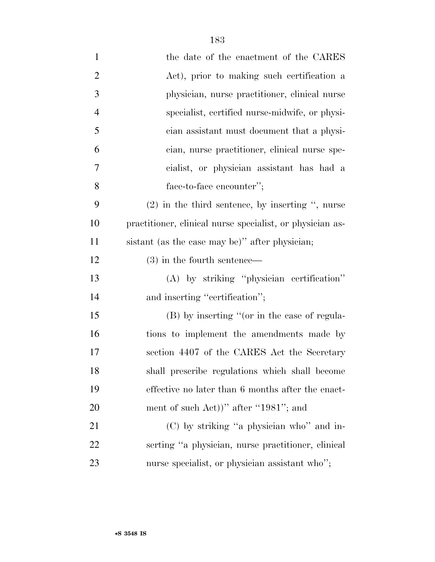| $\mathbf{1}$   | the date of the enactment of the CARES                    |
|----------------|-----------------------------------------------------------|
| $\overline{2}$ | Act), prior to making such certification a                |
| 3              | physician, nurse practitioner, clinical nurse             |
| $\overline{4}$ | specialist, certified nurse-midwife, or physi-            |
| 5              | cian assistant must document that a physi-                |
| 6              | cian, nurse practitioner, clinical nurse spe-             |
| 7              | cialist, or physician assistant has had a                 |
| 8              | face-to-face encounter";                                  |
| 9              | $(2)$ in the third sentence, by inserting ", nurse        |
| 10             | practitioner, clinical nurse specialist, or physician as- |
| 11             | sistant (as the case may be)" after physician;            |
| 12             | $(3)$ in the fourth sentence—                             |
| 13             | (A) by striking "physician certification"                 |
| 14             | and inserting "certification";                            |
| 15             | $(B)$ by inserting "(or in the case of regula-            |
| 16             | tions to implement the amendments made by                 |
| 17             | section 4407 of the CARES Act the Secretary               |
| 18             | shall prescribe regulations which shall become            |
| 19             | effective no later than 6 months after the enact-         |
| 20             | ment of such Act))" after "1981"; and                     |
| 21             | (C) by striking "a physician who" and in-                 |
| 22             | serting "a physician, nurse practitioner, clinical        |
| 23             | nurse specialist, or physician assistant who";            |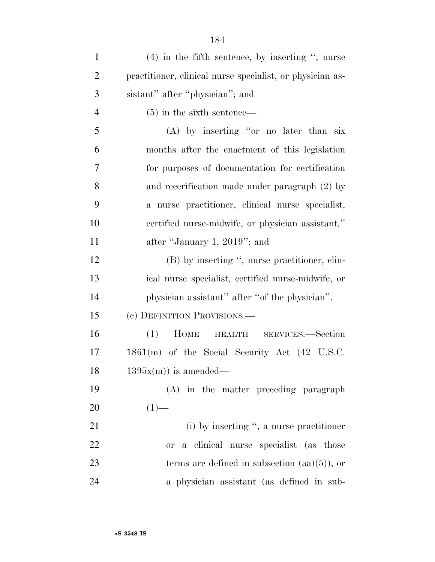| $\mathbf{1}$   | $(4)$ in the fifth sentence, by inserting ", nurse         |
|----------------|------------------------------------------------------------|
| $\overline{2}$ | practitioner, clinical nurse specialist, or physician as-  |
| 3              | sistant" after "physician"; and                            |
| $\overline{4}$ | $(5)$ in the sixth sentence—                               |
| 5              | (A) by inserting "or no later than six                     |
| 6              | months after the enactment of this legislation             |
| 7              | for purposes of documentation for certification            |
| 8              | and recerification made under paragraph (2) by             |
| 9              | a nurse practitioner, clinical nurse specialist,           |
| 10             | certified nurse-midwife, or physician assistant,"          |
| 11             | after "January 1, 2019"; and                               |
| 12             | (B) by inserting ", nurse practitioner, clin-              |
| 13             | ical nurse specialist, certified nurse-midwife, or         |
| 14             | physician assistant" after "of the physician".             |
| 15             | (c) DEFINITION PROVISIONS.—                                |
| 16             | (1)<br>HOME HEALTH SERVICES.-Section                       |
| 17             | $1861(m)$ of the Social Security Act $(42 \text{ U.S.C.})$ |
| 18             | $1395x(m)$ is amended—                                     |
| 19             | (A) in the matter preceding paragraph                      |
| 20             | $(1)$ —                                                    |
| 21             | $(i)$ by inserting ", a nurse practitioner                 |
| 22             | a clinical nurse specialist (as those<br><b>or</b>         |
| 23             | terms are defined in subsection $(aa)(5)$ , or             |
| 24             | a physician assistant (as defined in sub-                  |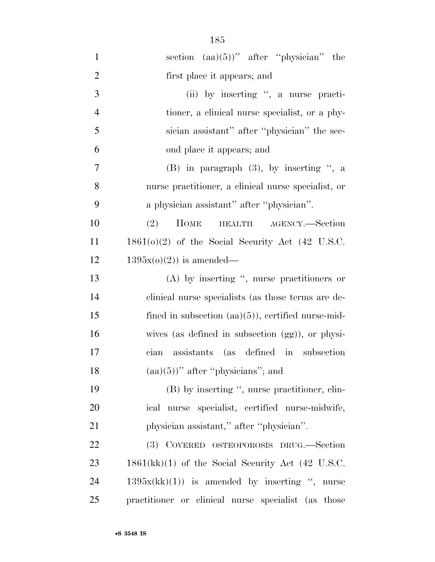| $\mathbf{1}$   | section $(aa)(5))$ " after "physician" the           |
|----------------|------------------------------------------------------|
| $\overline{2}$ | first place it appears; and                          |
| 3              | (ii) by inserting ", a nurse practi-                 |
| $\overline{4}$ | tioner, a clinical nurse specialist, or a phy-       |
| 5              | sician assistant" after "physician" the sec-         |
| 6              | ond place it appears; and                            |
| $\tau$         | (B) in paragraph $(3)$ , by inserting ", a           |
| 8              | nurse practitioner, a clinical nurse specialist, or  |
| 9              | a physician assistant" after "physician".            |
| 10             | HEALTH AGENCY.—Section<br>(2)<br><b>HOME</b>         |
| 11             | $1861(0)(2)$ of the Social Security Act (42 U.S.C.   |
| 12             | $1395x(0)(2)$ is amended—                            |
| 13             | $(A)$ by inserting ", nurse practitioners or         |
| 14             | clinical nurse specialists (as those terms are de-   |
| 15             | fined in subsection $(aa)(5)$ , certified nurse-mid- |
| 16             | wives (as defined in subsection (gg)), or physi-     |
| 17             | assistants (as defined in subsection<br>cian         |
| 18             | $(aa)(5)$ " after "physicians"; and                  |
| 19             | (B) by inserting ", nurse practitioner, clin-        |
| 20             | ical nurse specialist, certified nurse-midwife,      |
| 21             | physician assistant," after "physician".             |
| 22             | (3) COVERED OSTEOPOROSIS DRUG.—Section               |
| 23             | $1861(kk)(1)$ of the Social Security Act (42 U.S.C.  |
| 24             | $1395x(kk)(1)$ is amended by inserting ", nurse      |
| 25             | practitioner or clinical nurse specialist (as those  |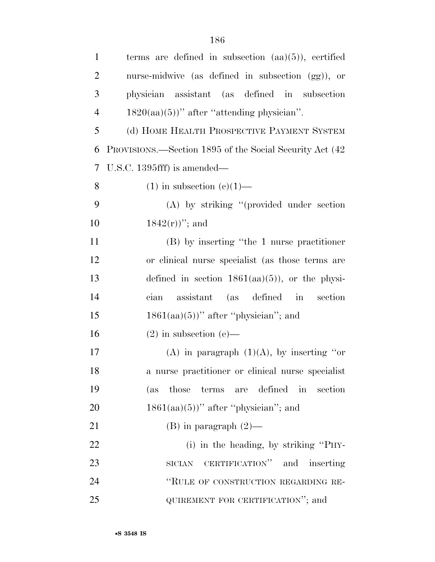| $\mathbf{1}$   | terms are defined in subsection $(aa)(5)$ , certified    |
|----------------|----------------------------------------------------------|
| $\overline{2}$ | nurse-midwive (as defined in subsection (gg)), or        |
| 3              | physician assistant (as defined in subsection            |
| $\overline{4}$ | $1820(aa)(5)$ " after "attending physician".             |
| 5              | (d) HOME HEALTH PROSPECTIVE PAYMENT SYSTEM               |
| 6              | PROVISIONS.—Section 1895 of the Social Security Act (42) |
| 7              | U.S.C. 1395 $fff$ ) is amended—                          |
| 8              | $(1)$ in subsection $(e)(1)$ —                           |
| 9              | (A) by striking "(provided under section                 |
| 10             | $1842(r)$ "; and                                         |
| 11             | (B) by inserting "the 1 nurse practitioner               |
| 12             | or clinical nurse specialist (as those terms are         |
| 13             | defined in section $1861(aa)(5)$ , or the physi-         |
| 14             | assistant (as defined in<br>section<br>cian              |
| 15             | $1861(aa)(5)$ " after "physician"; and                   |
| 16             | $(2)$ in subsection $(e)$ —                              |
| 17             | (A) in paragraph $(1)(A)$ , by inserting "or             |
| 18             | a nurse practitioner or clinical nurse specialist        |
| 19             | terms are defined<br>in<br>(as<br>those<br>section       |
| 20             | $1861(aa)(5)$ " after "physician"; and                   |
| 21             | $(B)$ in paragraph $(2)$ —                               |
| 22             | (i) in the heading, by striking "PHY-                    |
| 23             | SICIAN CERTIFICATION" and inserting                      |
| 24             | "RULE OF CONSTRUCTION REGARDING RE-                      |
| 25             | QUIREMENT FOR CERTIFICATION"; and                        |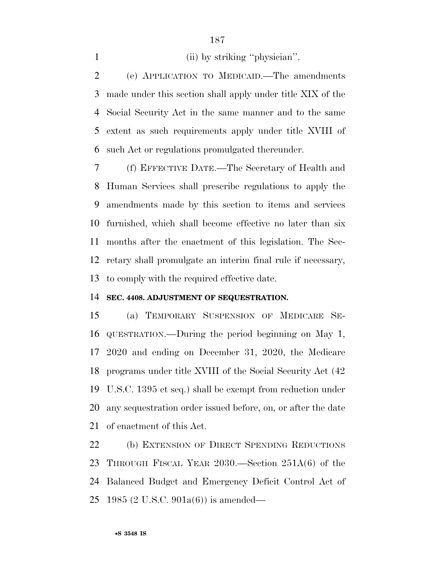1 (ii) by striking "physician".

 (e) APPLICATION TO MEDICAID.—The amendments made under this section shall apply under title XIX of the Social Security Act in the same manner and to the same extent as such requirements apply under title XVIII of such Act or regulations promulgated thereunder.

 (f) EFFECTIVE DATE.—The Secretary of Health and Human Services shall prescribe regulations to apply the amendments made by this section to items and services furnished, which shall become effective no later than six months after the enactment of this legislation. The Sec- retary shall promulgate an interim final rule if necessary, to comply with the required effective date.

#### **SEC. 4408. ADJUSTMENT OF SEQUESTRATION.**

 (a) TEMPORARY SUSPENSION OF MEDICARE SE- QUESTRATION.—During the period beginning on May 1, 2020 and ending on December 31, 2020, the Medicare programs under title XVIII of the Social Security Act (42 U.S.C. 1395 et seq.) shall be exempt from reduction under any sequestration order issued before, on, or after the date of enactment of this Act.

 (b) EXTENSION OF DIRECT SPENDING REDUCTIONS THROUGH FISCAL YEAR 2030.—Section 251A(6) of the Balanced Budget and Emergency Deficit Control Act of 1985 (2 U.S.C. 901a(6)) is amended—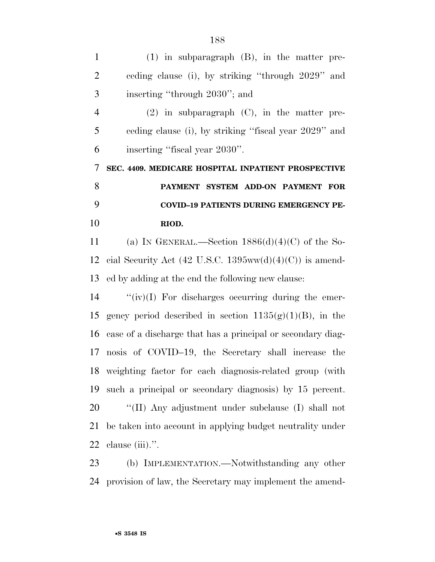| $\mathbf{1}$   | $(1)$ in subparagraph $(B)$ , in the matter pre-            |
|----------------|-------------------------------------------------------------|
| $\overline{2}$ | ceding clause (i), by striking "through 2029" and           |
| 3              | inserting "through 2030"; and                               |
| $\overline{4}$ | $(2)$ in subparagraph $(C)$ , in the matter pre-            |
| 5              | eeding clause (i), by striking "fiscal year 2029" and       |
| 6              | inserting "fiscal year 2030".                               |
| $\tau$         | SEC. 4409. MEDICARE HOSPITAL INPATIENT PROSPECTIVE          |
| 8              | PAYMENT SYSTEM ADD-ON PAYMENT FOR                           |
| 9              | <b>COVID-19 PATIENTS DURING EMERGENCY PE-</b>               |
| 10             | RIOD.                                                       |
| 11             | (a) IN GENERAL.—Section $1886(d)(4)(C)$ of the So-          |
| 12             | cial Security Act (42 U.S.C. 1395ww(d)(4)(C)) is amend-     |
| 13             | ed by adding at the end the following new clause:           |
| 14             | " $(iv)(I)$ For discharges occurring during the emer-       |
| 15             | gency period described in section $1135(g)(1)(B)$ , in the  |
| 16             | case of a discharge that has a principal or secondary diag- |
| 17             | nosis of COVID-19, the Secretary shall increase the         |
|                | 18 weighting factor for each diagnosis-related group (with  |
| 19             | such a principal or secondary diagnosis) by 15 percent.     |
| 20             | "(II) Any adjustment under subclause (I) shall not          |
| 21             | be taken into account in applying budget neutrality under   |
| 22             | clause (iii).".                                             |
|                |                                                             |

 (b) IMPLEMENTATION.—Notwithstanding any other provision of law, the Secretary may implement the amend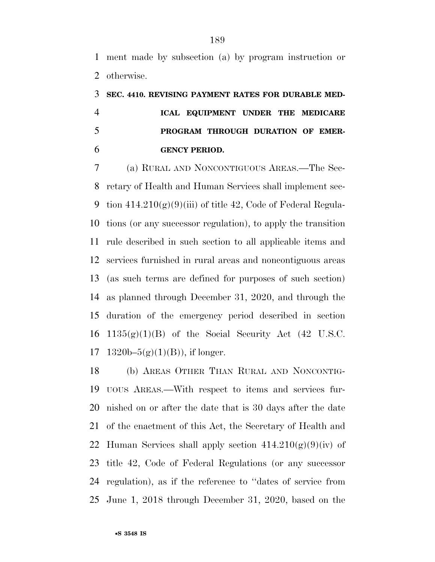ment made by subsection (a) by program instruction or otherwise.

# **SEC. 4410. REVISING PAYMENT RATES FOR DURABLE MED- ICAL EQUIPMENT UNDER THE MEDICARE PROGRAM THROUGH DURATION OF EMER-GENCY PERIOD.**

 (a) RURAL AND NONCONTIGUOUS AREAS.—The Sec- retary of Health and Human Services shall implement sec-9 tion  $414.210(g)(9)(iii)$  of title 42, Code of Federal Regula- tions (or any successor regulation), to apply the transition rule described in such section to all applicable items and services furnished in rural areas and noncontiguous areas (as such terms are defined for purposes of such section) as planned through December 31, 2020, and through the duration of the emergency period described in section  $1135(g)(1)(B)$  of the Social Security Act (42 U.S.C. 17 1320b– $5(g)(1)(B)$ , if longer.

 (b) AREAS OTHER THAN RURAL AND NONCONTIG- UOUS AREAS.—With respect to items and services fur- nished on or after the date that is 30 days after the date of the enactment of this Act, the Secretary of Health and 22 Human Services shall apply section  $414.210(g)(9)(iv)$  of title 42, Code of Federal Regulations (or any successor regulation), as if the reference to ''dates of service from June 1, 2018 through December 31, 2020, based on the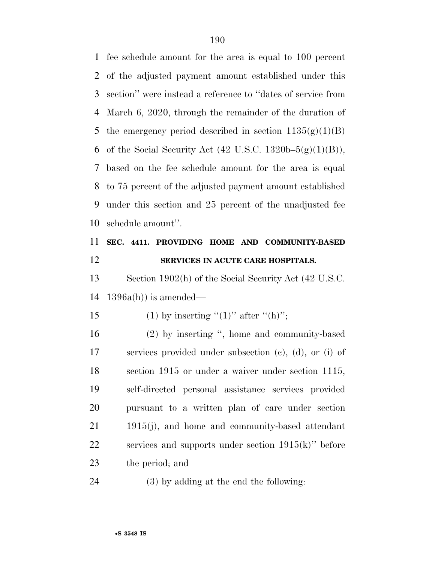fee schedule amount for the area is equal to 100 percent of the adjusted payment amount established under this section'' were instead a reference to ''dates of service from March 6, 2020, through the remainder of the duration of 5 the emergency period described in section  $1135(g)(1)(B)$ 6 of the Social Security Act  $(42 \text{ U.S.C. } 1320\text{b} - 5(\text{g})(1)(\text{B}))$ , based on the fee schedule amount for the area is equal to 75 percent of the adjusted payment amount established under this section and 25 percent of the unadjusted fee schedule amount''.

## **SEC. 4411. PROVIDING HOME AND COMMUNITY-BASED SERVICES IN ACUTE CARE HOSPITALS.**

 Section 1902(h) of the Social Security Act (42 U.S.C. 1396a(h)) is amended—

15 (1) by inserting "(1)" after "(h)";

 (2) by inserting '', home and community-based services provided under subsection (c), (d), or (i) of section 1915 or under a waiver under section 1115, self-directed personal assistance services provided pursuant to a written plan of care under section 1915(j), and home and community-based attendant services and supports under section 1915(k)'' before the period; and

(3) by adding at the end the following: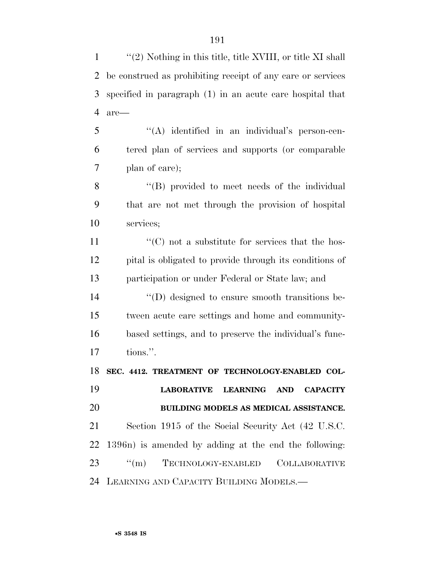''(2) Nothing in this title, title XVIII, or title XI shall be construed as prohibiting receipt of any care or services specified in paragraph (1) in an acute care hospital that are—

 ''(A) identified in an individual's person-cen- tered plan of services and supports (or comparable plan of care);

8 "(B) provided to meet needs of the individual that are not met through the provision of hospital services;

11  $\langle ^{\prime}(C) \rangle$  not a substitute for services that the hos- pital is obligated to provide through its conditions of participation or under Federal or State law; and

 ''(D) designed to ensure smooth transitions be- tween acute care settings and home and community- based settings, and to preserve the individual's func-tions.''.

 **SEC. 4412. TREATMENT OF TECHNOLOGY-ENABLED COL- LABORATIVE LEARNING AND CAPACITY BUILDING MODELS AS MEDICAL ASSISTANCE.**  Section 1915 of the Social Security Act (42 U.S.C. 1396n) is amended by adding at the end the following: 23 "(m) TECHNOLOGY-ENABLED COLLABORATIVE LEARNING AND CAPACITY BUILDING MODELS.—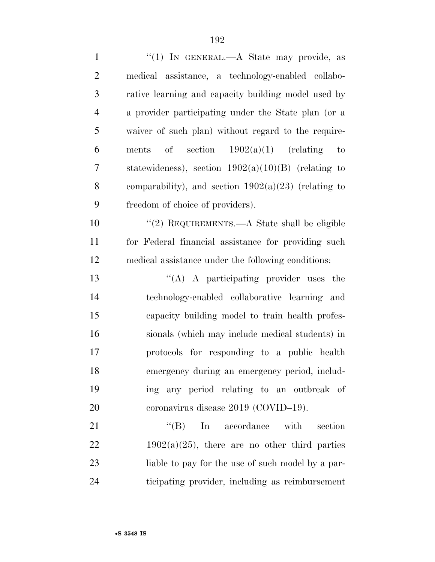| $\mathbf{1}$   | "(1) IN GENERAL.—A State may provide, as                                |
|----------------|-------------------------------------------------------------------------|
| $\overline{2}$ | medical assistance, a technology-enabled collabo-                       |
| 3              | rative learning and capacity building model used by                     |
| $\overline{4}$ | a provider participating under the State plan (or a                     |
| 5              | waiver of such plan) without regard to the require-                     |
| 6              | of section $1902(a)(1)$ (relating<br>ments<br>$\qquad \qquad \text{to}$ |
| 7              | statewideness), section $1902(a)(10)(B)$ (relating to                   |
| 8              | comparability), and section $1902(a)(23)$ (relating to                  |
| 9              | freedom of choice of providers).                                        |
| 10             | "(2) REQUIREMENTS.—A State shall be eligible                            |
| 11             | for Federal financial assistance for providing such                     |
| 12             | medical assistance under the following conditions:                      |
| 13             | "(A) A participating provider uses the                                  |
| 14             | technology-enabled collaborative learning<br>and                        |
| 15             | capacity building model to train health profes-                         |
| 16             | sionals (which may include medical students) in                         |
| 17             | protocols for responding to a public health                             |
| 18             | emergency during an emergency period, includ-                           |
| 19             | ing any period relating to an outbreak of                               |
| 20             | coronavirus disease 2019 (COVID-19).                                    |
| 21             | $\lq\lq (B)$<br>In accordance<br>with<br>section                        |
| 22             | $1902(a)(25)$ , there are no other third parties                        |
| 23             | liable to pay for the use of such model by a par-                       |
| 24             | ticipating provider, including as reimbursement                         |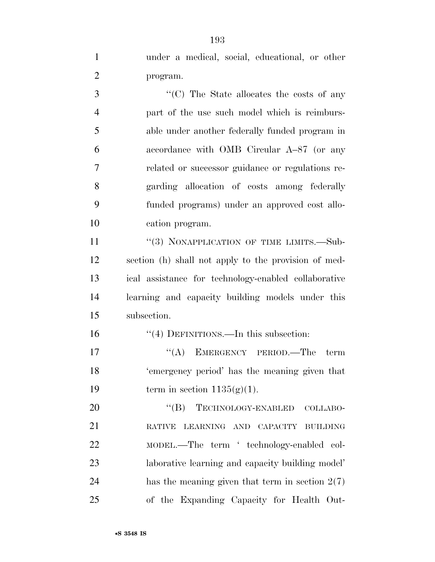under a medical, social, educational, or other program.

3 ''(C) The State allocates the costs of any part of the use such model which is reimburs- able under another federally funded program in accordance with OMB Circular A–87 (or any related or successor guidance or regulations re- garding allocation of costs among federally funded programs) under an approved cost allo-cation program.

11 "(3) NONAPPLICATION OF TIME LIMITS.—Sub- section (h) shall not apply to the provision of med- ical assistance for technology-enabled collaborative learning and capacity building models under this subsection.

''(4) DEFINITIONS.—In this subsection:

17 "(A) EMERGENCY PERIOD.—The term 'emergency period' has the meaning given that 19 term in section  $1135(g)(1)$ .

20 "(B) TECHNOLOGY-ENABLED COLLABO- RATIVE LEARNING AND CAPACITY BUILDING MODEL.—The term ' technology-enabled col- laborative learning and capacity building model' 24 has the meaning given that term in section  $2(7)$ of the Expanding Capacity for Health Out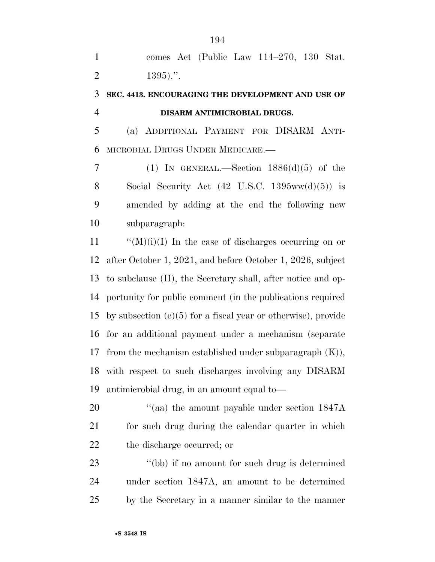comes Act (Public Law 114–270, 130 Stat. 2 .".

### **SEC. 4413. ENCOURAGING THE DEVELOPMENT AND USE OF DISARM ANTIMICROBIAL DRUGS.**

 (a) ADDITIONAL PAYMENT FOR DISARM ANTI-MICROBIAL DRUGS UNDER MEDICARE.—

7 (1) IN GENERAL.—Section  $1886(d)(5)$  of the 8 Social Security Act  $(42 \text{ U.S.C. } 1395 \text{ww}(d)(5))$  is amended by adding at the end the following new subparagraph:

 $\mathcal{C}(M)(i)(I)$  In the case of discharges occurring on or after October 1, 2021, and before October 1, 2026, subject to subclause (II), the Secretary shall, after notice and op- portunity for public comment (in the publications required by subsection (e)(5) for a fiscal year or otherwise), provide for an additional payment under a mechanism (separate 17 from the mechanism established under subparagraph  $(K)$ ), with respect to such discharges involving any DISARM antimicrobial drug, in an amount equal to—

20  $\frac{u}{(aa)}$  the amount payable under section 1847A for such drug during the calendar quarter in which the discharge occurred; or

23 ''(bb) if no amount for such drug is determined under section 1847A, an amount to be determined by the Secretary in a manner similar to the manner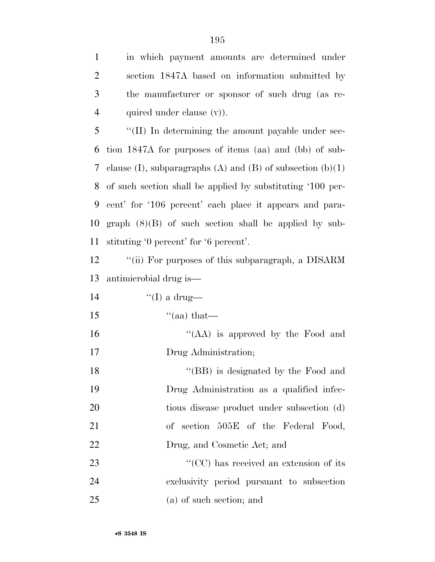in which payment amounts are determined under section 1847A based on information submitted by the manufacturer or sponsor of such drug (as re-4 quired under clause (v).

 ''(II) In determining the amount payable under sec- tion 1847A for purposes of items (aa) and (bb) of sub-7 clause (I), subparagraphs (A) and (B) of subsection  $(b)(1)$  of such section shall be applied by substituting '100 per- cent' for '106 percent' each place it appears and para- graph (8)(B) of such section shall be applied by sub-stituting '0 percent' for '6 percent'.

12 "(ii) For purposes of this subparagraph, a DISARM antimicrobial drug is—

14  $\qquad \qquad$   $\qquad \qquad$   $\qquad \qquad$   $\qquad \qquad$   $\qquad \qquad$   $\qquad \qquad$   $\qquad \qquad$   $\qquad \qquad$   $\qquad \qquad$   $\qquad \qquad$   $\qquad \qquad$   $\qquad \qquad$   $\qquad \qquad$   $\qquad \qquad$   $\qquad \qquad$   $\qquad \qquad$   $\qquad \qquad$   $\qquad \qquad$   $\qquad \qquad$   $\qquad \qquad$   $\qquad \qquad$   $\qquad \qquad$   $\qquad \qquad$   $\qquad \qquad$   $\$ 

15  $\text{``(aa) that}$ 

16  $\frac{16}{16}$   $\frac{16}{16}$  is approved by the Food and Drug Administration;

18 ''(BB) is designated by the Food and Drug Administration as a qualified infec- tious disease product under subsection (d) of section 505E of the Federal Food, Drug, and Cosmetic Act; and

23  $\cdot$  (CC) has received an extension of its exclusivity period pursuant to subsection (a) of such section; and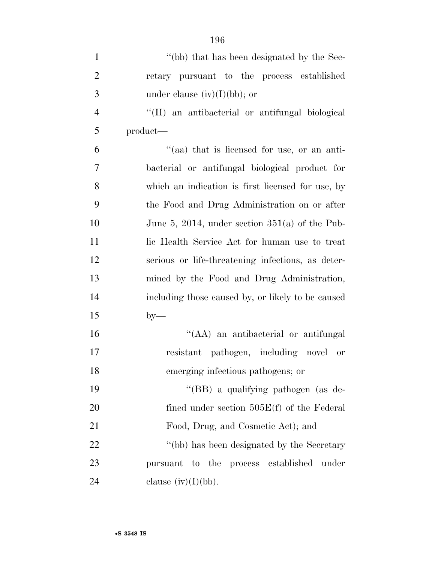| $\mathbf{1}$   | "(bb) that has been designated by the Sec-        |
|----------------|---------------------------------------------------|
| $\overline{2}$ | retary pursuant to the process established        |
| 3              | under clause $(iv)(I)(bb)$ ; or                   |
| $\overline{4}$ | "(II) an antibacterial or antifungal biological   |
| 5              | product—                                          |
| 6              | "(aa) that is licensed for use, or an anti-       |
| 7              | bacterial or antifungal biological product for    |
| 8              | which an indication is first licensed for use, by |
| 9              | the Food and Drug Administration on or after      |
| 10             | June 5, 2014, under section $351(a)$ of the Pub-  |
| 11             | lic Health Service Act for human use to treat     |
| 12             | serious or life-threatening infections, as deter- |
| 13             | mined by the Food and Drug Administration,        |
| 14             | including those caused by, or likely to be caused |
| 15             | $by-$                                             |
| 16             | "(AA) an antibacterial or antifungal              |
| 17             | resistant pathogen, including novel or            |
| 18             | emerging infectious pathogens; or                 |
| 19             | "(BB) a qualifying pathogen (as de-               |
| 20             | fined under section $505E(f)$ of the Federal      |
| 21             | Food, Drug, and Cosmetic Act); and                |
| 22             | "(bb) has been designated by the Secretary        |
| 23             | pursuant to the process established under         |
| 24             | clause $(iv)(I)(bb)$ .                            |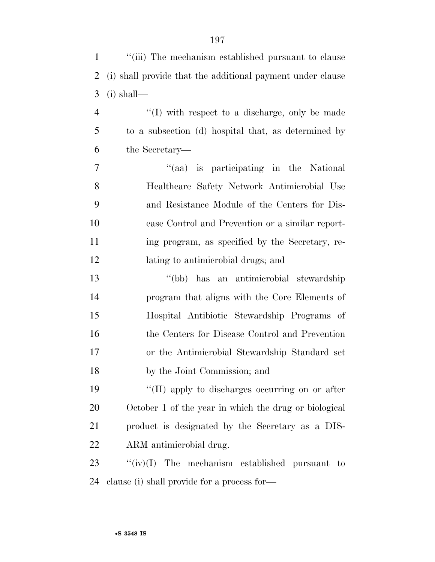| $\mathbf{1}$   | "(iii) The mechanism established pursuant to clause        |
|----------------|------------------------------------------------------------|
| $\overline{2}$ | (i) shall provide that the additional payment under clause |
| 3              | $(i)$ shall—                                               |
| $\overline{4}$ | $\lq\lq$ with respect to a discharge, only be made         |
| 5              | to a subsection (d) hospital that, as determined by        |
| 6              | the Secretary—                                             |
| 7              | "(aa) is participating in the National                     |
| 8              | Healthcare Safety Network Antimicrobial Use                |
| 9              | and Resistance Module of the Centers for Dis-              |
| 10             | ease Control and Prevention or a similar report-           |
| 11             | ing program, as specified by the Secretary, re-            |
| 12             | lating to antimicrobial drugs; and                         |
| 13             | "(bb) has an antimicrobial stewardship                     |
| 14             | program that aligns with the Core Elements of              |
| 15             | Hospital Antibiotic Stewardship Programs of                |
| 16             | the Centers for Disease Control and Prevention             |
| 17             | or the Antimicrobial Stewardship Standard set              |
| 18             | by the Joint Commission; and                               |
| 19             | "(II) apply to discharges occurring on or after            |
| 20             | October 1 of the year in which the drug or biological      |
| 21             | product is designated by the Secretary as a DIS-           |
| 22             | ARM antimicrobial drug.                                    |
| 23             | ``(iv)(I)<br>The mechanism established pursuant to         |
|                |                                                            |

clause (i) shall provide for a process for—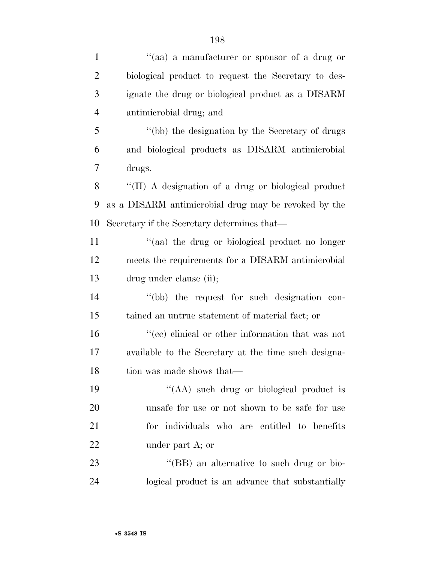| $\mathbf{1}$   | "(aa) a manufacturer or sponsor of a drug or         |
|----------------|------------------------------------------------------|
| $\overline{2}$ | biological product to request the Secretary to des-  |
| 3              | ignate the drug or biological product as a DISARM    |
| $\overline{4}$ | antimicrobial drug; and                              |
| 5              | "(bb) the designation by the Secretary of drugs      |
| 6              | and biological products as DISARM antimicrobial      |
| 7              | drugs.                                               |
| 8              | "(II) A designation of a drug or biological product  |
| 9              | as a DISARM antimicrobial drug may be revoked by the |
| 10             | Secretary if the Secretary determines that—          |
| 11             | "(aa) the drug or biological product no longer       |
| 12             | meets the requirements for a DISARM antimicrobial    |
| 13             | drug under clause (ii);                              |
| 14             | "(bb) the request for such designation con-          |
| 15             | tained an untrue statement of material fact; or      |
| 16             | "(cc) clinical or other information that was not     |
| 17             | available to the Secretary at the time such designa- |
| 18             | tion was made shows that—                            |
| 19             | "(AA) such drug or biological product is             |
| 20             | unsafe for use or not shown to be safe for use       |
| 21             | for individuals who are entitled to benefits         |
| 22             | under part A; or                                     |
| 23             | "(BB) an alternative to such drug or bio-            |
| 24             | logical product is an advance that substantially     |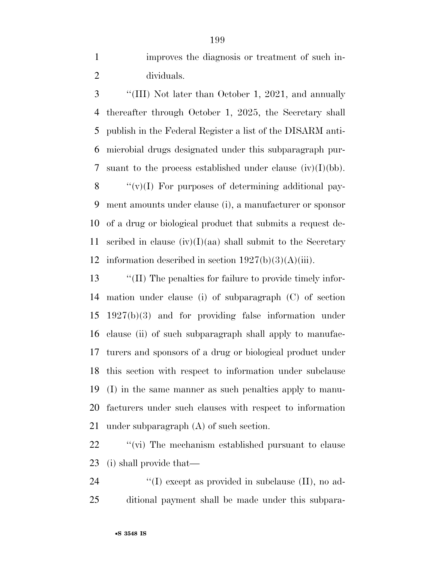improves the diagnosis or treatment of such in-dividuals.

 ''(III) Not later than October 1, 2021, and annually thereafter through October 1, 2025, the Secretary shall publish in the Federal Register a list of the DISARM anti- microbial drugs designated under this subparagraph pur-7 suant to the process established under clause  $(iv)(I)(bb)$ .  $\langle \langle v \rangle (I)$  For purposes of determining additional pay- ment amounts under clause (i), a manufacturer or sponsor of a drug or biological product that submits a request de-

11 scribed in clause  $(iv)(I)(aa)$  shall submit to the Secretary 12 information described in section  $1927(b)(3)(A)(iii)$ .

 ''(II) The penalties for failure to provide timely infor- mation under clause (i) of subparagraph (C) of section 1927(b)(3) and for providing false information under clause (ii) of such subparagraph shall apply to manufac- turers and sponsors of a drug or biological product under this section with respect to information under subclause (I) in the same manner as such penalties apply to manu- facturers under such clauses with respect to information under subparagraph (A) of such section.

22  $\gamma$  (vi) The mechanism established pursuant to clause (i) shall provide that—

24  $\langle\langle I \rangle \rangle$  except as provided in subclause (II), no ad-ditional payment shall be made under this subpara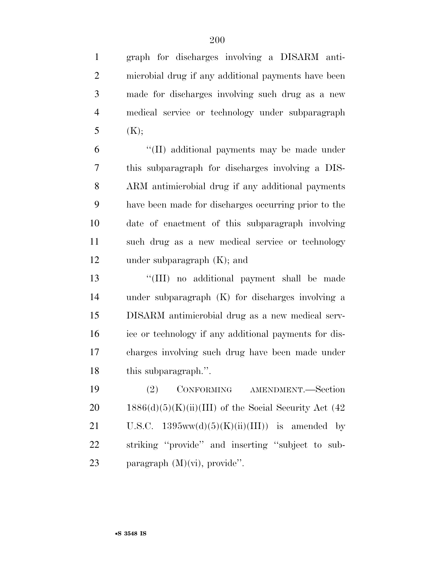graph for discharges involving a DISARM anti- microbial drug if any additional payments have been made for discharges involving such drug as a new medical service or technology under subparagraph  $(K);$ 

 ''(II) additional payments may be made under this subparagraph for discharges involving a DIS- ARM antimicrobial drug if any additional payments have been made for discharges occurring prior to the date of enactment of this subparagraph involving such drug as a new medical service or technology under subparagraph (K); and

 ''(III) no additional payment shall be made under subparagraph (K) for discharges involving a DISARM antimicrobial drug as a new medical serv- ice or technology if any additional payments for dis- charges involving such drug have been made under this subparagraph.''.

 (2) CONFORMING AMENDMENT.—Section 20 1886(d)(5)(K)(ii)(III) of the Social Security Act  $(42)$ 21 U.S.C.  $1395ww(d)(5)(K)(ii)(III))$  is amended by striking ''provide'' and inserting ''subject to sub-paragraph (M)(vi), provide''.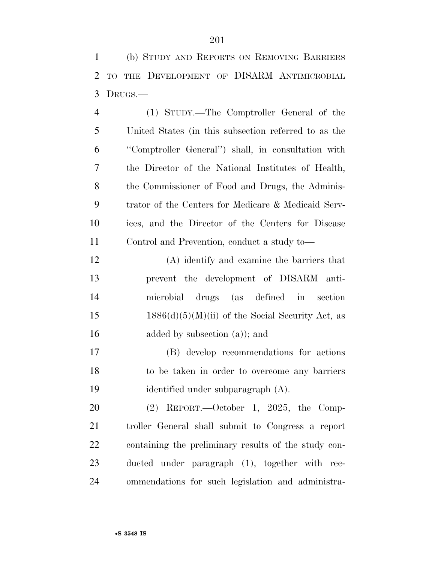(b) STUDY AND REPORTS ON REMOVING BARRIERS TO THE DEVELOPMENT OF DISARM ANTIMICROBIAL DRUGS.—

 (1) STUDY.—The Comptroller General of the United States (in this subsection referred to as the ''Comptroller General'') shall, in consultation with the Director of the National Institutes of Health, the Commissioner of Food and Drugs, the Adminis- trator of the Centers for Medicare & Medicaid Serv- ices, and the Director of the Centers for Disease Control and Prevention, conduct a study to—

 (A) identify and examine the barriers that prevent the development of DISARM anti- microbial drugs (as defined in section 15 1886(d)(5)(M)(ii) of the Social Security Act, as 16 added by subsection (a)); and

 (B) develop recommendations for actions to be taken in order to overcome any barriers identified under subparagraph (A).

 (2) REPORT.—October 1, 2025, the Comp- troller General shall submit to Congress a report containing the preliminary results of the study con- ducted under paragraph (1), together with rec-ommendations for such legislation and administra-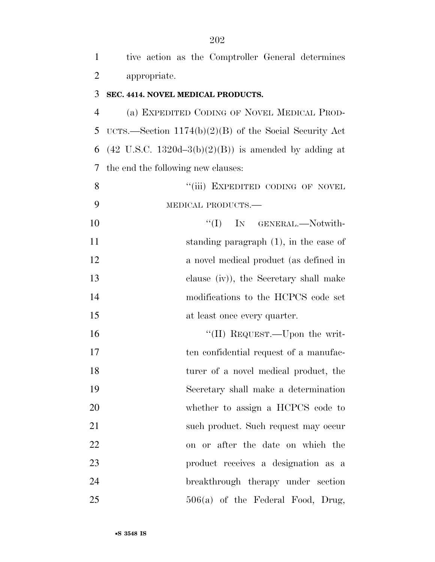| $\overline{2}$ | appropriate.                                                    |
|----------------|-----------------------------------------------------------------|
| 3              | SEC. 4414. NOVEL MEDICAL PRODUCTS.                              |
| $\overline{4}$ | (a) EXPEDITED CODING OF NOVEL MEDICAL PROD-                     |
| 5              | UCTS.—Section $1174(b)(2)(B)$ of the Social Security Act        |
| 6              | $(42 \text{ U.S.C. } 1320d-3(b)(2)(B))$ is amended by adding at |
| 7              | the end the following new clauses:                              |
| 8              | "(iii) EXPEDITED CODING OF NOVEL                                |
| 9              | MEDICAL PRODUCTS.-                                              |
| 10             | ``(I)<br>IN GENERAL.-Notwith-                                   |
| 11             | standing paragraph $(1)$ , in the case of                       |
| 12             | a novel medical product (as defined in                          |
| 13             | clause (iv)), the Secretary shall make                          |
| 14             | modifications to the HCPCS code set                             |
| 15             | at least once every quarter.                                    |
| 16             | "(II) REQUEST.—Upon the writ-                                   |
| 17             | ten confidential request of a manufac-                          |
| 18             | turer of a novel medical product, the                           |
| 19             | Secretary shall make a determination                            |
| 20             | whether to assign a HCPCS code to                               |
| 21             | such product. Such request may occur                            |
| 22             | on or after the date on which the                               |
| 23             | product receives a designation as a                             |
| 24             | breakthrough therapy under section                              |

506(a) of the Federal Food, Drug,

tive action as the Comptroller General determines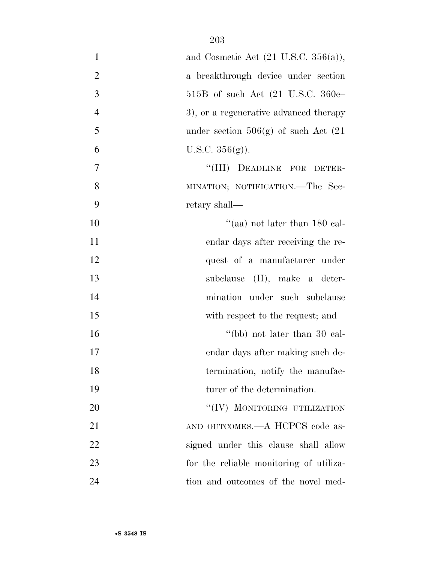| $\mathbf{1}$   | and Cosmetic Act $(21 \text{ U.S.C. } 356(a)),$ |
|----------------|-------------------------------------------------|
| $\overline{2}$ | a breakthrough device under section             |
| 3              | $515B$ of such Act $(21 \text{ U.S.C. } 360e-$  |
| $\overline{4}$ | 3), or a regenerative advanced therapy          |
| 5              | under section $506(g)$ of such Act $(21)$       |
| 6              | U.S.C. $356(g)$ ).                              |
| 7              | DEADLINE FOR DETER-<br>``(III)                  |
| 8              | MINATION; NOTIFICATION.—The Sec-                |
| 9              | retary shall—                                   |
| 10             | "(aa) not later than $180$ cal-                 |
| 11             | endar days after receiving the re-              |
| 12             | quest of a manufacturer under                   |
| 13             | subclause (II), make a deter-                   |
| 14             | mination under such subclause                   |
| 15             | with respect to the request; and                |
| 16             | "(bb) not later than 30 cal-                    |
| 17             | endar days after making such de-                |
| 18             | termination, notify the manufac-                |
| 19             | turer of the determination.                     |
| 20             | "(IV) MONITORING UTILIZATION                    |
| 21             | AND OUTCOMES.—A HCPCS code as-                  |
| 22             | signed under this clause shall allow            |
| 23             | for the reliable monitoring of utiliza-         |
| 24             | tion and outcomes of the novel med-             |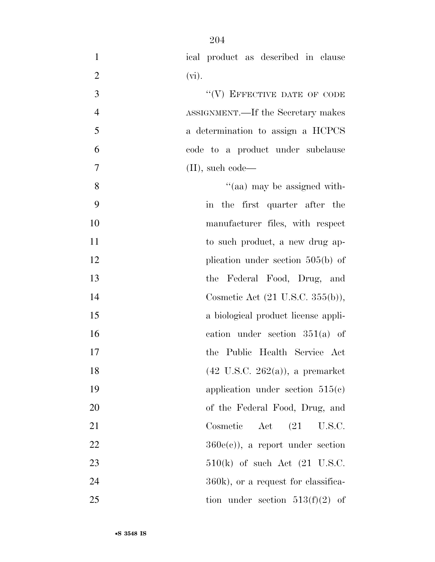| $\overline{2}$<br>$(vi)$ .<br>"(V) EFFECTIVE DATE OF CODE<br>3<br>$\overline{4}$<br>ASSIGNMENT.—If the Secretary makes<br>5<br>a determination to assign a HCPCS<br>6<br>code to a product under subclause<br>$\boldsymbol{7}$<br>$(II)$ , such code—<br>8<br>"(aa) may be assigned with-<br>9<br>in the first quarter after the<br>10<br>manufacturer files, with respect<br>11<br>to such product, a new drug ap-<br>12<br>plication under section $505(b)$ of<br>13<br>the Federal Food, Drug, and<br>14<br>Cosmetic Act (21 U.S.C. 355(b)),<br>15<br>a biological product license appli-<br>16<br>cation under section $351(a)$ of<br>17<br>the Public Health Service Act<br>$(42 \text{ U.S.C. } 262(a))$ , a premarket<br>18<br>19<br>application under section $515(c)$<br>20<br>of the Federal Food, Drug, and<br>Cosmetic<br>Act<br>21<br>(21)<br>U.S.C.<br>22<br>$360e(e)$ , a report under section<br>23<br>$510(k)$ of such Act $(21 \text{ U.S.C.})$<br>24<br>360k), or a request for classifica-<br>25<br>tion under section $513(f)(2)$ of | $\mathbf{1}$ | ical product as described in clause |
|-----------------------------------------------------------------------------------------------------------------------------------------------------------------------------------------------------------------------------------------------------------------------------------------------------------------------------------------------------------------------------------------------------------------------------------------------------------------------------------------------------------------------------------------------------------------------------------------------------------------------------------------------------------------------------------------------------------------------------------------------------------------------------------------------------------------------------------------------------------------------------------------------------------------------------------------------------------------------------------------------------------------------------------------------------------|--------------|-------------------------------------|
|                                                                                                                                                                                                                                                                                                                                                                                                                                                                                                                                                                                                                                                                                                                                                                                                                                                                                                                                                                                                                                                           |              |                                     |
|                                                                                                                                                                                                                                                                                                                                                                                                                                                                                                                                                                                                                                                                                                                                                                                                                                                                                                                                                                                                                                                           |              |                                     |
|                                                                                                                                                                                                                                                                                                                                                                                                                                                                                                                                                                                                                                                                                                                                                                                                                                                                                                                                                                                                                                                           |              |                                     |
|                                                                                                                                                                                                                                                                                                                                                                                                                                                                                                                                                                                                                                                                                                                                                                                                                                                                                                                                                                                                                                                           |              |                                     |
|                                                                                                                                                                                                                                                                                                                                                                                                                                                                                                                                                                                                                                                                                                                                                                                                                                                                                                                                                                                                                                                           |              |                                     |
|                                                                                                                                                                                                                                                                                                                                                                                                                                                                                                                                                                                                                                                                                                                                                                                                                                                                                                                                                                                                                                                           |              |                                     |
|                                                                                                                                                                                                                                                                                                                                                                                                                                                                                                                                                                                                                                                                                                                                                                                                                                                                                                                                                                                                                                                           |              |                                     |
|                                                                                                                                                                                                                                                                                                                                                                                                                                                                                                                                                                                                                                                                                                                                                                                                                                                                                                                                                                                                                                                           |              |                                     |
|                                                                                                                                                                                                                                                                                                                                                                                                                                                                                                                                                                                                                                                                                                                                                                                                                                                                                                                                                                                                                                                           |              |                                     |
|                                                                                                                                                                                                                                                                                                                                                                                                                                                                                                                                                                                                                                                                                                                                                                                                                                                                                                                                                                                                                                                           |              |                                     |
|                                                                                                                                                                                                                                                                                                                                                                                                                                                                                                                                                                                                                                                                                                                                                                                                                                                                                                                                                                                                                                                           |              |                                     |
|                                                                                                                                                                                                                                                                                                                                                                                                                                                                                                                                                                                                                                                                                                                                                                                                                                                                                                                                                                                                                                                           |              |                                     |
|                                                                                                                                                                                                                                                                                                                                                                                                                                                                                                                                                                                                                                                                                                                                                                                                                                                                                                                                                                                                                                                           |              |                                     |
|                                                                                                                                                                                                                                                                                                                                                                                                                                                                                                                                                                                                                                                                                                                                                                                                                                                                                                                                                                                                                                                           |              |                                     |
|                                                                                                                                                                                                                                                                                                                                                                                                                                                                                                                                                                                                                                                                                                                                                                                                                                                                                                                                                                                                                                                           |              |                                     |
|                                                                                                                                                                                                                                                                                                                                                                                                                                                                                                                                                                                                                                                                                                                                                                                                                                                                                                                                                                                                                                                           |              |                                     |
|                                                                                                                                                                                                                                                                                                                                                                                                                                                                                                                                                                                                                                                                                                                                                                                                                                                                                                                                                                                                                                                           |              |                                     |
|                                                                                                                                                                                                                                                                                                                                                                                                                                                                                                                                                                                                                                                                                                                                                                                                                                                                                                                                                                                                                                                           |              |                                     |
|                                                                                                                                                                                                                                                                                                                                                                                                                                                                                                                                                                                                                                                                                                                                                                                                                                                                                                                                                                                                                                                           |              |                                     |
|                                                                                                                                                                                                                                                                                                                                                                                                                                                                                                                                                                                                                                                                                                                                                                                                                                                                                                                                                                                                                                                           |              |                                     |
|                                                                                                                                                                                                                                                                                                                                                                                                                                                                                                                                                                                                                                                                                                                                                                                                                                                                                                                                                                                                                                                           |              |                                     |
|                                                                                                                                                                                                                                                                                                                                                                                                                                                                                                                                                                                                                                                                                                                                                                                                                                                                                                                                                                                                                                                           |              |                                     |
|                                                                                                                                                                                                                                                                                                                                                                                                                                                                                                                                                                                                                                                                                                                                                                                                                                                                                                                                                                                                                                                           |              |                                     |
|                                                                                                                                                                                                                                                                                                                                                                                                                                                                                                                                                                                                                                                                                                                                                                                                                                                                                                                                                                                                                                                           |              |                                     |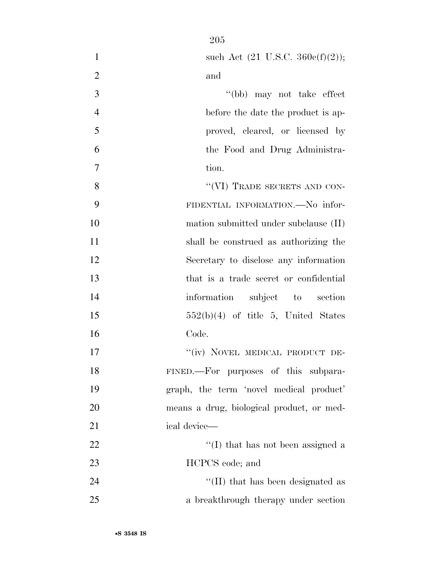| $\mathbf{1}$   | such Act $(21 \text{ U.S.C. } 360c(f)(2));$ |
|----------------|---------------------------------------------|
| $\overline{2}$ | and                                         |
| 3              | "(bb) may not take effect                   |
| $\overline{4}$ | before the date the product is ap-          |
| 5              | proved, cleared, or licensed by             |
| 6              | the Food and Drug Administra-               |
| $\overline{7}$ | tion.                                       |
| 8              | "(VI) TRADE SECRETS AND CON-                |
| 9              | FIDENTIAL INFORMATION.-No infor-            |
| 10             | mation submitted under subclause (II)       |
| 11             | shall be construed as authorizing the       |
| 12             | Secretary to disclose any information       |
| 13             | that is a trade secret or confidential      |
| 14             | information subject to section              |
| 15             | $552(b)(4)$ of title 5, United States       |
| 16             | Code.                                       |
| 17             | "(iv) NOVEL MEDICAL PRODUCT DE-             |
| 18             | FINED.-For purposes of this subpara-        |
| 19             | graph, the term 'novel medical product'     |
| 20             | means a drug, biological product, or med-   |
| 21             | ical device-                                |
| 22             | $\lq$ (I) that has not been assigned a      |
| 23             | HCPCS code; and                             |
| 24             | "(II) that has been designated as           |
| 25             | a breakthrough therapy under section        |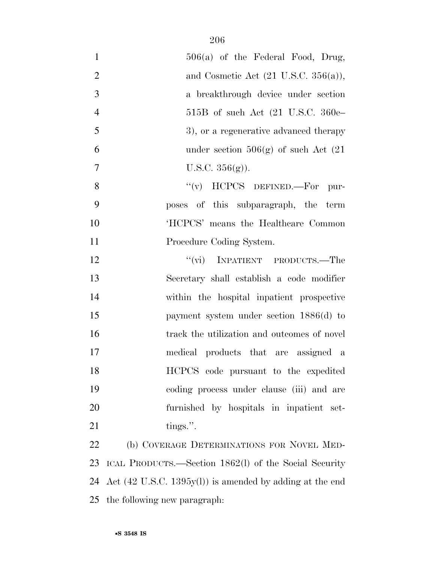| $\mathbf{1}$   | $506(a)$ of the Federal Food, Drug,                                         |
|----------------|-----------------------------------------------------------------------------|
| $\mathbf{2}$   | and Cosmetic Act $(21 \text{ U.S.C. } 356(a)),$                             |
| 3              | a breakthrough device under section                                         |
| $\overline{4}$ | 515B of such Act $(21 \text{ U.S.C. } 360e-$                                |
| 5              | 3), or a regenerative advanced therapy                                      |
| 6              | under section $506(g)$ of such Act $(21)$                                   |
| 7              | U.S.C. $356(g)$ ).                                                          |
| 8              | " $(v)$ HCPCS DEFINED.—For pur-                                             |
| 9              | poses of this subparagraph, the term                                        |
| 10             | 'HCPCS' means the Healthcare Common                                         |
| 11             | Procedure Coding System.                                                    |
| 12             | "(vi) INPATIENT PRODUCTS.—The                                               |
| 13             | Secretary shall establish a code modifier                                   |
| 14             | within the hospital inpatient prospective                                   |
| 15             | payment system under section 1886(d) to                                     |
| 16             | track the utilization and outcomes of novel                                 |
| 17             | medical products that are assigned a                                        |
| 18             | HCPCS code pursuant to the expedited                                        |
| 19             | coding process under clause (iii) and are                                   |
| 20             | furnished by hospitals in inpatient set-                                    |
| 21             | tings.".                                                                    |
| 22             | (b) COVERAGE DETERMINATIONS FOR NOVEL MED-                                  |
| 23             | ICAL PRODUCTS.—Section 1862(l) of the Social Security                       |
| 24             | Act $(42 \text{ U.S.C. } 1395 \text{y(l)})$ is amended by adding at the end |
| 25             | the following new paragraph:                                                |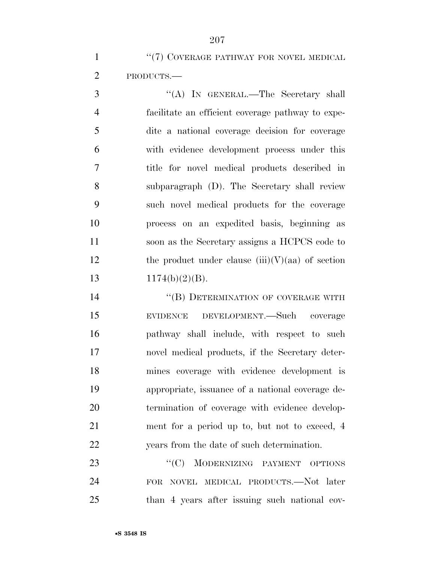1 "(7) COVERAGE PATHWAY FOR NOVEL MEDICAL PRODUCTS.—

 ''(A) IN GENERAL.—The Secretary shall facilitate an efficient coverage pathway to expe- dite a national coverage decision for coverage with evidence development process under this title for novel medical products described in subparagraph (D). The Secretary shall review such novel medical products for the coverage process on an expedited basis, beginning as soon as the Secretary assigns a HCPCS code to 12 the product under clause  $(iii)(V)(aa)$  of section  $1174(b)(2)(B)$ .

14 "(B) DETERMINATION OF COVERAGE WITH EVIDENCE DEVELOPMENT.—Such coverage pathway shall include, with respect to such novel medical products, if the Secretary deter- mines coverage with evidence development is appropriate, issuance of a national coverage de- termination of coverage with evidence develop-21 ment for a period up to, but not to exceed, 4 years from the date of such determination.

23 "'(C) MODERNIZING PAYMENT OPTIONS FOR NOVEL MEDICAL PRODUCTS.—Not later than 4 years after issuing such national cov-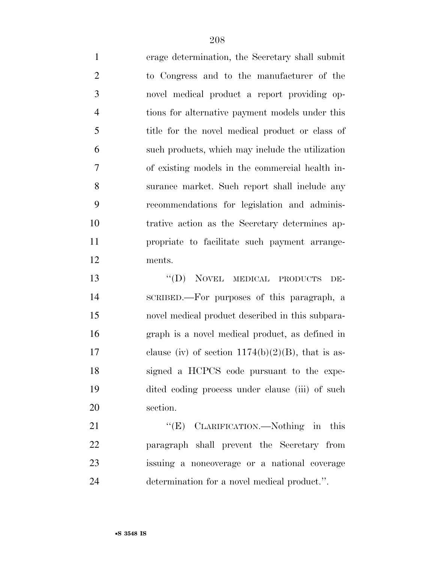erage determination, the Secretary shall submit to Congress and to the manufacturer of the novel medical product a report providing op- tions for alternative payment models under this 5 title for the novel medical product or class of such products, which may include the utilization of existing models in the commercial health in- surance market. Such report shall include any recommendations for legislation and adminis- trative action as the Secretary determines ap- propriate to facilitate such payment arrange-ments.

 ''(D) NOVEL MEDICAL PRODUCTS DE- SCRIBED.—For purposes of this paragraph, a novel medical product described in this subpara- graph is a novel medical product, as defined in 17 clause (iv) of section  $1174(b)(2)(B)$ , that is as- signed a HCPCS code pursuant to the expe- dited coding process under clause (iii) of such section.

21 "'(E) CLARIFICATION.—Nothing in this paragraph shall prevent the Secretary from issuing a noncoverage or a national coverage determination for a novel medical product.''.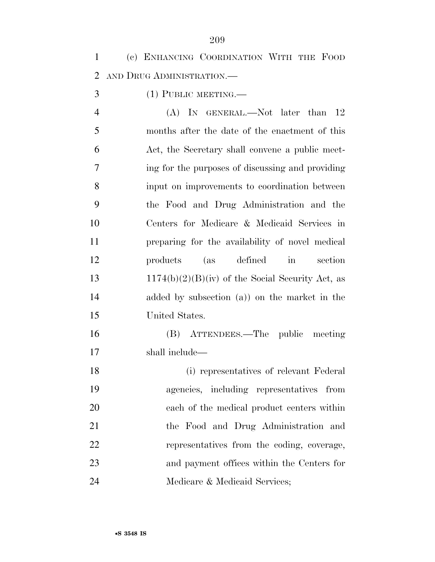(c) ENHANCING COORDINATION WITH THE FOOD AND DRUG ADMINISTRATION.—

(1) PUBLIC MEETING.—

4 (A) IN GENERAL.—Not later than 12 months after the date of the enactment of this Act, the Secretary shall convene a public meet- ing for the purposes of discussing and providing input on improvements to coordination between the Food and Drug Administration and the Centers for Medicare & Medicaid Services in preparing for the availability of novel medical products (as defined in section 13 1174(b)(2)(B)(iv) of the Social Security Act, as added by subsection (a)) on the market in the United States.

 (B) ATTENDEES.—The public meeting shall include—

 (i) representatives of relevant Federal agencies, including representatives from each of the medical product centers within the Food and Drug Administration and representatives from the coding, coverage, and payment offices within the Centers for Medicare & Medicaid Services;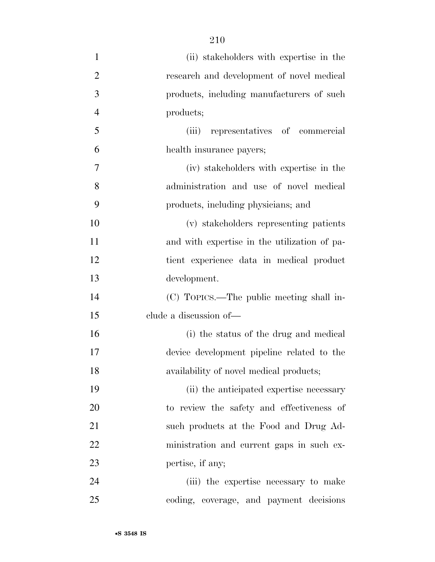(ii) stakeholders with expertise in the research and development of novel medical products, including manufacturers of such products; (iii) representatives of commercial health insurance payers; (iv) stakeholders with expertise in the administration and use of novel medical products, including physicians; and (v) stakeholders representing patients and with expertise in the utilization of pa- tient experience data in medical product development. (C) TOPICS.—The public meeting shall in- clude a discussion of— (i) the status of the drug and medical device development pipeline related to the availability of novel medical products; (ii) the anticipated expertise necessary to review the safety and effectiveness of 21 such products at the Food and Drug Ad- ministration and current gaps in such ex- pertise, if any; (iii) the expertise necessary to make coding, coverage, and payment decisions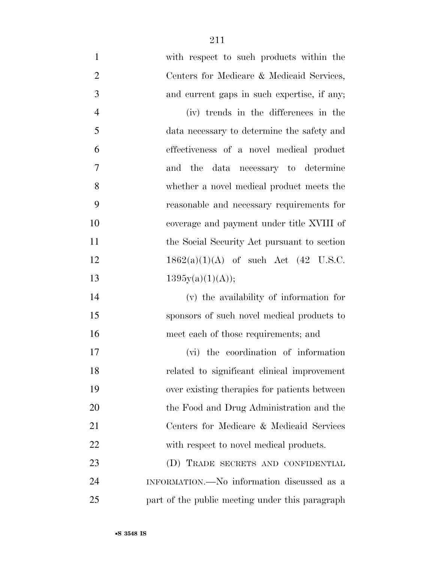with respect to such products within the Centers for Medicare & Medicaid Services, and current gaps in such expertise, if any; (iv) trends in the differences in the data necessary to determine the safety and effectiveness of a novel medical product and the data necessary to determine whether a novel medical product meets the reasonable and necessary requirements for coverage and payment under title XVIII of 11 the Social Security Act pursuant to section  $1862(a)(1)(A)$  of such Act (42 U.S.C.  $1395y(a)(1)(A));$ 

 (v) the availability of information for sponsors of such novel medical products to meet each of those requirements; and

 (vi) the coordination of information related to significant clinical improvement over existing therapies for patients between 20 the Food and Drug Administration and the Centers for Medicare & Medicaid Services 22 with respect to novel medical products. (D) TRADE SECRETS AND CONFIDENTIAL INFORMATION.—No information discussed as a

part of the public meeting under this paragraph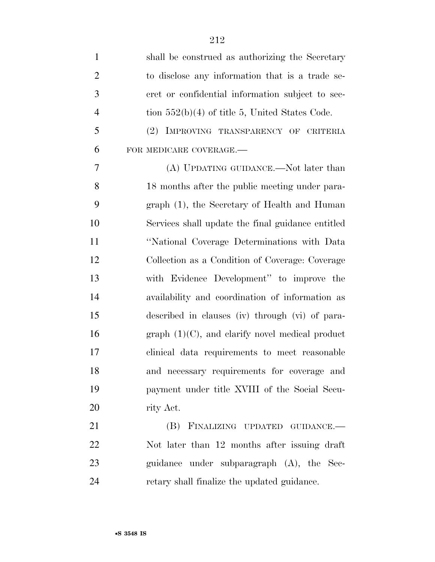| $\mathbf{1}$   | shall be construed as authorizing the Secretary    |
|----------------|----------------------------------------------------|
| $\overline{2}$ | to disclose any information that is a trade se-    |
| 3              | cret or confidential information subject to sec-   |
| $\overline{4}$ | tion $552(b)(4)$ of title 5, United States Code.   |
| 5              | (2) IMPROVING TRANSPARENCY OF CRITERIA             |
| 6              | FOR MEDICARE COVERAGE.-                            |
| 7              | (A) UPDATING GUIDANCE.—Not later than              |
| 8              | 18 months after the public meeting under para-     |
| 9              | graph (1), the Secretary of Health and Human       |
| 10             | Services shall update the final guidance entitled  |
| 11             | "National Coverage Determinations with Data        |
| 12             | Collection as a Condition of Coverage: Coverage    |
| 13             | with Evidence Development" to improve the          |
| 14             | availability and coordination of information as    |
| 15             | described in clauses (iv) through (vi) of para-    |
| 16             | $graph (1)(C)$ , and clarify novel medical product |
| 17             | clinical data requirements to meet reasonable      |
| 18             | and necessary requirements for coverage and        |
| 19             | payment under title XVIII of the Social Secu-      |
| 20             | rity Act.                                          |
| 21             | (B) FINALIZING UPDATED GUIDANCE.-                  |
| 22             | Not later than 12 months after issuing draft       |
| 23             | guidance under subparagraph (A), the Sec-          |
| 24             | retary shall finalize the updated guidance.        |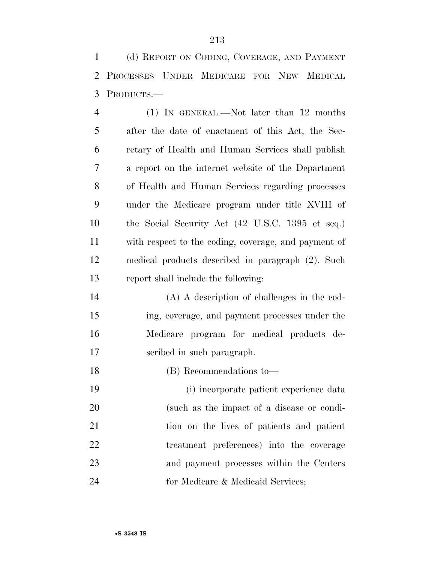(d) REPORT ON CODING, COVERAGE, AND PAYMENT PROCESSES UNDER MEDICARE FOR NEW MEDICAL PRODUCTS.—

 (1) IN GENERAL.—Not later than 12 months after the date of enactment of this Act, the Sec- retary of Health and Human Services shall publish a report on the internet website of the Department of Health and Human Services regarding processes under the Medicare program under title XVIII of the Social Security Act (42 U.S.C. 1395 et seq.) with respect to the coding, coverage, and payment of medical products described in paragraph (2). Such report shall include the following:

 (A) A description of challenges in the cod- ing, coverage, and payment processes under the Medicare program for medical products de-scribed in such paragraph.

(B) Recommendations to—

 (i) incorporate patient experience data (such as the impact of a disease or condi- tion on the lives of patients and patient treatment preferences) into the coverage and payment processes within the Centers 24 for Medicare & Medicaid Services;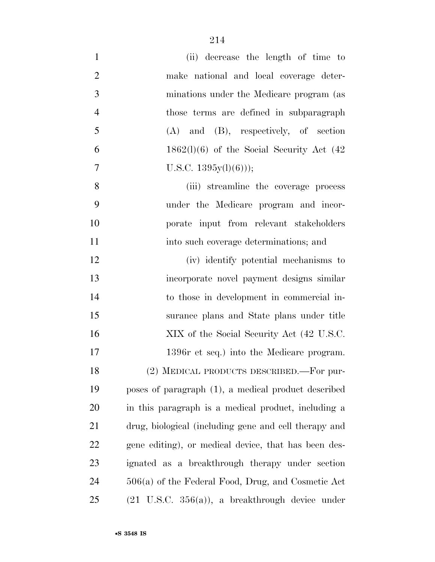| $\mathbf{1}$   | (ii) decrease the length of time to                         |
|----------------|-------------------------------------------------------------|
| $\overline{2}$ | make national and local coverage deter-                     |
| 3              | minations under the Medicare program (as                    |
| $\overline{4}$ | those terms are defined in subparagraph                     |
| 5              | $(A)$ and $(B)$ , respectively, of section                  |
| 6              | $1862(l)(6)$ of the Social Security Act $(42)$              |
| 7              | U.S.C. $1395y(l)(6))$ ;                                     |
| 8              | (iii) streamline the coverage process                       |
| 9              | under the Medicare program and incor-                       |
| 10             | porate input from relevant stakeholders                     |
| 11             | into such coverage determinations; and                      |
| 12             | (iv) identify potential mechanisms to                       |
| 13             | incorporate novel payment designs similar                   |
| 14             | to those in development in commercial in-                   |
| 15             | surance plans and State plans under title                   |
| 16             | XIX of the Social Security Act (42 U.S.C.                   |
| 17             | 1396r et seq.) into the Medicare program.                   |
| 18             | (2) MEDICAL PRODUCTS DESCRIBED. For pur-                    |
| 19             | poses of paragraph (1), a medical product described         |
| 20             | in this paragraph is a medical product, including a         |
| 21             | drug, biological (including gene and cell therapy and       |
| 22             | gene editing), or medical device, that has been des-        |
| 23             | ignated as a breakthrough therapy under section             |
| 24             | $506(a)$ of the Federal Food, Drug, and Cosmetic Act        |
| 25             | $(21 \text{ U.S.C. } 356(a))$ , a breakthrough device under |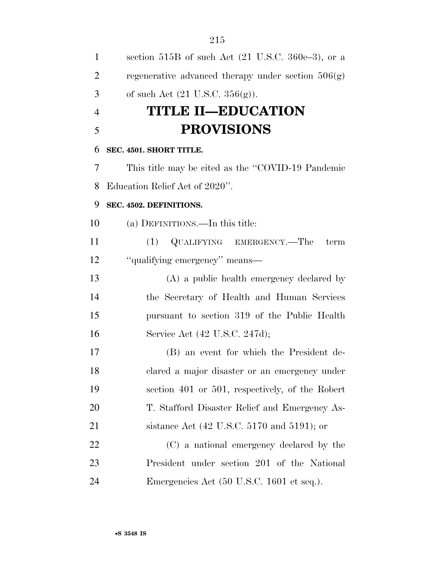| $\mathbf{1}$   | section 515B of such Act (21 U.S.C. 360e-3), or a               |
|----------------|-----------------------------------------------------------------|
| $\overline{2}$ | regenerative advanced therapy under section $506(g)$            |
| 3              | of such Act $(21 \text{ U.S.C. } 356(g))$ .                     |
| $\overline{4}$ | <b>TITLE II—EDUCATION</b>                                       |
| 5              | <b>PROVISIONS</b>                                               |
| 6              | SEC. 4501. SHORT TITLE.                                         |
| 7              | This title may be cited as the "COVID-19 Pandemic               |
| 8              | Education Relief Act of 2020".                                  |
| 9              | SEC. 4502. DEFINITIONS.                                         |
| 10             | (a) DEFINITIONS.—In this title:                                 |
| 11             | QUALIFYING EMERGENCY.—The<br>(1)<br>term                        |
| 12             | "qualifying emergency" means—                                   |
| 13             | (A) a public health emergency declared by                       |
| 14             | the Secretary of Health and Human Services                      |
| 15             | pursuant to section 319 of the Public Health                    |
| 16             | Service Act (42 U.S.C. 247d);                                   |
| 17             | (B) an event for which the President de-                        |
| 18             | clared a major disaster or an emergency under                   |
| 19             | section 401 or 501, respectively, of the Robert                 |
| 20             | T. Stafford Disaster Relief and Emergency As-                   |
| 21             | sistance Act $(42 \text{ U.S.C. } 5170 \text{ and } 5191)$ ; or |
| 22             | (C) a national emergency declared by the                        |
| 23             | President under section 201 of the National                     |
| 24             | Emergencies Act (50 U.S.C. 1601 et seq.).                       |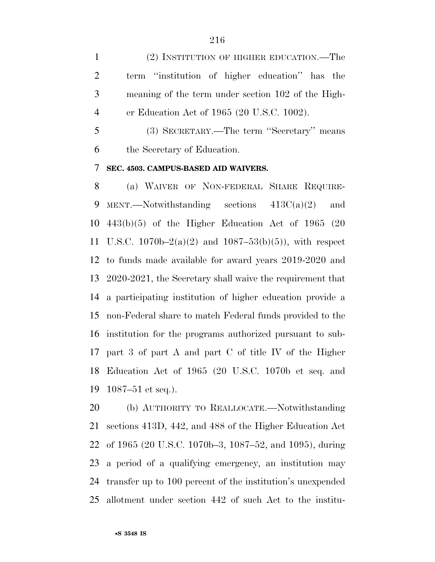(2) INSTITUTION OF HIGHER EDUCATION.—The term ''institution of higher education'' has the meaning of the term under section 102 of the High-er Education Act of 1965 (20 U.S.C. 1002).

 (3) SECRETARY.—The term ''Secretary'' means the Secretary of Education.

### **SEC. 4503. CAMPUS-BASED AID WAIVERS.**

 (a) WAIVER OF NON-FEDERAL SHARE REQUIRE-9 MENT.—Notwithstanding sections  $413C(a)(2)$  and 443(b)(5) of the Higher Education Act of 1965 (20 U.S.C. 1070b–2(a)(2) and 1087–53(b)(5)), with respect to funds made available for award years 2019-2020 and 2020-2021, the Secretary shall waive the requirement that a participating institution of higher education provide a non-Federal share to match Federal funds provided to the institution for the programs authorized pursuant to sub- part 3 of part A and part C of title IV of the Higher Education Act of 1965 (20 U.S.C. 1070b et seq. and 1087–51 et seq.).

 (b) AUTHORITY TO REALLOCATE.—Notwithstanding sections 413D, 442, and 488 of the Higher Education Act of 1965 (20 U.S.C. 1070b–3, 1087–52, and 1095), during a period of a qualifying emergency, an institution may transfer up to 100 percent of the institution's unexpended allotment under section 442 of such Act to the institu-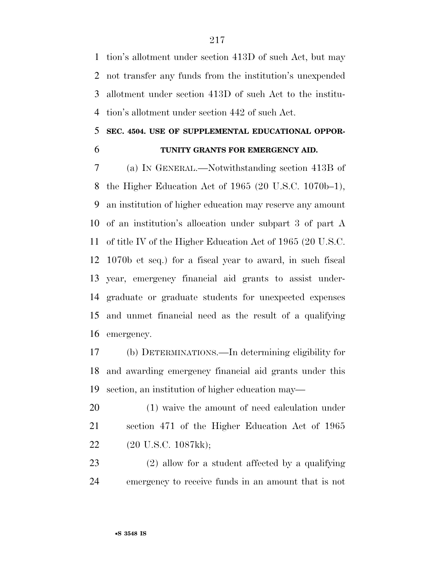tion's allotment under section 413D of such Act, but may not transfer any funds from the institution's unexpended allotment under section 413D of such Act to the institu-tion's allotment under section 442 of such Act.

### **SEC. 4504. USE OF SUPPLEMENTAL EDUCATIONAL OPPOR-**

### **TUNITY GRANTS FOR EMERGENCY AID.**

 (a) IN GENERAL.—Notwithstanding section 413B of the Higher Education Act of 1965 (20 U.S.C. 1070b–1), an institution of higher education may reserve any amount of an institution's allocation under subpart 3 of part A of title IV of the Higher Education Act of 1965 (20 U.S.C. 1070b et seq.) for a fiscal year to award, in such fiscal year, emergency financial aid grants to assist under- graduate or graduate students for unexpected expenses and unmet financial need as the result of a qualifying emergency.

 (b) DETERMINATIONS.—In determining eligibility for and awarding emergency financial aid grants under this section, an institution of higher education may—

 (1) waive the amount of need calculation under section 471 of the Higher Education Act of 1965 (20 U.S.C. 1087kk);

 (2) allow for a student affected by a qualifying emergency to receive funds in an amount that is not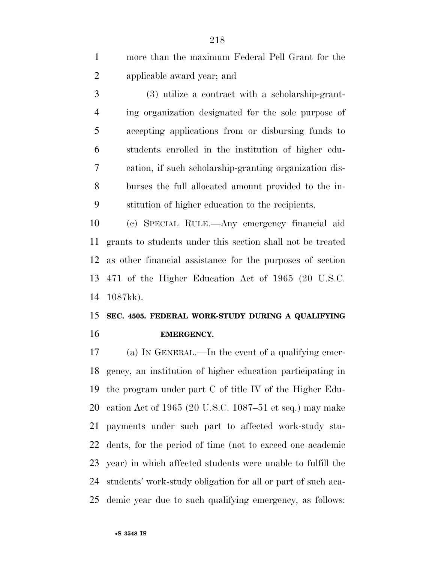more than the maximum Federal Pell Grant for the applicable award year; and

 (3) utilize a contract with a scholarship-grant- ing organization designated for the sole purpose of accepting applications from or disbursing funds to students enrolled in the institution of higher edu- cation, if such scholarship-granting organization dis- burses the full allocated amount provided to the in-stitution of higher education to the recipients.

 (c) SPECIAL RULE.—Any emergency financial aid grants to students under this section shall not be treated as other financial assistance for the purposes of section 471 of the Higher Education Act of 1965 (20 U.S.C. 1087kk).

### **SEC. 4505. FEDERAL WORK-STUDY DURING A QUALIFYING EMERGENCY.**

 (a) IN GENERAL.—In the event of a qualifying emer- gency, an institution of higher education participating in the program under part C of title IV of the Higher Edu- cation Act of 1965 (20 U.S.C. 1087–51 et seq.) may make payments under such part to affected work-study stu- dents, for the period of time (not to exceed one academic year) in which affected students were unable to fulfill the students' work-study obligation for all or part of such aca-demic year due to such qualifying emergency, as follows: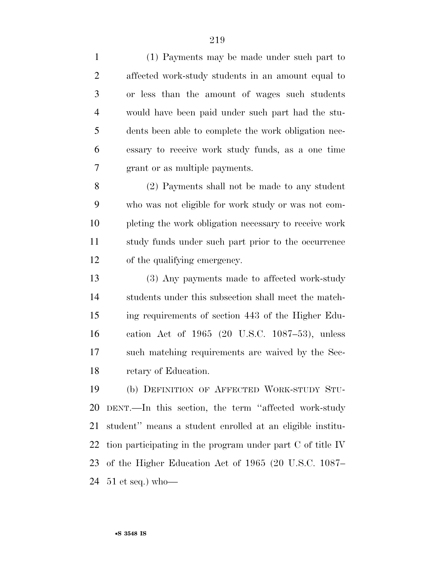(1) Payments may be made under such part to affected work-study students in an amount equal to or less than the amount of wages such students would have been paid under such part had the stu- dents been able to complete the work obligation nec- essary to receive work study funds, as a one time grant or as multiple payments.

 (2) Payments shall not be made to any student who was not eligible for work study or was not com- pleting the work obligation necessary to receive work study funds under such part prior to the occurrence of the qualifying emergency.

 (3) Any payments made to affected work-study students under this subsection shall meet the match- ing requirements of section 443 of the Higher Edu- cation Act of 1965 (20 U.S.C. 1087–53), unless such matching requirements are waived by the Sec-retary of Education.

 (b) DEFINITION OF AFFECTED WORK-STUDY STU- DENT.—In this section, the term ''affected work-study student'' means a student enrolled at an eligible institu- tion participating in the program under part C of title IV of the Higher Education Act of 1965 (20 U.S.C. 1087– 51 et seq.) who—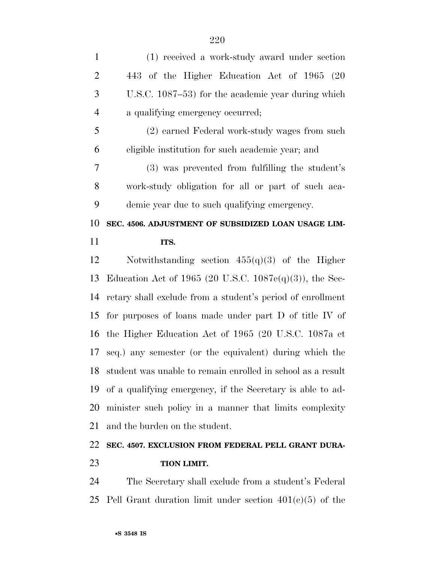| $\mathbf{1}$   | (1) received a work-study award under section               |
|----------------|-------------------------------------------------------------|
| $\overline{2}$ | 443 of the Higher Education Act of 1965 (20                 |
| 3              | U.S.C. 1087–53) for the academic year during which          |
| $\overline{4}$ | a qualifying emergency occurred;                            |
| 5              | (2) earned Federal work-study wages from such               |
| 6              | eligible institution for such a cademic year; and           |
| $\overline{7}$ | (3) was prevented from fulfilling the student's             |
| 8              | work-study obligation for all or part of such aca-          |
| 9              | demic year due to such qualifying emergency.                |
| 10             | SEC. 4506. ADJUSTMENT OF SUBSIDIZED LOAN USAGE LIM-         |
| 11             | ITS.                                                        |
| 12             | Notwithstanding section $455(q)(3)$ of the Higher           |
| 13             | Education Act of 1965 (20 U.S.C. 1087e(q)(3)), the Sec-     |
|                |                                                             |
| 14             | retary shall exclude from a student's period of enrollment  |
| 15             | for purposes of loans made under part D of title IV of      |
| 16             | the Higher Education Act of 1965 (20 U.S.C. 1087a et        |
|                | seq.) any semester (or the equivalent) during which the     |
| 17<br>18       | student was unable to remain enrolled in school as a result |
| 19             | of a qualifying emergency, if the Secretary is able to ad-  |
| 20             | minister such policy in a manner that limits complexity     |
| 21             | and the burden on the student.                              |
| 22             | SEC. 4507. EXCLUSION FROM FEDERAL PELL GRANT DURA-          |

**TION LIMIT.** 

 The Secretary shall exclude from a student's Federal 25 Pell Grant duration limit under section  $401(e)(5)$  of the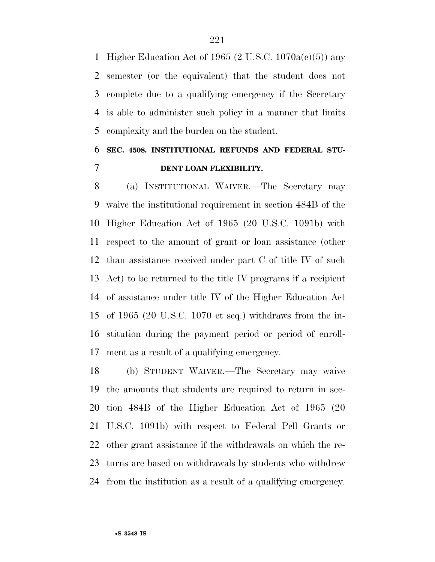Higher Education Act of 1965 (2 U.S.C. 1070a(c)(5)) any semester (or the equivalent) that the student does not complete due to a qualifying emergency if the Secretary is able to administer such policy in a manner that limits complexity and the burden on the student.

### **SEC. 4508. INSTITUTIONAL REFUNDS AND FEDERAL STU-DENT LOAN FLEXIBILITY.**

 (a) INSTITUTIONAL WAIVER.—The Secretary may waive the institutional requirement in section 484B of the Higher Education Act of 1965 (20 U.S.C. 1091b) with respect to the amount of grant or loan assistance (other than assistance received under part C of title IV of such Act) to be returned to the title IV programs if a recipient of assistance under title IV of the Higher Education Act of 1965 (20 U.S.C. 1070 et seq.) withdraws from the in- stitution during the payment period or period of enroll-ment as a result of a qualifying emergency.

 (b) STUDENT WAIVER.—The Secretary may waive the amounts that students are required to return in sec- tion 484B of the Higher Education Act of 1965 (20 U.S.C. 1091b) with respect to Federal Pell Grants or other grant assistance if the withdrawals on which the re- turns are based on withdrawals by students who withdrew from the institution as a result of a qualifying emergency.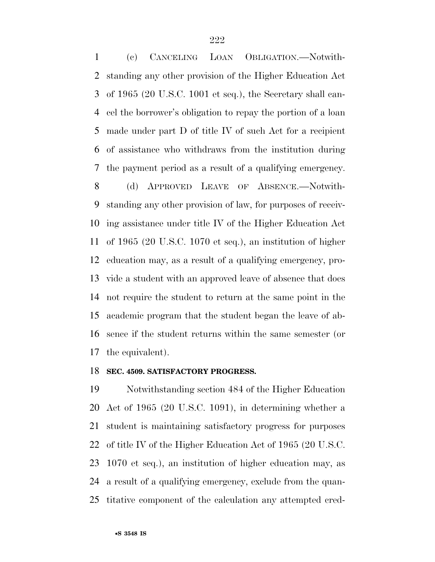(c) CANCELING LOAN OBLIGATION.—Notwith- standing any other provision of the Higher Education Act of 1965 (20 U.S.C. 1001 et seq.), the Secretary shall can- cel the borrower's obligation to repay the portion of a loan made under part D of title IV of such Act for a recipient of assistance who withdraws from the institution during the payment period as a result of a qualifying emergency.

 (d) APPROVED LEAVE OF ABSENCE.—Notwith- standing any other provision of law, for purposes of receiv- ing assistance under title IV of the Higher Education Act of 1965 (20 U.S.C. 1070 et seq.), an institution of higher education may, as a result of a qualifying emergency, pro- vide a student with an approved leave of absence that does not require the student to return at the same point in the academic program that the student began the leave of ab- sence if the student returns within the same semester (or the equivalent).

#### **SEC. 4509. SATISFACTORY PROGRESS.**

 Notwithstanding section 484 of the Higher Education Act of 1965 (20 U.S.C. 1091), in determining whether a student is maintaining satisfactory progress for purposes of title IV of the Higher Education Act of 1965 (20 U.S.C. 1070 et seq.), an institution of higher education may, as a result of a qualifying emergency, exclude from the quan-titative component of the calculation any attempted cred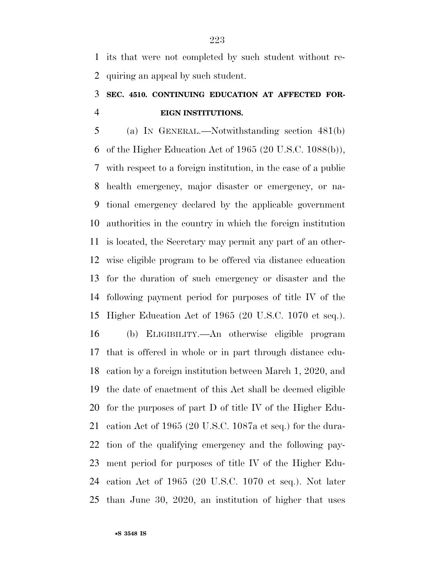its that were not completed by such student without re-quiring an appeal by such student.

## **SEC. 4510. CONTINUING EDUCATION AT AFFECTED FOR-EIGN INSTITUTIONS.**

 (a) IN GENERAL.—Notwithstanding section 481(b) of the Higher Education Act of 1965 (20 U.S.C. 1088(b)), with respect to a foreign institution, in the case of a public health emergency, major disaster or emergency, or na- tional emergency declared by the applicable government authorities in the country in which the foreign institution is located, the Secretary may permit any part of an other- wise eligible program to be offered via distance education for the duration of such emergency or disaster and the following payment period for purposes of title IV of the Higher Education Act of 1965 (20 U.S.C. 1070 et seq.).

 (b) ELIGIBILITY.—An otherwise eligible program that is offered in whole or in part through distance edu- cation by a foreign institution between March 1, 2020, and the date of enactment of this Act shall be deemed eligible for the purposes of part D of title IV of the Higher Edu- cation Act of 1965 (20 U.S.C. 1087a et seq.) for the dura- tion of the qualifying emergency and the following pay- ment period for purposes of title IV of the Higher Edu- cation Act of 1965 (20 U.S.C. 1070 et seq.). Not later than June 30, 2020, an institution of higher that uses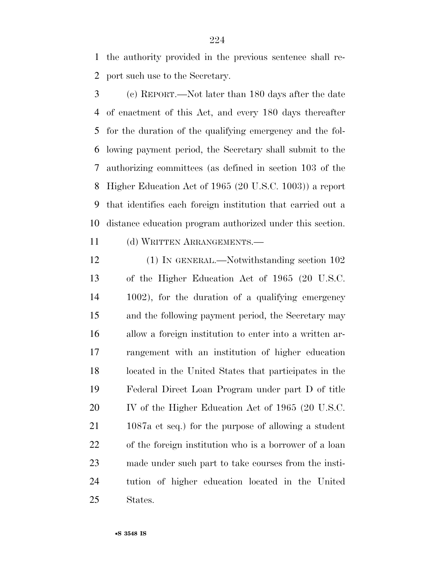the authority provided in the previous sentence shall re-port such use to the Secretary.

 (c) REPORT.—Not later than 180 days after the date of enactment of this Act, and every 180 days thereafter for the duration of the qualifying emergency and the fol- lowing payment period, the Secretary shall submit to the authorizing committees (as defined in section 103 of the Higher Education Act of 1965 (20 U.S.C. 1003)) a report that identifies each foreign institution that carried out a distance education program authorized under this section.

(d) WRITTEN ARRANGEMENTS.—

12 (1) IN GENERAL.—Notwithstanding section 102 of the Higher Education Act of 1965 (20 U.S.C. 1002), for the duration of a qualifying emergency and the following payment period, the Secretary may allow a foreign institution to enter into a written ar- rangement with an institution of higher education located in the United States that participates in the Federal Direct Loan Program under part D of title 20 IV of the Higher Education Act of 1965 (20 U.S.C. 1087a et seq.) for the purpose of allowing a student of the foreign institution who is a borrower of a loan made under such part to take courses from the insti- tution of higher education located in the United States.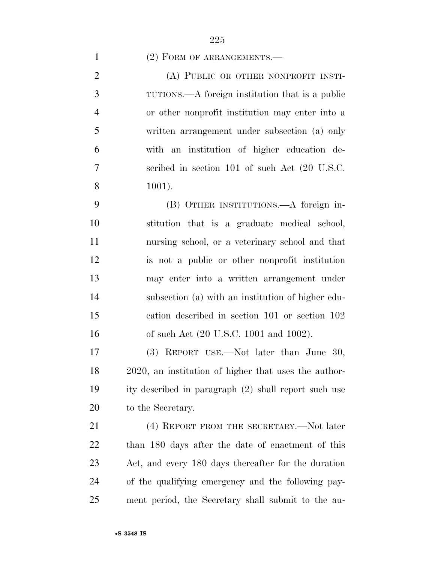### 1 (2) FORM OF ARRANGEMENTS.—

2 (A) PUBLIC OR OTHER NONPROFIT INSTI- TUTIONS.—A foreign institution that is a public or other nonprofit institution may enter into a written arrangement under subsection (a) only with an institution of higher education de- scribed in section 101 of such Act (20 U.S.C. 1001).

 (B) OTHER INSTITUTIONS.—A foreign in- stitution that is a graduate medical school, nursing school, or a veterinary school and that is not a public or other nonprofit institution may enter into a written arrangement under subsection (a) with an institution of higher edu- cation described in section 101 or section 102 of such Act (20 U.S.C. 1001 and 1002).

 (3) REPORT USE.—Not later than June 30, 2020, an institution of higher that uses the author- ity described in paragraph (2) shall report such use to the Secretary.

21 (4) REPORT FROM THE SECRETARY.—Not later than 180 days after the date of enactment of this Act, and every 180 days thereafter for the duration of the qualifying emergency and the following pay-ment period, the Secretary shall submit to the au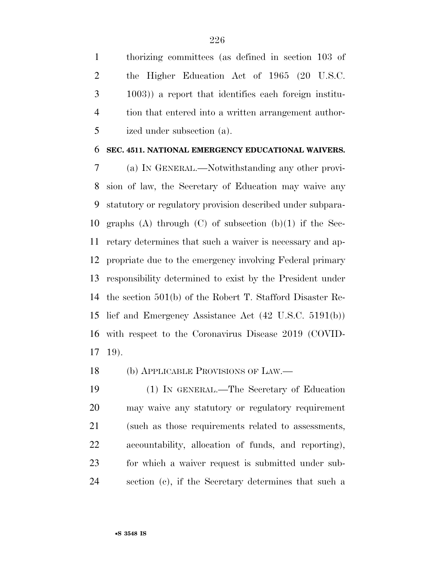thorizing committees (as defined in section 103 of the Higher Education Act of 1965 (20 U.S.C. 1003)) a report that identifies each foreign institu- tion that entered into a written arrangement author-ized under subsection (a).

#### **SEC. 4511. NATIONAL EMERGENCY EDUCATIONAL WAIVERS.**

 (a) IN GENERAL.—Notwithstanding any other provi- sion of law, the Secretary of Education may waive any statutory or regulatory provision described under subpara- graphs (A) through (C) of subsection (b)(1) if the Sec- retary determines that such a waiver is necessary and ap- propriate due to the emergency involving Federal primary responsibility determined to exist by the President under the section 501(b) of the Robert T. Stafford Disaster Re- lief and Emergency Assistance Act (42 U.S.C. 5191(b)) with respect to the Coronavirus Disease 2019 (COVID-19).

(b) APPLICABLE PROVISIONS OF LAW.—

 (1) IN GENERAL.—The Secretary of Education may waive any statutory or regulatory requirement (such as those requirements related to assessments, accountability, allocation of funds, and reporting), for which a waiver request is submitted under sub-section (c), if the Secretary determines that such a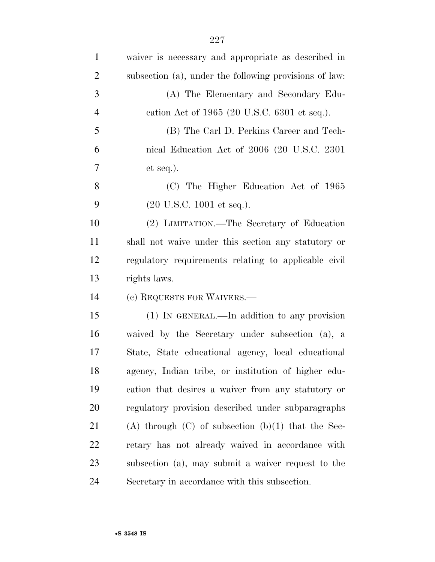| $\mathbf{1}$   | waiver is necessary and appropriate as described in    |
|----------------|--------------------------------------------------------|
| $\overline{2}$ | subsection (a), under the following provisions of law: |
| 3              | (A) The Elementary and Secondary Edu-                  |
| $\overline{4}$ | cation Act of 1965 (20 U.S.C. 6301 et seq.).           |
| 5              | (B) The Carl D. Perkins Career and Tech-               |
| 6              | nical Education Act of 2006 (20 U.S.C. 2301)           |
| 7              | $et seq.$ ).                                           |
| 8              | (C) The Higher Education Act of 1965                   |
| 9              | $(20 \text{ U.S.C. } 1001 \text{ et seq.}).$           |
| 10             | (2) LIMITATION.—The Secretary of Education             |
| 11             | shall not waive under this section any statutory or    |
| 12             | regulatory requirements relating to applicable civil   |
| 13             | rights laws.                                           |
| 14             | (c) REQUESTS FOR WAIVERS.—                             |
| 15             | (1) IN GENERAL.—In addition to any provision           |
| 16             | waived by the Secretary under subsection (a), a        |
| 17             | State, State educational agency, local educational     |
| 18             | agency, Indian tribe, or institution of higher edu-    |
| 19             | cation that desires a waiver from any statutory or     |
| 20             | regulatory provision described under subparagraphs     |
| 21             | (A) through $(C)$ of subsection $(b)(1)$ that the Sec- |
| 22             | retary has not already waived in accordance with       |
| 23             | subsection (a), may submit a waiver request to the     |
| 24             | Secretary in accordance with this subsection.          |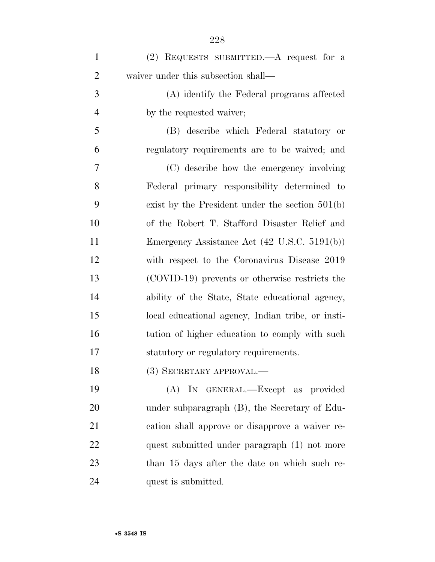| $\mathbf{1}$   | (2) REQUESTS SUBMITTED.—A request for a                 |
|----------------|---------------------------------------------------------|
| $\overline{2}$ | waiver under this subsection shall—                     |
| 3              | (A) identify the Federal programs affected              |
| $\overline{4}$ | by the requested waiver;                                |
| 5              | (B) describe which Federal statutory or                 |
| 6              | regulatory requirements are to be waived; and           |
| 7              | (C) describe how the emergency involving                |
| 8              | Federal primary responsibility determined to            |
| 9              | exist by the President under the section $501(b)$       |
| 10             | of the Robert T. Stafford Disaster Relief and           |
| 11             | Emergency Assistance Act $(42 \text{ U.S.C. } 5191(b))$ |
| 12             | with respect to the Coronavirus Disease 2019            |
| 13             | (COVID-19) prevents or otherwise restricts the          |
| 14             | ability of the State, State educational agency,         |
| 15             | local educational agency, Indian tribe, or insti-       |
| 16             | tution of higher education to comply with such          |
| 17             | statutory or regulatory requirements.                   |
| 18             | (3) SECRETARY APPROVAL.—                                |
| 19             | (A) IN GENERAL.—Except as provided                      |
| 20             | under subparagraph (B), the Secretary of Edu-           |
| 21             | cation shall approve or disapprove a waiver re-         |
| 22             | quest submitted under paragraph (1) not more            |
| 23             | than 15 days after the date on which such re-           |
| 24             | quest is submitted.                                     |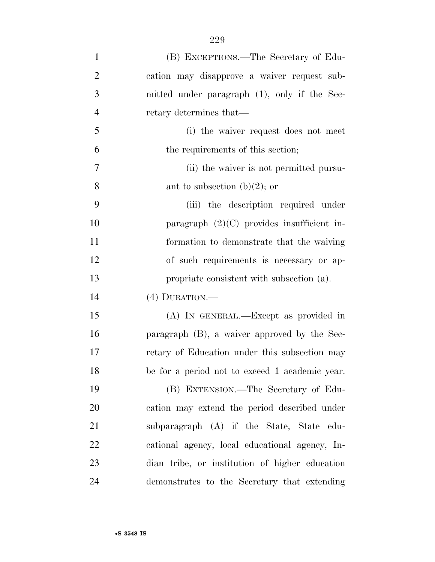| $\mathbf{1}$   | (B) EXCEPTIONS.—The Secretary of Edu-          |
|----------------|------------------------------------------------|
| $\overline{2}$ | cation may disapprove a waiver request sub-    |
| 3              | mitted under paragraph (1), only if the Sec-   |
| $\overline{4}$ | retary determines that—                        |
| 5              | (i) the waiver request does not meet           |
| 6              | the requirements of this section;              |
| 7              | (ii) the waiver is not permitted pursu-        |
| 8              | ant to subsection (b)(2); or                   |
| 9              | (iii) the description required under           |
| 10             | paragraph $(2)(C)$ provides insufficient in-   |
| 11             | formation to demonstrate that the waiving      |
| 12             | of such requirements is necessary or ap-       |
| 13             | propriate consistent with subsection (a).      |
| 14             | $(4)$ DURATION.—                               |
| 15             | (A) IN GENERAL.—Except as provided in          |
| 16             | paragraph (B), a waiver approved by the Sec-   |
| 17             | retary of Education under this subsection may  |
| 18             | be for a period not to exceed 1 academic year. |
| 19             | (B) EXTENSION.—The Secretary of Edu-           |
| 20             | cation may extend the period described under   |
| 21             | subparagraph (A) if the State, State edu-      |
| 22             | cational agency, local educational agency, In- |
| 23             | dian tribe, or institution of higher education |
| 24             | demonstrates to the Secretary that extending   |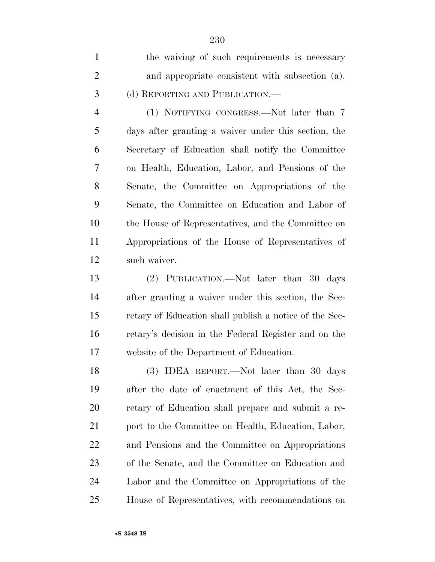| $\mathbf{1}$   | the waiving of such requirements is necessary          |
|----------------|--------------------------------------------------------|
| $\overline{2}$ | and appropriate consistent with subsection (a).        |
| 3              | (d) REPORTING AND PUBLICATION.—                        |
| $\overline{4}$ | (1) NOTIFYING CONGRESS.—Not later than 7               |
| 5              | days after granting a waiver under this section, the   |
| 6              | Secretary of Education shall notify the Committee      |
| 7              | on Health, Education, Labor, and Pensions of the       |
| 8              | Senate, the Committee on Appropriations of the         |
| 9              | Senate, the Committee on Education and Labor of        |
| 10             | the House of Representatives, and the Committee on     |
| 11             | Appropriations of the House of Representatives of      |
| 12             | such waiver.                                           |
| 13             | (2) PUBLICATION.—Not later than 30 days                |
| 14             | after granting a waiver under this section, the Sec-   |
| 15             | retary of Education shall publish a notice of the Sec- |
| 16             | retary's decision in the Federal Register and on the   |
| 17             | website of the Department of Education.                |
| 18             | (3) IDEA REPORT.—Not later than 30 days                |
| 19             | after the date of enactment of this Act, the Sec-      |
| 20             | retary of Education shall prepare and submit a re-     |
| 21             | port to the Committee on Health, Education, Labor,     |
| 22             | and Pensions and the Committee on Appropriations       |
| 23             | of the Senate, and the Committee on Education and      |
| 24             | Labor and the Committee on Appropriations of the       |
| 25             | House of Representatives, with recommendations on      |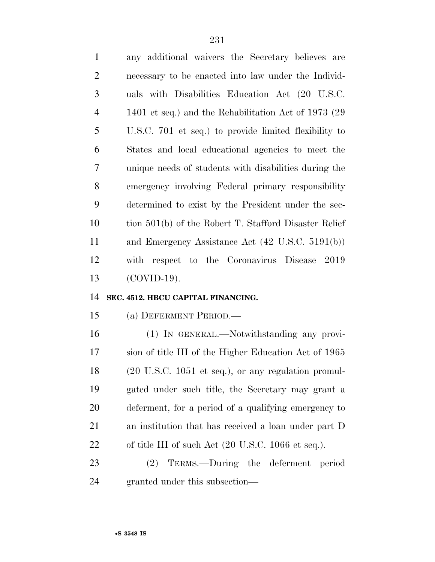any additional waivers the Secretary believes are necessary to be enacted into law under the Individ- uals with Disabilities Education Act (20 U.S.C. 1401 et seq.) and the Rehabilitation Act of 1973 (29 U.S.C. 701 et seq.) to provide limited flexibility to States and local educational agencies to meet the unique needs of students with disabilities during the emergency involving Federal primary responsibility determined to exist by the President under the sec- tion 501(b) of the Robert T. Stafford Disaster Relief and Emergency Assistance Act (42 U.S.C. 5191(b)) with respect to the Coronavirus Disease 2019 (COVID-19).

#### **SEC. 4512. HBCU CAPITAL FINANCING.**

(a) DEFERMENT PERIOD.—

 (1) IN GENERAL.—Notwithstanding any provi- sion of title III of the Higher Education Act of 1965 (20 U.S.C. 1051 et seq.), or any regulation promul- gated under such title, the Secretary may grant a deferment, for a period of a qualifying emergency to an institution that has received a loan under part D 22 of title III of such Act (20 U.S.C. 1066 et seq.).

 (2) TERMS.—During the deferment period granted under this subsection—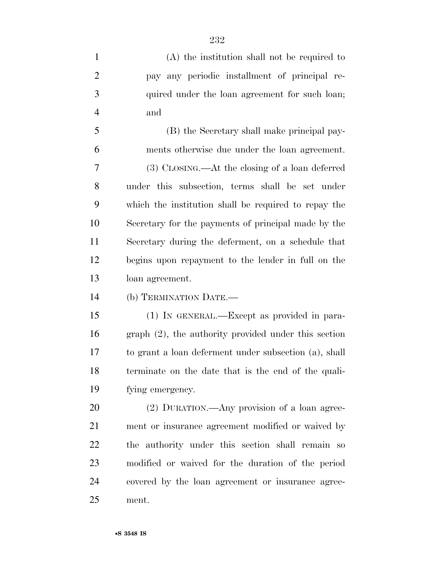(A) the institution shall not be required to pay any periodic installment of principal re- quired under the loan agreement for such loan; and (B) the Secretary shall make principal pay- ments otherwise due under the loan agreement. (3) CLOSING.—At the closing of a loan deferred under this subsection, terms shall be set under which the institution shall be required to repay the Secretary for the payments of principal made by the Secretary during the deferment, on a schedule that begins upon repayment to the lender in full on the loan agreement. (b) TERMINATION DATE.— (1) IN GENERAL.—Except as provided in para- graph (2), the authority provided under this section to grant a loan deferment under subsection (a), shall terminate on the date that is the end of the quali- fying emergency. (2) DURATION.—Any provision of a loan agree- ment or insurance agreement modified or waived by the authority under this section shall remain so modified or waived for the duration of the period covered by the loan agreement or insurance agree-ment.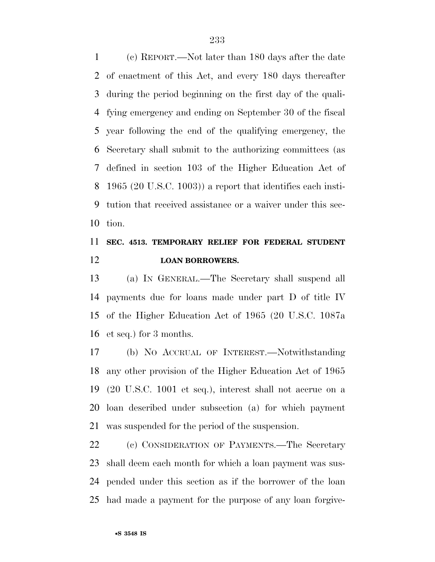(c) REPORT.—Not later than 180 days after the date of enactment of this Act, and every 180 days thereafter during the period beginning on the first day of the quali- fying emergency and ending on September 30 of the fiscal year following the end of the qualifying emergency, the Secretary shall submit to the authorizing committees (as defined in section 103 of the Higher Education Act of 1965 (20 U.S.C. 1003)) a report that identifies each insti- tution that received assistance or a waiver under this sec-tion.

### **SEC. 4513. TEMPORARY RELIEF FOR FEDERAL STUDENT LOAN BORROWERS.**

 (a) IN GENERAL.—The Secretary shall suspend all payments due for loans made under part D of title IV of the Higher Education Act of 1965 (20 U.S.C. 1087a et seq.) for 3 months.

 (b) NO ACCRUAL OF INTEREST.—Notwithstanding any other provision of the Higher Education Act of 1965 (20 U.S.C. 1001 et seq.), interest shall not accrue on a loan described under subsection (a) for which payment was suspended for the period of the suspension.

 (c) CONSIDERATION OF PAYMENTS.—The Secretary shall deem each month for which a loan payment was sus- pended under this section as if the borrower of the loan had made a payment for the purpose of any loan forgive-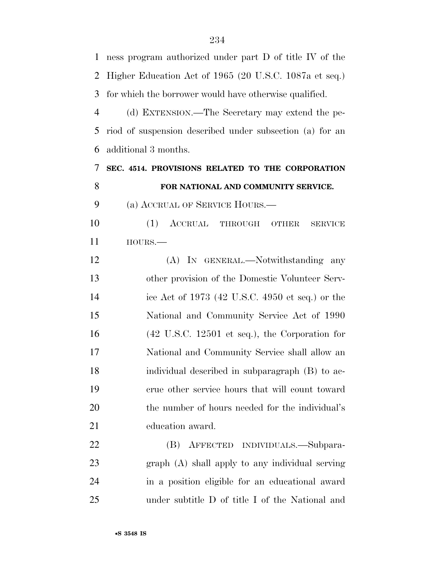| $\mathbf{1}$   | ness program authorized under part D of title IV of the           |
|----------------|-------------------------------------------------------------------|
| 2              | Higher Education Act of 1965 (20 U.S.C. 1087a et seq.)            |
| 3              | for which the borrower would have otherwise qualified.            |
| $\overline{4}$ | (d) EXTENSION.—The Secretary may extend the pe-                   |
| 5              | riod of suspension described under subsection (a) for an          |
| 6              | additional 3 months.                                              |
| 7              | SEC. 4514. PROVISIONS RELATED TO THE CORPORATION                  |
| 8              | FOR NATIONAL AND COMMUNITY SERVICE.                               |
| 9              | (a) ACCRUAL OF SERVICE HOURS.                                     |
| 10             | (1) ACCRUAL THROUGH<br><b>SERVICE</b><br>OTHER                    |
| 11             | $HOURS. -$                                                        |
| 12             | (A) IN GENERAL.—Notwithstanding any                               |
| 13             | other provision of the Domestic Volunteer Serv-                   |
| 14             | ice Act of 1973 (42 U.S.C. 4950 et seq.) or the                   |
| 15             | National and Community Service Act of 1990                        |
| 16             | $(42 \text{ U.S.C. } 12501 \text{ et seq.}),$ the Corporation for |
| 17             | National and Community Service shall allow an                     |
| 18             | individual described in subparagraph (B) to ac-                   |
| 19             | crue other service hours that will count toward                   |
| 20             | the number of hours needed for the individual's                   |
| 21             | education award.                                                  |
| 22             | (B) AFFECTED INDIVIDUALS.—Subpara-                                |
| 23             | $graph(A)$ shall apply to any individual serving                  |
| 24             | in a position eligible for an educational award                   |
| 25             | under subtitle D of title I of the National and                   |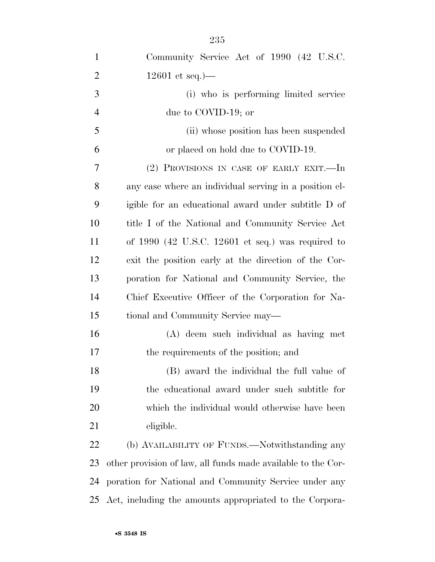| $\mathbf{1}$   | Community Service Act of 1990 (42 U.S.C.                     |
|----------------|--------------------------------------------------------------|
| $\overline{2}$ | $12601$ et seq.)—                                            |
| 3              | (i) who is performing limited service                        |
| $\overline{4}$ | due to COVID-19; or                                          |
| 5              | (ii) whose position has been suspended                       |
| 6              | or placed on hold due to COVID-19.                           |
| 7              | (2) PROVISIONS IN CASE OF EARLY EXIT.-In                     |
| 8              | any case where an individual serving in a position el-       |
| 9              | igible for an educational award under subtitle D of          |
| 10             | title I of the National and Community Service Act            |
| 11             | of $1990$ (42 U.S.C. 12601 et seq.) was required to          |
| 12             | exit the position early at the direction of the Cor-         |
| 13             | poration for National and Community Service, the             |
| 14             | Chief Executive Officer of the Corporation for Na-           |
| 15             | tional and Community Service may—                            |
| 16             | (A) deem such individual as having met                       |
| 17             | the requirements of the position; and                        |
| 18             | (B) award the individual the full value of                   |
| 19             | the educational award under such subtitle for                |
| 20             | which the individual would otherwise have been               |
| 21             | eligible.                                                    |
| 22             | (b) AVAILABILITY OF FUNDS.—Notwithstanding any               |
| 23             | other provision of law, all funds made available to the Cor- |
| 24             | poration for National and Community Service under any        |
| 25             | Act, including the amounts appropriated to the Corpora-      |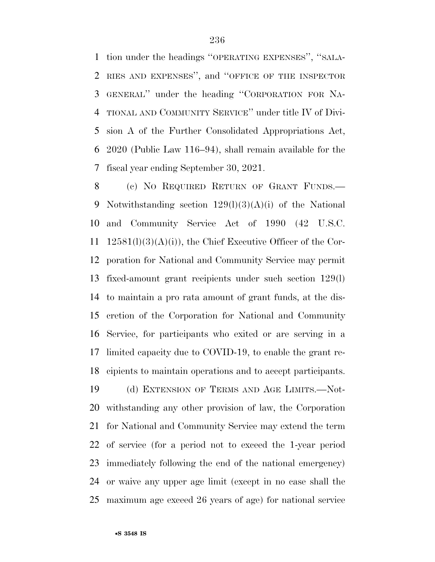tion under the headings ''OPERATING EXPENSES'', ''SALA- RIES AND EXPENSES'', and ''OFFICE OF THE INSPECTOR GENERAL'' under the heading ''CORPORATION FOR NA- TIONAL AND COMMUNITY SERVICE'' under title IV of Divi- sion A of the Further Consolidated Appropriations Act, 2020 (Public Law 116–94), shall remain available for the fiscal year ending September 30, 2021.

 (c) NO REQUIRED RETURN OF GRANT FUNDS.— Notwithstanding section 129(l)(3)(A)(i) of the National and Community Service Act of 1990 (42 U.S.C. 11 12581(l)(3)(A)(i)), the Chief Executive Officer of the Cor- poration for National and Community Service may permit fixed-amount grant recipients under such section 129(l) to maintain a pro rata amount of grant funds, at the dis- cretion of the Corporation for National and Community Service, for participants who exited or are serving in a limited capacity due to COVID-19, to enable the grant re- cipients to maintain operations and to accept participants. (d) EXTENSION OF TERMS AND AGE LIMITS.—Not-

 withstanding any other provision of law, the Corporation for National and Community Service may extend the term of service (for a period not to exceed the 1-year period immediately following the end of the national emergency) or waive any upper age limit (except in no case shall the maximum age exceed 26 years of age) for national service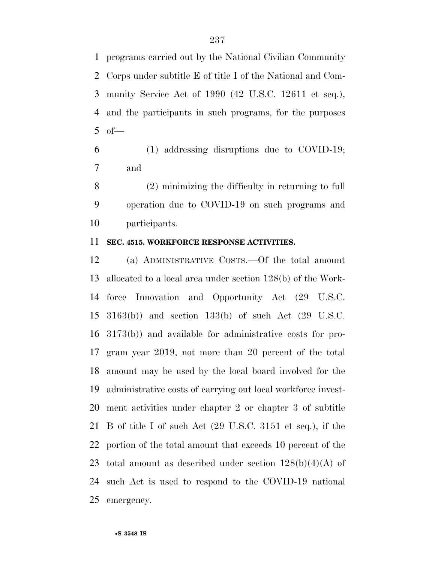programs carried out by the National Civilian Community Corps under subtitle E of title I of the National and Com- munity Service Act of 1990 (42 U.S.C. 12611 et seq.), and the participants in such programs, for the purposes of  $-$ 

 (1) addressing disruptions due to COVID-19; and

 (2) minimizing the difficulty in returning to full operation due to COVID-19 on such programs and participants.

### **SEC. 4515. WORKFORCE RESPONSE ACTIVITIES.**

 (a) ADMINISTRATIVE COSTS.—Of the total amount allocated to a local area under section 128(b) of the Work- force Innovation and Opportunity Act (29 U.S.C. 3163(b)) and section 133(b) of such Act (29 U.S.C. 3173(b)) and available for administrative costs for pro- gram year 2019, not more than 20 percent of the total amount may be used by the local board involved for the administrative costs of carrying out local workforce invest- ment activities under chapter 2 or chapter 3 of subtitle B of title I of such Act (29 U.S.C. 3151 et seq.), if the portion of the total amount that exceeds 10 percent of the 23 total amount as described under section  $128(b)(4)(A)$  of such Act is used to respond to the COVID-19 national emergency.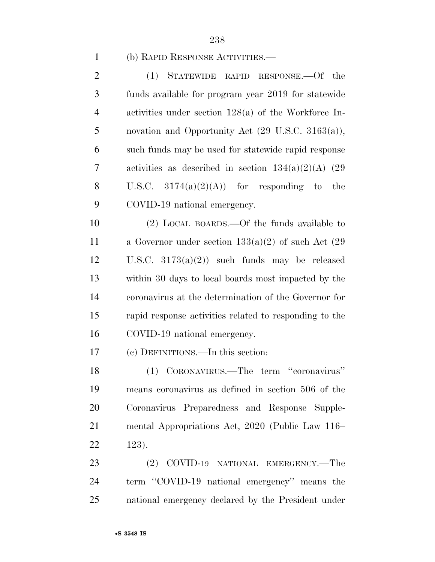#### (b) RAPID RESPONSE ACTIVITIES.—

 (1) STATEWIDE RAPID RESPONSE.—Of the funds available for program year 2019 for statewide activities under section 128(a) of the Workforce In- novation and Opportunity Act (29 U.S.C. 3163(a)), such funds may be used for statewide rapid response activities as described in section 134(a)(2)(A) (29 8 U.S.C.  $3174(a)(2)(A)$  for responding to the COVID-19 national emergency.

 (2) LOCAL BOARDS.—Of the funds available to a Governor under section 133(a)(2) of such Act (29 U.S.C. 3173(a)(2)) such funds may be released within 30 days to local boards most impacted by the coronavirus at the determination of the Governor for rapid response activities related to responding to the COVID-19 national emergency.

(c) DEFINITIONS.—In this section:

 (1) CORONAVIRUS.—The term ''coronavirus'' means coronavirus as defined in section 506 of the Coronavirus Preparedness and Response Supple- mental Appropriations Act, 2020 (Public Law 116– 123).

 (2) COVID-19 NATIONAL EMERGENCY.—The 24 term "COVID-19 national emergency" means the national emergency declared by the President under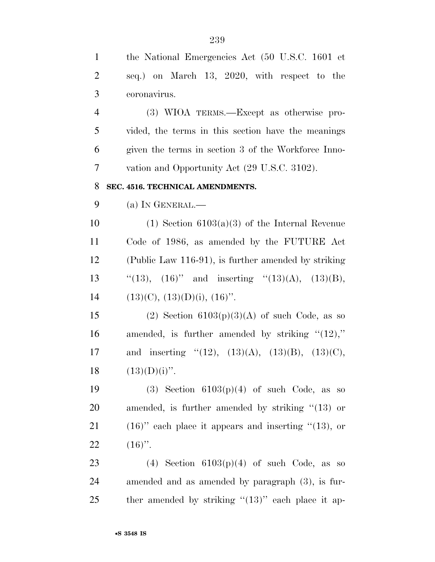| $\mathbf{1}$   | the National Emergencies Act (50 U.S.C. 1601 et            |
|----------------|------------------------------------------------------------|
| $\overline{2}$ | seq.) on March 13, 2020, with respect to the               |
| 3              | coronavirus.                                               |
| $\overline{4}$ | (3) WIOA TERMS.—Except as otherwise pro-                   |
| 5              | vided, the terms in this section have the meanings         |
| 6              | given the terms in section 3 of the Workforce Inno-        |
| 7              | vation and Opportunity Act (29 U.S.C. 3102).               |
| 8              | SEC. 4516. TECHNICAL AMENDMENTS.                           |
| 9              | (a) IN GENERAL.—                                           |
| 10             | $(1)$ Section 6103 $(a)(3)$ of the Internal Revenue        |
| 11             | Code of 1986, as amended by the FUTURE Act                 |
| 12             | (Public Law 116-91), is further amended by striking        |
| 13             | "(13), $(16)$ " and inserting "(13)(A), (13)(B),           |
| 14             | $(13)(C), (13)(D)(i), (16)$ .                              |
| 15             | (2) Section $6103(p)(3)(A)$ of such Code, as so            |
| 16             | amended, is further amended by striking " $(12)$ ,"        |
| 17             | and inserting "(12), $(13)(A)$ , $(13)(B)$ , $(13)(C)$ ,   |
| 18             | $(13)(D)(i)$ ".                                            |
| 19             | (3) Section $6103(p)(4)$ of such Code, as so               |
| 20             | amended, is further amended by striking $\degree$ (13) or  |
| 21             | $(16)$ " each place it appears and inserting " $(13)$ , or |
| 22             | $(16)$ ".                                                  |
| 23             | (4) Section $6103(p)(4)$ of such Code, as so               |
| 24             | amended and as amended by paragraph (3), is fur-           |
| 25             | ther amended by striking " $(13)$ " each place it ap-      |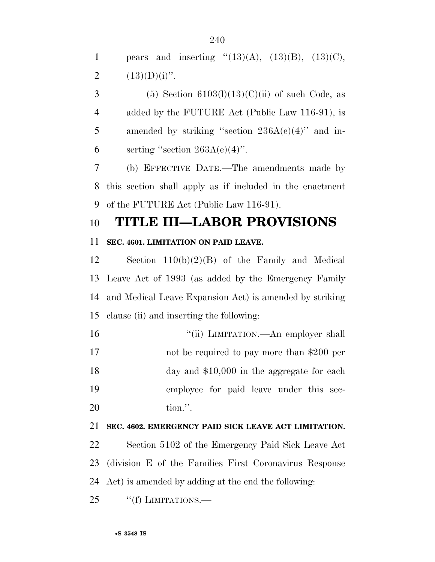1 pears and inserting " $(13)(A)$ ,  $(13)(B)$ ,  $(13)(C)$ , 2  $(13)(D)(i)$ ".

3 (5) Section  $6103(l)(13)(C)(ii)$  of such Code, as 4 added by the FUTURE Act (Public Law 116-91), is 5 amended by striking "section  $236A(e)(4)$ " and in-6 serting "section  $263A(e)(4)$ ".

 (b) EFFECTIVE DATE.—The amendments made by this section shall apply as if included in the enactment of the FUTURE Act (Public Law 116-91).

### **TITLE III—LABOR PROVISIONS**

### **SEC. 4601. LIMITATION ON PAID LEAVE.**

 Section 110(b)(2)(B) of the Family and Medical Leave Act of 1993 (as added by the Emergency Family and Medical Leave Expansion Act) is amended by striking clause (ii) and inserting the following:

 $"$ (ii) LIMITATION.—An employer shall not be required to pay more than \$200 per 18 day and \$10,000 in the aggregate for each employee for paid leave under this sec-tion.''.

### **SEC. 4602. EMERGENCY PAID SICK LEAVE ACT LIMITATION.**

 Section 5102 of the Emergency Paid Sick Leave Act (division E of the Families First Coronavirus Response Act) is amended by adding at the end the following:

25 "(f) LIMITATIONS.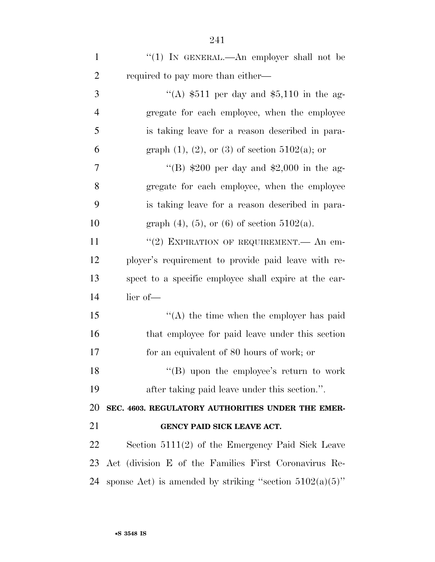| $\mathbf{1}$   | "(1) IN GENERAL.—An employer shall not be                  |
|----------------|------------------------------------------------------------|
| $\overline{2}$ | required to pay more than either—                          |
| 3              | "(A) $$511$ per day and $$5,110$ in the ag-                |
| $\overline{4}$ | gregate for each employee, when the employee               |
| 5              | is taking leave for a reason described in para-            |
| 6              | graph $(1)$ , $(2)$ , or $(3)$ of section $5102(a)$ ; or   |
| 7              | "(B) $$200$ per day and $$2,000$ in the ag-                |
| 8              | gregate for each employee, when the employee               |
| 9              | is taking leave for a reason described in para-            |
| 10             | graph $(4)$ , $(5)$ , or $(6)$ of section $5102(a)$ .      |
| 11             | "(2) EXPIRATION OF REQUIREMENT.— An em-                    |
| 12             | ployer's requirement to provide paid leave with re-        |
| 13             | spect to a specific employee shall expire at the ear-      |
| 14             | lier of-                                                   |
| 15             | $\lq\lq$ the time when the employer has paid               |
| 16             | that employee for paid leave under this section            |
| 17             | for an equivalent of 80 hours of work; or                  |
| 18             | "(B) upon the employee's return to work                    |
| 19             | after taking paid leave under this section.".              |
| 20             | SEC. 4603. REGULATORY AUTHORITIES UNDER THE EMER-          |
| 21             | GENCY PAID SICK LEAVE ACT.                                 |
| 22             | Section $5111(2)$ of the Emergency Paid Sick Leave         |
| 23             | Act (division E of the Families First Coronavirus Re-      |
| 24             | sponse Act) is amended by striking "section $5102(a)(5)$ " |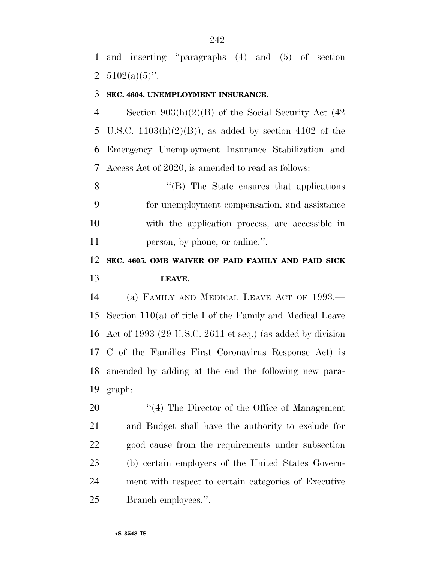and inserting ''paragraphs (4) and (5) of section 2  $5102(a)(5)$ ".

### **SEC. 4604. UNEMPLOYMENT INSURANCE.**

 Section 903(h)(2)(B) of the Social Security Act (42 U.S.C. 1103(h)(2)(B)), as added by section 4102 of the Emergency Unemployment Insurance Stabilization and Access Act of 2020, is amended to read as follows:

8 "(B) The State ensures that applications" for unemployment compensation, and assistance with the application process, are accessible in person, by phone, or online.''.

### **SEC. 4605. OMB WAIVER OF PAID FAMILY AND PAID SICK LEAVE.**

 (a) FAMILY AND MEDICAL LEAVE ACT OF 1993.— Section 110(a) of title I of the Family and Medical Leave Act of 1993 (29 U.S.C. 2611 et seq.) (as added by division C of the Families First Coronavirus Response Act) is amended by adding at the end the following new para-graph:

 $\frac{1}{2}$  The Director of the Office of Management and Budget shall have the authority to exclude for good cause from the requirements under subsection (b) certain employers of the United States Govern- ment with respect to certain categories of Executive Branch employees.''.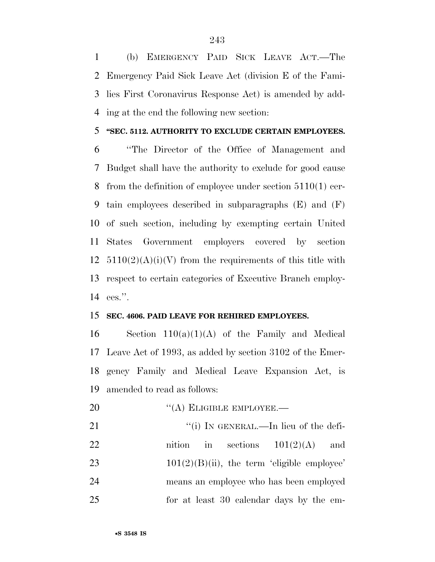(b) EMERGENCY PAID SICK LEAVE ACT.—The Emergency Paid Sick Leave Act (division E of the Fami- lies First Coronavirus Response Act) is amended by add-ing at the end the following new section:

### **''SEC. 5112. AUTHORITY TO EXCLUDE CERTAIN EMPLOYEES.**

 ''The Director of the Office of Management and Budget shall have the authority to exclude for good cause from the definition of employee under section 5110(1) cer- tain employees described in subparagraphs (E) and (F) of such section, including by exempting certain United States Government employers covered by section  $5110(2)(A)(i)(V)$  from the requirements of this title with respect to certain categories of Executive Branch employ-ees.''.

### **SEC. 4606. PAID LEAVE FOR REHIRED EMPLOYEES.**

16 Section  $110(a)(1)(A)$  of the Family and Medical Leave Act of 1993, as added by section 3102 of the Emer- gency Family and Medical Leave Expansion Act, is amended to read as follows:

20 "(A) ELIGIBLE EMPLOYEE.—

21 ""(i) IN GENERAL.—In lieu of the defi-22 nition in sections  $101(2)(A)$  and 23  $101(2)(B)(ii)$ , the term 'eligible employee' means an employee who has been employed for at least 30 calendar days by the em-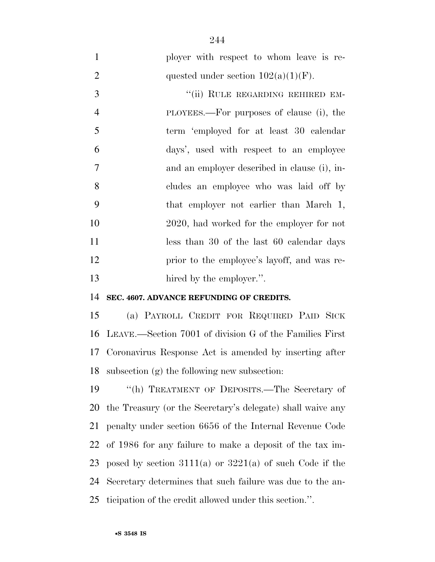ployer with respect to whom leave is re-2 quested under section  $102(a)(1)(F)$ . 3 "(ii) RULE REGARDING REHIRED EM- PLOYEES.—For purposes of clause (i), the term 'employed for at least 30 calendar days', used with respect to an employee and an employer described in clause (i), in- cludes an employee who was laid off by that employer not earlier than March 1, 2020, had worked for the employer for not 11 less than 30 of the last 60 calendar days prior to the employee's layoff, and was re-13 hired by the employer.".

#### **SEC. 4607. ADVANCE REFUNDING OF CREDITS.**

 (a) PAYROLL CREDIT FOR REQUIRED PAID SICK LEAVE.—Section 7001 of division G of the Families First Coronavirus Response Act is amended by inserting after subsection (g) the following new subsection:

 ''(h) TREATMENT OF DEPOSITS.—The Secretary of the Treasury (or the Secretary's delegate) shall waive any penalty under section 6656 of the Internal Revenue Code of 1986 for any failure to make a deposit of the tax im-23 posed by section  $3111(a)$  or  $3221(a)$  of such Code if the Secretary determines that such failure was due to the an-ticipation of the credit allowed under this section.''.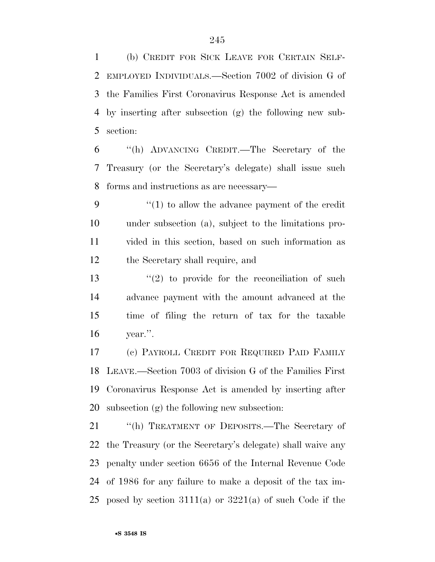(b) CREDIT FOR SICK LEAVE FOR CERTAIN SELF- EMPLOYED INDIVIDUALS.—Section 7002 of division G of the Families First Coronavirus Response Act is amended by inserting after subsection (g) the following new sub-section:

 ''(h) ADVANCING CREDIT.—The Secretary of the Treasury (or the Secretary's delegate) shall issue such forms and instructions as are necessary—

 $\frac{4}{1}$  to allow the advance payment of the credit under subsection (a), subject to the limitations pro- vided in this section, based on such information as the Secretary shall require, and

 $\frac{13}{2}$  ''(2) to provide for the reconciliation of such advance payment with the amount advanced at the time of filing the return of tax for the taxable year.''.

 (c) PAYROLL CREDIT FOR REQUIRED PAID FAMILY LEAVE.—Section 7003 of division G of the Families First Coronavirus Response Act is amended by inserting after subsection (g) the following new subsection:

 ''(h) TREATMENT OF DEPOSITS.—The Secretary of the Treasury (or the Secretary's delegate) shall waive any penalty under section 6656 of the Internal Revenue Code of 1986 for any failure to make a deposit of the tax im-25 posed by section  $3111(a)$  or  $3221(a)$  of such Code if the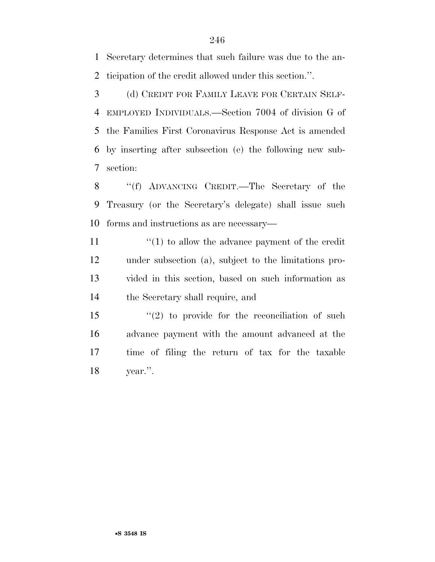Secretary determines that such failure was due to the an-ticipation of the credit allowed under this section.''.

 (d) CREDIT FOR FAMILY LEAVE FOR CERTAIN SELF- EMPLOYED INDIVIDUALS.—Section 7004 of division G of the Families First Coronavirus Response Act is amended by inserting after subsection (e) the following new sub-section:

8 "(f) ADVANCING CREDIT.—The Secretary of the Treasury (or the Secretary's delegate) shall issue such forms and instructions as are necessary—

11 ''(1) to allow the advance payment of the credit under subsection (a), subject to the limitations pro- vided in this section, based on such information as the Secretary shall require, and

15 ''(2) to provide for the reconciliation of such advance payment with the amount advanced at the time of filing the return of tax for the taxable year.''.